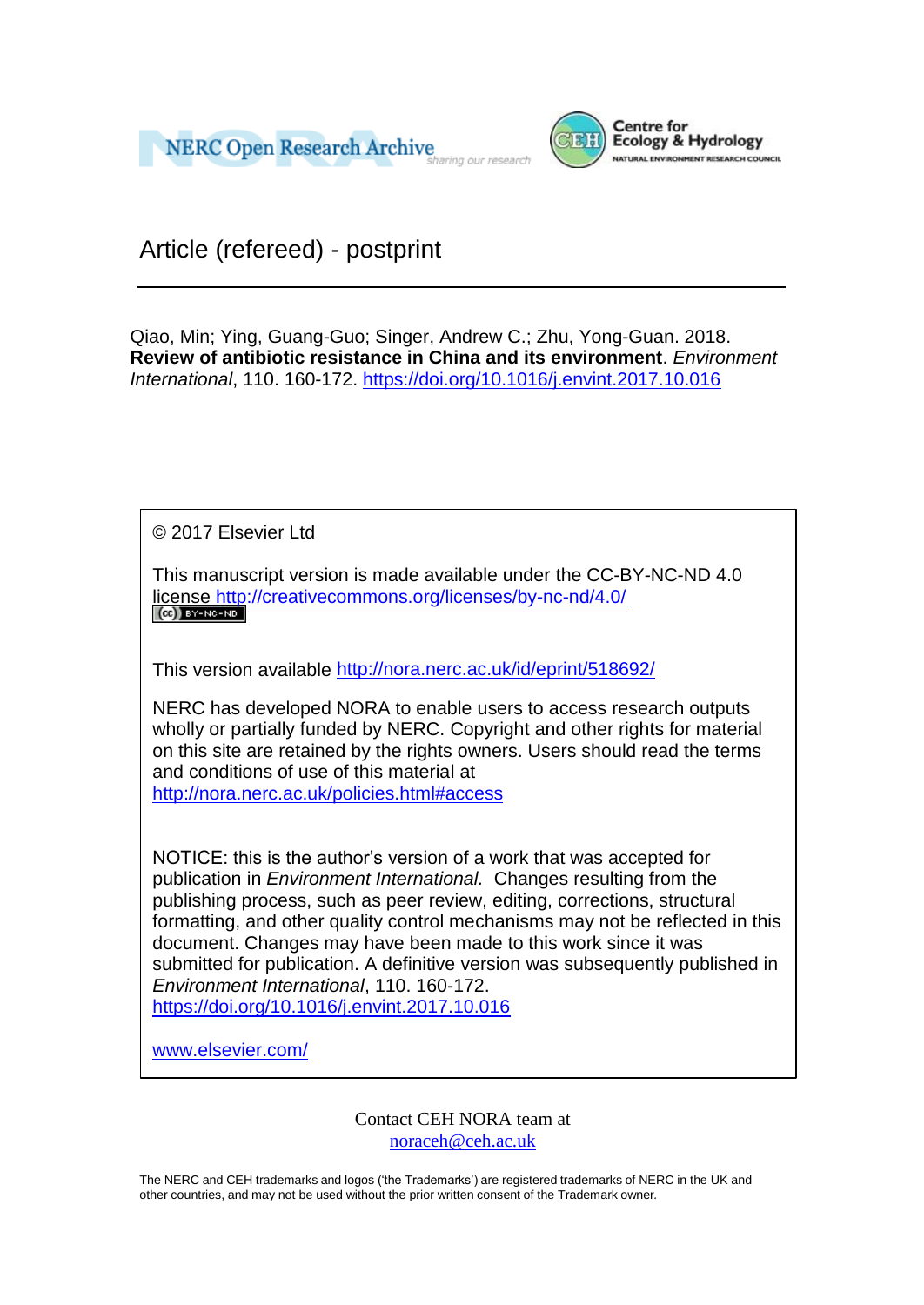



Article (refereed) - postprint

Qiao, Min; Ying, Guang-Guo; Singer, Andrew C.; Zhu, Yong-Guan. 2018. **Review of antibiotic resistance in China and its environment**. *Environment International*, 110. 160-172.<https://doi.org/10.1016/j.envint.2017.10.016>

© 2017 Elsevier Ltd

This manuscript version is made available under the CC-BY-NC-ND 4.0 license<http://creativecommons.org/licenses/by-nc-nd/4.0/>

This version available<http://nora.nerc.ac.uk/id/eprint/518692/>

NERC has developed NORA to enable users to access research outputs wholly or partially funded by NERC. Copyright and other rights for material on this site are retained by the rights owners. Users should read the terms and conditions of use of this material at <http://nora.nerc.ac.uk/policies.html#access>

NOTICE: this is the author's version of a work that was accepted for publication in *Environment International.* Changes resulting from the publishing process, such as peer review, editing, corrections, structural formatting, and other quality control mechanisms may not be reflected in this document. Changes may have been made to this work since it was submitted for publication. A definitive version was subsequently published in *Environment International*, 110. 160-172. <https://doi.org/10.1016/j.envint.2017.10.016>

[www.elsevier.com/](http://www.elsevier.com/)

Contact CEH NORA team at [noraceh@ceh.ac.uk](mailto:noraceh@ceh.ac.uk)

The NERC and CEH trademarks and logos ('the Trademarks') are registered trademarks of NERC in the UK and other countries, and may not be used without the prior written consent of the Trademark owner*.*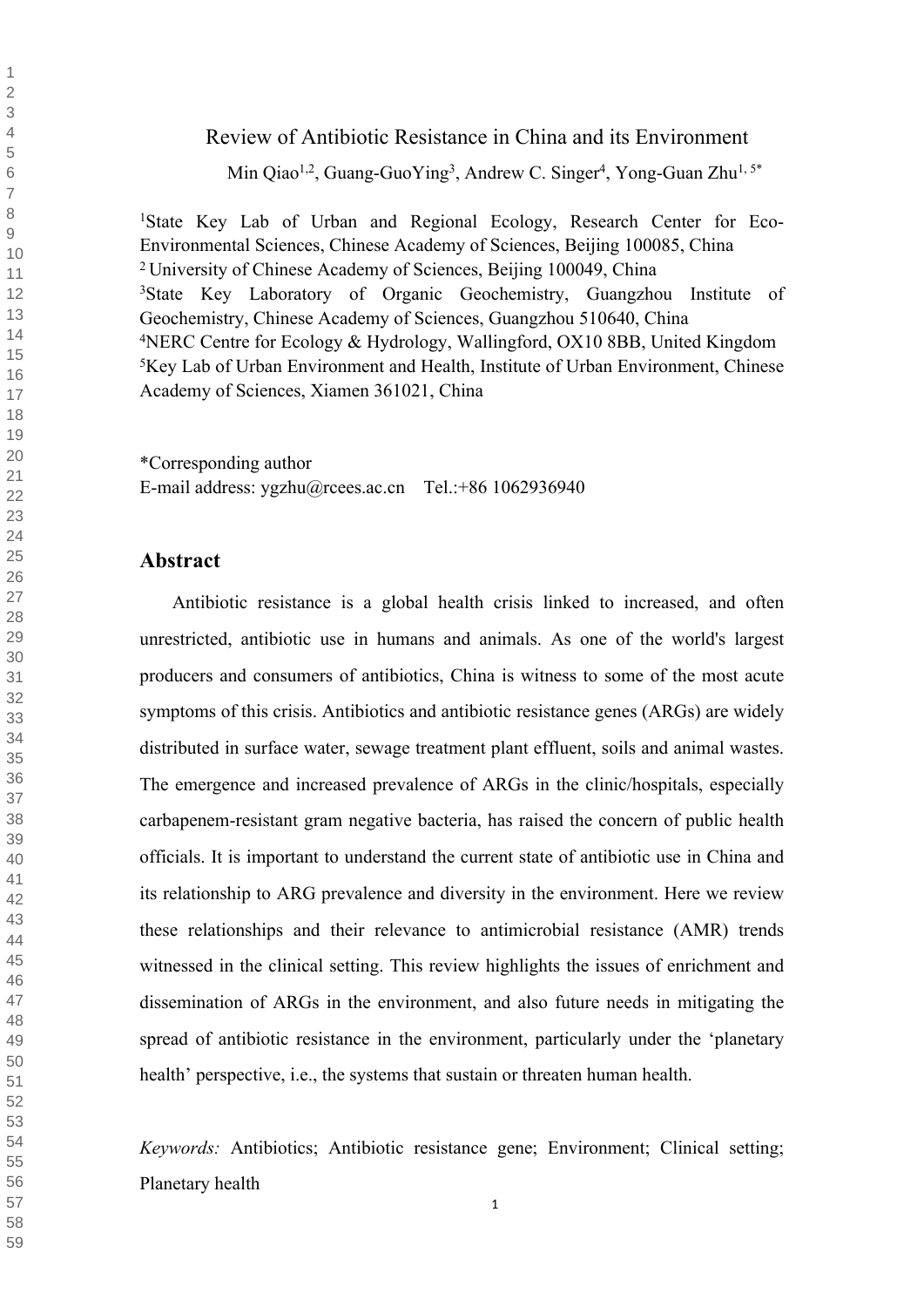# Review of Antibiotic Resistance in China and its Environment

Min Qiao<sup>1,2</sup>, Guang-GuoYing<sup>3</sup>, Andrew C. Singer<sup>4</sup>, Yong-Guan Zhu<sup>1, 5\*</sup>

State Key Lab of Urban and Regional Ecology, Research Center for Eco-Environmental Sciences, Chinese Academy of Sciences, Beijing 100085, China University of Chinese Academy of Sciences, Beijing 100049, China <sup>3</sup>State Key Laboratory of Organic Geochemistry, Guangzhou Institute of Geochemistry, Chinese Academy of Sciences, Guangzhou 510640, China NERC Centre for Ecology & Hydrology, Wallingford, OX10 8BB, United Kingdom Key Lab of Urban Environment and Health, Institute of Urban Environment, Chinese Academy of Sciences, Xiamen 361021, China

\*Corresponding author E-mail address: ygzhu@rcees.ac.cn Tel.:+86 1062936940

#### **Abstract**

Antibiotic resistance is a global health crisis linked to increased, and often unrestricted, antibiotic use in humans and animals. As one of the world's largest producers and consumers of antibiotics, China is witness to some of the most acute symptoms of this crisis. Antibiotics and antibiotic resistance genes (ARGs) are widely distributed in surface water, sewage treatment plant effluent, soils and animal wastes. The emergence and increased prevalence of ARGs in the clinic/hospitals, especially carbapenem-resistant gram negative bacteria, has raised the concern of public health officials. It is important to understand the current state of antibiotic use in China and its relationship to ARG prevalence and diversity in the environment. Here we review these relationships and their relevance to antimicrobial resistance (AMR) trends witnessed in the clinical setting. This review highlights the issues of enrichment and dissemination of ARGs in the environment, and also future needs in mitigating the spread of antibiotic resistance in the environment, particularly under the 'planetary health' perspective, i.e., the systems that sustain or threaten human health.

*Keywords:* Antibiotics; Antibiotic resistance gene; Environment; Clinical setting; Planetary health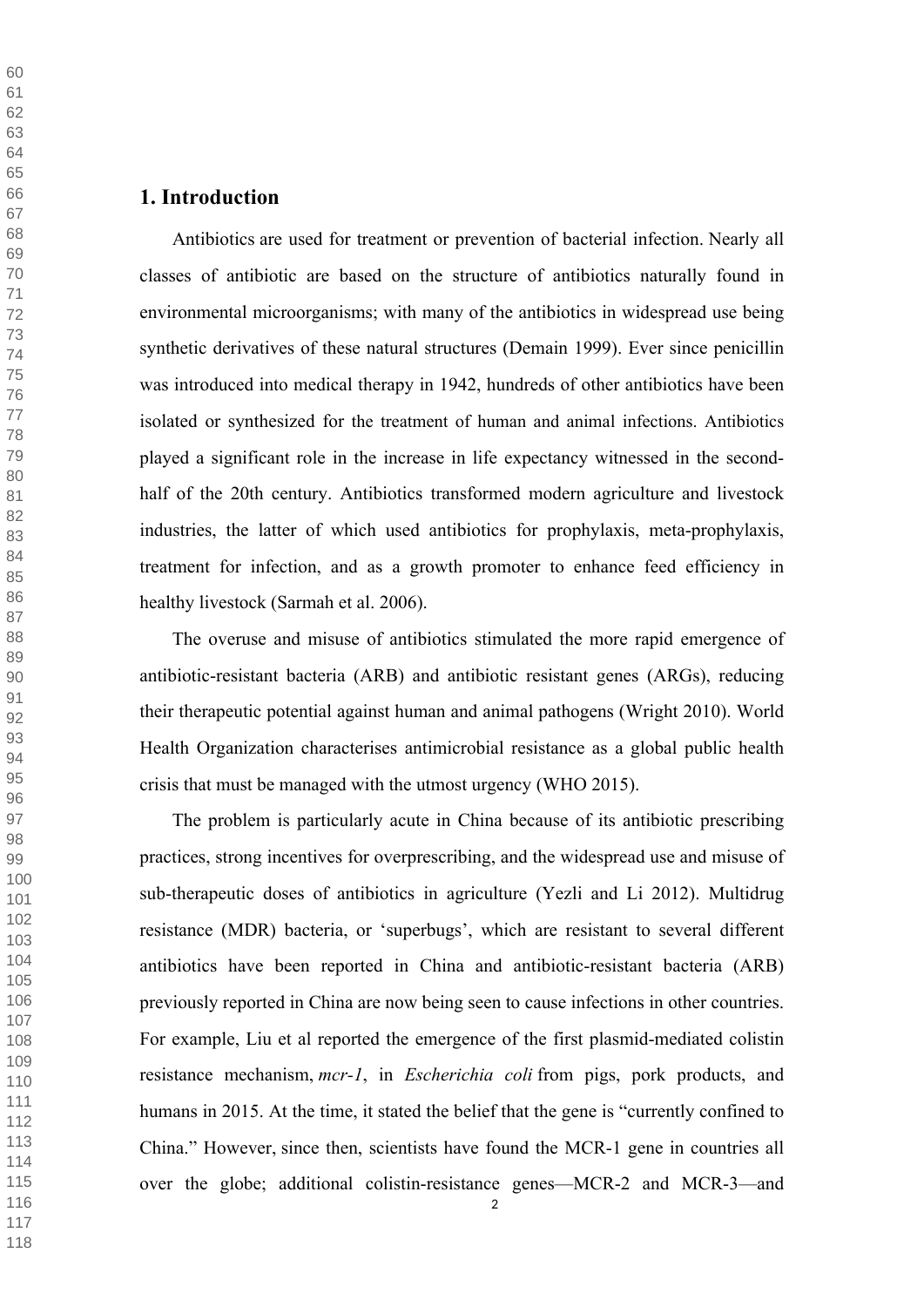# **1. Introduction**

Antibiotics are used for treatment or prevention of bacterial infection. Nearly all classes of antibiotic are based on the structure of antibiotics naturally found in environmental microorganisms; with many of the antibiotics in widespread use being synthetic derivatives of these natural structures (Demain 1999). Ever since penicillin was introduced into medical therapy in 1942, hundreds of other antibiotics have been isolated or synthesized for the treatment of human and animal infections. Antibiotics played a significant role in the increase in life expectancy witnessed in the secondhalf of the 20th century. Antibiotics transformed modern agriculture and livestock industries, the latter of which used antibiotics for prophylaxis, meta-prophylaxis, treatment for infection, and as a growth promoter to enhance feed efficiency in healthy livestock (Sarmah et al. 2006).

The overuse and misuse of antibiotics stimulated the more rapid emergence of antibiotic-resistant bacteria (ARB) and antibiotic resistant genes (ARGs), reducing their therapeutic potential against human and animal pathogens (Wright 2010). World Health Organization characterises antimicrobial resistance as a global public health crisis that must be managed with the utmost urgency (WHO 2015).

The problem is particularly acute in China because of its antibiotic prescribing practices, strong incentives for overprescribing, and the widespread use and misuse of sub-therapeutic doses of antibiotics in agriculture (Yezli and Li 2012). Multidrug resistance (MDR) bacteria, or 'superbugs', which are resistant to several different antibiotics have been reported in China and antibiotic-resistant bacteria (ARB) previously reported in China are now being seen to cause infections in other countries. For example, Liu et al reported the emergence of the first plasmid-mediated colistin resistance mechanism, *mcr-1*, in *Escherichia coli* from pigs, pork products, and humans in 2015. At the time, it stated the belief that the gene is "currently confined to China." However, since then, scientists have found the MCR-1 gene in countries all over the globe; additional colistin-resistance genes—MCR-2 and MCR-3—and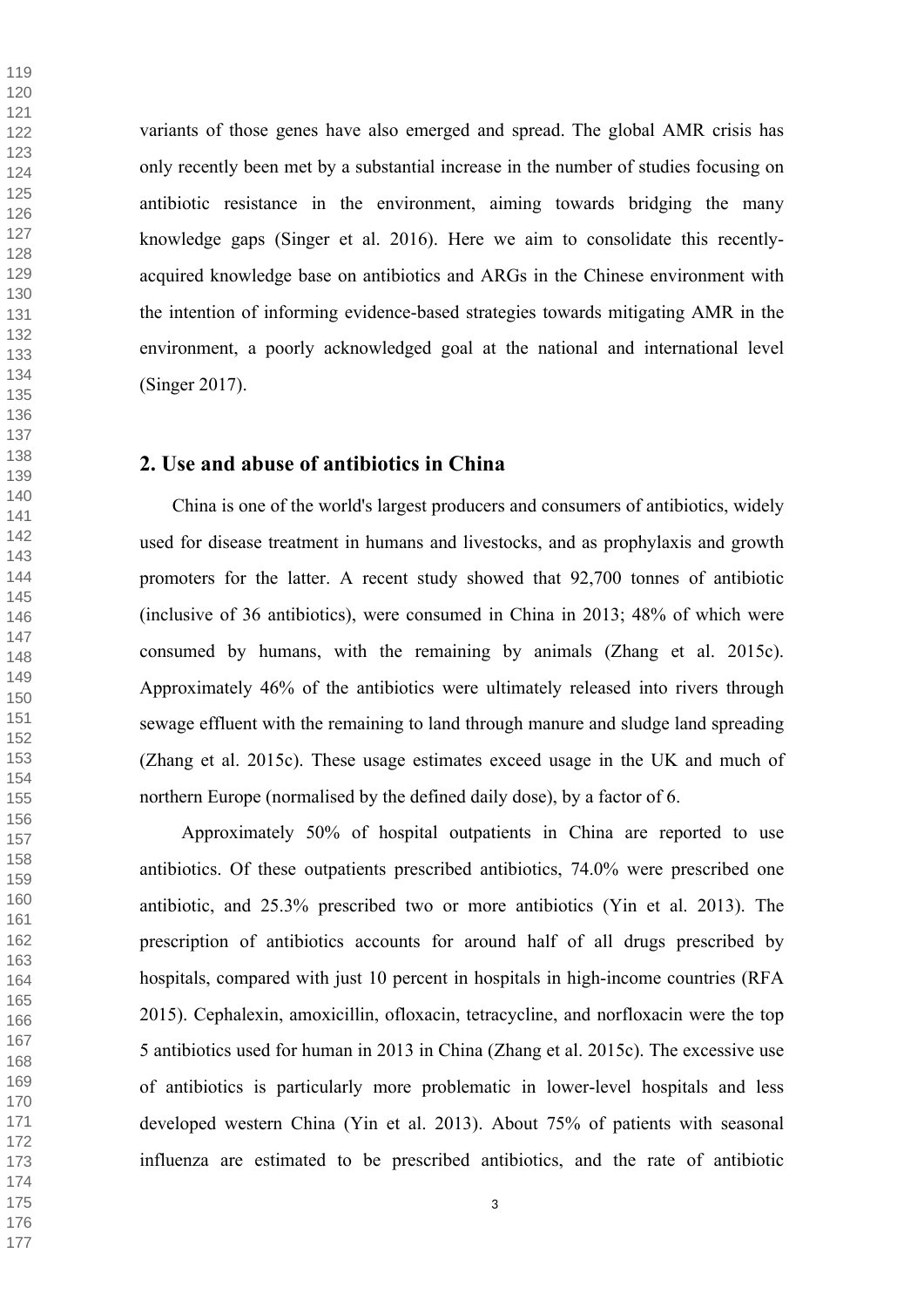variants of those genes have also emerged and spread. The global AMR crisis has only recently been met by a substantial increase in the number of studies focusing on antibiotic resistance in the environment, aiming towards bridging the many knowledge gaps (Singer et al. 2016). Here we aim to consolidate this recentlyacquired knowledge base on antibiotics and ARGs in the Chinese environment with the intention of informing evidence-based strategies towards mitigating AMR in the environment, a poorly acknowledged goal at the national and international level (Singer 2017).

#### **2. Use and abuse of antibiotics in China**

China is one of the world's largest producers and consumers of antibiotics, widely used for disease treatment in humans and livestocks, and as prophylaxis and growth promoters for the latter. A recent study showed that 92,700 tonnes of antibiotic (inclusive of 36 antibiotics), were consumed in China in 2013; 48% of which were consumed by humans, with the remaining by animals (Zhang et al. 2015c). Approximately 46% of the antibiotics were ultimately released into rivers through sewage effluent with the remaining to land through manure and sludge land spreading (Zhang et al. 2015c). These usage estimates exceed usage in the UK and much of northern Europe (normalised by the defined daily dose), by a factor of 6.

 Approximately 50% of hospital outpatients in China are reported to use antibiotics. Of these outpatients prescribed antibiotics, 74.0% were prescribed one antibiotic, and 25.3% prescribed two or more antibiotics (Yin et al. 2013). The prescription of antibiotics accounts for around half of all drugs prescribed by hospitals, compared with just 10 percent in hospitals in high-income countries (RFA 2015). Cephalexin, amoxicillin, ofloxacin, tetracycline, and norfloxacin were the top 5 antibiotics used for human in 2013 in China (Zhang et al. 2015c). The excessive use of antibiotics is particularly more problematic in lower-level hospitals and less developed western China (Yin et al. 2013). About 75% of patients with seasonal influenza are estimated to be prescribed antibiotics, and the rate of antibiotic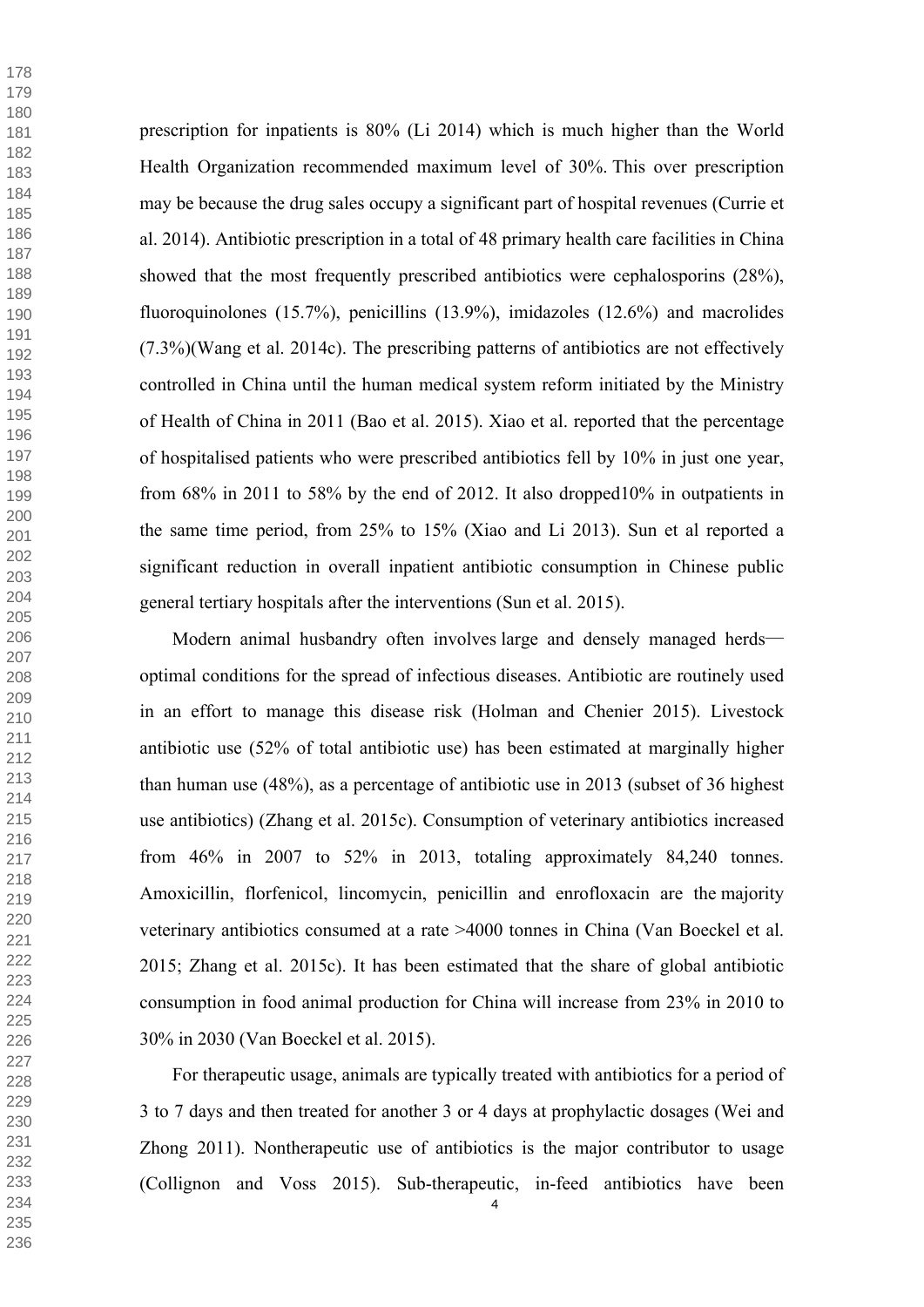prescription for inpatients is 80% (Li 2014) which is much higher than the World Health Organization recommended maximum level of 30%. This over prescription may be because the drug sales occupy a significant part of hospital revenues (Currie et al. 2014). Antibiotic prescription in a total of 48 primary health care facilities in China showed that the most frequently prescribed antibiotics were cephalosporins (28%), fluoroquinolones (15.7%), penicillins (13.9%), imidazoles (12.6%) and macrolides (7.3%)(Wang et al. 2014c). The prescribing patterns of antibiotics are not effectively controlled in China until the human medical system reform initiated by the Ministry of Health of China in 2011 (Bao et al. 2015). Xiao et al. reported that the percentage of hospitalised patients who were prescribed antibiotics fell by 10% in just one year, from 68% in 2011 to 58% by the end of 2012. It also dropped10% in outpatients in the same time period, from 25% to 15% (Xiao and Li 2013). Sun et al reported a significant reduction in overall inpatient antibiotic consumption in Chinese public general tertiary hospitals after the interventions (Sun et al. 2015).

Modern animal husbandry often involves large and densely managed herds optimal conditions for the spread of infectious diseases. Antibiotic are routinely used in an effort to manage this disease risk (Holman and Chenier 2015). Livestock antibiotic use (52% of total antibiotic use) has been estimated at marginally higher than human use (48%), as a percentage of antibiotic use in 2013 (subset of 36 highest use antibiotics) (Zhang et al. 2015c). Consumption of veterinary antibiotics increased from 46% in 2007 to 52% in 2013, totaling approximately 84,240 tonnes. Amoxicillin, florfenicol, lincomycin, penicillin and enrofloxacin are the majority veterinary antibiotics consumed at a rate >4000 tonnes in China (Van Boeckel et al. 2015; Zhang et al. 2015c). It has been estimated that the share of global antibiotic consumption in food animal production for China will increase from 23% in 2010 to 30% in 2030 (Van Boeckel et al. 2015).

For therapeutic usage, animals are typically treated with antibiotics for a period of 3 to 7 days and then treated for another 3 or 4 days at prophylactic dosages (Wei and Zhong 2011). Nontherapeutic use of antibiotics is the major contributor to usage (Collignon and Voss 2015). Sub-therapeutic, in-feed antibiotics have been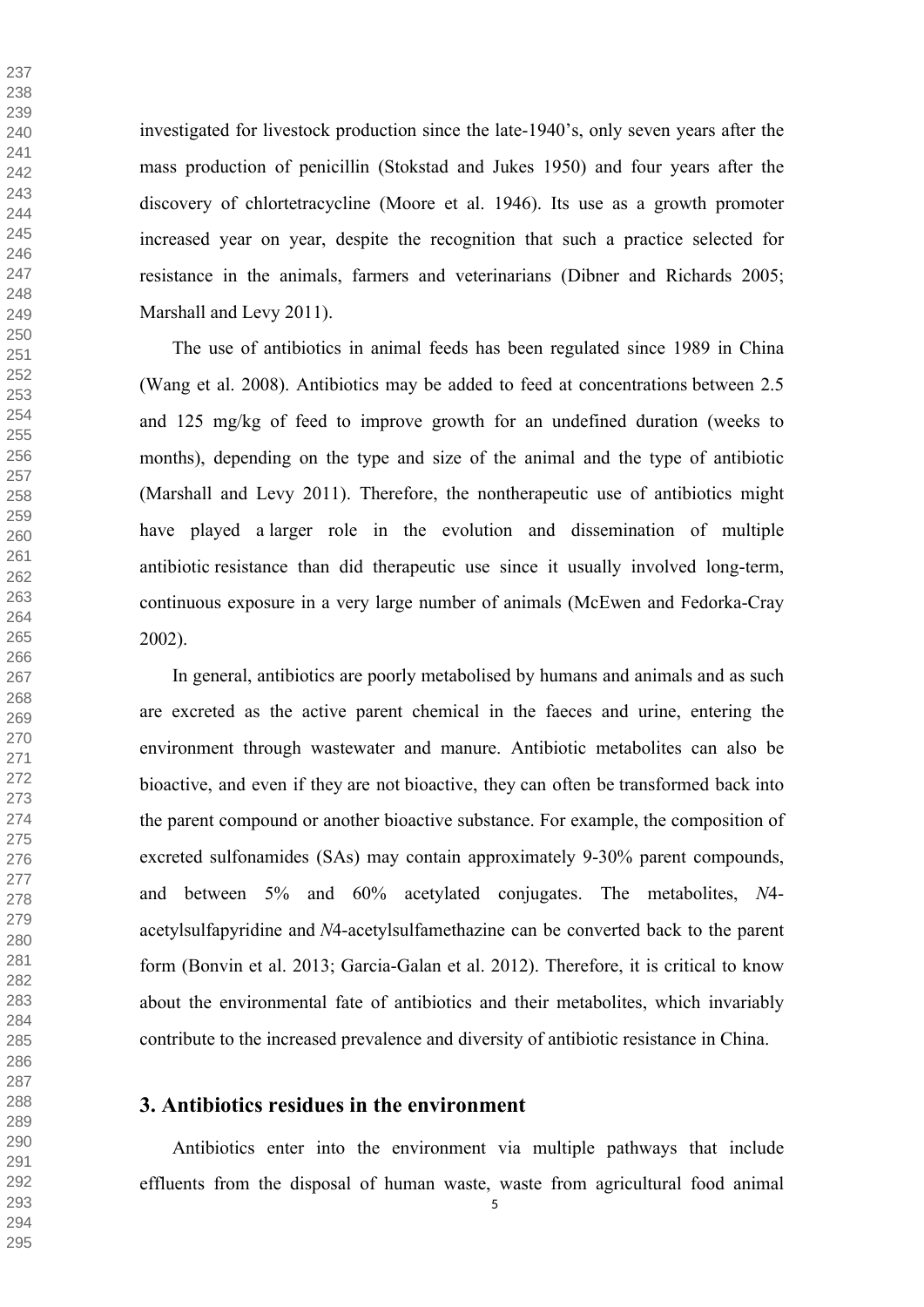investigated for livestock production since the late-1940's, only seven years after the mass production of penicillin (Stokstad and Jukes 1950) and four years after the discovery of chlortetracycline (Moore et al. 1946). Its use as a growth promoter increased year on year, despite the recognition that such a practice selected for resistance in the animals, farmers and veterinarians (Dibner and Richards 2005; Marshall and Levy 2011).

The use of antibiotics in animal feeds has been regulated since 1989 in China (Wang et al. 2008). Antibiotics may be added to feed at concentrations between 2.5 and 125 mg/kg of feed to improve growth for an undefined duration (weeks to months), depending on the type and size of the animal and the type of antibiotic (Marshall and Levy 2011). Therefore, the nontherapeutic use of antibiotics might have played a larger role in the evolution and dissemination of multiple antibiotic resistance than did therapeutic use since it usually involved long-term, continuous exposure in a very large number of animals (McEwen and Fedorka-Cray 2002).

In general, antibiotics are poorly metabolised by humans and animals and as such are excreted as the active parent chemical in the faeces and urine, entering the environment through wastewater and manure. Antibiotic metabolites can also be bioactive, and even if they are not bioactive, they can often be transformed back into the parent compound or another bioactive substance. For example, the composition of excreted sulfonamides (SAs) may contain approximately 9-30% parent compounds, and between 5% and 60% acetylated conjugates. The metabolites, *N*4 acetylsulfapyridine and *N*4-acetylsulfamethazine can be converted back to the parent form (Bonvin et al. 2013; Garcia-Galan et al. 2012). Therefore, it is critical to know about the environmental fate of antibiotics and their metabolites, which invariably contribute to the increased prevalence and diversity of antibiotic resistance in China.

## **3. Antibiotics residues in the environment**

Antibiotics enter into the environment via multiple pathways that include effluents from the disposal of human waste, waste from agricultural food animal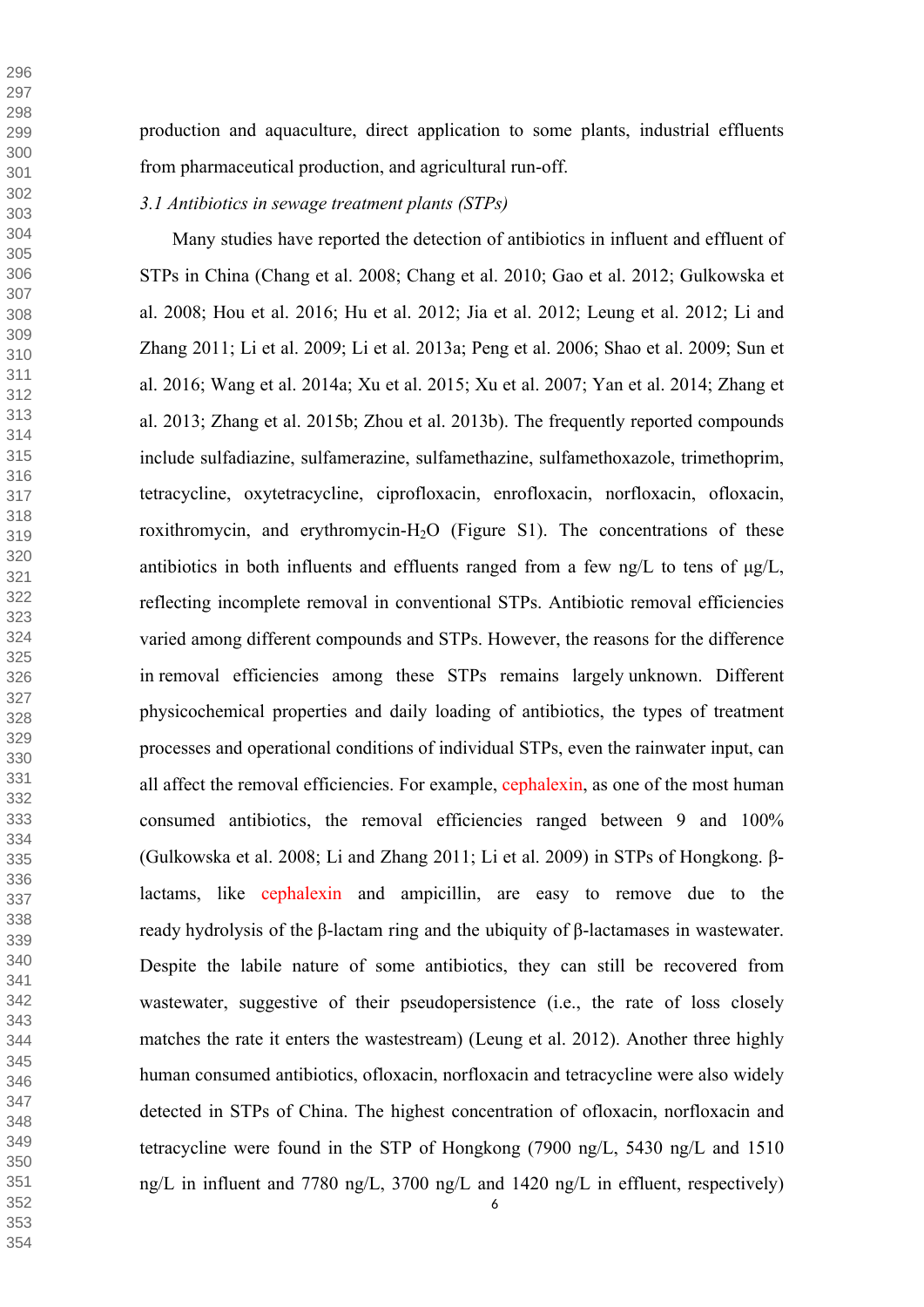production and aquaculture, direct application to some plants, industrial effluents from pharmaceutical production, and agricultural run-off.

## *3.1 Antibiotics in sewage treatment plants (STPs)*

Many studies have reported the detection of antibiotics in influent and effluent of STPs in China (Chang et al. 2008; Chang et al. 2010; Gao et al. 2012; Gulkowska et al. 2008; Hou et al. 2016; Hu et al. 2012; Jia et al. 2012; Leung et al. 2012; Li and Zhang 2011; Li et al. 2009; Li et al. 2013a; Peng et al. 2006; Shao et al. 2009; Sun et al. 2016; Wang et al. 2014a; Xu et al. 2015; Xu et al. 2007; Yan et al. 2014; Zhang et al. 2013; Zhang et al. 2015b; Zhou et al. 2013b). The frequently reported compounds include sulfadiazine, sulfamerazine, sulfamethazine, sulfamethoxazole, trimethoprim, tetracycline, oxytetracycline, ciprofloxacin, enrofloxacin, norfloxacin, ofloxacin, roxithromycin, and erythromycin- $H_2O$  (Figure S1). The concentrations of these antibiotics in both influents and effluents ranged from a few ng/L to tens of μg/L, reflecting incomplete removal in conventional STPs. Antibiotic removal efficiencies varied among different compounds and STPs. However, the reasons for the difference in removal efficiencies among these STPs remains largely unknown. Different physicochemical properties and daily loading of antibiotics, the types of treatment processes and operational conditions of individual STPs, even the rainwater input, can all affect the removal efficiencies. For example, cephalexin, as one of the most human consumed antibiotics, the removal efficiencies ranged between 9 and 100% (Gulkowska et al. 2008; Li and Zhang 2011; Li et al. 2009) in STPs of Hongkong. βlactams, like cephalexin and ampicillin, are easy to remove due to the ready hydrolysis of the β-lactam ring and the ubiquity of β-lactamases in wastewater. Despite the labile nature of some antibiotics, they can still be recovered from wastewater, suggestive of their pseudopersistence (i.e., the rate of loss closely matches the rate it enters the wastestream) (Leung et al. 2012). Another three highly human consumed antibiotics, ofloxacin, norfloxacin and tetracycline were also widely detected in STPs of China. The highest concentration of ofloxacin, norfloxacin and tetracycline were found in the STP of Hongkong (7900 ng/L, 5430 ng/L and 1510 ng/L in influent and 7780 ng/L, 3700 ng/L and 1420 ng/L in effluent, respectively)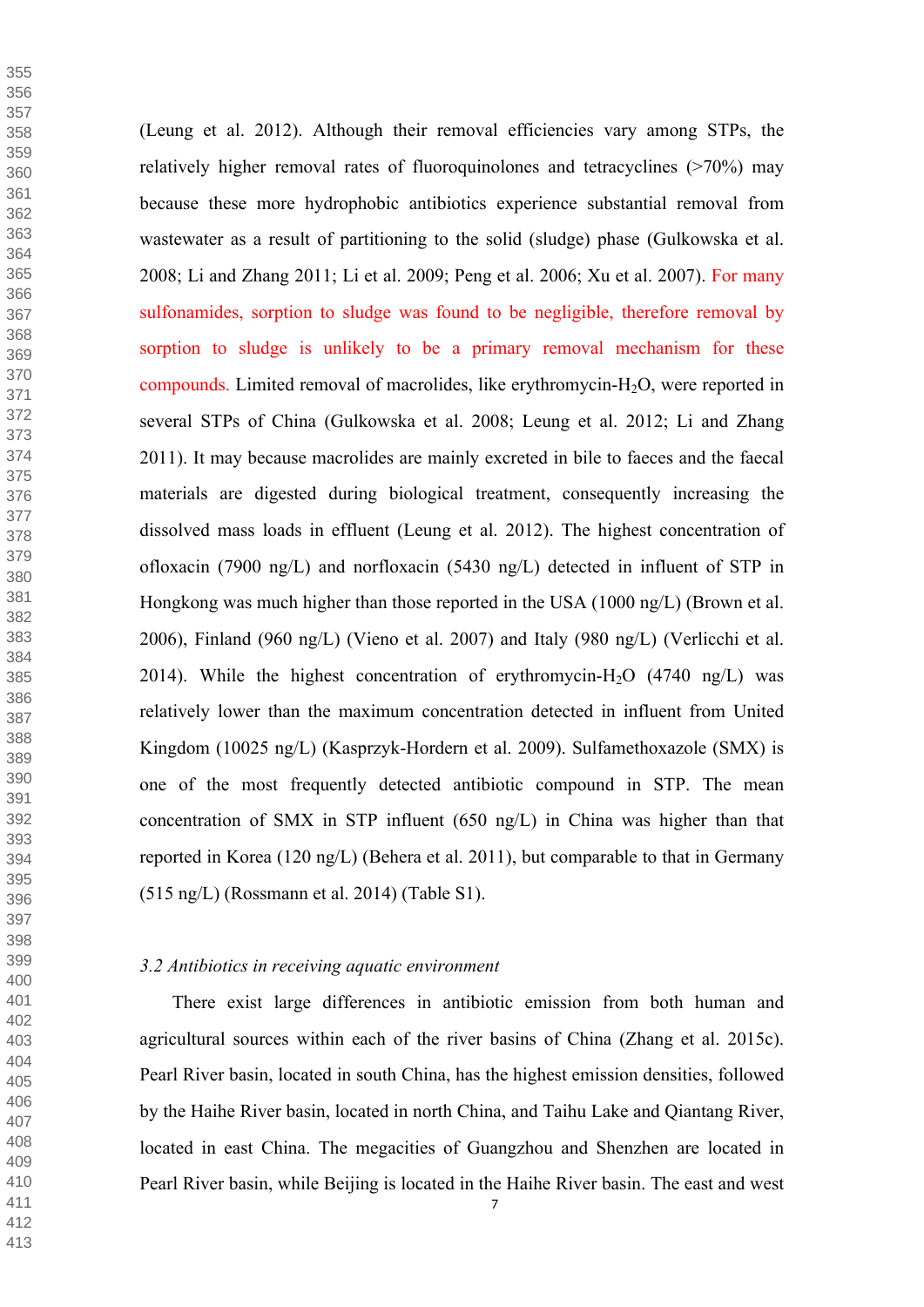(Leung et al. 2012). Although their removal efficiencies vary among STPs, the relatively higher removal rates of fluoroquinolones and tetracyclines (>70%) may because these more hydrophobic antibiotics experience substantial removal from wastewater as a result of partitioning to the solid (sludge) phase (Gulkowska et al. 2008; Li and Zhang 2011; Li et al. 2009; Peng et al. 2006; Xu et al. 2007). For many sulfonamides, sorption to sludge was found to be negligible, therefore removal by sorption to sludge is unlikely to be a primary removal mechanism for these compounds. Limited removal of macrolides, like erythromycin-H2O, were reported in several STPs of China (Gulkowska et al. 2008; Leung et al. 2012; Li and Zhang 2011). It may because macrolides are mainly excreted in bile to faeces and the faecal materials are digested during biological treatment, consequently increasing the dissolved mass loads in effluent (Leung et al. 2012). The highest concentration of ofloxacin (7900 ng/L) and norfloxacin (5430 ng/L) detected in influent of STP in Hongkong was much higher than those reported in the USA (1000 ng/L) (Brown et al. 2006), Finland (960 ng/L) (Vieno et al. 2007) and Italy (980 ng/L) (Verlicchi et al. 2014). While the highest concentration of erythromycin-H<sub>2</sub>O (4740 ng/L) was relatively lower than the maximum concentration detected in influent from United Kingdom (10025 ng/L) (Kasprzyk-Hordern et al. 2009). Sulfamethoxazole (SMX) is one of the most frequently detected antibiotic compound in STP. The mean concentration of SMX in STP influent (650 ng/L) in China was higher than that reported in Korea (120 ng/L) (Behera et al. 2011), but comparable to that in Germany (515 ng/L) (Rossmann et al. 2014) (Table S1).

#### *3.2 Antibiotics in receiving aquatic environment*

There exist large differences in antibiotic emission from both human and agricultural sources within each of the river basins of China (Zhang et al. 2015c). Pearl River basin, located in south China, has the highest emission densities, followed by the Haihe River basin, located in north China, and Taihu Lake and Qiantang River, located in east China. The megacities of Guangzhou and Shenzhen are located in Pearl River basin, while Beijing is located in the Haihe River basin. The east and west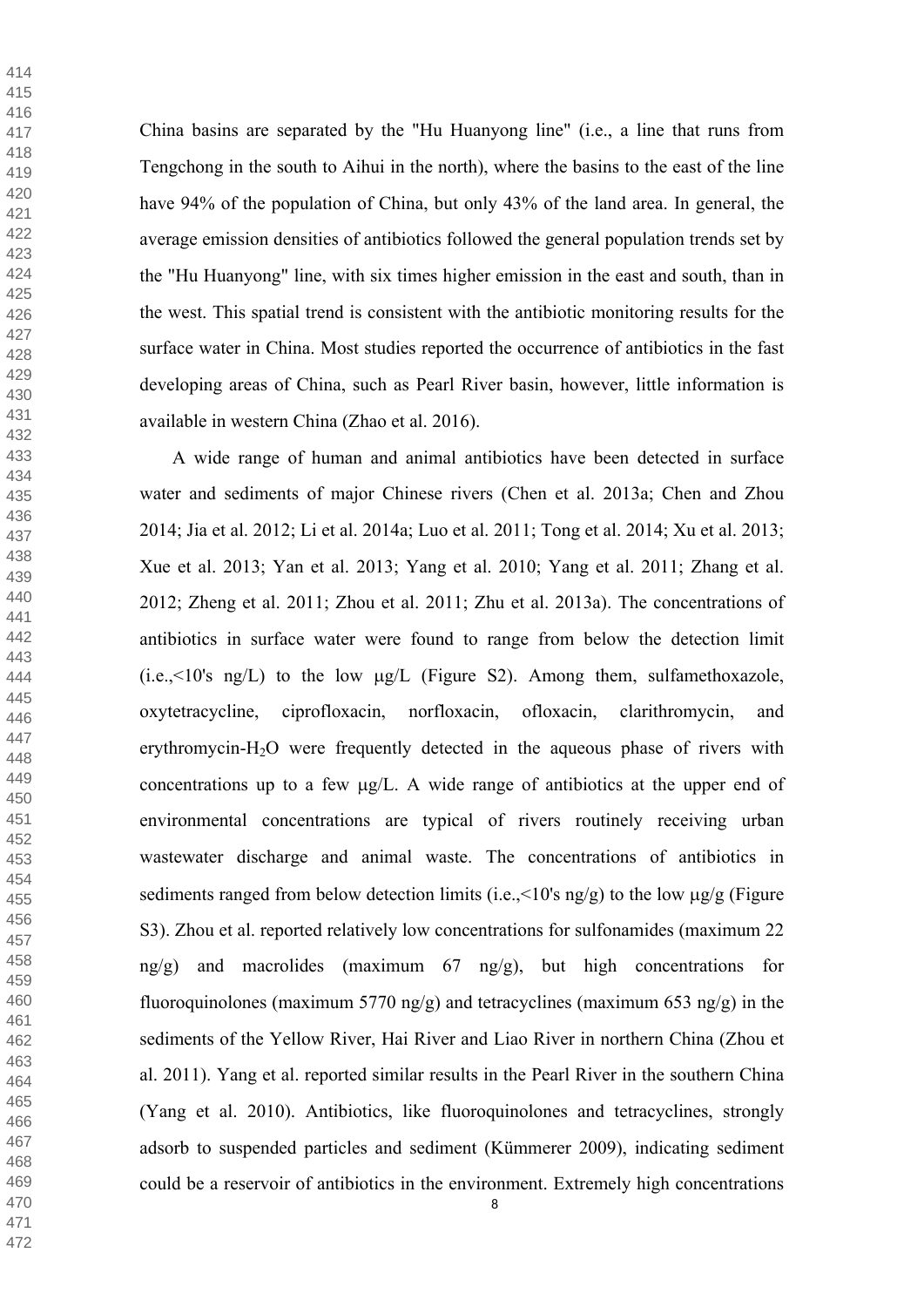China basins are separated by the "Hu Huanyong line" (i.e., a line that runs from Tengchong in the south to Aihui in the north), where the basins to the east of the line have 94% of the population of China, but only 43% of the land area. In general, the average emission densities of antibiotics followed the general population trends set by the "Hu Huanyong" line, with six times higher emission in the east and south, than in the west. This spatial trend is consistent with the antibiotic monitoring results for the surface water in China. Most studies reported the occurrence of antibiotics in the fast developing areas of China, such as Pearl River basin, however, little information is available in western China (Zhao et al. 2016).

A wide range of human and animal antibiotics have been detected in surface water and sediments of major Chinese rivers (Chen et al. 2013a; Chen and Zhou 2014; Jia et al. 2012; Li et al. 2014a; Luo et al. 2011; Tong et al. 2014; Xu et al. 2013; Xue et al. 2013; Yan et al. 2013; Yang et al. 2010; Yang et al. 2011; Zhang et al. 2012; Zheng et al. 2011; Zhou et al. 2011; Zhu et al. 2013a). The concentrations of antibiotics in surface water were found to range from below the detection limit  $(i.e., <10's$  ng/L) to the low  $\mu$ g/L (Figure S2). Among them, sulfamethoxazole, oxytetracycline, ciprofloxacin, norfloxacin, ofloxacin, clarithromycin, and erythromycin-H2O were frequently detected in the aqueous phase of rivers with concentrations up to a few  $\mu$ g/L. A wide range of antibiotics at the upper end of environmental concentrations are typical of rivers routinely receiving urban wastewater discharge and animal waste. The concentrations of antibiotics in sediments ranged from below detection limits (i.e., <10's ng/g) to the low  $\mu$ g/g (Figure S3). Zhou et al. reported relatively low concentrations for sulfonamides (maximum 22  $ng/g$ ) and macrolides (maximum 67 ng/g), but high concentrations for fluoroquinolones (maximum 5770 ng/g) and tetracyclines (maximum 653 ng/g) in the sediments of the Yellow River, Hai River and Liao River in northern China (Zhou et al. 2011). Yang et al. reported similar results in the Pearl River in the southern China (Yang et al. 2010). Antibiotics, like fluoroquinolones and tetracyclines, strongly adsorb to suspended particles and sediment (Kümmerer 2009), indicating sediment could be a reservoir of antibiotics in the environment. Extremely high concentrations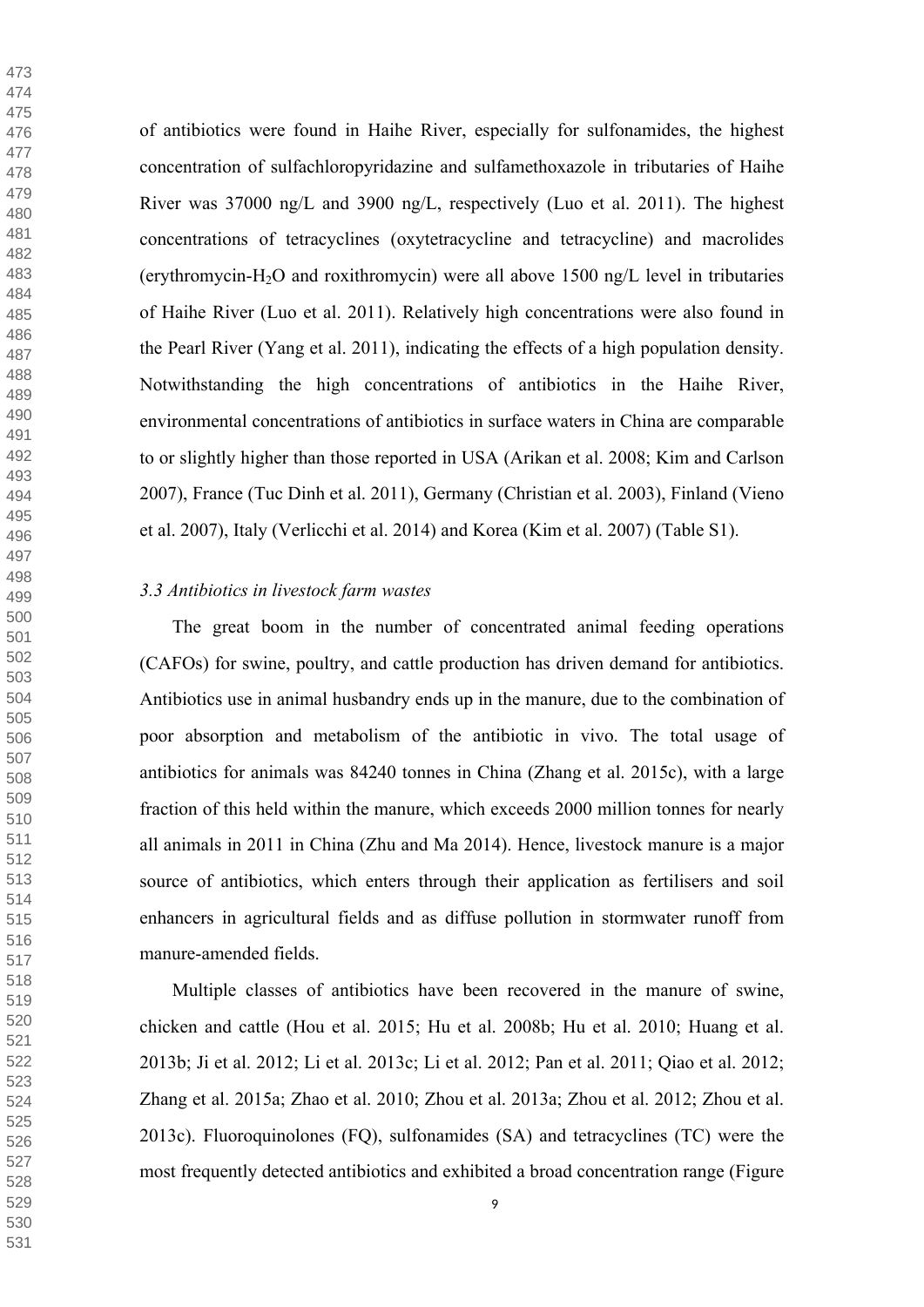of antibiotics were found in Haihe River, especially for sulfonamides, the highest concentration of sulfachloropyridazine and sulfamethoxazole in tributaries of Haihe River was 37000 ng/L and 3900 ng/L, respectively (Luo et al. 2011). The highest concentrations of tetracyclines (oxytetracycline and tetracycline) and macrolides (erythromycin-H<sub>2</sub>O and roxithromycin) were all above 1500 ng/L level in tributaries of Haihe River (Luo et al. 2011). Relatively high concentrations were also found in the Pearl River (Yang et al. 2011), indicating the effects of a high population density. Notwithstanding the high concentrations of antibiotics in the Haihe River, environmental concentrations of antibiotics in surface waters in China are comparable to or slightly higher than those reported in USA (Arikan et al. 2008; Kim and Carlson 2007), France (Tuc Dinh et al. 2011), Germany (Christian et al. 2003), Finland (Vieno et al. 2007), Italy (Verlicchi et al. 2014) and Korea (Kim et al. 2007) (Table S1).

#### *3.3 Antibiotics in livestock farm wastes*

The great boom in the number of concentrated animal feeding operations (CAFOs) for swine, poultry, and cattle production has driven demand for antibiotics. Antibiotics use in animal husbandry ends up in the manure, due to the combination of poor absorption and metabolism of the antibiotic in vivo. The total usage of antibiotics for animals was 84240 tonnes in China (Zhang et al. 2015c), with a large fraction of this held within the manure, which exceeds 2000 million tonnes for nearly all animals in 2011 in China (Zhu and Ma 2014). Hence, livestock manure is a major source of antibiotics, which enters through their application as fertilisers and soil enhancers in agricultural fields and as diffuse pollution in stormwater runoff from manure-amended fields.

Multiple classes of antibiotics have been recovered in the manure of swine, chicken and cattle (Hou et al. 2015; Hu et al. 2008b; Hu et al. 2010; Huang et al. 2013b; Ji et al. 2012; Li et al. 2013c; Li et al. 2012; Pan et al. 2011; Qiao et al. 2012; Zhang et al. 2015a; Zhao et al. 2010; Zhou et al. 2013a; Zhou et al. 2012; Zhou et al. 2013c). Fluoroquinolones (FQ), sulfonamides (SA) and tetracyclines (TC) were the most frequently detected antibiotics and exhibited a broad concentration range (Figure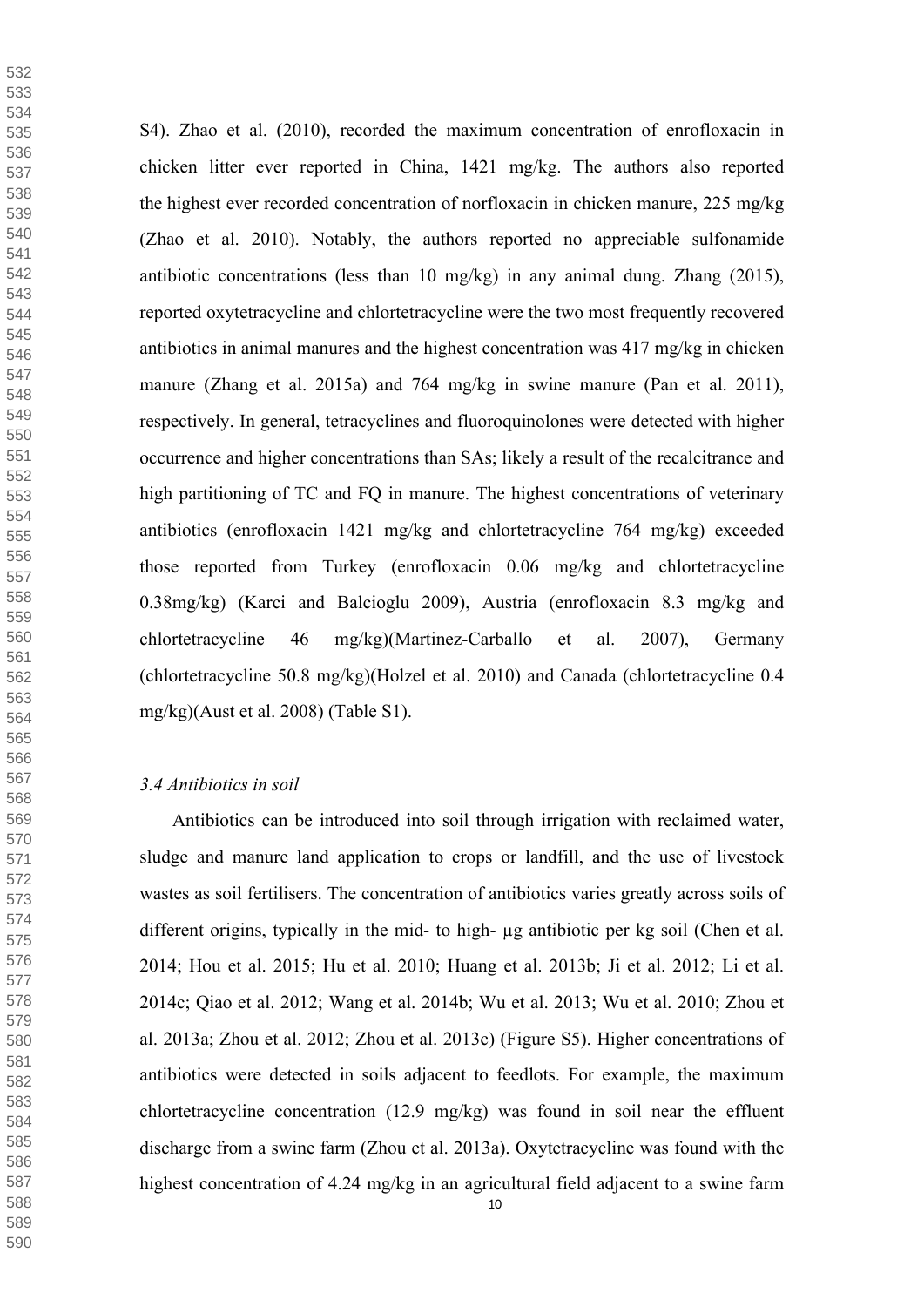S4). Zhao et al. (2010), recorded the maximum concentration of enrofloxacin in chicken litter ever reported in China, 1421 mg/kg. The authors also reported the highest ever recorded concentration of norfloxacin in chicken manure, 225 mg/kg (Zhao et al. 2010). Notably, the authors reported no appreciable sulfonamide antibiotic concentrations (less than 10 mg/kg) in any animal dung. Zhang (2015), reported oxytetracycline and chlortetracycline were the two most frequently recovered antibiotics in animal manures and the highest concentration was 417 mg/kg in chicken manure (Zhang et al. 2015a) and 764 mg/kg in swine manure (Pan et al. 2011), respectively. In general, tetracyclines and fluoroquinolones were detected with higher occurrence and higher concentrations than SAs; likely a result of the recalcitrance and high partitioning of TC and FQ in manure. The highest concentrations of veterinary antibiotics (enrofloxacin 1421 mg/kg and chlortetracycline 764 mg/kg) exceeded those reported from Turkey (enrofloxacin 0.06 mg/kg and chlortetracycline 0.38mg/kg) (Karci and Balcioglu 2009), Austria (enrofloxacin 8.3 mg/kg and chlortetracycline 46 mg/kg)(Martinez-Carballo et al. 2007), Germany (chlortetracycline 50.8 mg/kg)(Holzel et al. 2010) and Canada (chlortetracycline 0.4 mg/kg)(Aust et al. 2008) (Table S1).

#### *3.4 Antibiotics in soil*

Antibiotics can be introduced into soil through irrigation with reclaimed water, sludge and manure land application to crops or landfill, and the use of livestock wastes as soil fertilisers. The concentration of antibiotics varies greatly across soils of different origins, typically in the mid- to high- µg antibiotic per kg soil (Chen et al. 2014; Hou et al. 2015; Hu et al. 2010; Huang et al. 2013b; Ji et al. 2012; Li et al. 2014c; Qiao et al. 2012; Wang et al. 2014b; Wu et al. 2013; Wu et al. 2010; Zhou et al. 2013a; Zhou et al. 2012; Zhou et al. 2013c) (Figure S5). Higher concentrations of antibiotics were detected in soils adjacent to feedlots. For example, the maximum chlortetracycline concentration (12.9 mg/kg) was found in soil near the effluent discharge from a swine farm (Zhou et al. 2013a). Oxytetracycline was found with the highest concentration of 4.24 mg/kg in an agricultural field adjacent to a swine farm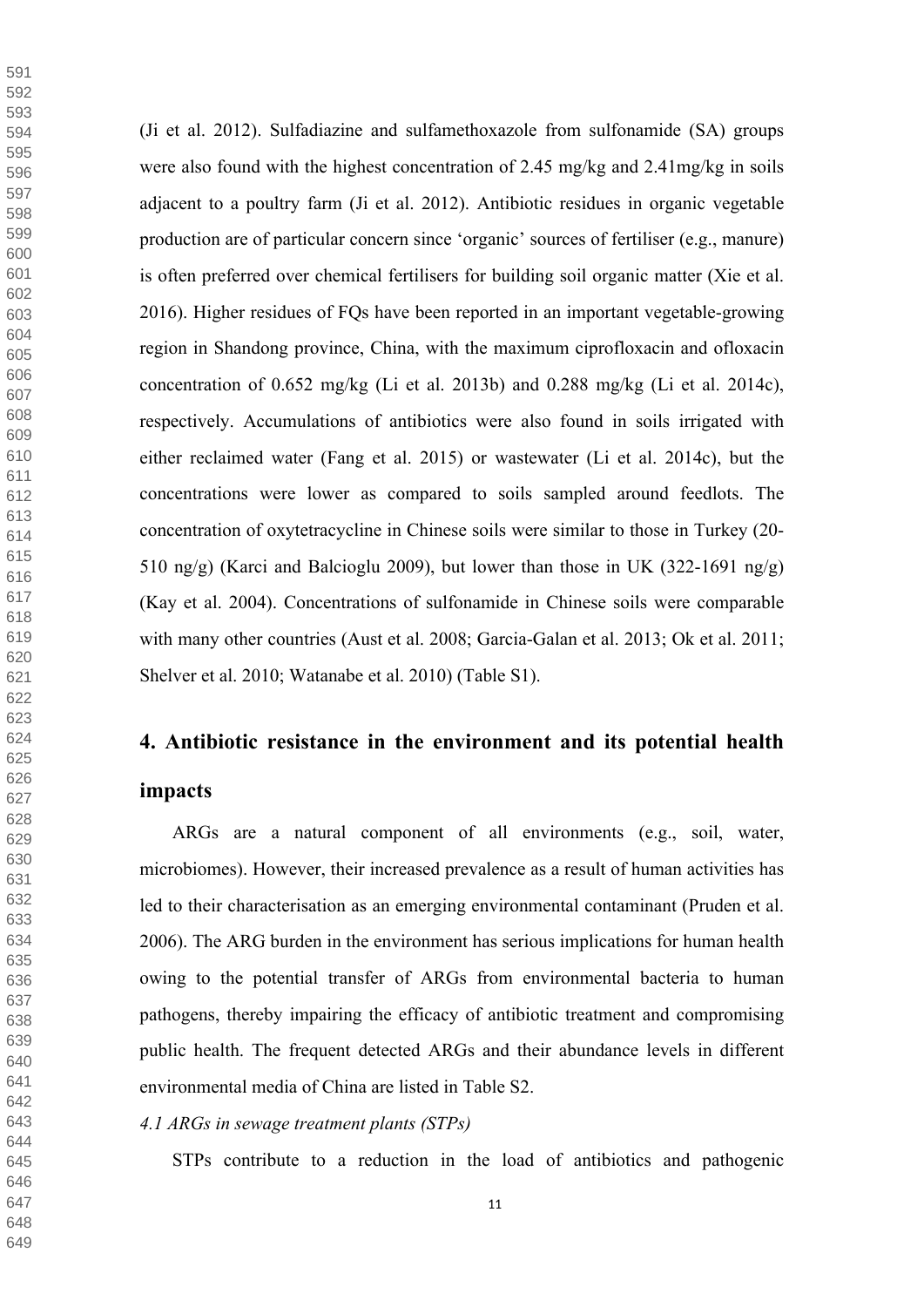(Ji et al. 2012). Sulfadiazine and sulfamethoxazole from sulfonamide (SA) groups were also found with the highest concentration of 2.45 mg/kg and 2.41mg/kg in soils adjacent to a poultry farm (Ji et al. 2012). Antibiotic residues in organic vegetable production are of particular concern since 'organic' sources of fertiliser (e.g., manure) is often preferred over chemical fertilisers for building soil organic matter (Xie et al. 2016). Higher residues of FQs have been reported in an important vegetable-growing region in Shandong province, China, with the maximum ciprofloxacin and ofloxacin concentration of 0.652 mg/kg (Li et al. 2013b) and 0.288 mg/kg (Li et al. 2014c), respectively. Accumulations of antibiotics were also found in soils irrigated with either reclaimed water (Fang et al. 2015) or wastewater (Li et al. 2014c), but the concentrations were lower as compared to soils sampled around feedlots. The concentration of oxytetracycline in Chinese soils were similar to those in Turkey (20- 510 ng/g) (Karci and Balcioglu 2009), but lower than those in UK (322-1691 ng/g) (Kay et al. 2004). Concentrations of sulfonamide in Chinese soils were comparable with many other countries (Aust et al. 2008; Garcia-Galan et al. 2013; Ok et al. 2011; Shelver et al. 2010; Watanabe et al. 2010) (Table S1).

# **4. Antibiotic resistance in the environment and its potential health**

# **impacts**

ARGs are a natural component of all environments (e.g., soil, water, microbiomes). However, their increased prevalence as a result of human activities has led to their characterisation as an emerging environmental contaminant (Pruden et al. 2006). The ARG burden in the environment has serious implications for human health owing to the potential transfer of ARGs from environmental bacteria to human pathogens, thereby impairing the efficacy of antibiotic treatment and compromising public health. The frequent detected ARGs and their abundance levels in different environmental media of China are listed in Table S2.

*4.1 ARGs in sewage treatment plants (STPs)*

STPs contribute to a reduction in the load of antibiotics and pathogenic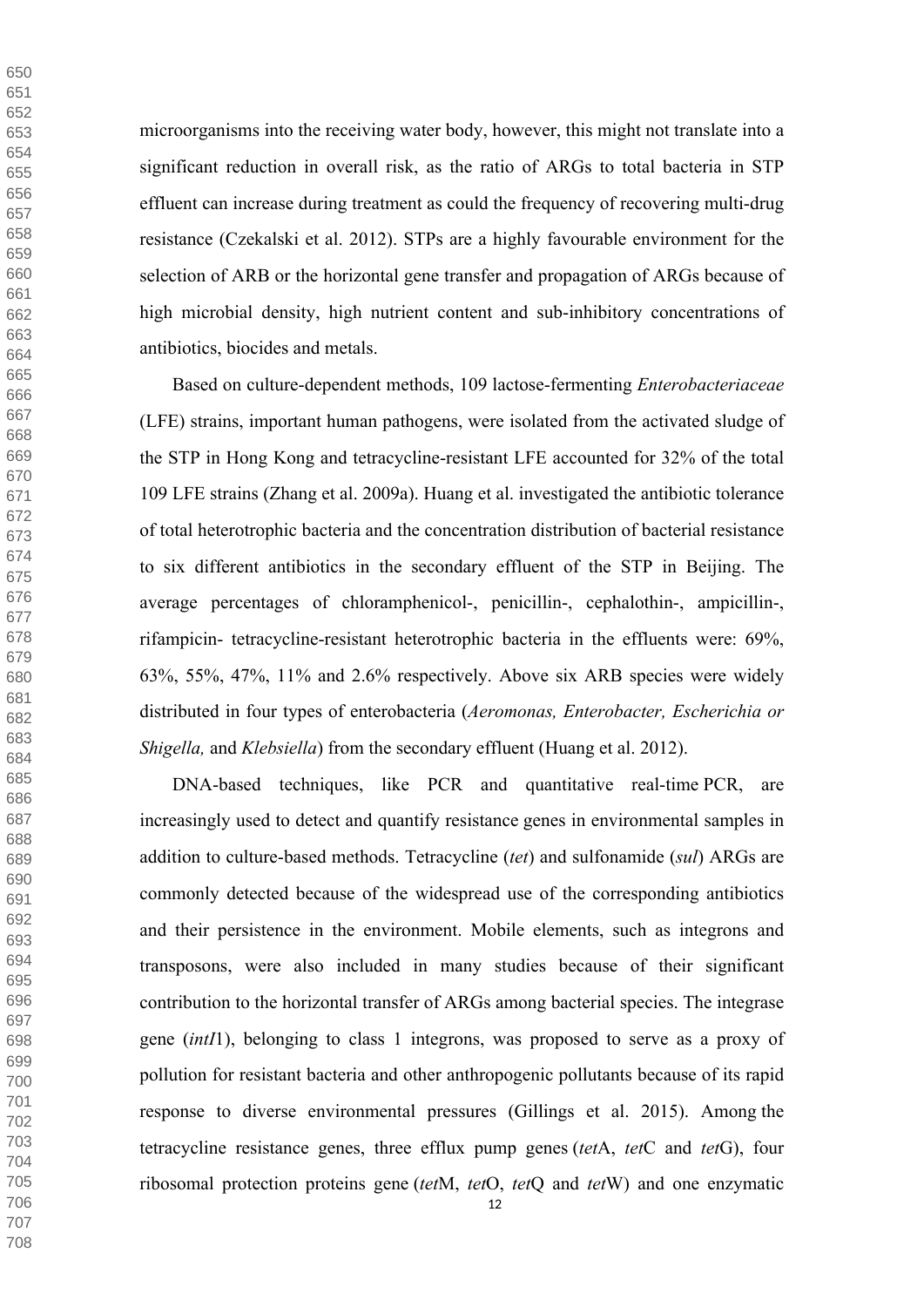microorganisms into the receiving water body, however, this might not translate into a significant reduction in overall risk, as the ratio of ARGs to total bacteria in STP effluent can increase during treatment as could the frequency of recovering multi-drug resistance (Czekalski et al. 2012). STPs are a highly favourable environment for the selection of ARB or the horizontal gene transfer and propagation of ARGs because of high microbial density, high nutrient content and sub-inhibitory concentrations of antibiotics, biocides and metals.

Based on culture-dependent methods, 109 lactose-fermenting *Enterobacteriaceae* (LFE) strains, important human pathogens, were isolated from the activated sludge of the STP in Hong Kong and tetracycline-resistant LFE accounted for 32% of the total 109 LFE strains (Zhang et al. 2009a). Huang et al. investigated the antibiotic tolerance of total heterotrophic bacteria and the concentration distribution of bacterial resistance to six different antibiotics in the secondary effluent of the STP in Beijing. The average percentages of chloramphenicol-, penicillin-, cephalothin-, ampicillin-, rifampicin- tetracycline-resistant heterotrophic bacteria in the effluents were: 69%, 63%, 55%, 47%, 11% and 2.6% respectively. Above six ARB species were widely distributed in four types of enterobacteria (*Aeromonas, Enterobacter, Escherichia or Shigella,* and *Klebsiella*) from the secondary effluent (Huang et al. 2012).

DNA-based techniques, like PCR and quantitative real-time PCR, are increasingly used to detect and quantify resistance genes in environmental samples in addition to culture-based methods. Tetracycline (*tet*) and sulfonamide (*sul*) ARGs are commonly detected because of the widespread use of the corresponding antibiotics and their persistence in the environment. Mobile elements, such as integrons and transposons, were also included in many studies because of their significant contribution to the horizontal transfer of ARGs among bacterial species. The integrase gene (*intI*1), belonging to class 1 integrons, was proposed to serve as a proxy of pollution for resistant bacteria and other anthropogenic pollutants because of its rapid response to diverse environmental pressures (Gillings et al. 2015). Among the tetracycline resistance genes, three efflux pump genes (*tet*A, *tet*C and *tet*G), four ribosomal protection proteins gene (*tet*M, *tet*O, *tet*Q and *tet*W) and one enzymatic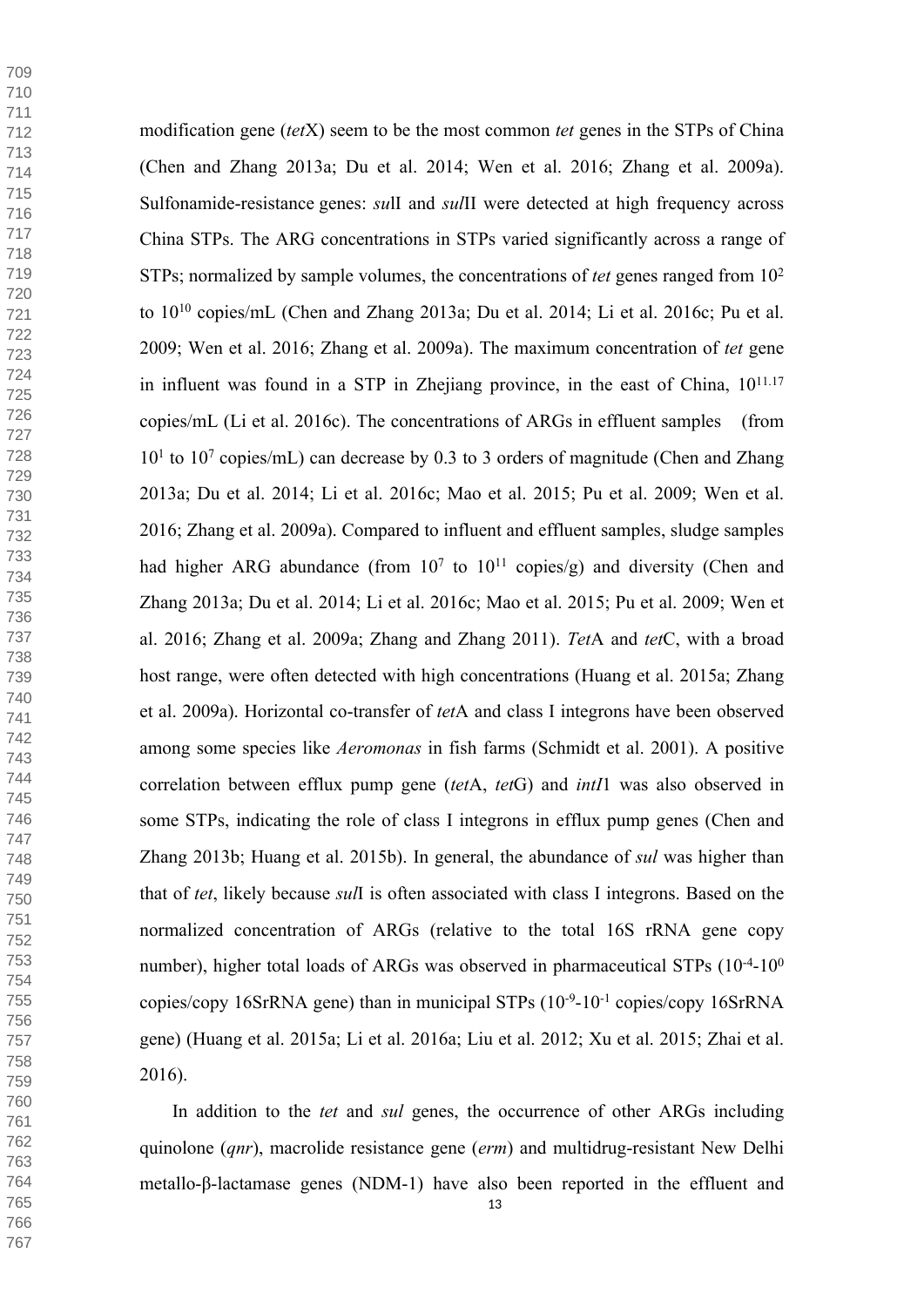modification gene (*tet*X) seem to be the most common *tet* genes in the STPs of China (Chen and Zhang 2013a; Du et al. 2014; Wen et al. 2016; Zhang et al. 2009a). Sulfonamide-resistance genes: *su*lI and *sul*II were detected at high frequency across China STPs. The ARG concentrations in STPs varied significantly across a range of STPs; normalized by sample volumes, the concentrations of *tet* genes ranged from 10<sup>2</sup> to 10<sup>10</sup> copies/mL (Chen and Zhang 2013a; Du et al. 2014; Li et al. 2016c; Pu et al. 2009; Wen et al. 2016; Zhang et al. 2009a). The maximum concentration of *tet* gene in influent was found in a STP in Zhejiang province, in the east of China,  $10^{11.17}$ copies/mL (Li et al. 2016c). The concentrations of ARGs in effluent samples (from 10<sup>1</sup> to 10<sup>7</sup> copies/mL) can decrease by 0.3 to 3 orders of magnitude (Chen and Zhang 2013a; Du et al. 2014; Li et al. 2016c; Mao et al. 2015; Pu et al. 2009; Wen et al. 2016; Zhang et al. 2009a). Compared to influent and effluent samples, sludge samples had higher ARG abundance (from  $10^7$  to  $10^{11}$  copies/g) and diversity (Chen and Zhang 2013a; Du et al. 2014; Li et al. 2016c; Mao et al. 2015; Pu et al. 2009; Wen et al. 2016; Zhang et al. 2009a; Zhang and Zhang 2011). *Tet*A and *tet*C, with a broad host range, were often detected with high concentrations (Huang et al. 2015a; Zhang et al. 2009a). Horizontal co-transfer of *tet*A and class I integrons have been observed among some species like *Aeromonas* in fish farms (Schmidt et al. 2001). A positive correlation between efflux pump gene (*tet*A, *tet*G) and *intI*1 was also observed in some STPs, indicating the role of class I integrons in efflux pump genes (Chen and Zhang 2013b; Huang et al. 2015b). In general, the abundance of *sul* was higher than that of *tet*, likely because *sul*I is often associated with class I integrons. Based on the normalized concentration of ARGs (relative to the total 16S rRNA gene copy number), higher total loads of ARGs was observed in pharmaceutical STPs (10<sup>-4</sup>-10<sup>0</sup>) copies/copy 16SrRNA gene) than in municipal STPs  $(10^{-9} - 10^{-1}$  copies/copy 16SrRNA gene) (Huang et al. 2015a; Li et al. 2016a; Liu et al. 2012; Xu et al. 2015; Zhai et al. 2016).

In addition to the *tet* and *sul* genes, the occurrence of other ARGs including quinolone (*qnr*), macrolide resistance gene (*erm*) and multidrug-resistant New Delhi metallo-β-lactamase genes (NDM-1) have also been reported in the effluent and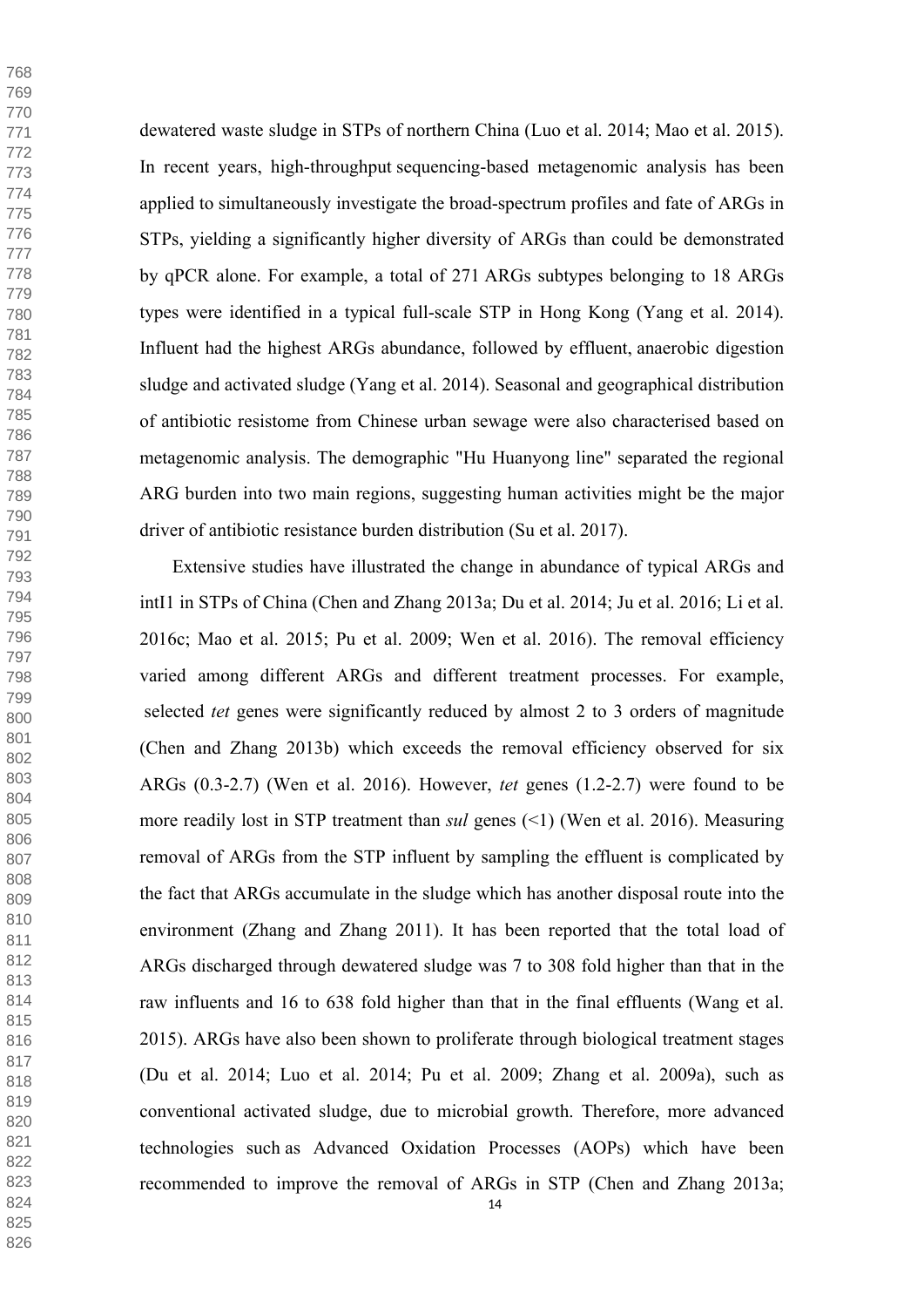dewatered waste sludge in STPs of northern China (Luo et al. 2014; Mao et al. 2015). In recent years, high-throughput sequencing-based metagenomic analysis has been applied to simultaneously investigate the broad-spectrum profiles and fate of ARGs in STPs, yielding a significantly higher diversity of ARGs than could be demonstrated by qPCR alone. For example, a total of 271 ARGs subtypes belonging to 18 ARGs types were identified in a typical full-scale STP in Hong Kong (Yang et al. 2014). Influent had the highest ARGs abundance, followed by effluent, anaerobic digestion sludge and activated sludge (Yang et al. 2014). Seasonal and geographical distribution of antibiotic resistome from Chinese urban sewage were also characterised based on metagenomic analysis. The demographic "Hu Huanyong line" separated the regional ARG burden into two main regions, suggesting human activities might be the major driver of antibiotic resistance burden distribution (Su et al. 2017).

Extensive studies have illustrated the change in abundance of typical ARGs and intI1 in STPs of China (Chen and Zhang 2013a; Du et al. 2014; Ju et al. 2016; Li et al. 2016c; Mao et al. 2015; Pu et al. 2009; Wen et al. 2016). The removal efficiency varied among different ARGs and different treatment processes. For example, selected *tet* genes were significantly reduced by almost 2 to 3 orders of magnitude (Chen and Zhang 2013b) which exceeds the removal efficiency observed for six ARGs (0.3-2.7) (Wen et al. 2016). However, *tet* genes (1.2-2.7) were found to be more readily lost in STP treatment than *sul* genes (<1) (Wen et al. 2016). Measuring removal of ARGs from the STP influent by sampling the effluent is complicated by the fact that ARGs accumulate in the sludge which has another disposal route into the environment (Zhang and Zhang 2011). It has been reported that the total load of ARGs discharged through dewatered sludge was 7 to 308 fold higher than that in the raw influents and 16 to 638 fold higher than that in the final effluents (Wang et al. 2015). ARGs have also been shown to proliferate through biological treatment stages (Du et al. 2014; Luo et al. 2014; Pu et al. 2009; Zhang et al. 2009a), such as conventional activated sludge, due to microbial growth. Therefore, more advanced technologies such as Advanced Oxidation Processes (AOPs) which have been recommended to improve the removal of ARGs in STP (Chen and Zhang 2013a;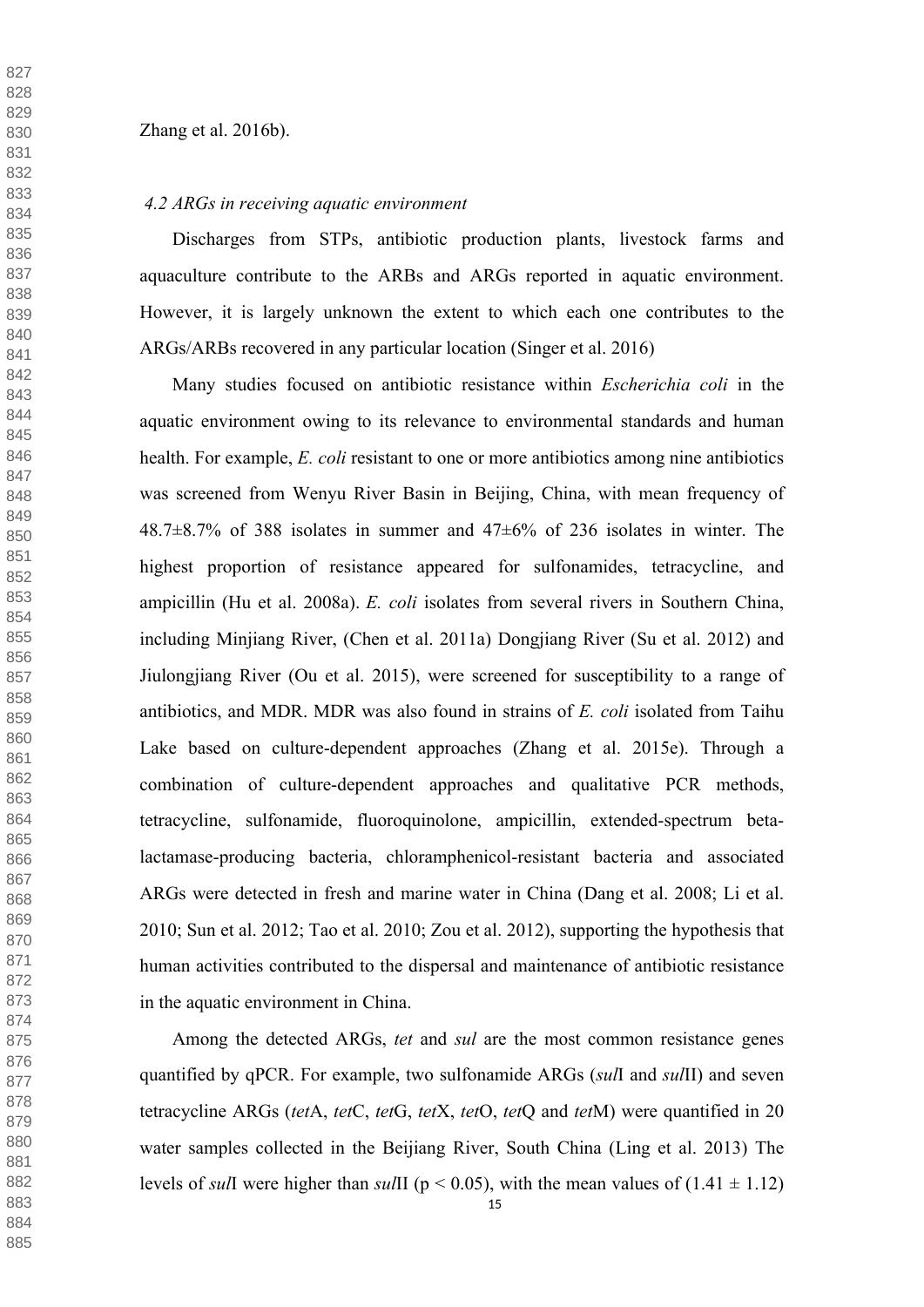Zhang et al. 2016b).

#### *4.2 ARGs in receiving aquatic environment*

Discharges from STPs, antibiotic production plants, livestock farms and aquaculture contribute to the ARBs and ARGs reported in aquatic environment. However, it is largely unknown the extent to which each one contributes to the ARGs/ARBs recovered in any particular location (Singer et al. 2016)

Many studies focused on antibiotic resistance within *Escherichia coli* in the aquatic environment owing to its relevance to environmental standards and human health. For example, *E. coli* resistant to one or more antibiotics among nine antibiotics was screened from Wenyu River Basin in Beijing, China, with mean frequency of 48.7±8.7% of 388 isolates in summer and 47±6% of 236 isolates in winter. The highest proportion of resistance appeared for sulfonamides, tetracycline, and ampicillin (Hu et al. 2008a). *E. coli* isolates from several rivers in Southern China, including Minjiang River, (Chen et al. 2011a) Dongjiang River (Su et al. 2012) and Jiulongjiang River (Ou et al. 2015), were screened for susceptibility to a range of antibiotics, and MDR. MDR was also found in strains of *E. coli* isolated from Taihu Lake based on culture-dependent approaches (Zhang et al. 2015e). Through a combination of culture-dependent approaches and qualitative PCR methods, tetracycline, sulfonamide, fluoroquinolone, ampicillin, extended-spectrum betalactamase-producing bacteria, chloramphenicol-resistant bacteria and associated ARGs were detected in fresh and marine water in China (Dang et al. 2008; Li et al. 2010; Sun et al. 2012; Tao et al. 2010; Zou et al. 2012), supporting the hypothesis that human activities contributed to the dispersal and maintenance of antibiotic resistance in the aquatic environment in China.

Among the detected ARGs, *tet* and *sul* are the most common resistance genes quantified by qPCR. For example, two sulfonamide ARGs (*sul*I and *sul*II) and seven tetracycline ARGs (*tet*A, *tet*C, *tet*G, *tet*X, *tet*O, *tet*Q and *tet*M) were quantified in 20 water samples collected in the Beijiang River, South China (Ling et al. 2013) The levels of *sul*I were higher than *sulII* ( $p < 0.05$ ), with the mean values of (1.41  $\pm$  1.12)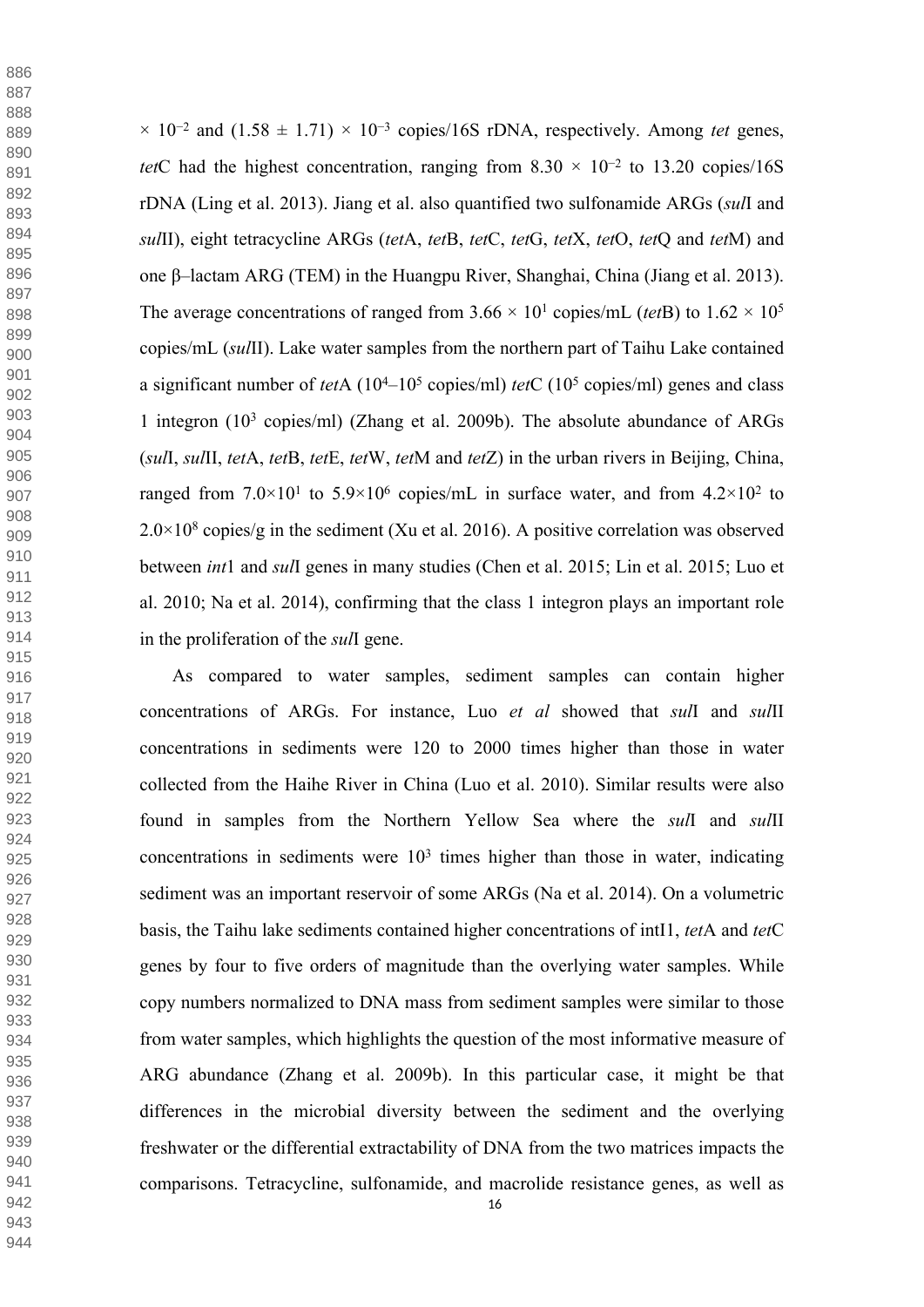$\times$  10<sup>-2</sup> and (1.58  $\pm$  1.71)  $\times$  10<sup>-3</sup> copies/16S rDNA, respectively. Among *tet* genes, *tet*C had the highest concentration, ranging from  $8.30 \times 10^{-2}$  to 13.20 copies/16S rDNA (Ling et al. 2013). Jiang et al. also quantified two sulfonamide ARGs (*sul*I and *sul*II), eight tetracycline ARGs (*tet*A, *tet*B, *tet*C, *tet*G, *tet*X, *tet*O, *tet*Q and *tet*M) and one β–lactam ARG (TEM) in the Huangpu River, Shanghai, China (Jiang et al. 2013). The average concentrations of ranged from  $3.66 \times 10^{1}$  copies/mL (*tet*B) to  $1.62 \times 10^{5}$ copies/mL (*sul*II). Lake water samples from the northern part of Taihu Lake contained a significant number of *tet*A (10<sup>4</sup>-10<sup>5</sup> copies/ml) *tet*C (10<sup>5</sup> copies/ml) genes and class 1 integron (10<sup>3</sup> copies/ml) (Zhang et al. 2009b). The absolute abundance of ARGs (*sul*I, *sul*II, *tet*A, *tet*B, *tet*E, *tet*W, *tet*M and *tet*Z) in the urban rivers in Beijing, China, ranged from  $7.0 \times 10^{1}$  to  $5.9 \times 10^{6}$  copies/mL in surface water, and from  $4.2 \times 10^{2}$  to  $2.0 \times 10^8$  copies/g in the sediment (Xu et al. 2016). A positive correlation was observed between *int*1 and *sul*I genes in many studies (Chen et al. 2015; Lin et al. 2015; Luo et al. 2010; Na et al. 2014), confirming that the class 1 integron plays an important role in the proliferation of the *sul*I gene.

As compared to water samples, sediment samples can contain higher concentrations of ARGs. For instance, Luo *et al* showed that *sul*I and *sul*II concentrations in sediments were 120 to 2000 times higher than those in water collected from the Haihe River in China (Luo et al. 2010). Similar results were also found in samples from the Northern Yellow Sea where the *sul*I and *sul*II concentrations in sediments were  $10<sup>3</sup>$  times higher than those in water, indicating sediment was an important reservoir of some ARGs (Na et al. 2014). On a volumetric basis, the Taihu lake sediments contained higher concentrations of intI1, *tet*A and *tet*C genes by four to five orders of magnitude than the overlying water samples. While copy numbers normalized to DNA mass from sediment samples were similar to those from water samples, which highlights the question of the most informative measure of ARG abundance (Zhang et al. 2009b). In this particular case, it might be that differences in the microbial diversity between the sediment and the overlying freshwater or the differential extractability of DNA from the two matrices impacts the comparisons. Tetracycline, sulfonamide, and macrolide resistance genes, as well as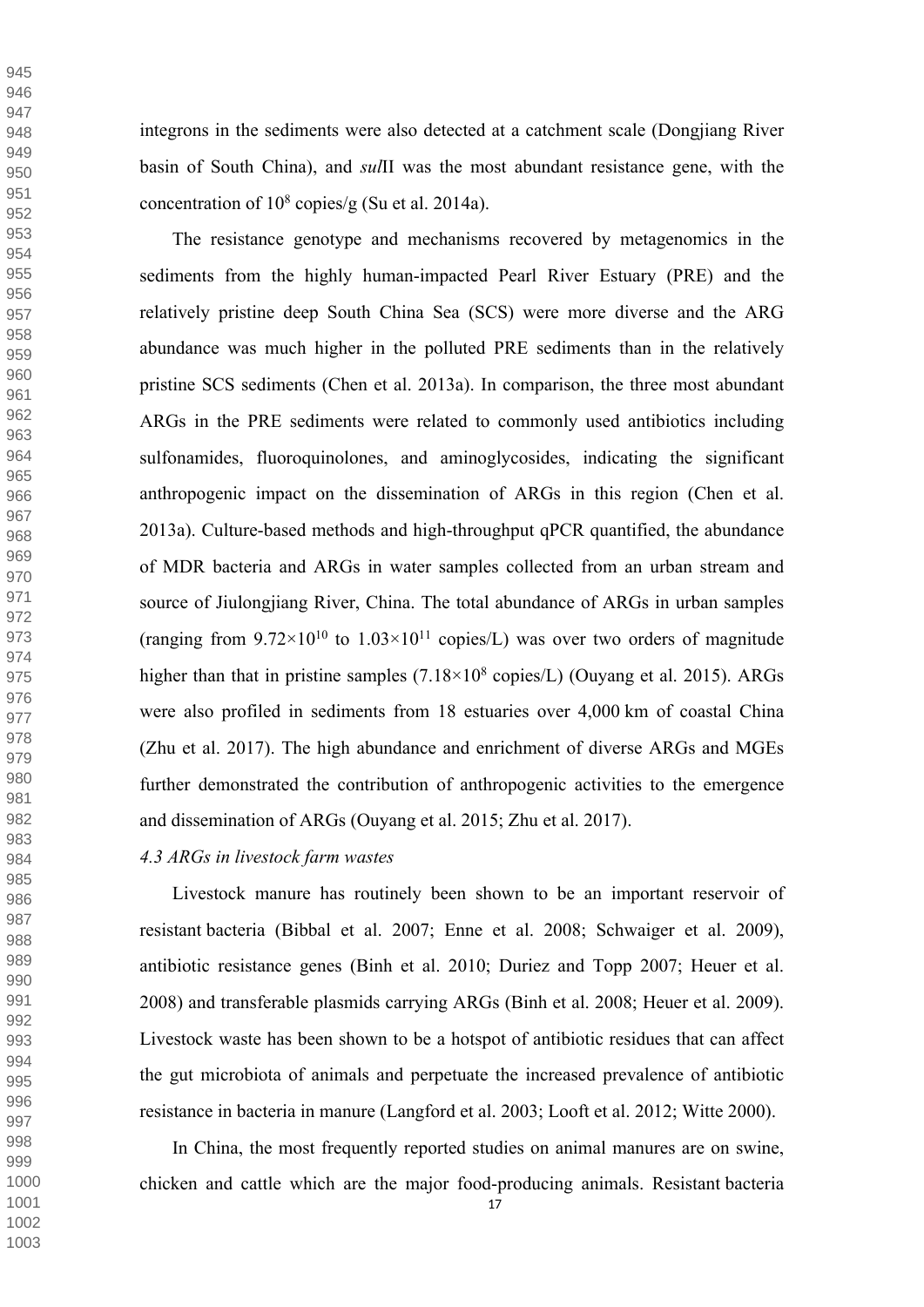integrons in the sediments were also detected at a catchment scale (Dongjiang River basin of South China), and *sul*II was the most abundant resistance gene, with the concentration of  $10^8$  copies/g (Su et al. 2014a).

The resistance genotype and mechanisms recovered by metagenomics in the sediments from the highly human-impacted Pearl River Estuary (PRE) and the relatively pristine deep South China Sea (SCS) were more diverse and the ARG abundance was much higher in the polluted PRE sediments than in the relatively pristine SCS sediments (Chen et al. 2013a). In comparison, the three most abundant ARGs in the PRE sediments were related to commonly used antibiotics including sulfonamides, fluoroquinolones, and aminoglycosides, indicating the significant anthropogenic impact on the dissemination of ARGs in this region (Chen et al. 2013a). Culture-based methods and high-throughput qPCR quantified, the abundance of MDR bacteria and ARGs in water samples collected from an urban stream and source of Jiulongjiang River, China. The total abundance of ARGs in urban samples (ranging from  $9.72 \times 10^{10}$  to  $1.03 \times 10^{11}$  copies/L) was over two orders of magnitude higher than that in pristine samples  $(7.18 \times 10^8 \text{ copies/L})$  (Ouyang et al. 2015). ARGs were also profiled in sediments from 18 estuaries over 4,000 km of coastal China (Zhu et al. 2017). The high abundance and enrichment of diverse ARGs and MGEs further demonstrated the contribution of anthropogenic activities to the emergence and dissemination of ARGs (Ouyang et al. 2015; Zhu et al. 2017).

*4.3 ARGs in livestock farm wastes*

Livestock manure has routinely been shown to be an important reservoir of resistant bacteria (Bibbal et al. 2007; Enne et al. 2008; Schwaiger et al. 2009), antibiotic resistance genes (Binh et al. 2010; Duriez and Topp 2007; Heuer et al. 2008) and transferable plasmids carrying ARGs (Binh et al. 2008; Heuer et al. 2009). Livestock waste has been shown to be a hotspot of antibiotic residues that can affect the gut microbiota of animals and perpetuate the increased prevalence of antibiotic resistance in bacteria in manure (Langford et al. 2003; Looft et al. 2012; Witte 2000).

In China, the most frequently reported studies on animal manures are on swine, chicken and cattle which are the major food-producing animals. Resistant bacteria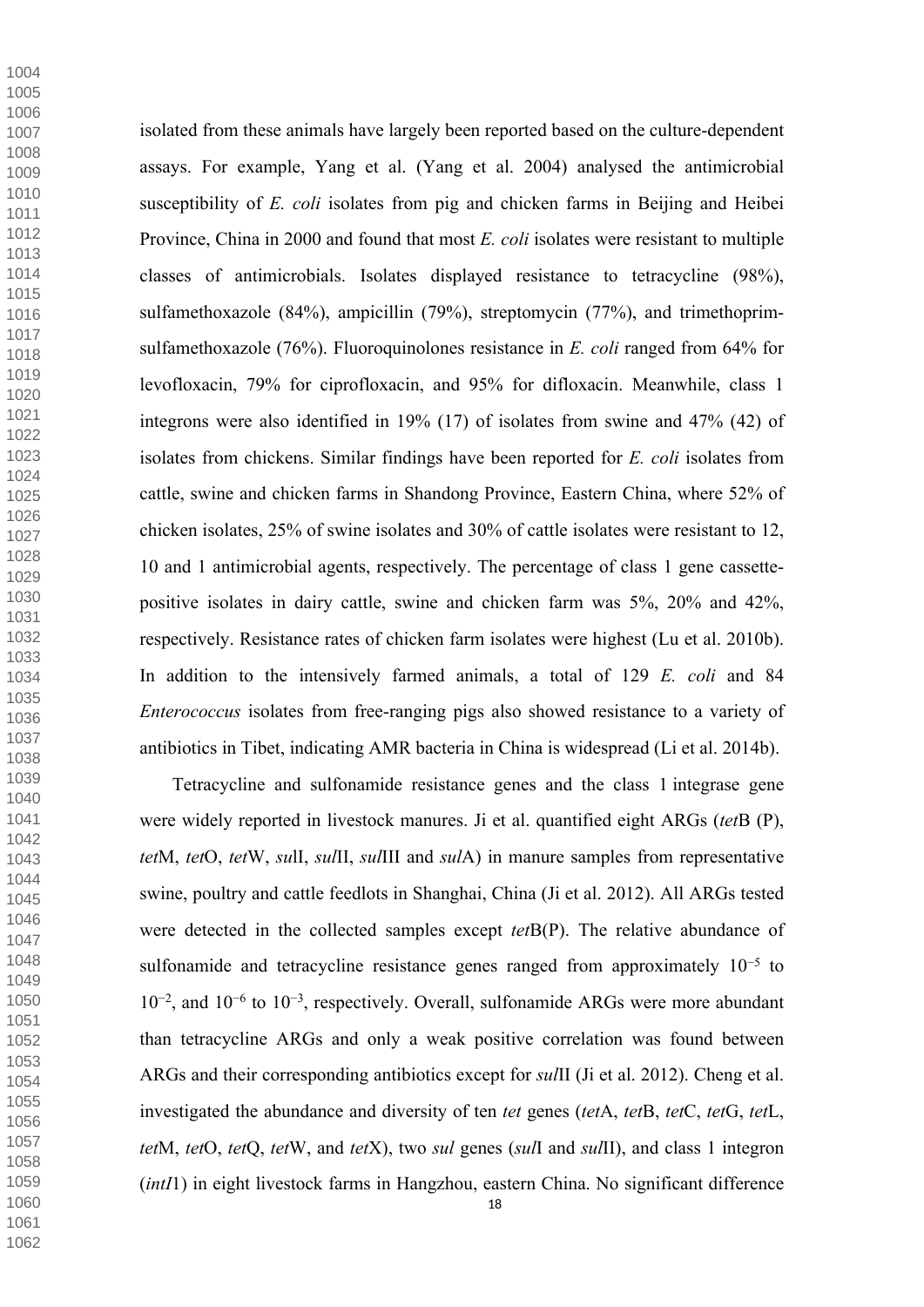isolated from these animals have largely been reported based on the culture-dependent assays. For example, Yang et al. (Yang et al. 2004) analysed the antimicrobial susceptibility of *E. coli* isolates from pig and chicken farms in Beijing and Heibei Province, China in 2000 and found that most *E. coli* isolates were resistant to multiple classes of antimicrobials. Isolates displayed resistance to tetracycline (98%), sulfamethoxazole (84%), ampicillin (79%), streptomycin (77%), and trimethoprimsulfamethoxazole (76%). Fluoroquinolones resistance in *E. coli* ranged from 64% for levofloxacin, 79% for ciprofloxacin, and 95% for difloxacin. Meanwhile, class 1 integrons were also identified in 19% (17) of isolates from swine and 47% (42) of isolates from chickens. Similar findings have been reported for *E. coli* isolates from cattle, swine and chicken farms in Shandong Province, Eastern China, where 52% of chicken isolates, 25% of swine isolates and 30% of cattle isolates were resistant to 12, 10 and 1 antimicrobial agents, respectively. The percentage of class 1 gene cassettepositive isolates in dairy cattle, swine and chicken farm was 5%, 20% and 42%, respectively. Resistance rates of chicken farm isolates were highest (Lu et al. 2010b). In addition to the intensively farmed animals, a total of 129 *E. coli* and 84 *Enterococcus* isolates from free-ranging pigs also showed resistance to a variety of antibiotics in Tibet, indicating AMR bacteria in China is widespread (Li et al. 2014b).

 Tetracycline and sulfonamide resistance genes and the class 1 integrase gene were widely reported in livestock manures. Ji et al. quantified eight ARGs (*tet*B (P), *tet*M, *tet*O, *tet*W, *su*lI, *sul*II, *sul*III and *sul*A) in manure samples from representative swine, poultry and cattle feedlots in Shanghai, China (Ji et al. 2012). All ARGs tested were detected in the collected samples except *tet*B(P). The relative abundance of sulfonamide and tetracycline resistance genes ranged from approximately 10<sup>-5</sup> to −2, and 10−6 to 10−3, respectively. Overall, sulfonamide ARGs were more abundant than tetracycline ARGs and only a weak positive correlation was found between ARGs and their corresponding antibiotics except for *sul*II (Ji et al. 2012). Cheng et al. investigated the abundance and diversity of ten *tet* genes (*tet*A, *tet*B, *tet*C, *tet*G, *tet*L, *tet*M, *tet*O, *tet*Q, *tet*W, and *tet*X), two *sul* genes (*sul*I and *sul*II), and class 1 integron (*intI*1) in eight livestock farms in Hangzhou, eastern China. No significant difference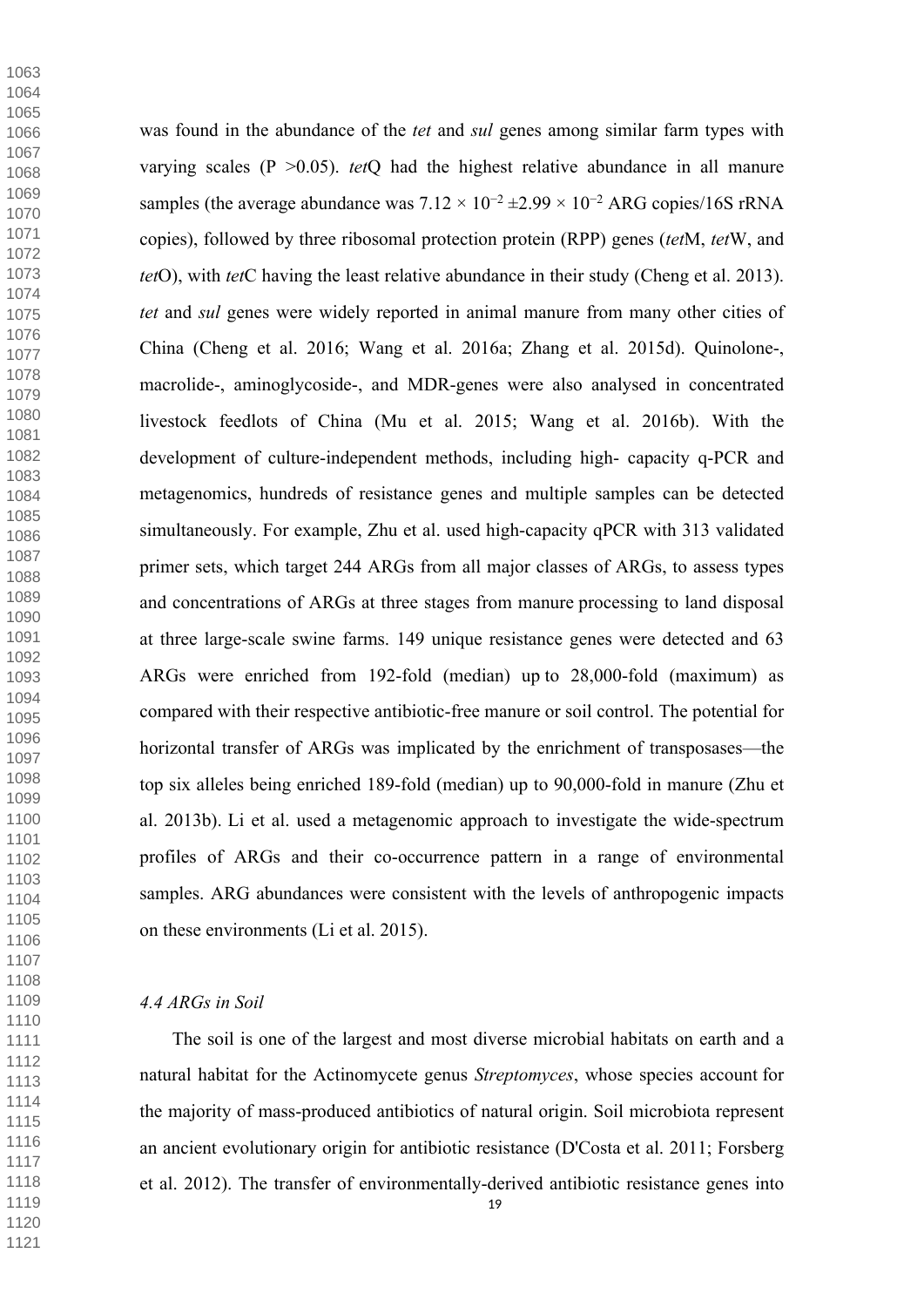was found in the abundance of the *tet* and *sul* genes among similar farm types with varying scales (P >0.05). *tet*Q had the highest relative abundance in all manure samples (the average abundance was  $7.12 \times 10^{-2} \pm 2.99 \times 10^{-2}$  ARG copies/16S rRNA copies), followed by three ribosomal protection protein (RPP) genes (*tet*M, *tet*W, and *tet*O), with *tet*C having the least relative abundance in their study (Cheng et al. 2013). *tet* and *sul* genes were widely reported in animal manure from many other cities of China (Cheng et al. 2016; Wang et al. 2016a; Zhang et al. 2015d). Quinolone-, macrolide-, aminoglycoside-, and MDR-genes were also analysed in concentrated livestock feedlots of China (Mu et al. 2015; Wang et al. 2016b). With the development of culture-independent methods, including high- capacity q-PCR and metagenomics, hundreds of resistance genes and multiple samples can be detected simultaneously. For example, Zhu et al. used high-capacity qPCR with 313 validated primer sets, which target 244 ARGs from all major classes of ARGs, to assess types and concentrations of ARGs at three stages from manure processing to land disposal at three large-scale swine farms. 149 unique resistance genes were detected and 63 ARGs were enriched from 192-fold (median) up to 28,000-fold (maximum) as compared with their respective antibiotic-free manure or soil control. The potential for horizontal transfer of ARGs was implicated by the enrichment of transposases—the top six alleles being enriched 189-fold (median) up to 90,000-fold in manure (Zhu et al. 2013b). Li et al. used a metagenomic approach to investigate the wide-spectrum profiles of ARGs and their co-occurrence pattern in a range of environmental samples. ARG abundances were consistent with the levels of anthropogenic impacts on these environments (Li et al. 2015).

#### *4.4 ARGs in Soil*

The soil is one of the largest and most diverse microbial habitats on earth and a natural habitat for the Actinomycete genus *Streptomyces*, whose species account for the majority of mass-produced antibiotics of natural origin. Soil microbiota represent an ancient evolutionary origin for antibiotic resistance (D'Costa et al. 2011; Forsberg et al. 2012). The transfer of environmentally-derived antibiotic resistance genes into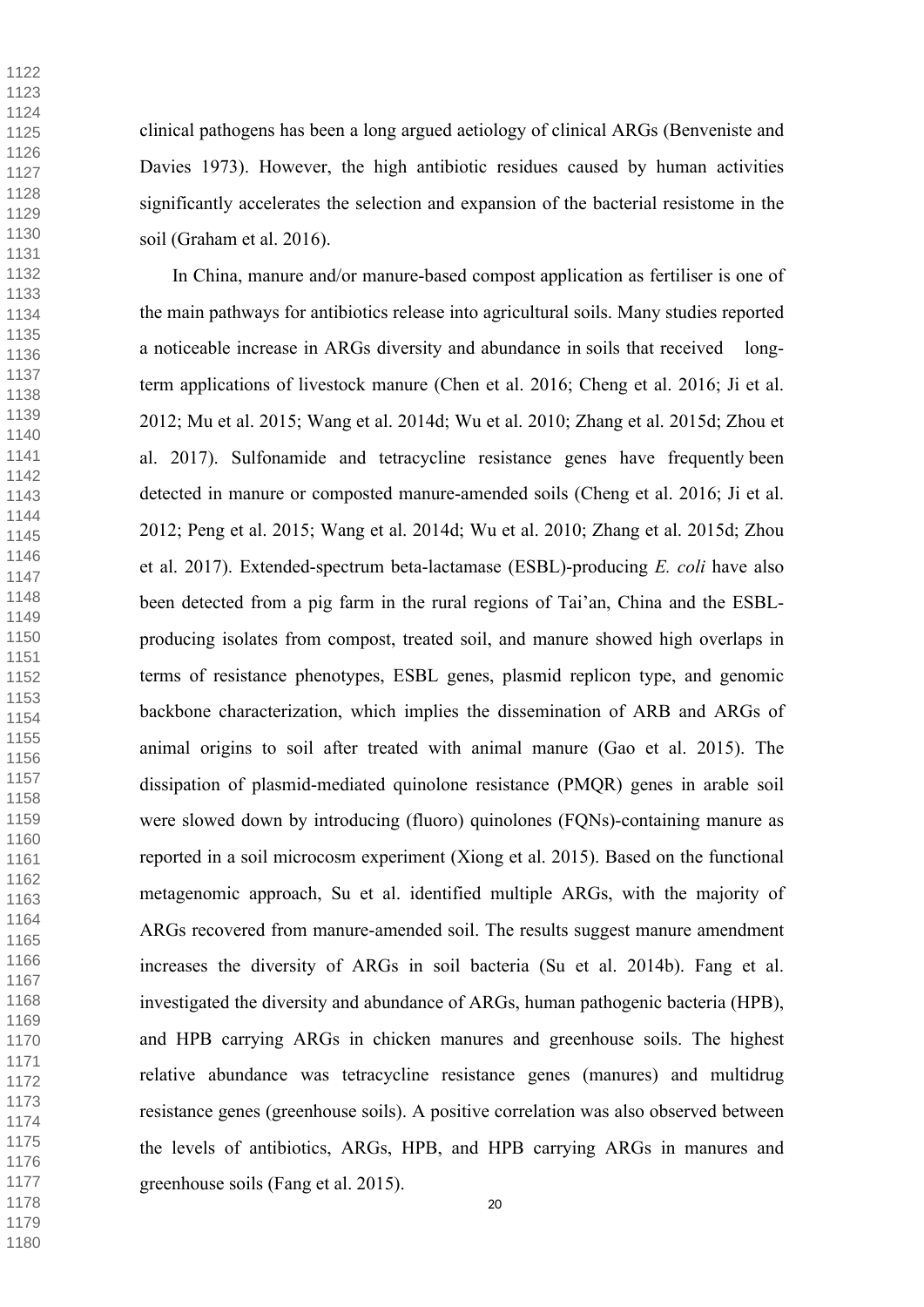clinical pathogens has been a long argued aetiology of clinical ARGs (Benveniste and Davies 1973). However, the high antibiotic residues caused by human activities significantly accelerates the selection and expansion of the bacterial resistome in the soil (Graham et al. 2016).

In China, manure and/or manure-based compost application as fertiliser is one of the main pathways for antibiotics release into agricultural soils. Many studies reported a noticeable increase in ARGs diversity and abundance in soils that received longterm applications of livestock manure (Chen et al. 2016; Cheng et al. 2016; Ji et al. 2012; Mu et al. 2015; Wang et al. 2014d; Wu et al. 2010; Zhang et al. 2015d; Zhou et al. 2017). Sulfonamide and tetracycline resistance genes have frequently been detected in manure or composted manure-amended soils (Cheng et al. 2016; Ji et al. 2012; Peng et al. 2015; Wang et al. 2014d; Wu et al. 2010; Zhang et al. 2015d; Zhou et al. 2017). Extended-spectrum beta-lactamase (ESBL)-producing *E. coli* have also been detected from a pig farm in the rural regions of Tai'an, China and the ESBLproducing isolates from compost, treated soil, and manure showed high overlaps in terms of resistance phenotypes, ESBL genes, plasmid replicon type, and genomic backbone characterization, which implies the dissemination of ARB and ARGs of animal origins to soil after treated with animal manure (Gao et al. 2015). The dissipation of plasmid-mediated quinolone resistance (PMQR) genes in arable soil were slowed down by introducing (fluoro) quinolones (FQNs)-containing manure as reported in a soil microcosm experiment (Xiong et al. 2015). Based on the functional metagenomic approach, Su et al. identified multiple ARGs, with the majority of ARGs recovered from manure-amended soil. The results suggest manure amendment increases the diversity of ARGs in soil bacteria (Su et al. 2014b). Fang et al. investigated the diversity and abundance of ARGs, human pathogenic bacteria (HPB), and HPB carrying ARGs in chicken manures and greenhouse soils. The highest relative abundance was tetracycline resistance genes (manures) and multidrug resistance genes (greenhouse soils). A positive correlation was also observed between the levels of antibiotics, ARGs, HPB, and HPB carrying ARGs in manures and greenhouse soils (Fang et al. 2015).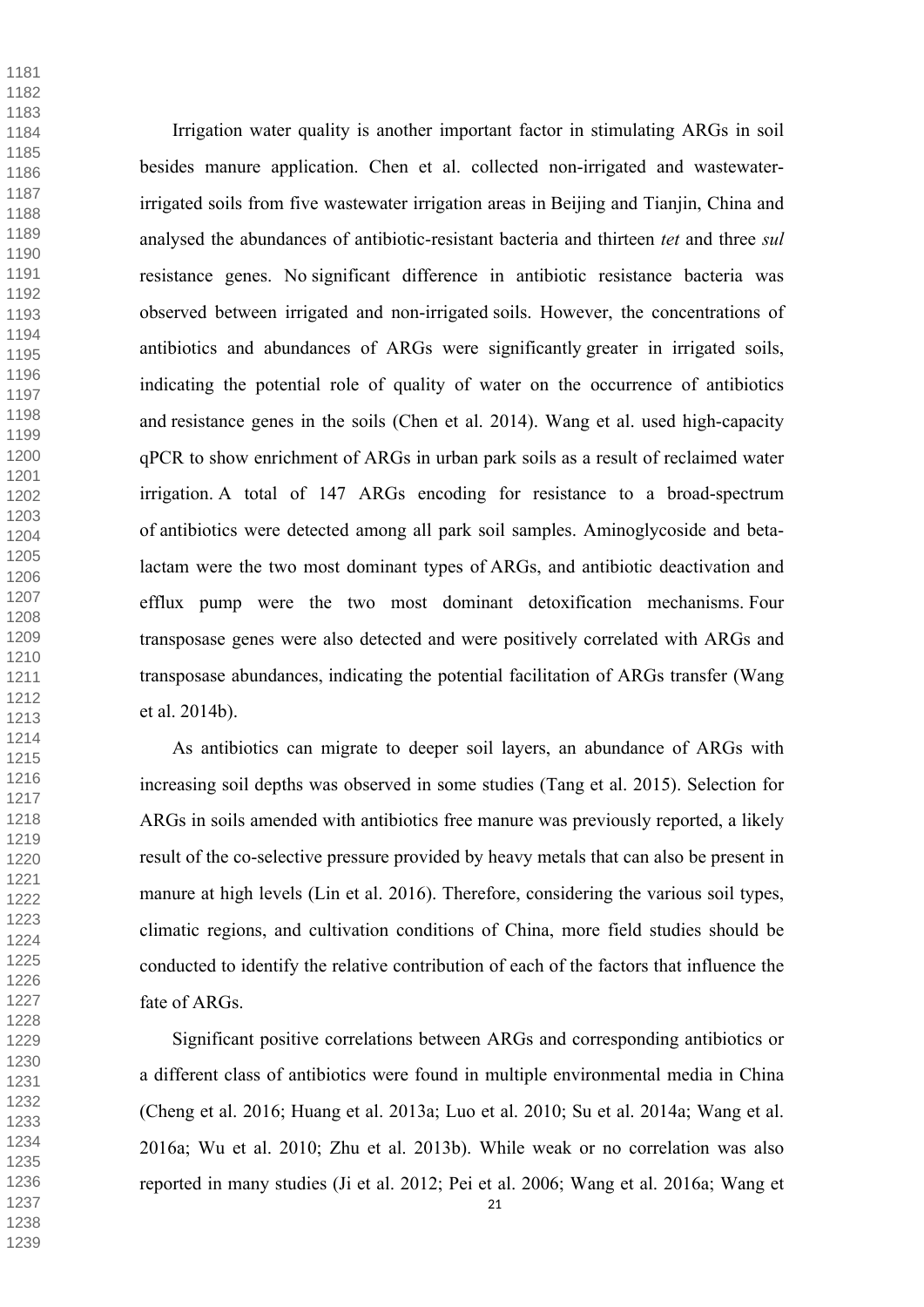Irrigation water quality is another important factor in stimulating ARGs in soil besides manure application. Chen et al. collected non-irrigated and wastewaterirrigated soils from five wastewater irrigation areas in Beijing and Tianjin, China and analysed the abundances of antibiotic-resistant bacteria and thirteen *tet* and three *sul* resistance genes. No significant difference in antibiotic resistance bacteria was observed between irrigated and non-irrigated soils. However, the concentrations of antibiotics and abundances of ARGs were significantly greater in irrigated soils, indicating the potential role of quality of water on the occurrence of antibiotics and resistance genes in the soils (Chen et al. 2014). Wang et al. used high-capacity qPCR to show enrichment of ARGs in urban park soils as a result of reclaimed water irrigation. A total of 147 ARGs encoding for resistance to a broad-spectrum of antibiotics were detected among all park soil samples. Aminoglycoside and betalactam were the two most dominant types of ARGs, and antibiotic deactivation and efflux pump were the two most dominant detoxification mechanisms. Four transposase genes were also detected and were positively correlated with ARGs and transposase abundances, indicating the potential facilitation of ARGs transfer (Wang et al. 2014b).

As antibiotics can migrate to deeper soil layers, an abundance of ARGs with increasing soil depths was observed in some studies (Tang et al. 2015). Selection for ARGs in soils amended with antibiotics free manure was previously reported, a likely result of the co-selective pressure provided by heavy metals that can also be present in manure at high levels (Lin et al. 2016). Therefore, considering the various soil types, climatic regions, and cultivation conditions of China, more field studies should be conducted to identify the relative contribution of each of the factors that influence the fate of ARGs.

Significant positive correlations between ARGs and corresponding antibiotics or a different class of antibiotics were found in multiple environmental media in China (Cheng et al. 2016; Huang et al. 2013a; Luo et al. 2010; Su et al. 2014a; Wang et al. 2016a; Wu et al. 2010; Zhu et al. 2013b). While weak or no correlation was also reported in many studies (Ji et al. 2012; Pei et al. 2006; Wang et al. 2016a; Wang et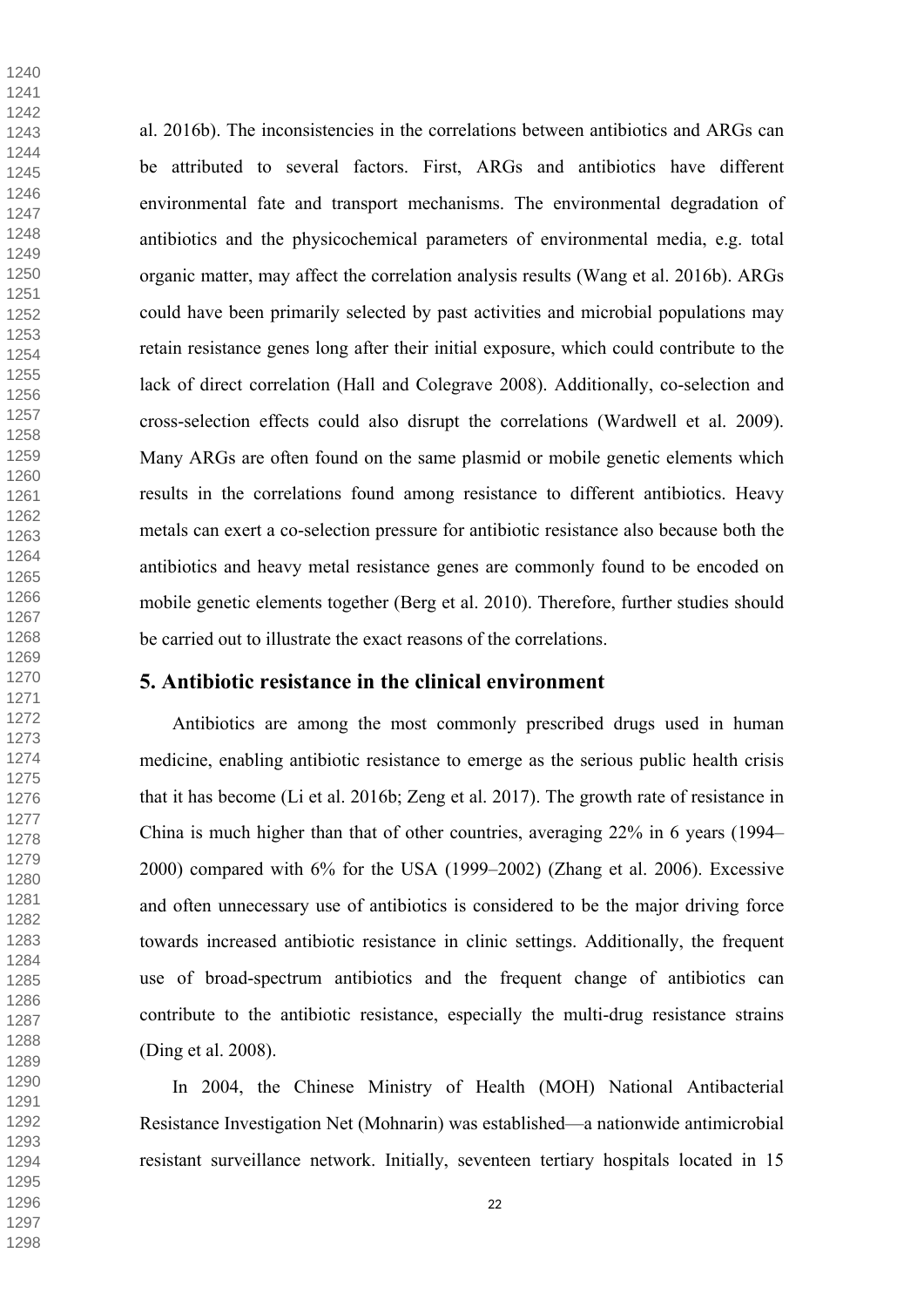al. 2016b). The inconsistencies in the correlations between antibiotics and ARGs can be attributed to several factors. First, ARGs and antibiotics have different environmental fate and transport mechanisms. The environmental degradation of antibiotics and the physicochemical parameters of environmental media, e.g. total organic matter, may affect the correlation analysis results (Wang et al. 2016b). ARGs could have been primarily selected by past activities and microbial populations may retain resistance genes long after their initial exposure, which could contribute to the lack of direct correlation (Hall and Colegrave 2008). Additionally, co-selection and cross-selection effects could also disrupt the correlations (Wardwell et al. 2009). Many ARGs are often found on the same plasmid or mobile genetic elements which results in the correlations found among resistance to different antibiotics. Heavy metals can exert a co-selection pressure for antibiotic resistance also because both the antibiotics and heavy metal resistance genes are commonly found to be encoded on mobile genetic elements together (Berg et al. 2010). Therefore, further studies should be carried out to illustrate the exact reasons of the correlations.

# **5. Antibiotic resistance in the clinical environment**

Antibiotics are among the most commonly prescribed drugs used in human medicine, enabling antibiotic resistance to emerge as the serious public health crisis that it has become (Li et al. 2016b; Zeng et al. 2017). The growth rate of resistance in China is much higher than that of other countries, averaging 22% in 6 years (1994– 2000) compared with 6% for the USA (1999–2002) (Zhang et al. 2006). Excessive and often unnecessary use of antibiotics is considered to be the major driving force towards increased antibiotic resistance in clinic settings. Additionally, the frequent use of broad-spectrum antibiotics and the frequent change of antibiotics can contribute to the antibiotic resistance, especially the multi-drug resistance strains (Ding et al. 2008).

In 2004, the Chinese Ministry of Health (MOH) National Antibacterial Resistance Investigation Net (Mohnarin) was established—a nationwide antimicrobial resistant surveillance network. Initially, seventeen tertiary hospitals located in 15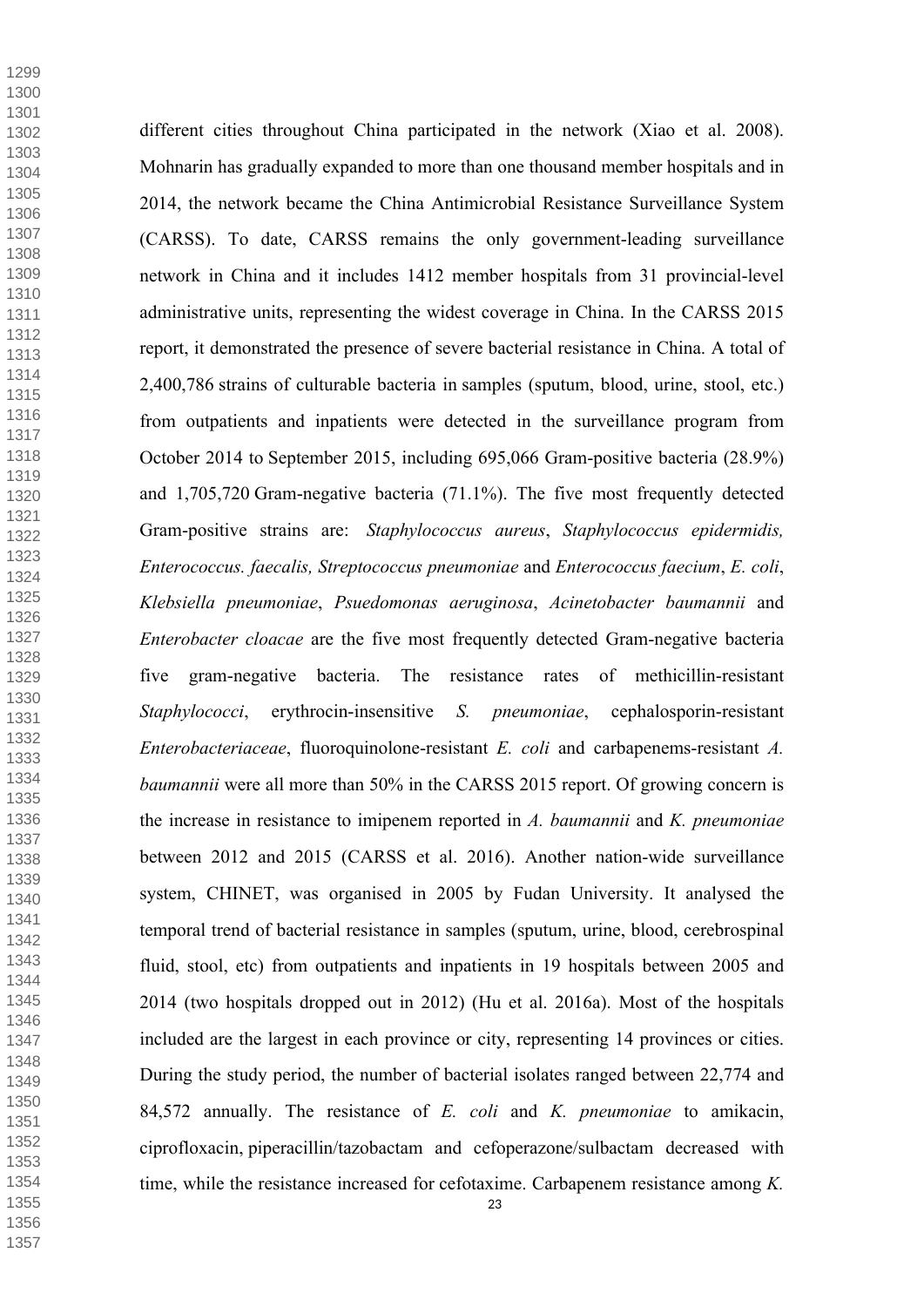different cities throughout China participated in the network (Xiao et al. 2008). Mohnarin has gradually expanded to more than one thousand member hospitals and in 2014, the network became the China Antimicrobial Resistance Surveillance System (CARSS). To date, CARSS remains the only government-leading surveillance network in China and it includes 1412 member hospitals from 31 provincial-level administrative units, representing the widest coverage in China. In the CARSS 2015 report, it demonstrated the presence of severe bacterial resistance in China. A total of 2,400,786 strains of culturable bacteria in samples (sputum, blood, urine, stool, etc.) from outpatients and inpatients were detected in the surveillance program from October 2014 to September 2015, including 695,066 Gram-positive bacteria (28.9%) and 1,705,720 Gram-negative bacteria (71.1%). The five most frequently detected Gram-positive strains are: *Staphylococcus aureus*, *Staphylococcus epidermidis, Enterococcus. faecalis, Streptococcus pneumoniae* and *Enterococcus faecium*, *E. coli*, *Klebsiella pneumoniae*, *Psuedomonas aeruginosa*, *Acinetobacter baumannii* and *Enterobacter cloacae* are the five most frequently detected Gram-negative bacteria five gram-negative bacteria. The resistance rates of methicillin-resistant *Staphylococci*, erythrocin-insensitive *S. pneumoniae*, cephalosporin-resistant *Enterobacteriaceae*, fluoroquinolone-resistant *E. coli* and carbapenems-resistant *A. baumannii* were all more than 50% in the CARSS 2015 report. Of growing concern is the increase in resistance to imipenem reported in *A. baumannii* and *K. pneumoniae* between 2012 and 2015 (CARSS et al. 2016). Another nation-wide surveillance system, CHINET, was organised in 2005 by Fudan University. It analysed the temporal trend of bacterial resistance in samples (sputum, urine, blood, cerebrospinal fluid, stool, etc) from outpatients and inpatients in 19 hospitals between 2005 and 2014 (two hospitals dropped out in 2012) (Hu et al. 2016a). Most of the hospitals included are the largest in each province or city, representing 14 provinces or cities. During the study period, the number of bacterial isolates ranged between 22,774 and 84,572 annually. The resistance of *E. coli* and *K. pneumoniae* to amikacin, ciprofloxacin, piperacillin/tazobactam and cefoperazone/sulbactam decreased with time, while the resistance increased for cefotaxime. Carbapenem resistance among *K.*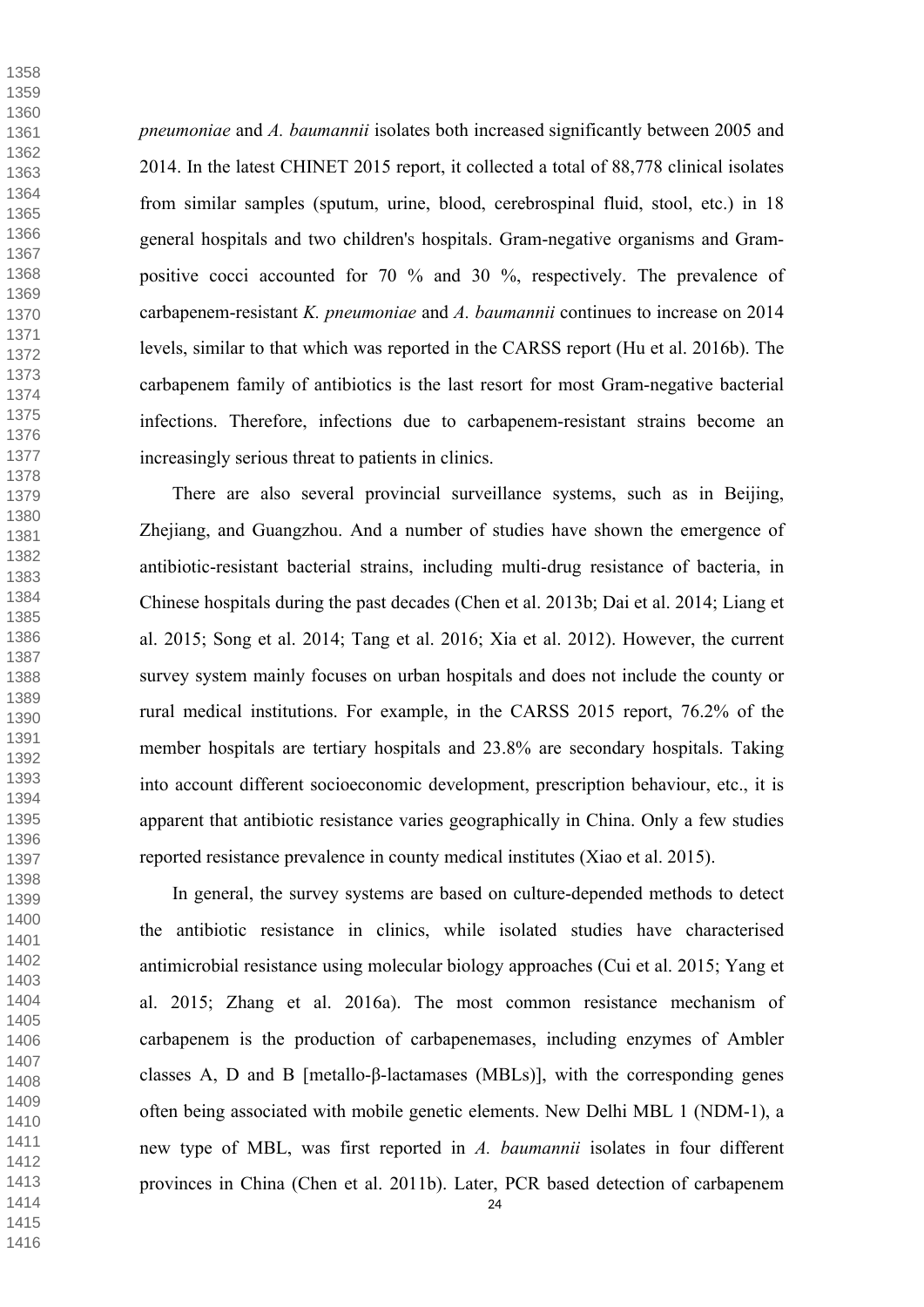*pneumoniae* and *A. baumannii* isolates both increased significantly between 2005 and 2014. In the latest CHINET 2015 report, it collected a total of 88,778 clinical isolates from similar samples (sputum, urine, blood, cerebrospinal fluid, stool, etc.) in 18 general hospitals and two children's hospitals. Gram-negative organisms and Grampositive cocci accounted for 70 % and 30 %, respectively. The prevalence of carbapenem-resistant *K. pneumoniae* and *A. baumannii* continues to increase on 2014 levels, similar to that which was reported in the CARSS report (Hu et al. 2016b). The carbapenem family of antibiotics is the last resort for most Gram-negative bacterial infections. Therefore, infections due to carbapenem-resistant strains become an increasingly serious threat to patients in clinics.

There are also several provincial surveillance systems, such as in Beijing, Zhejiang, and Guangzhou. And a number of studies have shown the emergence of antibiotic-resistant bacterial strains, including multi-drug resistance of bacteria, in Chinese hospitals during the past decades (Chen et al. 2013b; Dai et al. 2014; Liang et al. 2015; Song et al. 2014; Tang et al. 2016; Xia et al. 2012). However, the current survey system mainly focuses on urban hospitals and does not include the county or rural medical institutions. For example, in the CARSS 2015 report, 76.2% of the member hospitals are tertiary hospitals and 23.8% are secondary hospitals. Taking into account different socioeconomic development, prescription behaviour, etc., it is apparent that antibiotic resistance varies geographically in China. Only a few studies reported resistance prevalence in county medical institutes (Xiao et al. 2015).

In general, the survey systems are based on culture-depended methods to detect the antibiotic resistance in clinics, while isolated studies have characterised antimicrobial resistance using molecular biology approaches (Cui et al. 2015; Yang et al. 2015; Zhang et al. 2016a). The most common resistance mechanism of carbapenem is the production of carbapenemases, including enzymes of Ambler classes A, D and B [metallo-β-lactamases (MBLs)], with the corresponding genes often being associated with mobile genetic elements. New Delhi MBL 1 (NDM-1), a new type of MBL, was first reported in *A. baumannii* isolates in four different provinces in China (Chen et al. 2011b). Later, PCR based detection of carbapenem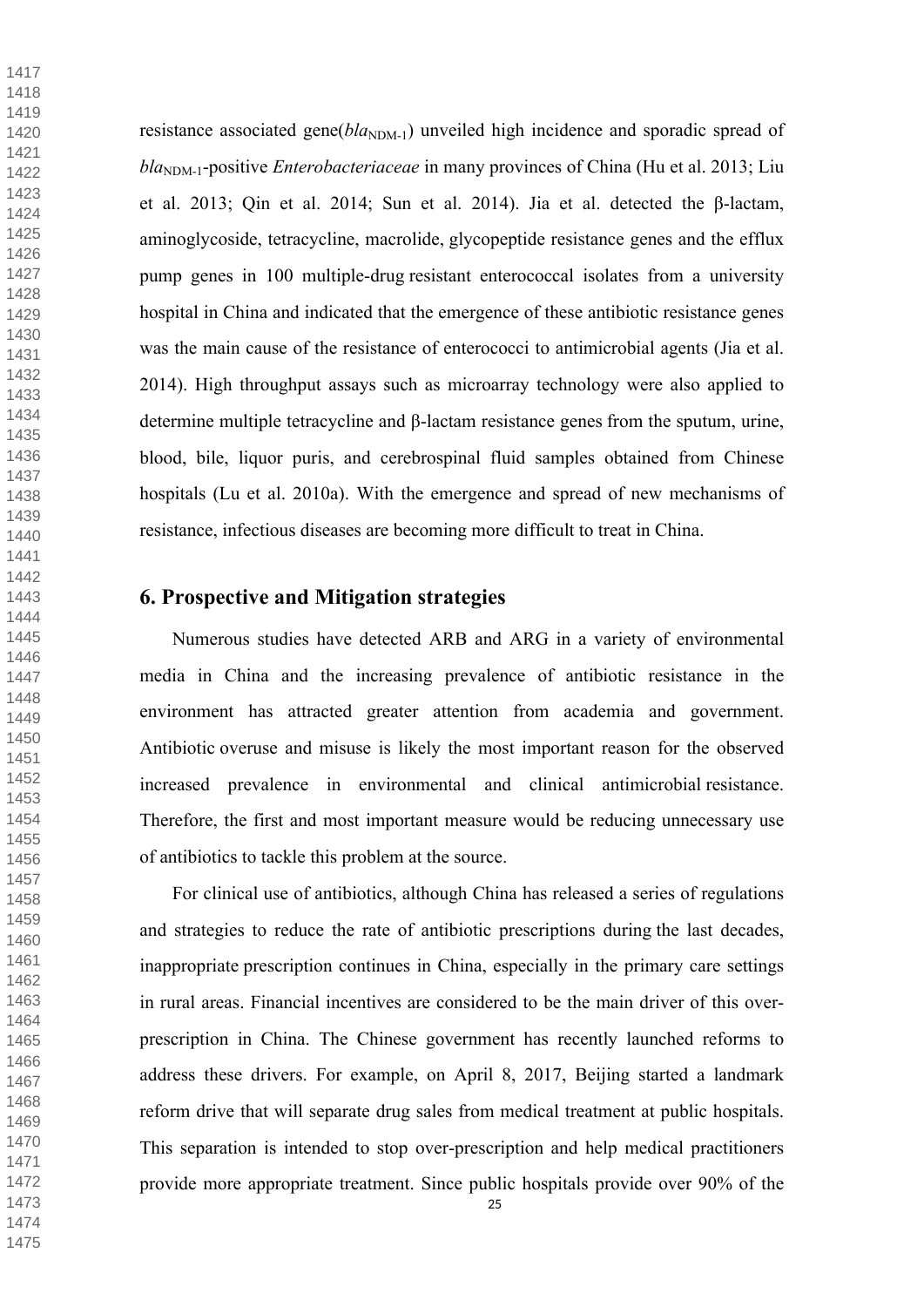resistance associated gene( $bla_{NDM-1}$ ) unveiled high incidence and sporadic spread of *bla*<sub>NDM-1</sub>-positive *Enterobacteriaceae* in many provinces of China (Hu et al. 2013; Liu et al. 2013; Qin et al. 2014; Sun et al. 2014). Jia et al. detected the β-lactam, aminoglycoside, tetracycline, macrolide, glycopeptide resistance genes and the efflux pump genes in 100 multiple-drug resistant enterococcal isolates from a university hospital in China and indicated that the emergence of these antibiotic resistance genes was the main cause of the resistance of enterococci to antimicrobial agents (Jia et al. 2014). High throughput assays such as microarray technology were also applied to determine multiple tetracycline and β-lactam resistance genes from the sputum, urine, blood, bile, liquor puris, and cerebrospinal fluid samples obtained from Chinese hospitals (Lu et al. 2010a). With the emergence and spread of new mechanisms of resistance, infectious diseases are becoming more difficult to treat in China.

## **6. Prospective and Mitigation strategies**

Numerous studies have detected ARB and ARG in a variety of environmental media in China and the increasing prevalence of antibiotic resistance in the environment has attracted greater attention from academia and government. Antibiotic overuse and misuse is likely the most important reason for the observed increased prevalence in environmental and clinical antimicrobial resistance. Therefore, the first and most important measure would be reducing unnecessary use of antibiotics to tackle this problem at the source.

For clinical use of antibiotics, although China has released a series of regulations and strategies to reduce the rate of antibiotic prescriptions during the last decades, inappropriate prescription continues in China, especially in the primary care settings in rural areas. Financial incentives are considered to be the main driver of this overprescription in China. The Chinese government has recently launched reforms to address these drivers. For example, on April 8, 2017, Beijing started a landmark reform drive that will separate drug sales from medical treatment at public hospitals. This separation is intended to stop over-prescription and help medical practitioners provide more appropriate treatment. Since public hospitals provide over 90% of the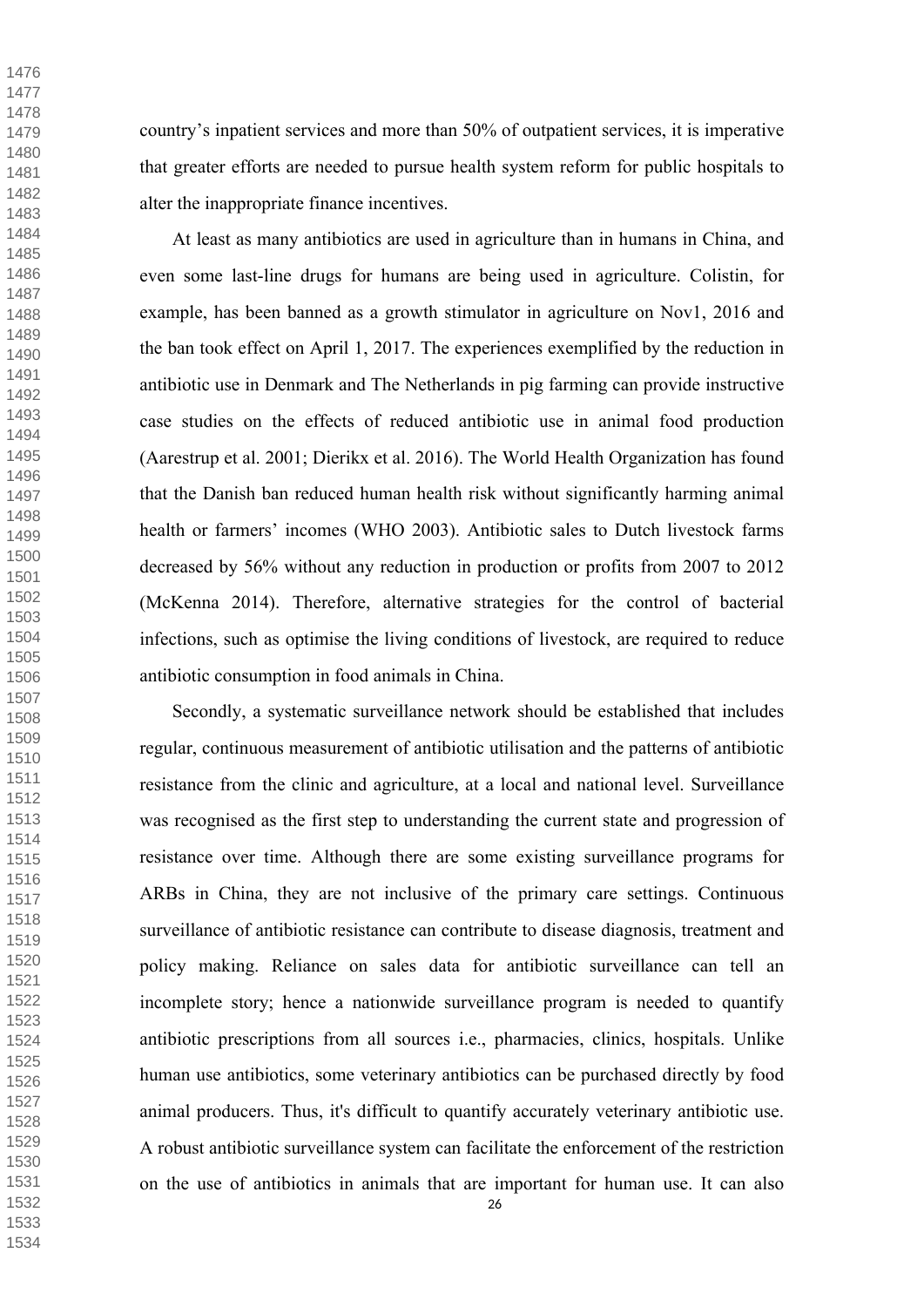country's inpatient services and more than 50% of outpatient services, it is imperative that greater efforts are needed to pursue health system reform for public hospitals to alter the inappropriate finance incentives.

At least as many antibiotics are used in agriculture than in humans in China, and even some last-line drugs for humans are being used in agriculture. Colistin, for example, has been banned as a growth stimulator in agriculture on Nov1, 2016 and the ban took effect on April 1, 2017. The experiences exemplified by the reduction in antibiotic use in Denmark and The Netherlands in pig farming can provide instructive case studies on the effects of reduced antibiotic use in animal food production (Aarestrup et al. 2001; Dierikx et al. 2016). The World Health Organization has found that the Danish ban reduced human health risk without significantly harming animal health or farmers' incomes (WHO 2003). Antibiotic sales to Dutch livestock farms decreased by 56% without any reduction in production or profits from 2007 to 2012 (McKenna 2014). Therefore, alternative strategies for the control of bacterial infections, such as optimise the living conditions of livestock, are required to reduce antibiotic consumption in food animals in China.

Secondly, a systematic surveillance network should be established that includes regular, continuous measurement of antibiotic utilisation and the patterns of antibiotic resistance from the clinic and agriculture, at a local and national level. Surveillance was recognised as the first step to understanding the current state and progression of resistance over time. Although there are some existing surveillance programs for ARBs in China, they are not inclusive of the primary care settings. Continuous surveillance of antibiotic resistance can contribute to disease diagnosis, treatment and policy making. Reliance on sales data for antibiotic surveillance can tell an incomplete story; hence a nationwide surveillance program is needed to quantify antibiotic prescriptions from all sources i.e., pharmacies, clinics, hospitals. Unlike human use antibiotics, some veterinary antibiotics can be purchased directly by food animal producers. Thus, it's difficult to quantify accurately veterinary antibiotic use. A robust antibiotic surveillance system can facilitate the enforcement of the restriction on the use of antibiotics in animals that are important for human use. It can also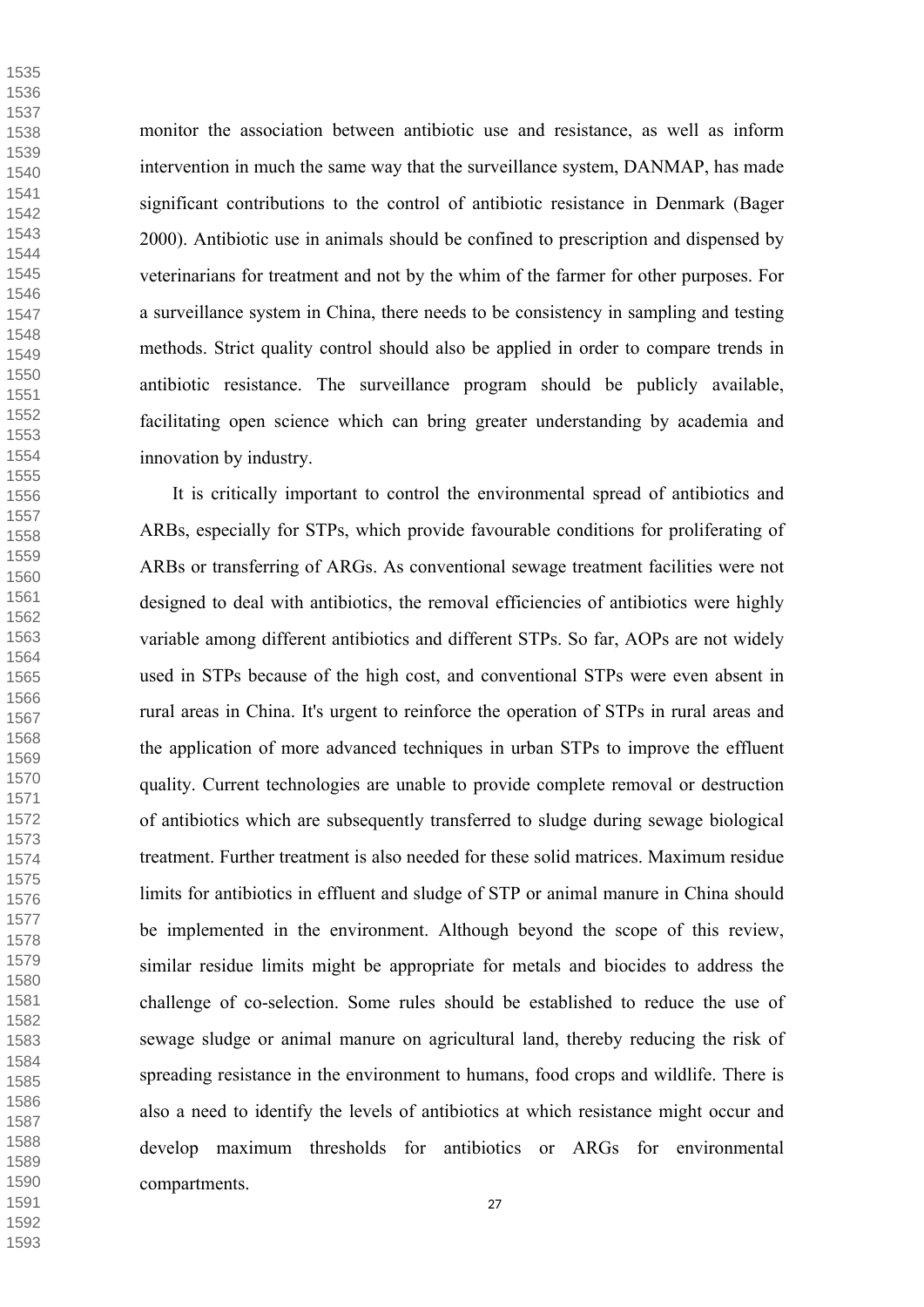monitor the association between antibiotic use and resistance, as well as inform intervention in much the same way that the surveillance system, DANMAP, has made significant contributions to the control of antibiotic resistance in Denmark (Bager 2000). Antibiotic use in animals should be confined to prescription and dispensed by veterinarians for treatment and not by the whim of the farmer for other purposes. For a surveillance system in China, there needs to be consistency in sampling and testing methods. Strict quality control should also be applied in order to compare trends in antibiotic resistance. The surveillance program should be publicly available, facilitating open science which can bring greater understanding by academia and innovation by industry.

It is critically important to control the environmental spread of antibiotics and ARBs, especially for STPs, which provide favourable conditions for proliferating of ARBs or transferring of ARGs. As conventional sewage treatment facilities were not designed to deal with antibiotics, the removal efficiencies of antibiotics were highly variable among different antibiotics and different STPs. So far, AOPs are not widely used in STPs because of the high cost, and conventional STPs were even absent in rural areas in China. It's urgent to reinforce the operation of STPs in rural areas and the application of more advanced techniques in urban STPs to improve the effluent quality. Current technologies are unable to provide complete removal or destruction of antibiotics which are subsequently transferred to sludge during sewage biological treatment. Further treatment is also needed for these solid matrices. Maximum residue limits for antibiotics in effluent and sludge of STP or animal manure in China should be implemented in the environment. Although beyond the scope of this review, similar residue limits might be appropriate for metals and biocides to address the challenge of co-selection. Some rules should be established to reduce the use of sewage sludge or animal manure on agricultural land, thereby reducing the risk of spreading resistance in the environment to humans, food crops and wildlife. There is also a need to identify the levels of antibiotics at which resistance might occur and develop maximum thresholds for antibiotics or ARGs for environmental compartments.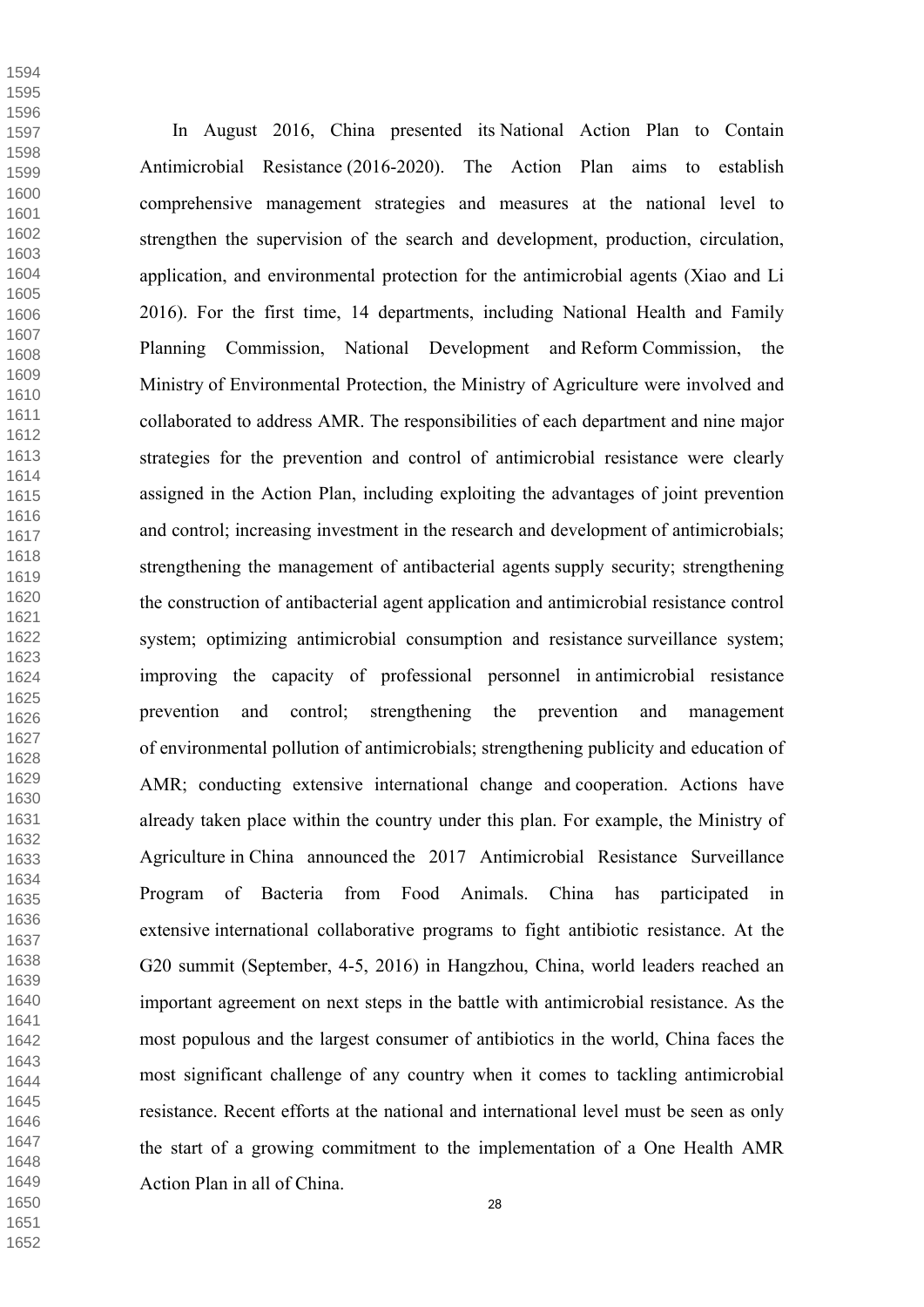In August 2016, China presented its National Action Plan to Contain Antimicrobial Resistance (2016-2020). The Action Plan aims to establish comprehensive management strategies and measures at the national level to strengthen the supervision of the search and development, production, circulation, application, and environmental protection for the antimicrobial agents (Xiao and Li 2016). For the first time, 14 departments, including National Health and Family Planning Commission, National Development and Reform Commission, the Ministry of Environmental Protection, the Ministry of Agriculture were involved and collaborated to address AMR. The responsibilities of each department and nine major strategies for the prevention and control of antimicrobial resistance were clearly assigned in the Action Plan, including exploiting the advantages of joint prevention and control; increasing investment in the research and development of antimicrobials; strengthening the management of antibacterial agents supply security; strengthening the construction of antibacterial agent application and antimicrobial resistance control system; optimizing antimicrobial consumption and resistance surveillance system; improving the capacity of professional personnel in antimicrobial resistance prevention and control; strengthening the prevention and management of environmental pollution of antimicrobials; strengthening publicity and education of AMR; conducting extensive international change and cooperation. Actions have already taken place within the country under this plan. For example, the Ministry of Agriculture in China announced the 2017 Antimicrobial Resistance Surveillance Program of Bacteria from Food Animals. China has participated in extensive international collaborative programs to fight antibiotic resistance. At the G20 summit (September, 4-5, 2016) in Hangzhou, China, world leaders reached an important agreement on next steps in the battle with antimicrobial resistance. As the most populous and the largest consumer of antibiotics in the world, China faces the most significant challenge of any country when it comes to tackling antimicrobial resistance. Recent efforts at the national and international level must be seen as only the start of a growing commitment to the implementation of a One Health AMR Action Plan in all of China.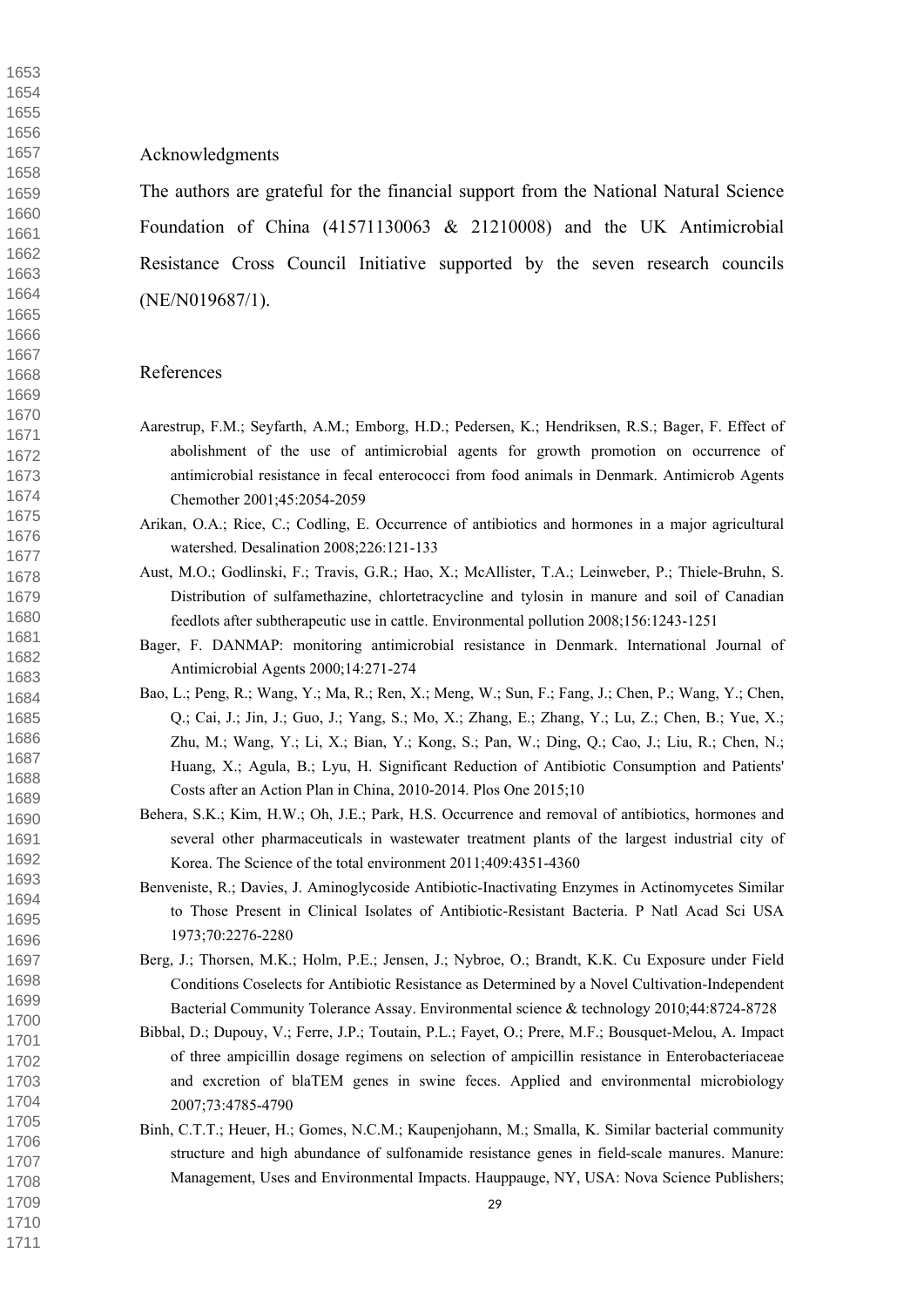Acknowledgments

The authors are grateful for the financial support from the National Natural Science Foundation of China (41571130063 & 21210008) and the UK Antimicrobial Resistance Cross Council Initiative supported by the seven research councils (NE/N019687/1).

#### References

- Aarestrup, F.M.; Seyfarth, A.M.; Emborg, H.D.; Pedersen, K.; Hendriksen, R.S.; Bager, F. Effect of abolishment of the use of antimicrobial agents for growth promotion on occurrence of antimicrobial resistance in fecal enterococci from food animals in Denmark. Antimicrob Agents Chemother 2001;45:2054-2059
- Arikan, O.A.; Rice, C.; Codling, E. Occurrence of antibiotics and hormones in a major agricultural watershed. Desalination 2008;226:121-133
- Aust, M.O.; Godlinski, F.; Travis, G.R.; Hao, X.; McAllister, T.A.; Leinweber, P.; Thiele-Bruhn, S. Distribution of sulfamethazine, chlortetracycline and tylosin in manure and soil of Canadian feedlots after subtherapeutic use in cattle. Environmental pollution 2008;156:1243-1251
- Bager, F. DANMAP: monitoring antimicrobial resistance in Denmark. International Journal of Antimicrobial Agents 2000;14:271-274
- Bao, L.; Peng, R.; Wang, Y.; Ma, R.; Ren, X.; Meng, W.; Sun, F.; Fang, J.; Chen, P.; Wang, Y.; Chen, Q.; Cai, J.; Jin, J.; Guo, J.; Yang, S.; Mo, X.; Zhang, E.; Zhang, Y.; Lu, Z.; Chen, B.; Yue, X.; Zhu, M.; Wang, Y.; Li, X.; Bian, Y.; Kong, S.; Pan, W.; Ding, Q.; Cao, J.; Liu, R.; Chen, N.; Huang, X.; Agula, B.; Lyu, H. Significant Reduction of Antibiotic Consumption and Patients' Costs after an Action Plan in China, 2010-2014. Plos One 2015;10
- Behera, S.K.; Kim, H.W.; Oh, J.E.; Park, H.S. Occurrence and removal of antibiotics, hormones and several other pharmaceuticals in wastewater treatment plants of the largest industrial city of Korea. The Science of the total environment 2011;409:4351-4360
- Benveniste, R.; Davies, J. Aminoglycoside Antibiotic-Inactivating Enzymes in Actinomycetes Similar to Those Present in Clinical Isolates of Antibiotic-Resistant Bacteria. P Natl Acad Sci USA 1973;70:2276-2280
- Berg, J.; Thorsen, M.K.; Holm, P.E.; Jensen, J.; Nybroe, O.; Brandt, K.K. Cu Exposure under Field Conditions Coselects for Antibiotic Resistance as Determined by a Novel Cultivation-Independent Bacterial Community Tolerance Assay. Environmental science & technology 2010;44:8724-8728
- Bibbal, D.; Dupouy, V.; Ferre, J.P.; Toutain, P.L.; Fayet, O.; Prere, M.F.; Bousquet-Melou, A. Impact of three ampicillin dosage regimens on selection of ampicillin resistance in Enterobacteriaceae and excretion of blaTEM genes in swine feces. Applied and environmental microbiology 2007;73:4785-4790
- Binh, C.T.T.; Heuer, H.; Gomes, N.C.M.; Kaupenjohann, M.; Smalla, K. Similar bacterial community structure and high abundance of sulfonamide resistance genes in field-scale manures. Manure: Management, Uses and Environmental Impacts. Hauppauge, NY, USA: Nova Science Publishers;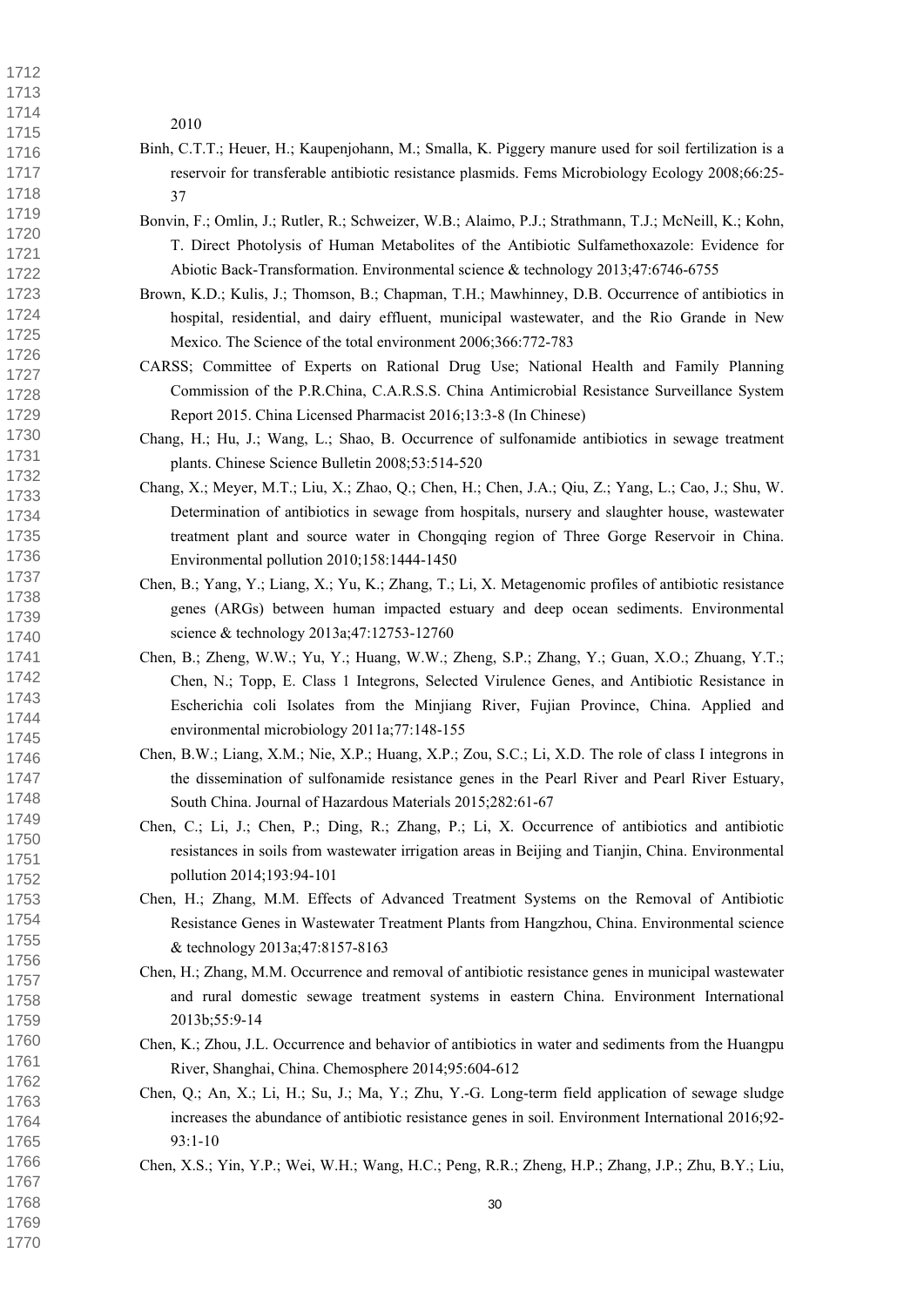- Binh, C.T.T.; Heuer, H.; Kaupenjohann, M.; Smalla, K. Piggery manure used for soil fertilization is a reservoir for transferable antibiotic resistance plasmids. Fems Microbiology Ecology 2008;66:25- 37
- Bonvin, F.; Omlin, J.; Rutler, R.; Schweizer, W.B.; Alaimo, P.J.; Strathmann, T.J.; McNeill, K.; Kohn, T. Direct Photolysis of Human Metabolites of the Antibiotic Sulfamethoxazole: Evidence for Abiotic Back-Transformation. Environmental science & technology 2013;47:6746-6755
- Brown, K.D.; Kulis, J.; Thomson, B.; Chapman, T.H.; Mawhinney, D.B. Occurrence of antibiotics in hospital, residential, and dairy effluent, municipal wastewater, and the Rio Grande in New Mexico. The Science of the total environment 2006;366:772-783
- CARSS; Committee of Experts on Rational Drug Use; National Health and Family Planning Commission of the P.R.China, C.A.R.S.S. China Antimicrobial Resistance Surveillance System Report 2015. China Licensed Pharmacist 2016;13:3-8 (In Chinese)
- Chang, H.; Hu, J.; Wang, L.; Shao, B. Occurrence of sulfonamide antibiotics in sewage treatment plants. Chinese Science Bulletin 2008;53:514-520
- Chang, X.; Meyer, M.T.; Liu, X.; Zhao, Q.; Chen, H.; Chen, J.A.; Qiu, Z.; Yang, L.; Cao, J.; Shu, W. Determination of antibiotics in sewage from hospitals, nursery and slaughter house, wastewater treatment plant and source water in Chongqing region of Three Gorge Reservoir in China. Environmental pollution 2010;158:1444-1450
- Chen, B.; Yang, Y.; Liang, X.; Yu, K.; Zhang, T.; Li, X. Metagenomic profiles of antibiotic resistance genes (ARGs) between human impacted estuary and deep ocean sediments. Environmental science & technology 2013a;47:12753-12760
- Chen, B.; Zheng, W.W.; Yu, Y.; Huang, W.W.; Zheng, S.P.; Zhang, Y.; Guan, X.O.; Zhuang, Y.T.; Chen, N.; Topp, E. Class 1 Integrons, Selected Virulence Genes, and Antibiotic Resistance in Escherichia coli Isolates from the Minjiang River, Fujian Province, China. Applied and environmental microbiology 2011a;77:148-155
- Chen, B.W.; Liang, X.M.; Nie, X.P.; Huang, X.P.; Zou, S.C.; Li, X.D. The role of class I integrons in the dissemination of sulfonamide resistance genes in the Pearl River and Pearl River Estuary, South China. Journal of Hazardous Materials 2015;282:61-67
- Chen, C.; Li, J.; Chen, P.; Ding, R.; Zhang, P.; Li, X. Occurrence of antibiotics and antibiotic resistances in soils from wastewater irrigation areas in Beijing and Tianjin, China. Environmental pollution 2014;193:94-101
- Chen, H.; Zhang, M.M. Effects of Advanced Treatment Systems on the Removal of Antibiotic Resistance Genes in Wastewater Treatment Plants from Hangzhou, China. Environmental science & technology 2013a;47:8157-8163
- Chen, H.; Zhang, M.M. Occurrence and removal of antibiotic resistance genes in municipal wastewater and rural domestic sewage treatment systems in eastern China. Environment International 2013b;55:9-14
- Chen, K.; Zhou, J.L. Occurrence and behavior of antibiotics in water and sediments from the Huangpu River, Shanghai, China. Chemosphere 2014;95:604-612
- Chen, Q.; An, X.; Li, H.; Su, J.; Ma, Y.; Zhu, Y.-G. Long-term field application of sewage sludge increases the abundance of antibiotic resistance genes in soil. Environment International 2016;92- 93:1-10
- Chen, X.S.; Yin, Y.P.; Wei, W.H.; Wang, H.C.; Peng, R.R.; Zheng, H.P.; Zhang, J.P.; Zhu, B.Y.; Liu,
- 1769 1770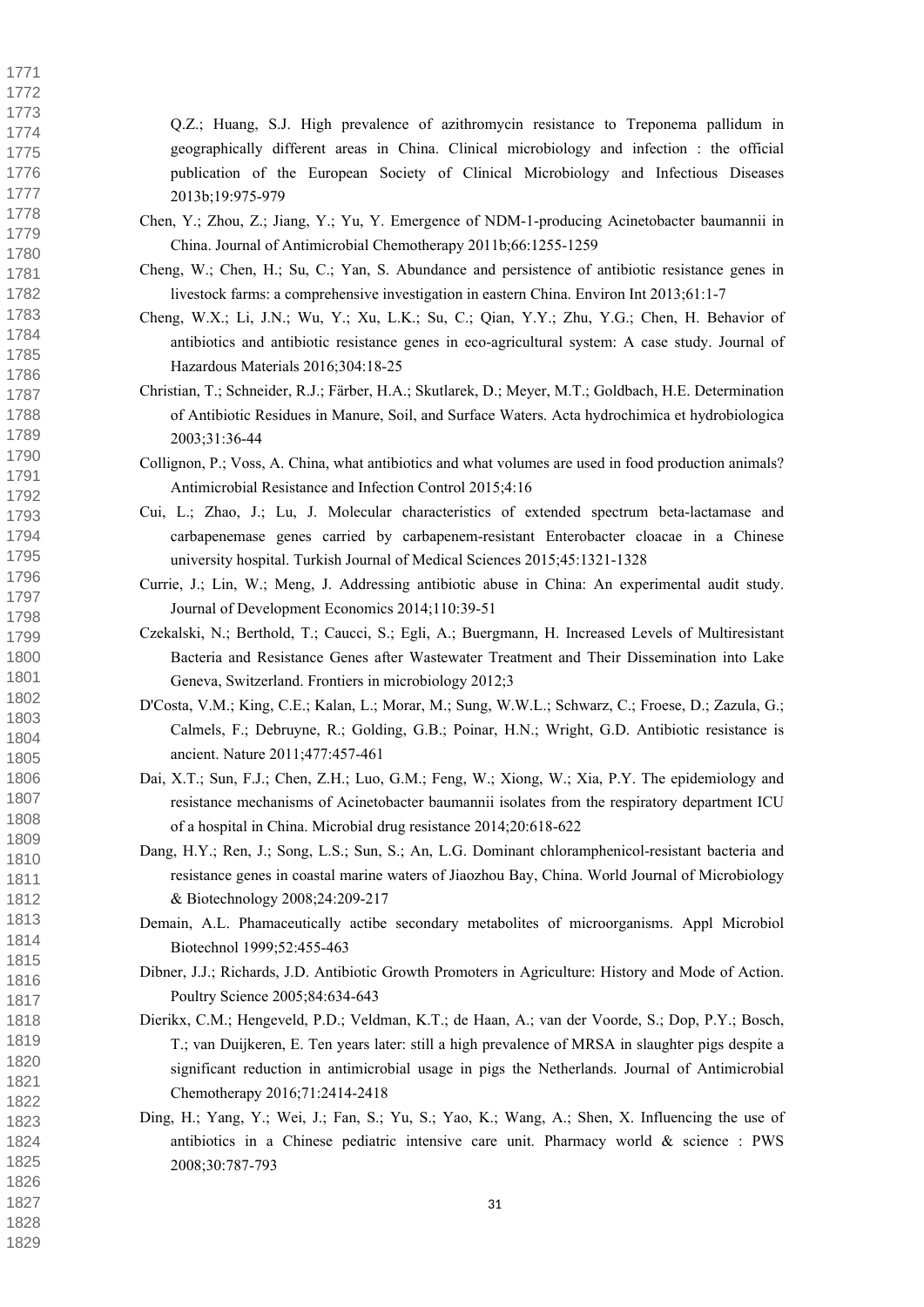| 1771         |                                                                                                        |
|--------------|--------------------------------------------------------------------------------------------------------|
| 1772         |                                                                                                        |
| 1773         |                                                                                                        |
| 1774         | Q.Z.; Huang, S.J. High prevalence of azithromycin resistance to Treponema pallidum in                  |
| 1775         | geographically different areas in China. Clinical microbiology and infection : the official            |
| 1776         | publication of the European Society of Clinical Microbiology and Infectious Diseases                   |
| 1777         | 2013b;19:975-979                                                                                       |
| 1778         | Chen, Y.; Zhou, Z.; Jiang, Y.; Yu, Y. Emergence of NDM-1-producing Acinetobacter baumannii in          |
| 1779         | China. Journal of Antimicrobial Chemotherapy 2011b;66:1255-1259                                        |
| 1780         |                                                                                                        |
| 1781         | Cheng, W.; Chen, H.; Su, C.; Yan, S. Abundance and persistence of antibiotic resistance genes in       |
| 1782         | livestock farms: a comprehensive investigation in eastern China. Environ Int 2013;61:1-7               |
| 1783         | Cheng, W.X.; Li, J.N.; Wu, Y.; Xu, L.K.; Su, C.; Qian, Y.Y.; Zhu, Y.G.; Chen, H. Behavior of           |
| 1784         | antibiotics and antibiotic resistance genes in eco-agricultural system: A case study. Journal of       |
| 1785         | Hazardous Materials 2016;304:18-25                                                                     |
| 1786         | Christian, T.; Schneider, R.J.; Färber, H.A.; Skutlarek, D.; Meyer, M.T.; Goldbach, H.E. Determination |
| 1787         |                                                                                                        |
| 1788         | of Antibiotic Residues in Manure, Soil, and Surface Waters. Acta hydrochimica et hydrobiologica        |
| 1789         | 2003;31:36-44                                                                                          |
| 1790         | Collignon, P.; Voss, A. China, what antibiotics and what volumes are used in food production animals?  |
| 1791         | Antimicrobial Resistance and Infection Control 2015;4:16                                               |
| 1792         | Cui, L.; Zhao, J.; Lu, J. Molecular characteristics of extended spectrum beta-lactamase and            |
| 1793         | carbapenemase genes carried by carbapenem-resistant Enterobacter cloacae in a Chinese                  |
| 1794<br>1795 |                                                                                                        |
| 1796         | university hospital. Turkish Journal of Medical Sciences 2015;45:1321-1328                             |
| 1797         | Currie, J.; Lin, W.; Meng, J. Addressing antibiotic abuse in China: An experimental audit study.       |
| 1798         | Journal of Development Economics 2014;110:39-51                                                        |
| 1799         | Czekalski, N.; Berthold, T.; Caucci, S.; Egli, A.; Buergmann, H. Increased Levels of Multiresistant    |
| 1800         | Bacteria and Resistance Genes after Wastewater Treatment and Their Dissemination into Lake             |
| 1801         | Geneva, Switzerland. Frontiers in microbiology 2012;3                                                  |
| 1802         |                                                                                                        |
| 1803         | D'Costa, V.M.; King, C.E.; Kalan, L.; Morar, M.; Sung, W.W.L.; Schwarz, C.; Froese, D.; Zazula, G.;    |
| 1804         | Calmels, F.; Debruyne, R.; Golding, G.B.; Poinar, H.N.; Wright, G.D. Antibiotic resistance is          |
| 1805         | ancient. Nature 2011;477:457-461                                                                       |
| 1806         | Dai, X.T.; Sun, F.J.; Chen, Z.H.; Luo, G.M.; Feng, W.; Xiong, W.; Xia, P.Y. The epidemiology and       |
| 1807         | resistance mechanisms of Acinetobacter baumannii isolates from the respiratory department ICU          |
| 1808         | of a hospital in China. Microbial drug resistance 2014;20:618-622                                      |
| 1809         |                                                                                                        |
| 1810         | Dang, H.Y.; Ren, J.; Song, L.S.; Sun, S.; An, L.G. Dominant chloramphenicol-resistant bacteria and     |
| 1811         | resistance genes in coastal marine waters of Jiaozhou Bay, China. World Journal of Microbiology        |
| 1812         | & Biotechnology 2008;24:209-217                                                                        |
| 1813         | Demain, A.L. Phamaceutically actibe secondary metabolites of microorganisms. Appl Microbiol            |
| 1814         | Biotechnol 1999;52:455-463                                                                             |
| 1815         | Dibner, J.J.; Richards, J.D. Antibiotic Growth Promoters in Agriculture: History and Mode of Action.   |
| 1816         |                                                                                                        |
| 1817         | Poultry Science 2005;84:634-643                                                                        |
| 1818         | Dierikx, C.M.; Hengeveld, P.D.; Veldman, K.T.; de Haan, A.; van der Voorde, S.; Dop, P.Y.; Bosch,      |
| 1819         | T.; van Duijkeren, E. Ten years later: still a high prevalence of MRSA in slaughter pigs despite a     |
| 1820         | significant reduction in antimicrobial usage in pigs the Netherlands. Journal of Antimicrobial         |
| 1821         | Chemotherapy 2016;71:2414-2418                                                                         |
| 1822         | Ding, H.; Yang, Y.; Wei, J.; Fan, S.; Yu, S.; Yao, K.; Wang, A.; Shen, X. Influencing the use of       |
| 1823         |                                                                                                        |
| 1824         | antibiotics in a Chinese pediatric intensive care unit. Pharmacy world $\&$ science : PWS              |
| 1825         | 2008;30:787-793                                                                                        |
| 1826         |                                                                                                        |
| 1827         | 31                                                                                                     |
| 1828         |                                                                                                        |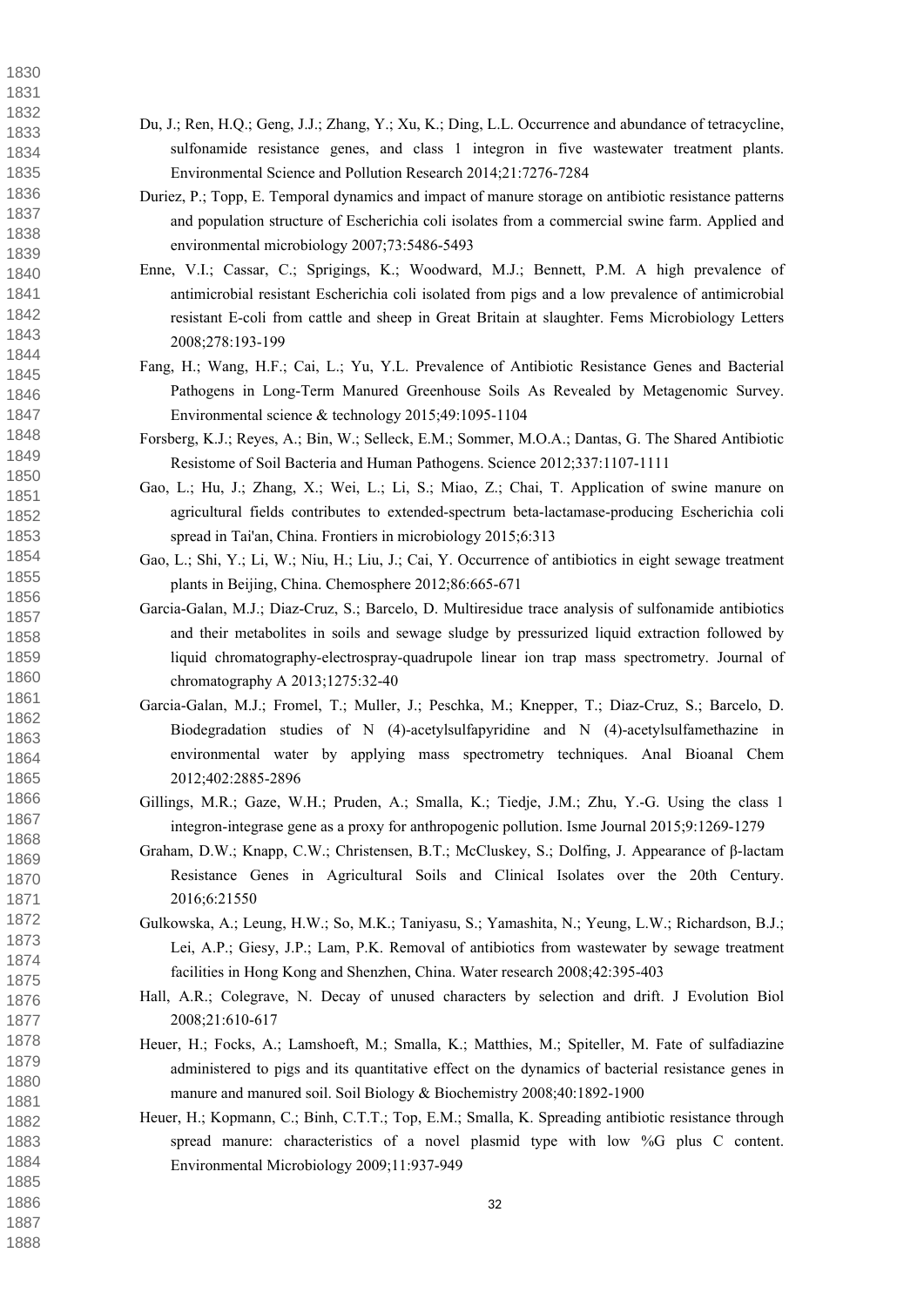- Du, J.; Ren, H.Q.; Geng, J.J.; Zhang, Y.; Xu, K.; Ding, L.L. Occurrence and abundance of tetracycline, sulfonamide resistance genes, and class 1 integron in five wastewater treatment plants. Environmental Science and Pollution Research 2014;21:7276-7284
- Duriez, P.; Topp, E. Temporal dynamics and impact of manure storage on antibiotic resistance patterns and population structure of Escherichia coli isolates from a commercial swine farm. Applied and environmental microbiology 2007;73:5486-5493
- Enne, V.I.; Cassar, C.; Sprigings, K.; Woodward, M.J.; Bennett, P.M. A high prevalence of antimicrobial resistant Escherichia coli isolated from pigs and a low prevalence of antimicrobial resistant E-coli from cattle and sheep in Great Britain at slaughter. Fems Microbiology Letters 2008;278:193-199
- Fang, H.; Wang, H.F.; Cai, L.; Yu, Y.L. Prevalence of Antibiotic Resistance Genes and Bacterial Pathogens in Long-Term Manured Greenhouse Soils As Revealed by Metagenomic Survey. Environmental science & technology 2015;49:1095-1104
- Forsberg, K.J.; Reyes, A.; Bin, W.; Selleck, E.M.; Sommer, M.O.A.; Dantas, G. The Shared Antibiotic Resistome of Soil Bacteria and Human Pathogens. Science 2012;337:1107-1111
- Gao, L.; Hu, J.; Zhang, X.; Wei, L.; Li, S.; Miao, Z.; Chai, T. Application of swine manure on agricultural fields contributes to extended-spectrum beta-lactamase-producing Escherichia coli spread in Tai'an, China. Frontiers in microbiology 2015;6:313
- Gao, L.; Shi, Y.; Li, W.; Niu, H.; Liu, J.; Cai, Y. Occurrence of antibiotics in eight sewage treatment plants in Beijing, China. Chemosphere 2012;86:665-671
- Garcia-Galan, M.J.; Diaz-Cruz, S.; Barcelo, D. Multiresidue trace analysis of sulfonamide antibiotics and their metabolites in soils and sewage sludge by pressurized liquid extraction followed by liquid chromatography-electrospray-quadrupole linear ion trap mass spectrometry. Journal of chromatography A 2013;1275:32-40
- Garcia-Galan, M.J.; Fromel, T.; Muller, J.; Peschka, M.; Knepper, T.; Diaz-Cruz, S.; Barcelo, D. Biodegradation studies of N (4)-acetylsulfapyridine and N (4)-acetylsulfamethazine in environmental water by applying mass spectrometry techniques. Anal Bioanal Chem 2012;402:2885-2896
- Gillings, M.R.; Gaze, W.H.; Pruden, A.; Smalla, K.; Tiedje, J.M.; Zhu, Y.-G. Using the class 1 integron-integrase gene as a proxy for anthropogenic pollution. Isme Journal 2015;9:1269-1279
- Graham, D.W.; Knapp, C.W.; Christensen, B.T.; McCluskey, S.; Dolfing, J. Appearance of β-lactam Resistance Genes in Agricultural Soils and Clinical Isolates over the 20th Century. 2016;6:21550
- Gulkowska, A.; Leung, H.W.; So, M.K.; Taniyasu, S.; Yamashita, N.; Yeung, L.W.; Richardson, B.J.; Lei, A.P.; Giesy, J.P.; Lam, P.K. Removal of antibiotics from wastewater by sewage treatment facilities in Hong Kong and Shenzhen, China. Water research 2008;42:395-403
- Hall, A.R.; Colegrave, N. Decay of unused characters by selection and drift. J Evolution Biol 2008;21:610-617
- Heuer, H.; Focks, A.; Lamshoeft, M.; Smalla, K.; Matthies, M.; Spiteller, M. Fate of sulfadiazine administered to pigs and its quantitative effect on the dynamics of bacterial resistance genes in manure and manured soil. Soil Biology & Biochemistry 2008;40:1892-1900
- Heuer, H.; Kopmann, C.; Binh, C.T.T.; Top, E.M.; Smalla, K. Spreading antibiotic resistance through spread manure: characteristics of a novel plasmid type with low %G plus C content. Environmental Microbiology 2009;11:937-949

1885 1886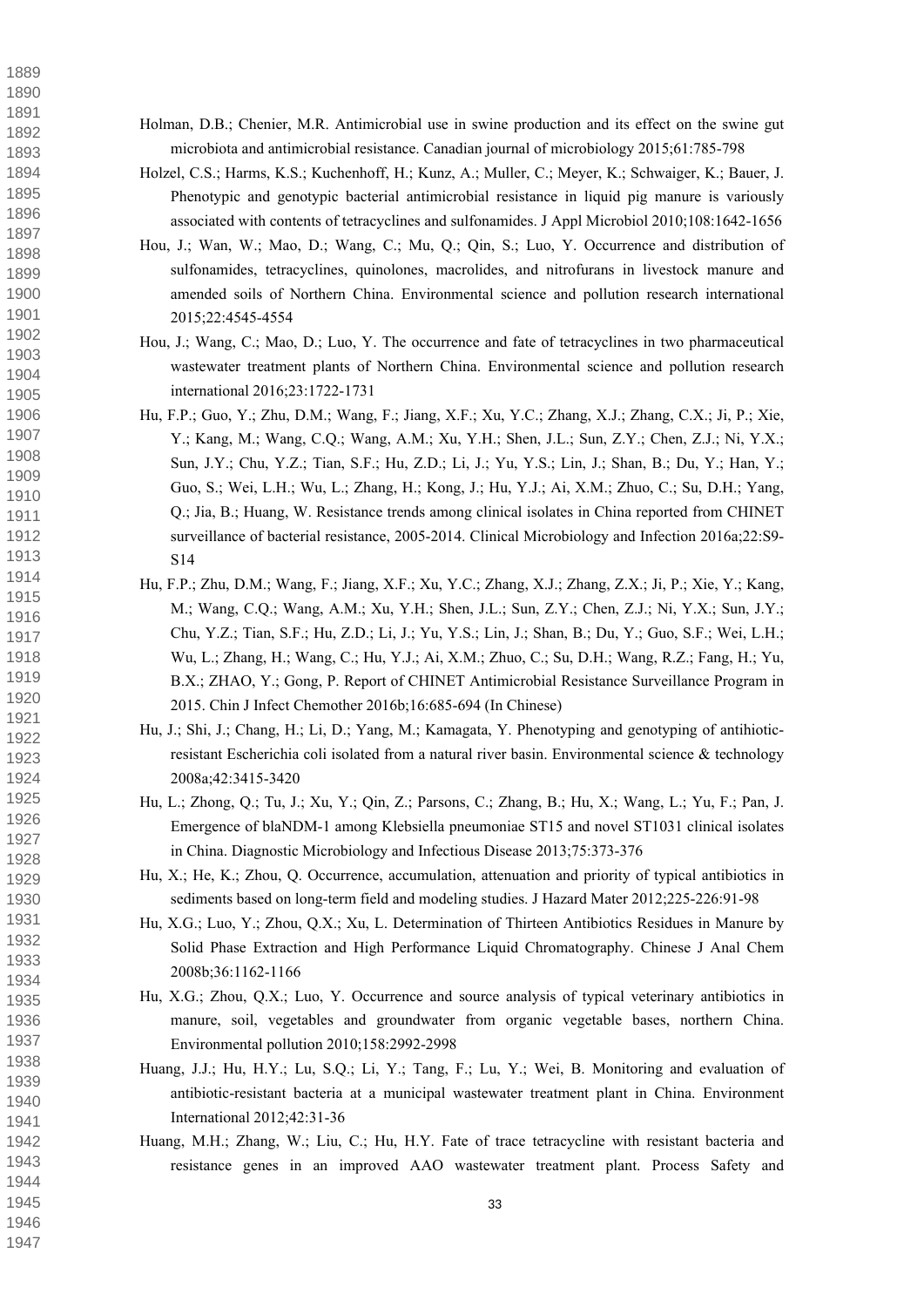- Holman, D.B.; Chenier, M.R. Antimicrobial use in swine production and its effect on the swine gut microbiota and antimicrobial resistance. Canadian journal of microbiology 2015;61:785-798
	- Holzel, C.S.; Harms, K.S.; Kuchenhoff, H.; Kunz, A.; Muller, C.; Meyer, K.; Schwaiger, K.; Bauer, J. Phenotypic and genotypic bacterial antimicrobial resistance in liquid pig manure is variously associated with contents of tetracyclines and sulfonamides. J Appl Microbiol 2010;108:1642-1656
	- Hou, J.; Wan, W.; Mao, D.; Wang, C.; Mu, Q.; Qin, S.; Luo, Y. Occurrence and distribution of sulfonamides, tetracyclines, quinolones, macrolides, and nitrofurans in livestock manure and amended soils of Northern China. Environmental science and pollution research international 2015;22:4545-4554
	- Hou, J.; Wang, C.; Mao, D.; Luo, Y. The occurrence and fate of tetracyclines in two pharmaceutical wastewater treatment plants of Northern China. Environmental science and pollution research international 2016;23:1722-1731
	- Hu, F.P.; Guo, Y.; Zhu, D.M.; Wang, F.; Jiang, X.F.; Xu, Y.C.; Zhang, X.J.; Zhang, C.X.; Ji, P.; Xie, Y.; Kang, M.; Wang, C.Q.; Wang, A.M.; Xu, Y.H.; Shen, J.L.; Sun, Z.Y.; Chen, Z.J.; Ni, Y.X.; Sun, J.Y.; Chu, Y.Z.; Tian, S.F.; Hu, Z.D.; Li, J.; Yu, Y.S.; Lin, J.; Shan, B.; Du, Y.; Han, Y.; Guo, S.; Wei, L.H.; Wu, L.; Zhang, H.; Kong, J.; Hu, Y.J.; Ai, X.M.; Zhuo, C.; Su, D.H.; Yang, Q.; Jia, B.; Huang, W. Resistance trends among clinical isolates in China reported from CHINET surveillance of bacterial resistance, 2005-2014. Clinical Microbiology and Infection 2016a;22:S9- S14
	- Hu, F.P.; Zhu, D.M.; Wang, F.; Jiang, X.F.; Xu, Y.C.; Zhang, X.J.; Zhang, Z.X.; Ji, P.; Xie, Y.; Kang, M.; Wang, C.Q.; Wang, A.M.; Xu, Y.H.; Shen, J.L.; Sun, Z.Y.; Chen, Z.J.; Ni, Y.X.; Sun, J.Y.; Chu, Y.Z.; Tian, S.F.; Hu, Z.D.; Li, J.; Yu, Y.S.; Lin, J.; Shan, B.; Du, Y.; Guo, S.F.; Wei, L.H.; Wu, L.; Zhang, H.; Wang, C.; Hu, Y.J.; Ai, X.M.; Zhuo, C.; Su, D.H.; Wang, R.Z.; Fang, H.; Yu, B.X.; ZHAO, Y.; Gong, P. Report of CHINET Antimicrobial Resistance Surveillance Program in 2015. Chin J Infect Chemother 2016b;16:685-694 (In Chinese)
	- Hu, J.; Shi, J.; Chang, H.; Li, D.; Yang, M.; Kamagata, Y. Phenotyping and genotyping of antihioticresistant Escherichia coli isolated from a natural river basin. Environmental science & technology 2008a;42:3415-3420
	- Hu, L.; Zhong, Q.; Tu, J.; Xu, Y.; Qin, Z.; Parsons, C.; Zhang, B.; Hu, X.; Wang, L.; Yu, F.; Pan, J. Emergence of blaNDM-1 among Klebsiella pneumoniae ST15 and novel ST1031 clinical isolates in China. Diagnostic Microbiology and Infectious Disease 2013;75:373-376
	- Hu, X.; He, K.; Zhou, Q. Occurrence, accumulation, attenuation and priority of typical antibiotics in sediments based on long-term field and modeling studies. J Hazard Mater 2012;225-226:91-98
	- Hu, X.G.; Luo, Y.; Zhou, Q.X.; Xu, L. Determination of Thirteen Antibiotics Residues in Manure by Solid Phase Extraction and High Performance Liquid Chromatography. Chinese J Anal Chem 2008b;36:1162-1166
	- Hu, X.G.; Zhou, Q.X.; Luo, Y. Occurrence and source analysis of typical veterinary antibiotics in manure, soil, vegetables and groundwater from organic vegetable bases, northern China. Environmental pollution 2010;158:2992-2998
	- Huang, J.J.; Hu, H.Y.; Lu, S.Q.; Li, Y.; Tang, F.; Lu, Y.; Wei, B. Monitoring and evaluation of antibiotic-resistant bacteria at a municipal wastewater treatment plant in China. Environment International 2012;42:31-36
	- Huang, M.H.; Zhang, W.; Liu, C.; Hu, H.Y. Fate of trace tetracycline with resistant bacteria and resistance genes in an improved AAO wastewater treatment plant. Process Safety and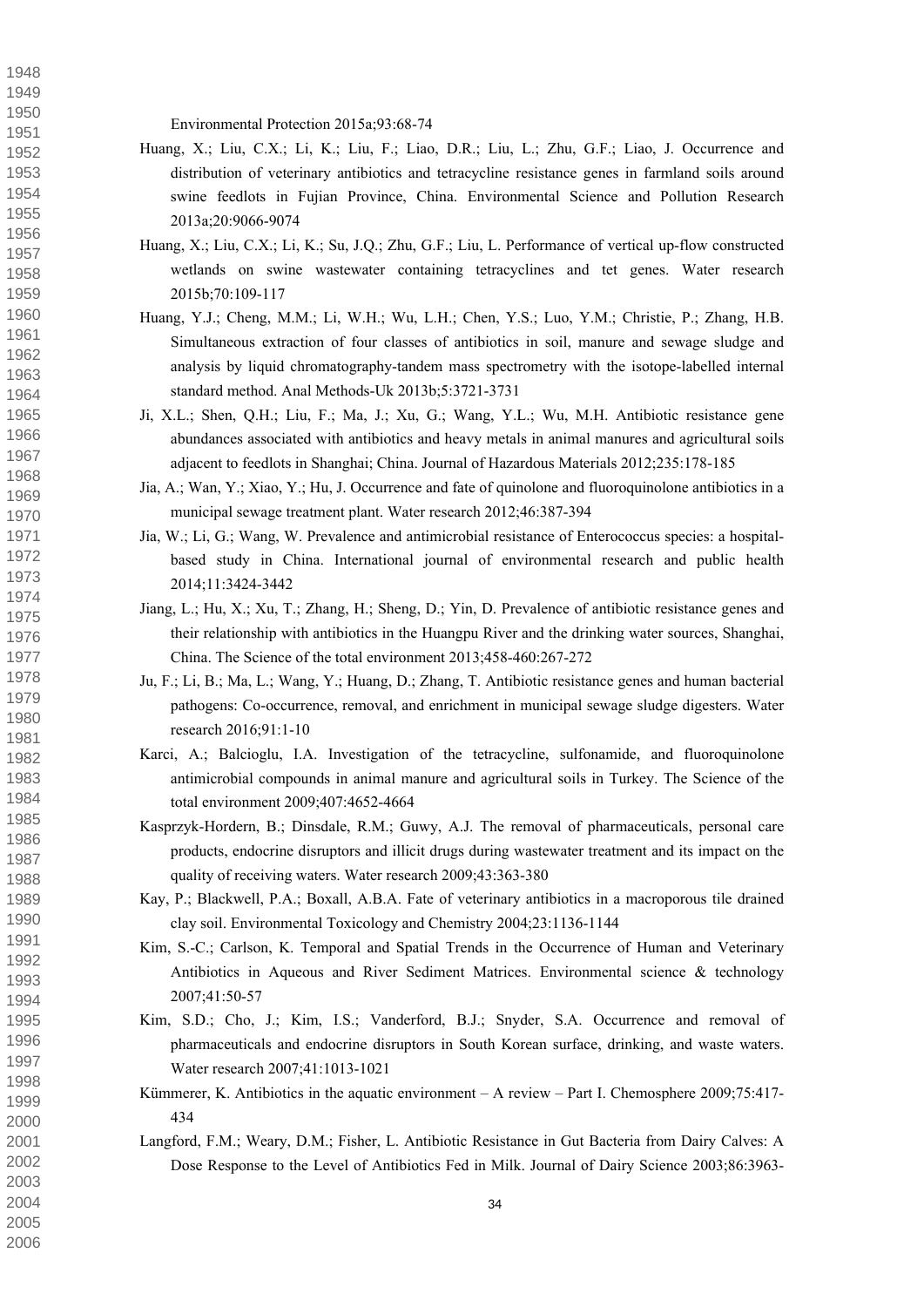| 1949         |                                                                                                          |
|--------------|----------------------------------------------------------------------------------------------------------|
| 1950         | Environmental Protection 2015a;93:68-74                                                                  |
| 1951         | Huang, X.; Liu, C.X.; Li, K.; Liu, F.; Liao, D.R.; Liu, L.; Zhu, G.F.; Liao, J. Occurrence and           |
| 1952         |                                                                                                          |
| 1953         | distribution of veterinary antibiotics and tetracycline resistance genes in farmland soils around        |
| 1954         | swine feedlots in Fujian Province, China. Environmental Science and Pollution Research                   |
| 1955         | 2013a;20:9066-9074                                                                                       |
| 1956<br>1957 | Huang, X.; Liu, C.X.; Li, K.; Su, J.Q.; Zhu, G.F.; Liu, L. Performance of vertical up-flow constructed   |
| 1958         | wetlands on swine wastewater containing tetracyclines and tet genes. Water research                      |
| 1959         | 2015b;70:109-117                                                                                         |
| 1960         | Huang, Y.J.; Cheng, M.M.; Li, W.H.; Wu, L.H.; Chen, Y.S.; Luo, Y.M.; Christie, P.; Zhang, H.B.           |
| 1961         |                                                                                                          |
| 1962         | Simultaneous extraction of four classes of antibiotics in soil, manure and sewage sludge and             |
| 1963         | analysis by liquid chromatography-tandem mass spectrometry with the isotope-labelled internal            |
| 1964         | standard method. Anal Methods-Uk 2013b;5:3721-3731                                                       |
| 1965         | Ji, X.L.; Shen, Q.H.; Liu, F.; Ma, J.; Xu, G.; Wang, Y.L.; Wu, M.H. Antibiotic resistance gene           |
| 1966         | abundances associated with antibiotics and heavy metals in animal manures and agricultural soils         |
| 1967         | adjacent to feedlots in Shanghai; China. Journal of Hazardous Materials 2012;235:178-185                 |
| 1968         | Jia, A.; Wan, Y.; Xiao, Y.; Hu, J. Occurrence and fate of quinolone and fluoroquinolone antibiotics in a |
| 1969         |                                                                                                          |
| 1970         | municipal sewage treatment plant. Water research 2012;46:387-394                                         |
| 1971         | Jia, W.; Li, G.; Wang, W. Prevalence and antimicrobial resistance of Enterococcus species: a hospital-   |
| 1972         | based study in China. International journal of environmental research and public health                  |
| 1973         | 2014;11:3424-3442                                                                                        |
| 1974<br>1975 | Jiang, L.; Hu, X.; Xu, T.; Zhang, H.; Sheng, D.; Yin, D. Prevalence of antibiotic resistance genes and   |
| 1976         | their relationship with antibiotics in the Huangpu River and the drinking water sources, Shanghai,       |
| 1977         | China. The Science of the total environment 2013;458-460:267-272                                         |
| 1978         | Ju, F.; Li, B.; Ma, L.; Wang, Y.; Huang, D.; Zhang, T. Antibiotic resistance genes and human bacterial   |
| 1979         |                                                                                                          |
| 1980         | pathogens: Co-occurrence, removal, and enrichment in municipal sewage sludge digesters. Water            |
| 1981         | research 2016;91:1-10                                                                                    |
| 1982         | Karci, A.; Balcioglu, I.A. Investigation of the tetracycline, sulfonamide, and fluoroquinolone           |
| 1983         | antimicrobial compounds in animal manure and agricultural soils in Turkey. The Science of the            |
| 1984         | total environment 2009;407:4652-4664                                                                     |
| 1985         | Kasprzyk-Hordern, B.; Dinsdale, R.M.; Guwy, A.J. The removal of pharmaceuticals, personal care           |
| 1986         | products, endocrine disruptors and illicit drugs during wastewater treatment and its impact on the       |
| 1987         |                                                                                                          |
| 1988         | quality of receiving waters. Water research 2009;43:363-380                                              |
| 1989         | Kay, P.; Blackwell, P.A.; Boxall, A.B.A. Fate of veterinary antibiotics in a macroporous tile drained    |
| 1990         | clay soil. Environmental Toxicology and Chemistry 2004;23:1136-1144                                      |
| 1991         | Kim, S.-C.; Carlson, K. Temporal and Spatial Trends in the Occurrence of Human and Veterinary            |
| 1992<br>1993 | Antibiotics in Aqueous and River Sediment Matrices. Environmental science & technology                   |
| 1994         | 2007;41:50-57                                                                                            |
| 1995         | Kim, S.D.; Cho, J.; Kim, I.S.; Vanderford, B.J.; Snyder, S.A. Occurrence and removal of                  |
| 1996         |                                                                                                          |
| 1997         | pharmaceuticals and endocrine disruptors in South Korean surface, drinking, and waste waters.            |
| 1998         | Water research 2007;41:1013-1021                                                                         |
| 1999         | Kümmerer, K. Antibiotics in the aquatic environment – A review – Part I. Chemosphere 2009;75:417-        |
| 2000         | 434                                                                                                      |
| 2001         | Langford, F.M.; Weary, D.M.; Fisher, L. Antibiotic Resistance in Gut Bacteria from Dairy Calves: A       |
| 2002         | Dose Response to the Level of Antibiotics Fed in Milk. Journal of Dairy Science 2003;86:3963-            |
| 2003         |                                                                                                          |
| 2004         | 34                                                                                                       |
| 2005         |                                                                                                          |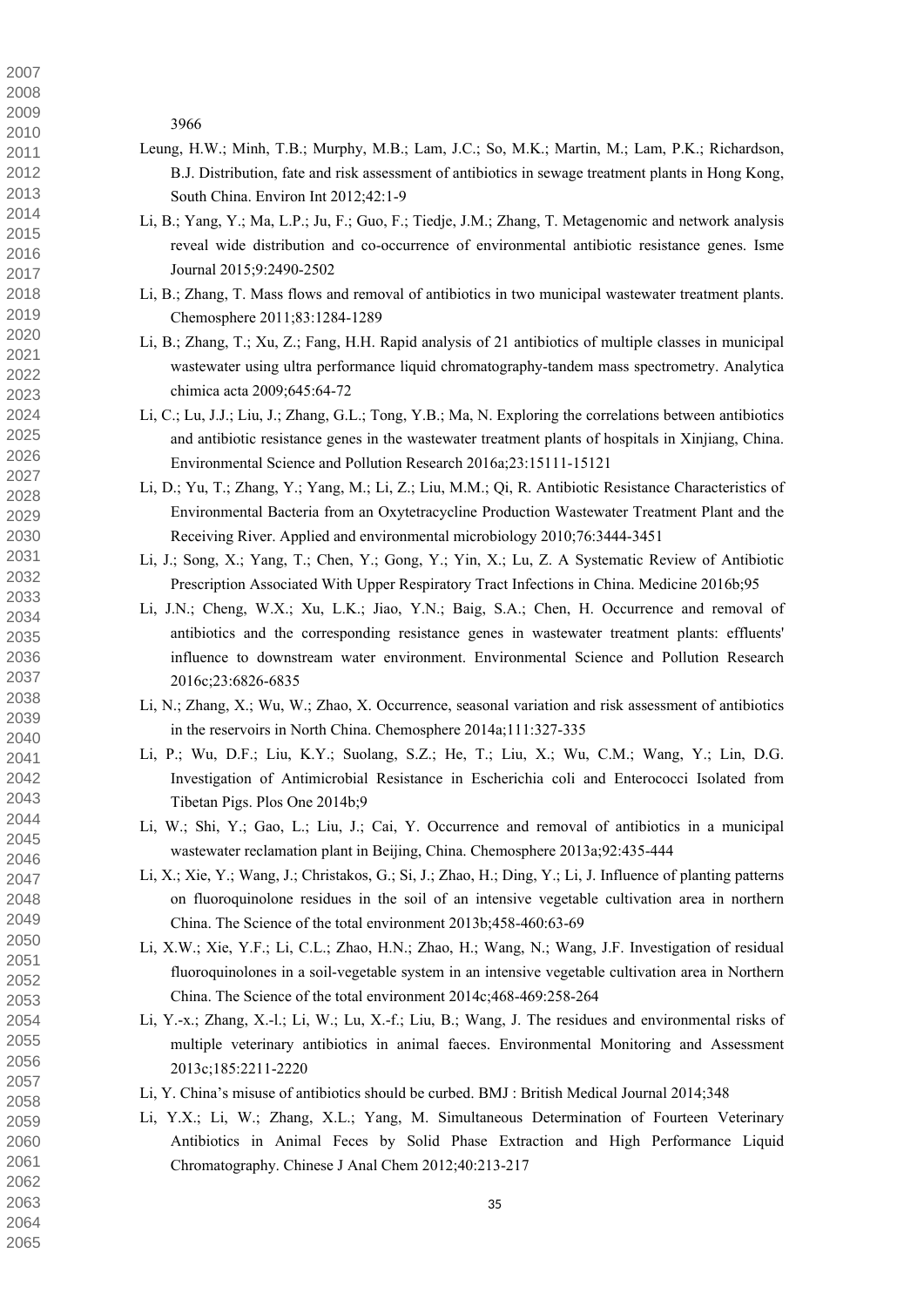- Leung, H.W.; Minh, T.B.; Murphy, M.B.; Lam, J.C.; So, M.K.; Martin, M.; Lam, P.K.; Richardson, B.J. Distribution, fate and risk assessment of antibiotics in sewage treatment plants in Hong Kong, South China. Environ Int 2012;42:1-9
- Li, B.; Yang, Y.; Ma, L.P.; Ju, F.; Guo, F.; Tiedje, J.M.; Zhang, T. Metagenomic and network analysis reveal wide distribution and co-occurrence of environmental antibiotic resistance genes. Isme Journal 2015;9:2490-2502
- Li, B.; Zhang, T. Mass flows and removal of antibiotics in two municipal wastewater treatment plants. Chemosphere 2011;83:1284-1289
- Li, B.; Zhang, T.; Xu, Z.; Fang, H.H. Rapid analysis of 21 antibiotics of multiple classes in municipal wastewater using ultra performance liquid chromatography-tandem mass spectrometry. Analytica chimica acta 2009;645:64-72
- Li, C.; Lu, J.J.; Liu, J.; Zhang, G.L.; Tong, Y.B.; Ma, N. Exploring the correlations between antibiotics and antibiotic resistance genes in the wastewater treatment plants of hospitals in Xinjiang, China. Environmental Science and Pollution Research 2016a;23:15111-15121
- Li, D.; Yu, T.; Zhang, Y.; Yang, M.; Li, Z.; Liu, M.M.; Qi, R. Antibiotic Resistance Characteristics of Environmental Bacteria from an Oxytetracycline Production Wastewater Treatment Plant and the Receiving River. Applied and environmental microbiology 2010;76:3444-3451
- Li, J.; Song, X.; Yang, T.; Chen, Y.; Gong, Y.; Yin, X.; Lu, Z. A Systematic Review of Antibiotic Prescription Associated With Upper Respiratory Tract Infections in China. Medicine 2016b;95
- Li, J.N.; Cheng, W.X.; Xu, L.K.; Jiao, Y.N.; Baig, S.A.; Chen, H. Occurrence and removal of antibiotics and the corresponding resistance genes in wastewater treatment plants: effluents' influence to downstream water environment. Environmental Science and Pollution Research 2016c;23:6826-6835
- Li, N.; Zhang, X.; Wu, W.; Zhao, X. Occurrence, seasonal variation and risk assessment of antibiotics in the reservoirs in North China. Chemosphere 2014a;111:327-335
- Li, P.; Wu, D.F.; Liu, K.Y.; Suolang, S.Z.; He, T.; Liu, X.; Wu, C.M.; Wang, Y.; Lin, D.G. Investigation of Antimicrobial Resistance in Escherichia coli and Enterococci Isolated from Tibetan Pigs. Plos One 2014b;9
- Li, W.; Shi, Y.; Gao, L.; Liu, J.; Cai, Y. Occurrence and removal of antibiotics in a municipal wastewater reclamation plant in Beijing, China. Chemosphere 2013a;92:435-444
- Li, X.; Xie, Y.; Wang, J.; Christakos, G.; Si, J.; Zhao, H.; Ding, Y.; Li, J. Influence of planting patterns on fluoroquinolone residues in the soil of an intensive vegetable cultivation area in northern China. The Science of the total environment 2013b;458-460:63-69
- Li, X.W.; Xie, Y.F.; Li, C.L.; Zhao, H.N.; Zhao, H.; Wang, N.; Wang, J.F. Investigation of residual fluoroquinolones in a soil-vegetable system in an intensive vegetable cultivation area in Northern China. The Science of the total environment 2014c;468-469:258-264
- Li, Y.-x.; Zhang, X.-l.; Li, W.; Lu, X.-f.; Liu, B.; Wang, J. The residues and environmental risks of multiple veterinary antibiotics in animal faeces. Environmental Monitoring and Assessment 2013c;185:2211-2220
- Li, Y. China's misuse of antibiotics should be curbed. BMJ : British Medical Journal 2014;348
- Li, Y.X.; Li, W.; Zhang, X.L.; Yang, M. Simultaneous Determination of Fourteen Veterinary Antibiotics in Animal Feces by Solid Phase Extraction and High Performance Liquid Chromatography. Chinese J Anal Chem 2012;40:213-217

35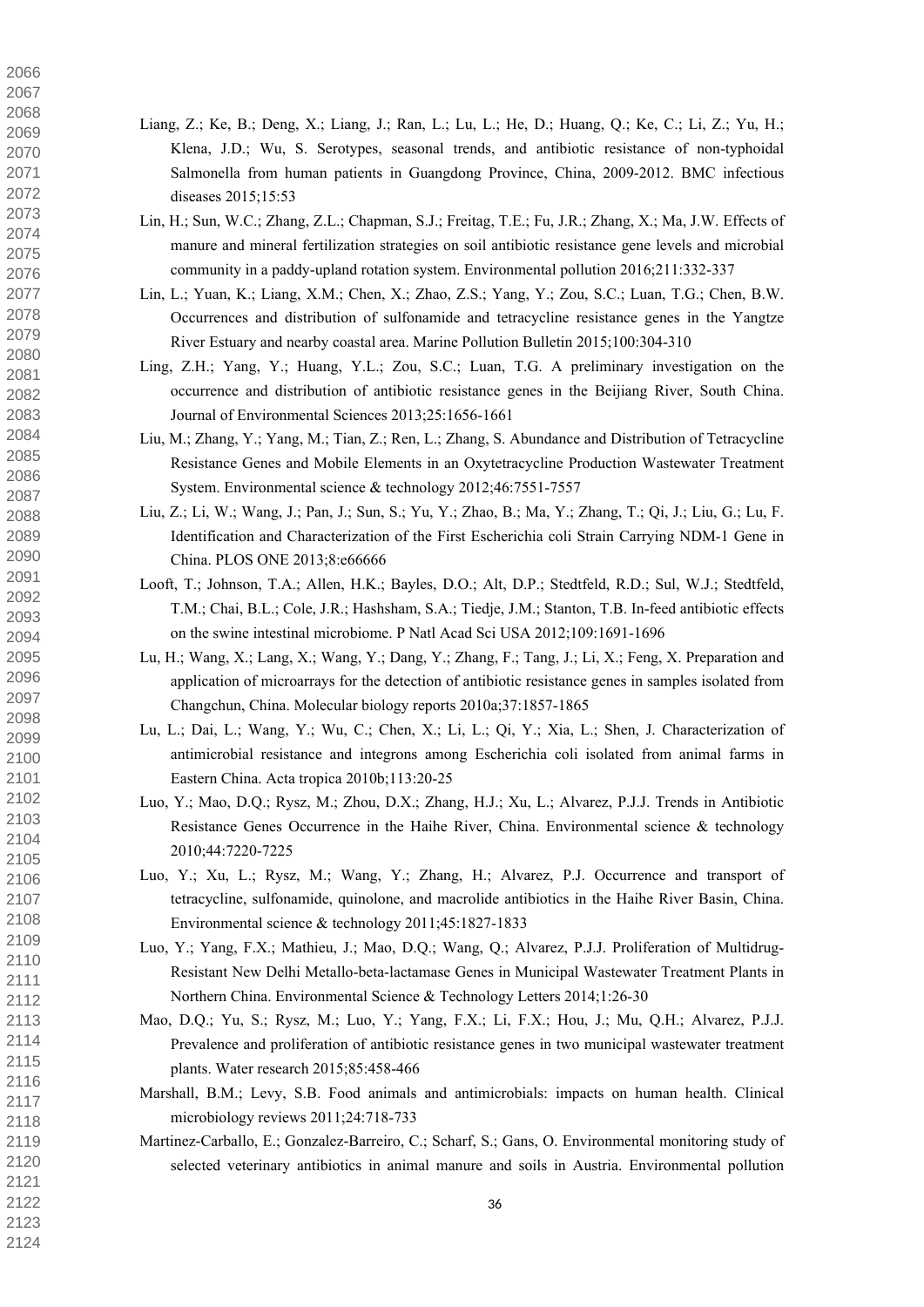- Liang, Z.; Ke, B.; Deng, X.; Liang, J.; Ran, L.; Lu, L.; He, D.; Huang, Q.; Ke, C.; Li, Z.; Yu, H.; Klena, J.D.; Wu, S. Serotypes, seasonal trends, and antibiotic resistance of non-typhoidal Salmonella from human patients in Guangdong Province, China, 2009-2012. BMC infectious diseases 2015;15:53
- Lin, H.; Sun, W.C.; Zhang, Z.L.; Chapman, S.J.; Freitag, T.E.; Fu, J.R.; Zhang, X.; Ma, J.W. Effects of manure and mineral fertilization strategies on soil antibiotic resistance gene levels and microbial community in a paddy-upland rotation system. Environmental pollution 2016;211:332-337
- Lin, L.; Yuan, K.; Liang, X.M.; Chen, X.; Zhao, Z.S.; Yang, Y.; Zou, S.C.; Luan, T.G.; Chen, B.W. Occurrences and distribution of sulfonamide and tetracycline resistance genes in the Yangtze River Estuary and nearby coastal area. Marine Pollution Bulletin 2015;100:304-310
- Ling, Z.H.; Yang, Y.; Huang, Y.L.; Zou, S.C.; Luan, T.G. A preliminary investigation on the occurrence and distribution of antibiotic resistance genes in the Beijiang River, South China. Journal of Environmental Sciences 2013;25:1656-1661
- Liu, M.; Zhang, Y.; Yang, M.; Tian, Z.; Ren, L.; Zhang, S. Abundance and Distribution of Tetracycline Resistance Genes and Mobile Elements in an Oxytetracycline Production Wastewater Treatment System. Environmental science & technology 2012;46:7551-7557
- Liu, Z.; Li, W.; Wang, J.; Pan, J.; Sun, S.; Yu, Y.; Zhao, B.; Ma, Y.; Zhang, T.; Qi, J.; Liu, G.; Lu, F. Identification and Characterization of the First Escherichia coli Strain Carrying NDM-1 Gene in China. PLOS ONE 2013;8:e66666
- Looft, T.; Johnson, T.A.; Allen, H.K.; Bayles, D.O.; Alt, D.P.; Stedtfeld, R.D.; Sul, W.J.; Stedtfeld, T.M.; Chai, B.L.; Cole, J.R.; Hashsham, S.A.; Tiedje, J.M.; Stanton, T.B. In-feed antibiotic effects on the swine intestinal microbiome. P Natl Acad Sci USA 2012;109:1691-1696
- Lu, H.; Wang, X.; Lang, X.; Wang, Y.; Dang, Y.; Zhang, F.; Tang, J.; Li, X.; Feng, X. Preparation and application of microarrays for the detection of antibiotic resistance genes in samples isolated from Changchun, China. Molecular biology reports 2010a;37:1857-1865
- Lu, L.; Dai, L.; Wang, Y.; Wu, C.; Chen, X.; Li, L.; Qi, Y.; Xia, L.; Shen, J. Characterization of antimicrobial resistance and integrons among Escherichia coli isolated from animal farms in Eastern China. Acta tropica 2010b;113:20-25
- Luo, Y.; Mao, D.Q.; Rysz, M.; Zhou, D.X.; Zhang, H.J.; Xu, L.; Alvarez, P.J.J. Trends in Antibiotic Resistance Genes Occurrence in the Haihe River, China. Environmental science & technology 2010;44:7220-7225
- Luo, Y.; Xu, L.; Rysz, M.; Wang, Y.; Zhang, H.; Alvarez, P.J. Occurrence and transport of tetracycline, sulfonamide, quinolone, and macrolide antibiotics in the Haihe River Basin, China. Environmental science & technology 2011;45:1827-1833
- Luo, Y.; Yang, F.X.; Mathieu, J.; Mao, D.Q.; Wang, Q.; Alvarez, P.J.J. Proliferation of Multidrug-Resistant New Delhi Metallo-beta-lactamase Genes in Municipal Wastewater Treatment Plants in Northern China. Environmental Science & Technology Letters 2014;1:26-30
- Mao, D.Q.; Yu, S.; Rysz, M.; Luo, Y.; Yang, F.X.; Li, F.X.; Hou, J.; Mu, Q.H.; Alvarez, P.J.J. Prevalence and proliferation of antibiotic resistance genes in two municipal wastewater treatment plants. Water research 2015;85:458-466
- Marshall, B.M.; Levy, S.B. Food animals and antimicrobials: impacts on human health. Clinical microbiology reviews 2011;24:718-733
- Martinez-Carballo, E.; Gonzalez-Barreiro, C.; Scharf, S.; Gans, O. Environmental monitoring study of selected veterinary antibiotics in animal manure and soils in Austria. Environmental pollution
	- 36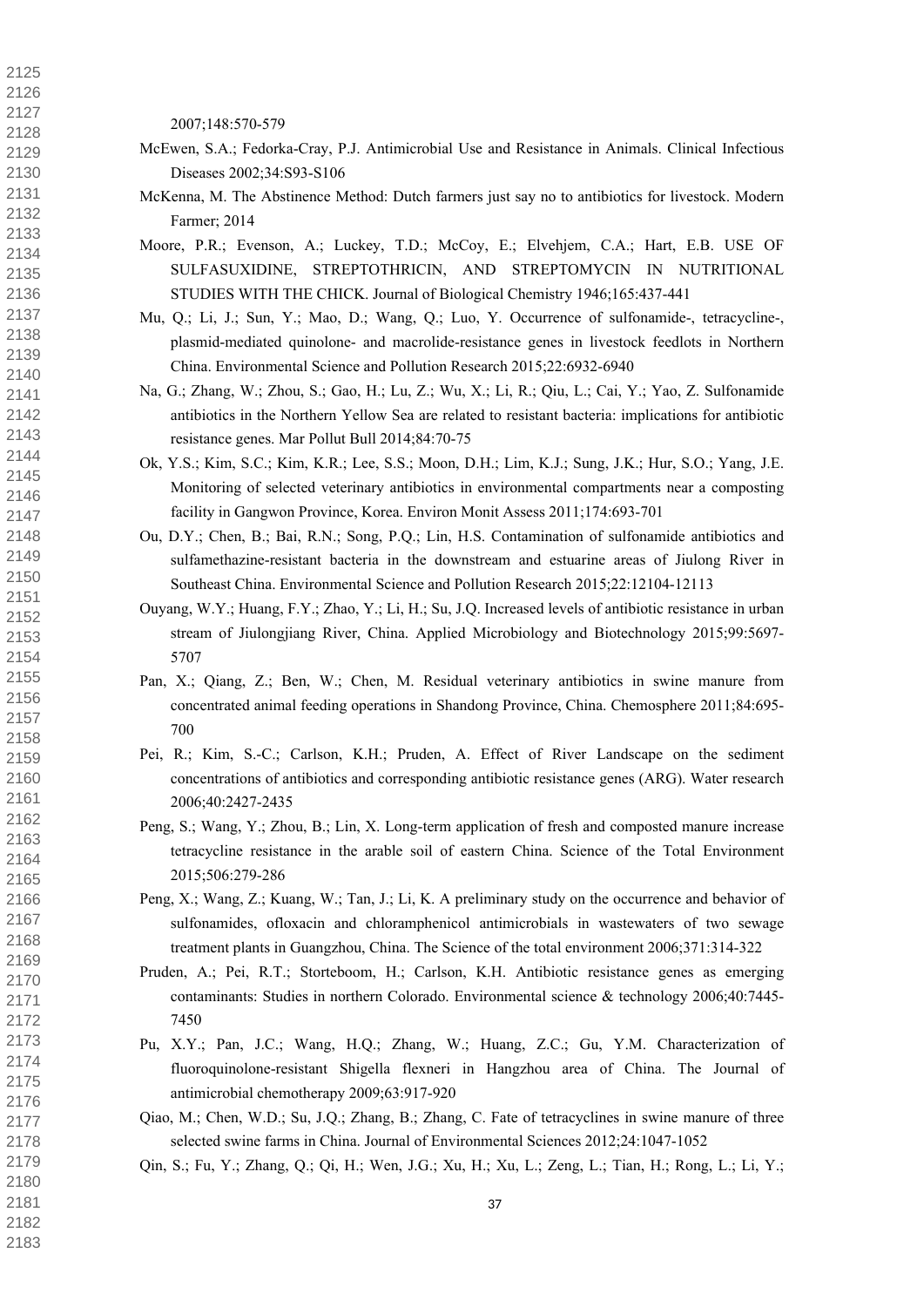2007;148:570-579

- McEwen, S.A.; Fedorka-Cray, P.J. Antimicrobial Use and Resistance in Animals. Clinical Infectious Diseases 2002;34:S93-S106
- McKenna, M. The Abstinence Method: Dutch farmers just say no to antibiotics for livestock. Modern Farmer; 2014
- Moore, P.R.; Evenson, A.; Luckey, T.D.; McCoy, E.; Elvehjem, C.A.; Hart, E.B. USE OF SULFASUXIDINE, STREPTOTHRICIN, AND STREPTOMYCIN IN NUTRITIONAL STUDIES WITH THE CHICK. Journal of Biological Chemistry 1946;165:437-441
- Mu, Q.; Li, J.; Sun, Y.; Mao, D.; Wang, Q.; Luo, Y. Occurrence of sulfonamide-, tetracycline-, plasmid-mediated quinolone- and macrolide-resistance genes in livestock feedlots in Northern China. Environmental Science and Pollution Research 2015;22:6932-6940
- Na, G.; Zhang, W.; Zhou, S.; Gao, H.; Lu, Z.; Wu, X.; Li, R.; Qiu, L.; Cai, Y.; Yao, Z. Sulfonamide antibiotics in the Northern Yellow Sea are related to resistant bacteria: implications for antibiotic resistance genes. Mar Pollut Bull 2014;84:70-75
- Ok, Y.S.; Kim, S.C.; Kim, K.R.; Lee, S.S.; Moon, D.H.; Lim, K.J.; Sung, J.K.; Hur, S.O.; Yang, J.E. Monitoring of selected veterinary antibiotics in environmental compartments near a composting facility in Gangwon Province, Korea. Environ Monit Assess 2011;174:693-701
- Ou, D.Y.; Chen, B.; Bai, R.N.; Song, P.Q.; Lin, H.S. Contamination of sulfonamide antibiotics and sulfamethazine-resistant bacteria in the downstream and estuarine areas of Jiulong River in Southeast China. Environmental Science and Pollution Research 2015;22:12104-12113
- Ouyang, W.Y.; Huang, F.Y.; Zhao, Y.; Li, H.; Su, J.Q. Increased levels of antibiotic resistance in urban stream of Jiulongjiang River, China. Applied Microbiology and Biotechnology 2015;99:5697-
- Pan, X.; Qiang, Z.; Ben, W.; Chen, M. Residual veterinary antibiotics in swine manure from concentrated animal feeding operations in Shandong Province, China. Chemosphere 2011;84:695-
- Pei, R.; Kim, S.-C.; Carlson, K.H.; Pruden, A. Effect of River Landscape on the sediment concentrations of antibiotics and corresponding antibiotic resistance genes (ARG). Water research 2006;40:2427-2435
- Peng, S.; Wang, Y.; Zhou, B.; Lin, X. Long-term application of fresh and composted manure increase tetracycline resistance in the arable soil of eastern China. Science of the Total Environment 2015;506:279-286
- Peng, X.; Wang, Z.; Kuang, W.; Tan, J.; Li, K. A preliminary study on the occurrence and behavior of sulfonamides, ofloxacin and chloramphenicol antimicrobials in wastewaters of two sewage treatment plants in Guangzhou, China. The Science of the total environment 2006;371:314-322
- Pruden, A.; Pei, R.T.; Storteboom, H.; Carlson, K.H. Antibiotic resistance genes as emerging contaminants: Studies in northern Colorado. Environmental science & technology 2006;40:7445-
- Pu, X.Y.; Pan, J.C.; Wang, H.Q.; Zhang, W.; Huang, Z.C.; Gu, Y.M. Characterization of fluoroquinolone-resistant Shigella flexneri in Hangzhou area of China. The Journal of antimicrobial chemotherapy 2009;63:917-920
- Qiao, M.; Chen, W.D.; Su, J.Q.; Zhang, B.; Zhang, C. Fate of tetracyclines in swine manure of three selected swine farms in China. Journal of Environmental Sciences 2012;24:1047-1052
- Qin, S.; Fu, Y.; Zhang, Q.; Qi, H.; Wen, J.G.; Xu, H.; Xu, L.; Zeng, L.; Tian, H.; Rong, L.; Li, Y.;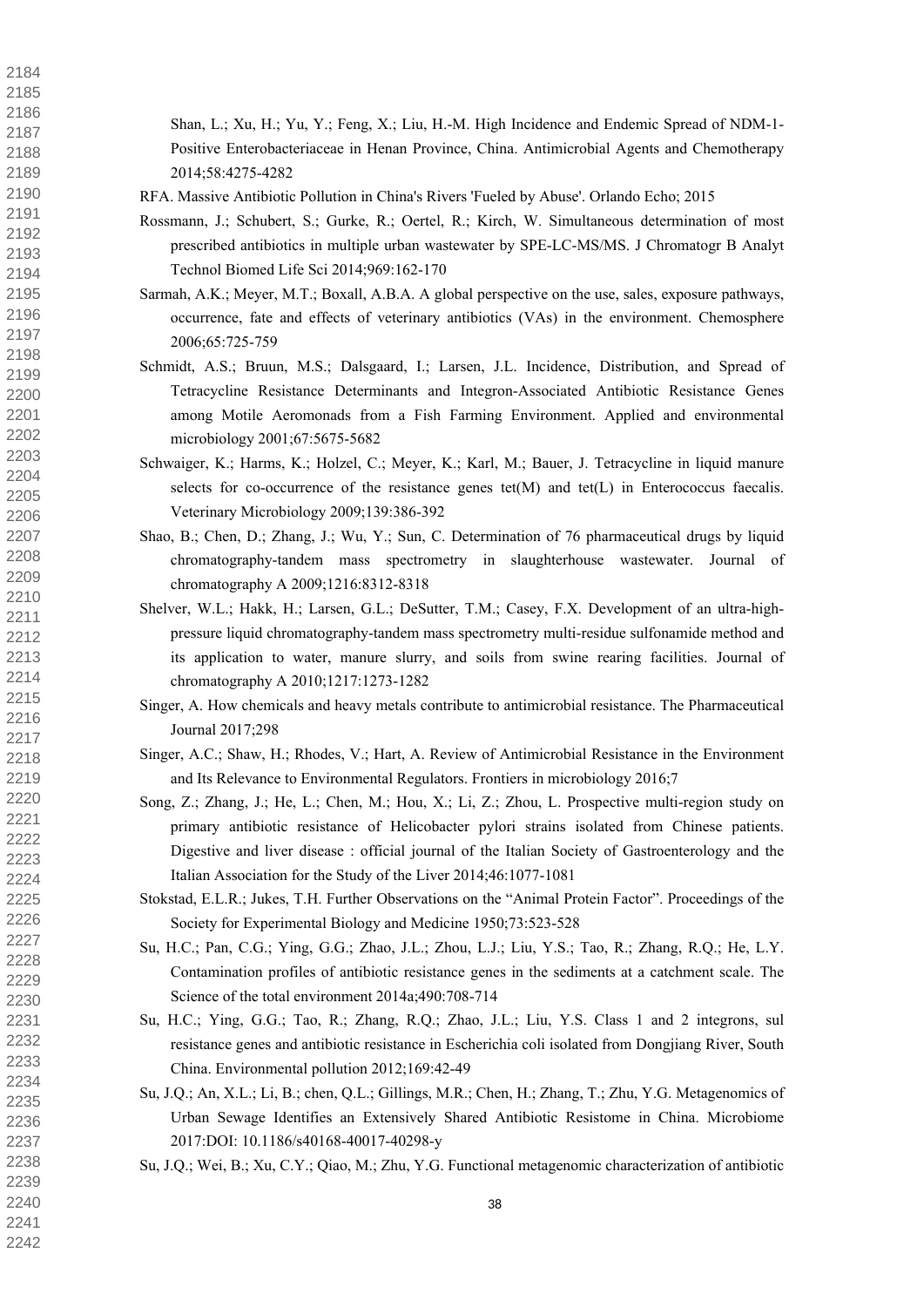- Shan, L.; Xu, H.; Yu, Y.; Feng, X.; Liu, H.-M. High Incidence and Endemic Spread of NDM-1- Positive Enterobacteriaceae in Henan Province, China. Antimicrobial Agents and Chemotherapy 2014;58:4275-4282
- RFA. Massive Antibiotic Pollution in China's Rivers 'Fueled by Abuse'. Orlando Echo; 2015
- Rossmann, J.; Schubert, S.; Gurke, R.; Oertel, R.; Kirch, W. Simultaneous determination of most prescribed antibiotics in multiple urban wastewater by SPE-LC-MS/MS. J Chromatogr B Analyt Technol Biomed Life Sci 2014;969:162-170
- Sarmah, A.K.; Meyer, M.T.; Boxall, A.B.A. A global perspective on the use, sales, exposure pathways, occurrence, fate and effects of veterinary antibiotics (VAs) in the environment. Chemosphere 2006;65:725-759
- Schmidt, A.S.; Bruun, M.S.; Dalsgaard, I.; Larsen, J.L. Incidence, Distribution, and Spread of Tetracycline Resistance Determinants and Integron-Associated Antibiotic Resistance Genes among Motile Aeromonads from a Fish Farming Environment. Applied and environmental microbiology 2001;67:5675-5682
	- Schwaiger, K.; Harms, K.; Holzel, C.; Meyer, K.; Karl, M.; Bauer, J. Tetracycline in liquid manure selects for co-occurrence of the resistance genes tet(M) and tet(L) in Enterococcus faecalis. Veterinary Microbiology 2009;139:386-392
- Shao, B.; Chen, D.; Zhang, J.; Wu, Y.; Sun, C. Determination of 76 pharmaceutical drugs by liquid chromatography-tandem mass spectrometry in slaughterhouse wastewater. Journal of chromatography A 2009;1216:8312-8318
- Shelver, W.L.; Hakk, H.; Larsen, G.L.; DeSutter, T.M.; Casey, F.X. Development of an ultra-highpressure liquid chromatography-tandem mass spectrometry multi-residue sulfonamide method and its application to water, manure slurry, and soils from swine rearing facilities. Journal of chromatography A 2010;1217:1273-1282
- Singer, A. How chemicals and heavy metals contribute to antimicrobial resistance. The Pharmaceutical Journal 2017;298
- Singer, A.C.; Shaw, H.; Rhodes, V.; Hart, A. Review of Antimicrobial Resistance in the Environment and Its Relevance to Environmental Regulators. Frontiers in microbiology 2016;7
- Song, Z.; Zhang, J.; He, L.; Chen, M.; Hou, X.; Li, Z.; Zhou, L. Prospective multi-region study on primary antibiotic resistance of Helicobacter pylori strains isolated from Chinese patients. Digestive and liver disease : official journal of the Italian Society of Gastroenterology and the Italian Association for the Study of the Liver 2014;46:1077-1081
- Stokstad, E.L.R.; Jukes, T.H. Further Observations on the "Animal Protein Factor". Proceedings of the Society for Experimental Biology and Medicine 1950;73:523-528
- Su, H.C.; Pan, C.G.; Ying, G.G.; Zhao, J.L.; Zhou, L.J.; Liu, Y.S.; Tao, R.; Zhang, R.Q.; He, L.Y. Contamination profiles of antibiotic resistance genes in the sediments at a catchment scale. The Science of the total environment 2014a;490:708-714
- Su, H.C.; Ying, G.G.; Tao, R.; Zhang, R.Q.; Zhao, J.L.; Liu, Y.S. Class 1 and 2 integrons, sul resistance genes and antibiotic resistance in Escherichia coli isolated from Dongjiang River, South China. Environmental pollution 2012;169:42-49
- Su, J.Q.; An, X.L.; Li, B.; chen, Q.L.; Gillings, M.R.; Chen, H.; Zhang, T.; Zhu, Y.G. Metagenomics of Urban Sewage Identifies an Extensively Shared Antibiotic Resistome in China. Microbiome 2017:DOI: 10.1186/s40168-40017-40298-y
- Su, J.Q.; Wei, B.; Xu, C.Y.; Qiao, M.; Zhu, Y.G. Functional metagenomic characterization of antibiotic
	- 38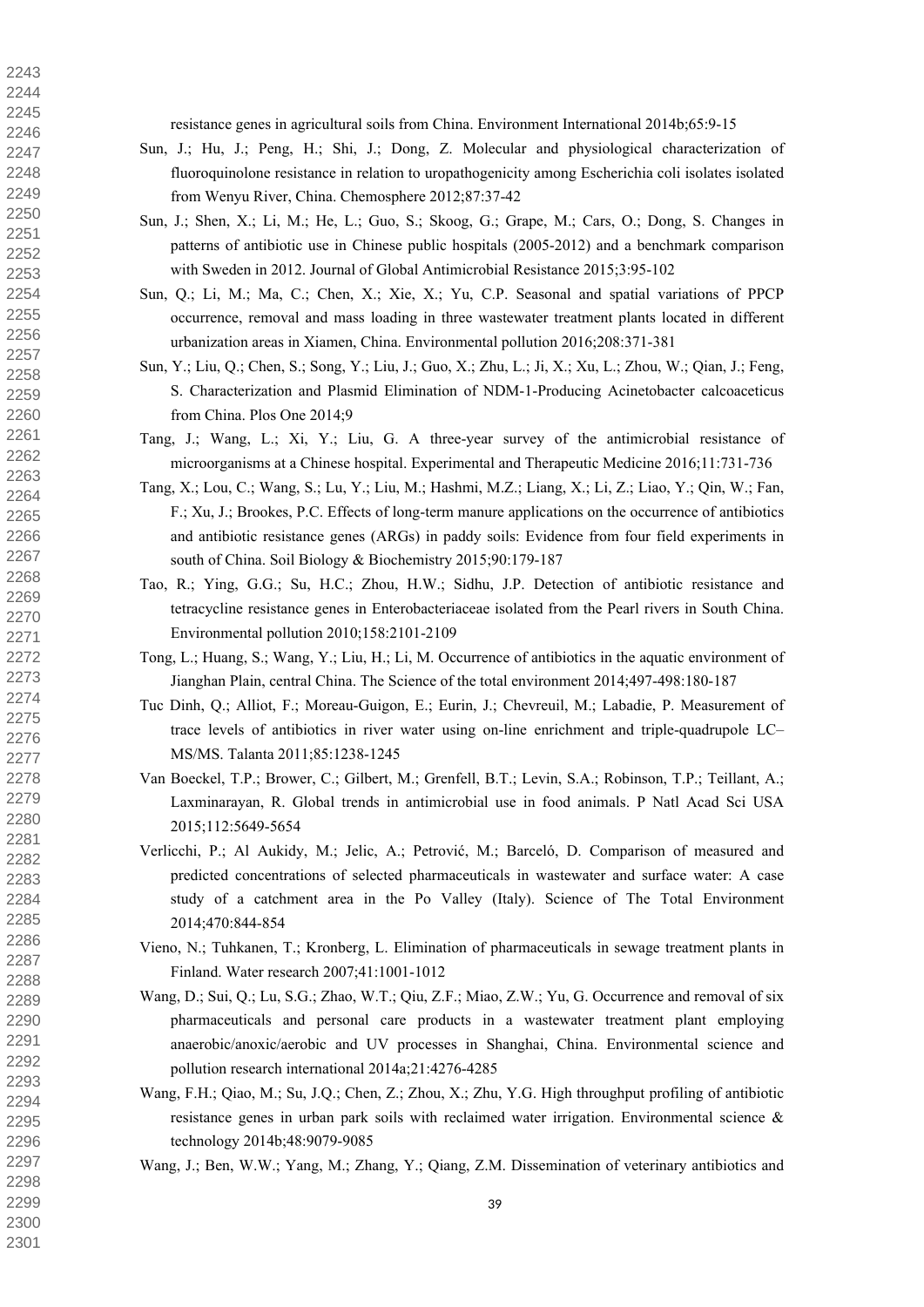resistance genes in agricultural soils from China. Environment International 2014b;65:9-15

- Sun, J.; Hu, J.; Peng, H.; Shi, J.; Dong, Z. Molecular and physiological characterization of fluoroquinolone resistance in relation to uropathogenicity among Escherichia coli isolates isolated from Wenyu River, China. Chemosphere 2012;87:37-42
- Sun, J.; Shen, X.; Li, M.; He, L.; Guo, S.; Skoog, G.; Grape, M.; Cars, O.; Dong, S. Changes in patterns of antibiotic use in Chinese public hospitals (2005-2012) and a benchmark comparison with Sweden in 2012. Journal of Global Antimicrobial Resistance 2015;3:95-102
- Sun, Q.; Li, M.; Ma, C.; Chen, X.; Xie, X.; Yu, C.P. Seasonal and spatial variations of PPCP occurrence, removal and mass loading in three wastewater treatment plants located in different urbanization areas in Xiamen, China. Environmental pollution 2016;208:371-381
- Sun, Y.; Liu, Q.; Chen, S.; Song, Y.; Liu, J.; Guo, X.; Zhu, L.; Ji, X.; Xu, L.; Zhou, W.; Qian, J.; Feng, S. Characterization and Plasmid Elimination of NDM-1-Producing Acinetobacter calcoaceticus from China. Plos One 2014;9
- Tang, J.; Wang, L.; Xi, Y.; Liu, G. A three-year survey of the antimicrobial resistance of microorganisms at a Chinese hospital. Experimental and Therapeutic Medicine 2016;11:731-736
- Tang, X.; Lou, C.; Wang, S.; Lu, Y.; Liu, M.; Hashmi, M.Z.; Liang, X.; Li, Z.; Liao, Y.; Qin, W.; Fan, F.; Xu, J.; Brookes, P.C. Effects of long-term manure applications on the occurrence of antibiotics and antibiotic resistance genes (ARGs) in paddy soils: Evidence from four field experiments in south of China. Soil Biology & Biochemistry 2015;90:179-187
- Tao, R.; Ying, G.G.; Su, H.C.; Zhou, H.W.; Sidhu, J.P. Detection of antibiotic resistance and tetracycline resistance genes in Enterobacteriaceae isolated from the Pearl rivers in South China. Environmental pollution 2010;158:2101-2109
- Tong, L.; Huang, S.; Wang, Y.; Liu, H.; Li, M. Occurrence of antibiotics in the aquatic environment of Jianghan Plain, central China. The Science of the total environment 2014;497-498:180-187
- Tuc Dinh, Q.; Alliot, F.; Moreau-Guigon, E.; Eurin, J.; Chevreuil, M.; Labadie, P. Measurement of trace levels of antibiotics in river water using on-line enrichment and triple-quadrupole LC– MS/MS. Talanta 2011;85:1238-1245
- Van Boeckel, T.P.; Brower, C.; Gilbert, M.; Grenfell, B.T.; Levin, S.A.; Robinson, T.P.; Teillant, A.; Laxminarayan, R. Global trends in antimicrobial use in food animals. P Natl Acad Sci USA 2015;112:5649-5654
- Verlicchi, P.; Al Aukidy, M.; Jelic, A.; Petrović, M.; Barceló, D. Comparison of measured and predicted concentrations of selected pharmaceuticals in wastewater and surface water: A case study of a catchment area in the Po Valley (Italy). Science of The Total Environment 2014;470:844-854
- Vieno, N.; Tuhkanen, T.; Kronberg, L. Elimination of pharmaceuticals in sewage treatment plants in Finland. Water research 2007;41:1001-1012
- Wang, D.; Sui, Q.; Lu, S.G.; Zhao, W.T.; Qiu, Z.F.; Miao, Z.W.; Yu, G. Occurrence and removal of six pharmaceuticals and personal care products in a wastewater treatment plant employing anaerobic/anoxic/aerobic and UV processes in Shanghai, China. Environmental science and pollution research international 2014a;21:4276-4285
- Wang, F.H.; Qiao, M.; Su, J.Q.; Chen, Z.; Zhou, X.; Zhu, Y.G. High throughput profiling of antibiotic resistance genes in urban park soils with reclaimed water irrigation. Environmental science & technology 2014b;48:9079-9085
- Wang, J.; Ben, W.W.; Yang, M.; Zhang, Y.; Qiang, Z.M. Dissemination of veterinary antibiotics and

39

2300 2301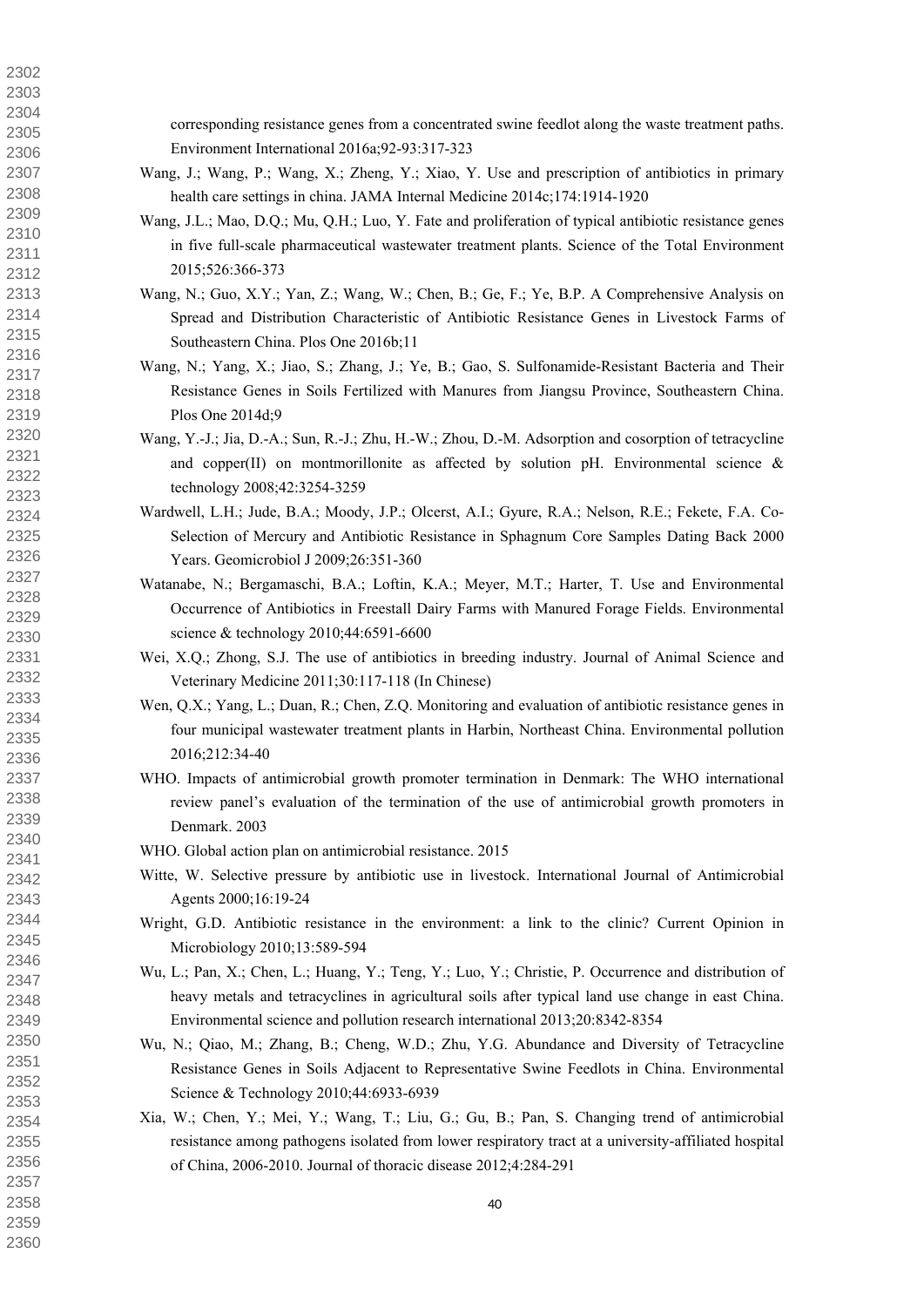- 2302 2303 2304 2305 2306 2307 2308 2309 2310 2311 2312
- 2313 2314 2315 2316 2317 2318 2319 2320 2321 2322 2323 2324 2325 2326 2327 2328 2329 2330 2331 2332 2333 2334 2335 2336 2337 2338 2339 2340 2341 2342 2343 2344 2345 2346 2347 2348 2349 2350 2351 2352 2353 2354 2355 2356 2357 2358 2359

corresponding resistance genes from a concentrated swine feedlot along the waste treatment paths. Environment International 2016a;92-93:317-323

- Wang, J.; Wang, P.; Wang, X.; Zheng, Y.; Xiao, Y. Use and prescription of antibiotics in primary health care settings in china. JAMA Internal Medicine 2014c;174:1914-1920
- Wang, J.L.; Mao, D.Q.; Mu, Q.H.; Luo, Y. Fate and proliferation of typical antibiotic resistance genes in five full-scale pharmaceutical wastewater treatment plants. Science of the Total Environment 2015;526:366-373
- Wang, N.; Guo, X.Y.; Yan, Z.; Wang, W.; Chen, B.; Ge, F.; Ye, B.P. A Comprehensive Analysis on Spread and Distribution Characteristic of Antibiotic Resistance Genes in Livestock Farms of Southeastern China. Plos One 2016b;11
- Wang, N.; Yang, X.; Jiao, S.; Zhang, J.; Ye, B.; Gao, S. Sulfonamide-Resistant Bacteria and Their Resistance Genes in Soils Fertilized with Manures from Jiangsu Province, Southeastern China. Plos One 2014d;9
- Wang, Y.-J.; Jia, D.-A.; Sun, R.-J.; Zhu, H.-W.; Zhou, D.-M. Adsorption and cosorption of tetracycline and copper(II) on montmorillonite as affected by solution pH. Environmental science  $\&$ technology 2008;42:3254-3259
- Wardwell, L.H.; Jude, B.A.; Moody, J.P.; Olcerst, A.I.; Gyure, R.A.; Nelson, R.E.; Fekete, F.A. Co-Selection of Mercury and Antibiotic Resistance in Sphagnum Core Samples Dating Back 2000 Years. Geomicrobiol J 2009;26:351-360
- Watanabe, N.; Bergamaschi, B.A.; Loftin, K.A.; Meyer, M.T.; Harter, T. Use and Environmental Occurrence of Antibiotics in Freestall Dairy Farms with Manured Forage Fields. Environmental science & technology 2010;44:6591-6600
- Wei, X.Q.; Zhong, S.J. The use of antibiotics in breeding industry. Journal of Animal Science and Veterinary Medicine 2011;30:117-118 (In Chinese)
- Wen, Q.X.; Yang, L.; Duan, R.; Chen, Z.Q. Monitoring and evaluation of antibiotic resistance genes in four municipal wastewater treatment plants in Harbin, Northeast China. Environmental pollution 2016;212:34-40
- WHO. Impacts of antimicrobial growth promoter termination in Denmark: The WHO international review panel's evaluation of the termination of the use of antimicrobial growth promoters in Denmark. 2003
- WHO. Global action plan on antimicrobial resistance. 2015
- Witte, W. Selective pressure by antibiotic use in livestock. International Journal of Antimicrobial Agents 2000;16:19-24
- Wright, G.D. Antibiotic resistance in the environment: a link to the clinic? Current Opinion in Microbiology 2010;13:589-594
- Wu, L.; Pan, X.; Chen, L.; Huang, Y.; Teng, Y.; Luo, Y.; Christie, P. Occurrence and distribution of heavy metals and tetracyclines in agricultural soils after typical land use change in east China. Environmental science and pollution research international 2013;20:8342-8354
- Wu, N.; Qiao, M.; Zhang, B.; Cheng, W.D.; Zhu, Y.G. Abundance and Diversity of Tetracycline Resistance Genes in Soils Adjacent to Representative Swine Feedlots in China. Environmental Science & Technology 2010;44:6933-6939
- Xia, W.; Chen, Y.; Mei, Y.; Wang, T.; Liu, G.; Gu, B.; Pan, S. Changing trend of antimicrobial resistance among pathogens isolated from lower respiratory tract at a university-affiliated hospital of China, 2006-2010. Journal of thoracic disease 2012;4:284-291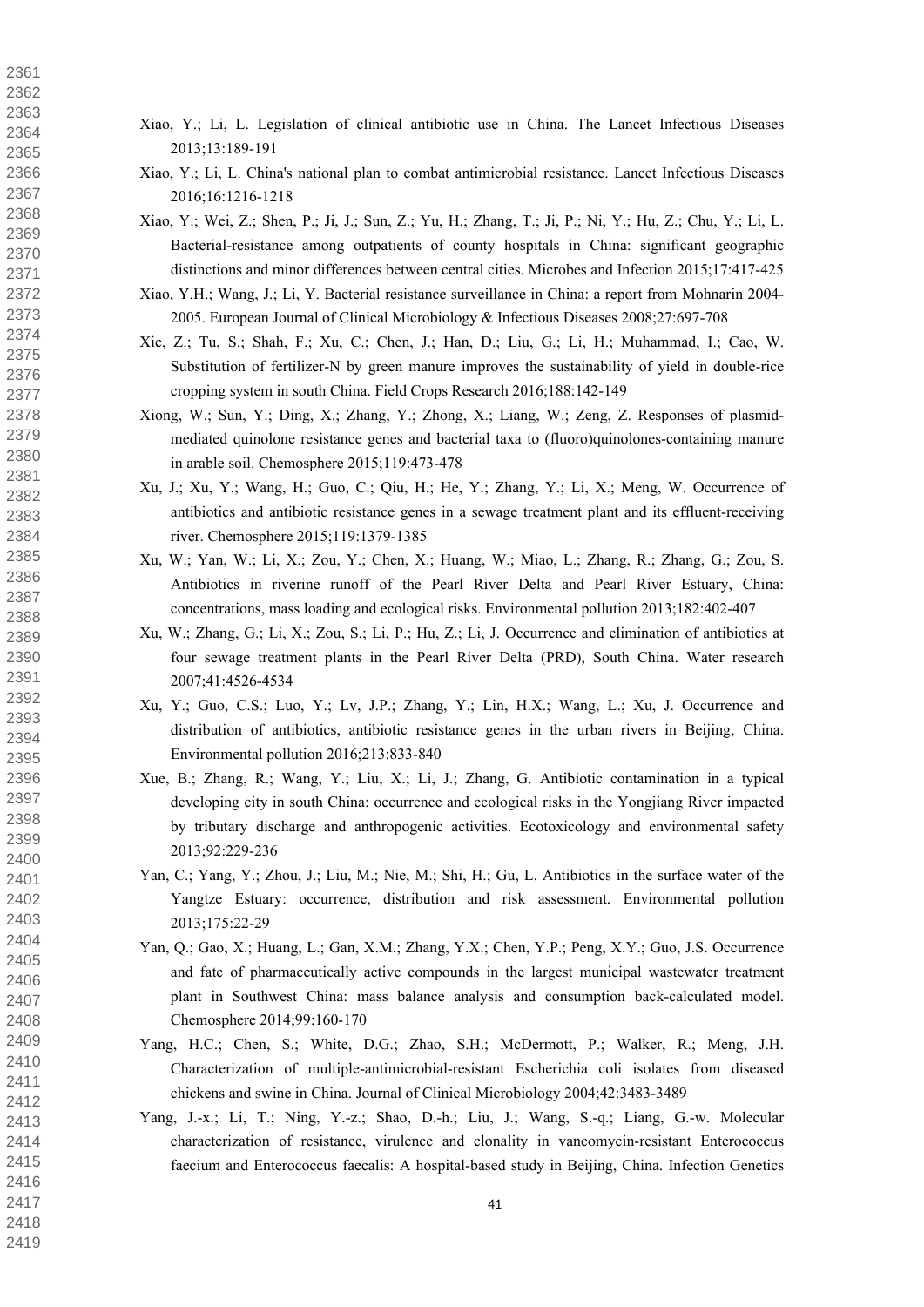- Xiao, Y.; Li, L. Legislation of clinical antibiotic use in China. The Lancet Infectious Diseases 2013;13:189-191
- Xiao, Y.; Li, L. China's national plan to combat antimicrobial resistance. Lancet Infectious Diseases 2016;16:1216-1218
- Xiao, Y.; Wei, Z.; Shen, P.; Ji, J.; Sun, Z.; Yu, H.; Zhang, T.; Ji, P.; Ni, Y.; Hu, Z.; Chu, Y.; Li, L. Bacterial-resistance among outpatients of county hospitals in China: significant geographic distinctions and minor differences between central cities. Microbes and Infection 2015;17:417-425
- Xiao, Y.H.; Wang, J.; Li, Y. Bacterial resistance surveillance in China: a report from Mohnarin 2004- 2005. European Journal of Clinical Microbiology & Infectious Diseases 2008;27:697-708
- Xie, Z.; Tu, S.; Shah, F.; Xu, C.; Chen, J.; Han, D.; Liu, G.; Li, H.; Muhammad, I.; Cao, W. Substitution of fertilizer-N by green manure improves the sustainability of yield in double-rice cropping system in south China. Field Crops Research 2016;188:142-149
- Xiong, W.; Sun, Y.; Ding, X.; Zhang, Y.; Zhong, X.; Liang, W.; Zeng, Z. Responses of plasmidmediated quinolone resistance genes and bacterial taxa to (fluoro)quinolones-containing manure in arable soil. Chemosphere 2015;119:473-478
- Xu, J.; Xu, Y.; Wang, H.; Guo, C.; Qiu, H.; He, Y.; Zhang, Y.; Li, X.; Meng, W. Occurrence of antibiotics and antibiotic resistance genes in a sewage treatment plant and its effluent-receiving river. Chemosphere 2015;119:1379-1385
- Xu, W.; Yan, W.; Li, X.; Zou, Y.; Chen, X.; Huang, W.; Miao, L.; Zhang, R.; Zhang, G.; Zou, S. Antibiotics in riverine runoff of the Pearl River Delta and Pearl River Estuary, China: concentrations, mass loading and ecological risks. Environmental pollution 2013;182:402-407
- Xu, W.; Zhang, G.; Li, X.; Zou, S.; Li, P.; Hu, Z.; Li, J. Occurrence and elimination of antibiotics at four sewage treatment plants in the Pearl River Delta (PRD), South China. Water research 2007;41:4526-4534
- Xu, Y.; Guo, C.S.; Luo, Y.; Lv, J.P.; Zhang, Y.; Lin, H.X.; Wang, L.; Xu, J. Occurrence and distribution of antibiotics, antibiotic resistance genes in the urban rivers in Beijing, China. Environmental pollution 2016;213:833-840
- Xue, B.; Zhang, R.; Wang, Y.; Liu, X.; Li, J.; Zhang, G. Antibiotic contamination in a typical developing city in south China: occurrence and ecological risks in the Yongjiang River impacted by tributary discharge and anthropogenic activities. Ecotoxicology and environmental safety 2013;92:229-236
- Yan, C.; Yang, Y.; Zhou, J.; Liu, M.; Nie, M.; Shi, H.; Gu, L. Antibiotics in the surface water of the Yangtze Estuary: occurrence, distribution and risk assessment. Environmental pollution 2013;175:22-29
- Yan, Q.; Gao, X.; Huang, L.; Gan, X.M.; Zhang, Y.X.; Chen, Y.P.; Peng, X.Y.; Guo, J.S. Occurrence and fate of pharmaceutically active compounds in the largest municipal wastewater treatment plant in Southwest China: mass balance analysis and consumption back-calculated model. Chemosphere 2014;99:160-170
- Yang, H.C.; Chen, S.; White, D.G.; Zhao, S.H.; McDermott, P.; Walker, R.; Meng, J.H. Characterization of multiple-antimicrobial-resistant Escherichia coli isolates from diseased chickens and swine in China. Journal of Clinical Microbiology 2004;42:3483-3489
- Yang, J.-x.; Li, T.; Ning, Y.-z.; Shao, D.-h.; Liu, J.; Wang, S.-q.; Liang, G.-w. Molecular characterization of resistance, virulence and clonality in vancomycin-resistant Enterococcus faecium and Enterococcus faecalis: A hospital-based study in Beijing, China. Infection Genetics

2418 2419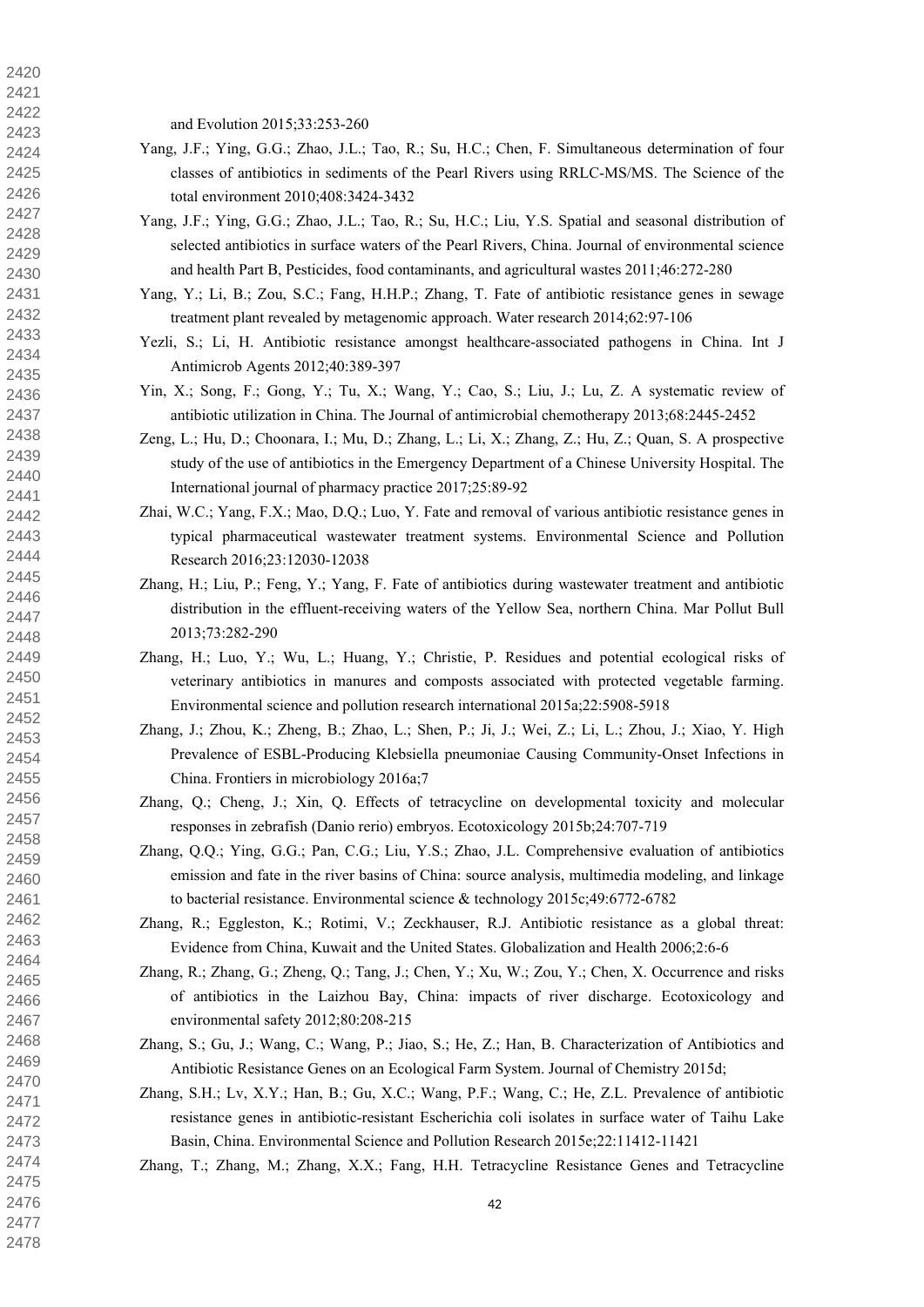and Evolution 2015;33:253-260

- Yang, J.F.; Ying, G.G.; Zhao, J.L.; Tao, R.; Su, H.C.; Chen, F. Simultaneous determination of four classes of antibiotics in sediments of the Pearl Rivers using RRLC-MS/MS. The Science of the total environment 2010;408:3424-3432
- Yang, J.F.; Ying, G.G.; Zhao, J.L.; Tao, R.; Su, H.C.; Liu, Y.S. Spatial and seasonal distribution of selected antibiotics in surface waters of the Pearl Rivers, China. Journal of environmental science and health Part B, Pesticides, food contaminants, and agricultural wastes 2011;46:272-280
- Yang, Y.; Li, B.; Zou, S.C.; Fang, H.H.P.; Zhang, T. Fate of antibiotic resistance genes in sewage treatment plant revealed by metagenomic approach. Water research 2014;62:97-106
- Yezli, S.; Li, H. Antibiotic resistance amongst healthcare-associated pathogens in China. Int J Antimicrob Agents 2012;40:389-397
- Yin, X.; Song, F.; Gong, Y.; Tu, X.; Wang, Y.; Cao, S.; Liu, J.; Lu, Z. A systematic review of antibiotic utilization in China. The Journal of antimicrobial chemotherapy 2013;68:2445-2452
- Zeng, L.; Hu, D.; Choonara, I.; Mu, D.; Zhang, L.; Li, X.; Zhang, Z.; Hu, Z.; Quan, S. A prospective study of the use of antibiotics in the Emergency Department of a Chinese University Hospital. The International journal of pharmacy practice 2017;25:89-92
- Zhai, W.C.; Yang, F.X.; Mao, D.Q.; Luo, Y. Fate and removal of various antibiotic resistance genes in typical pharmaceutical wastewater treatment systems. Environmental Science and Pollution Research 2016;23:12030-12038
- Zhang, H.; Liu, P.; Feng, Y.; Yang, F. Fate of antibiotics during wastewater treatment and antibiotic distribution in the effluent-receiving waters of the Yellow Sea, northern China. Mar Pollut Bull 2013;73:282-290
- Zhang, H.; Luo, Y.; Wu, L.; Huang, Y.; Christie, P. Residues and potential ecological risks of veterinary antibiotics in manures and composts associated with protected vegetable farming. Environmental science and pollution research international 2015a;22:5908-5918
- Zhang, J.; Zhou, K.; Zheng, B.; Zhao, L.; Shen, P.; Ji, J.; Wei, Z.; Li, L.; Zhou, J.; Xiao, Y. High Prevalence of ESBL-Producing Klebsiella pneumoniae Causing Community-Onset Infections in China. Frontiers in microbiology 2016a;7
- Zhang, Q.; Cheng, J.; Xin, Q. Effects of tetracycline on developmental toxicity and molecular responses in zebrafish (Danio rerio) embryos. Ecotoxicology 2015b;24:707-719
- Zhang, Q.Q.; Ying, G.G.; Pan, C.G.; Liu, Y.S.; Zhao, J.L. Comprehensive evaluation of antibiotics emission and fate in the river basins of China: source analysis, multimedia modeling, and linkage to bacterial resistance. Environmental science & technology 2015c;49:6772-6782
- Zhang, R.; Eggleston, K.; Rotimi, V.; Zeckhauser, R.J. Antibiotic resistance as a global threat: Evidence from China, Kuwait and the United States. Globalization and Health 2006;2:6-6
- Zhang, R.; Zhang, G.; Zheng, Q.; Tang, J.; Chen, Y.; Xu, W.; Zou, Y.; Chen, X. Occurrence and risks of antibiotics in the Laizhou Bay, China: impacts of river discharge. Ecotoxicology and environmental safety 2012;80:208-215
- Zhang, S.; Gu, J.; Wang, C.; Wang, P.; Jiao, S.; He, Z.; Han, B. Characterization of Antibiotics and Antibiotic Resistance Genes on an Ecological Farm System. Journal of Chemistry 2015d;
- Zhang, S.H.; Lv, X.Y.; Han, B.; Gu, X.C.; Wang, P.F.; Wang, C.; He, Z.L. Prevalence of antibiotic resistance genes in antibiotic-resistant Escherichia coli isolates in surface water of Taihu Lake Basin, China. Environmental Science and Pollution Research 2015e;22:11412-11421
- Zhang, T.; Zhang, M.; Zhang, X.X.; Fang, H.H. Tetracycline Resistance Genes and Tetracycline
	- 42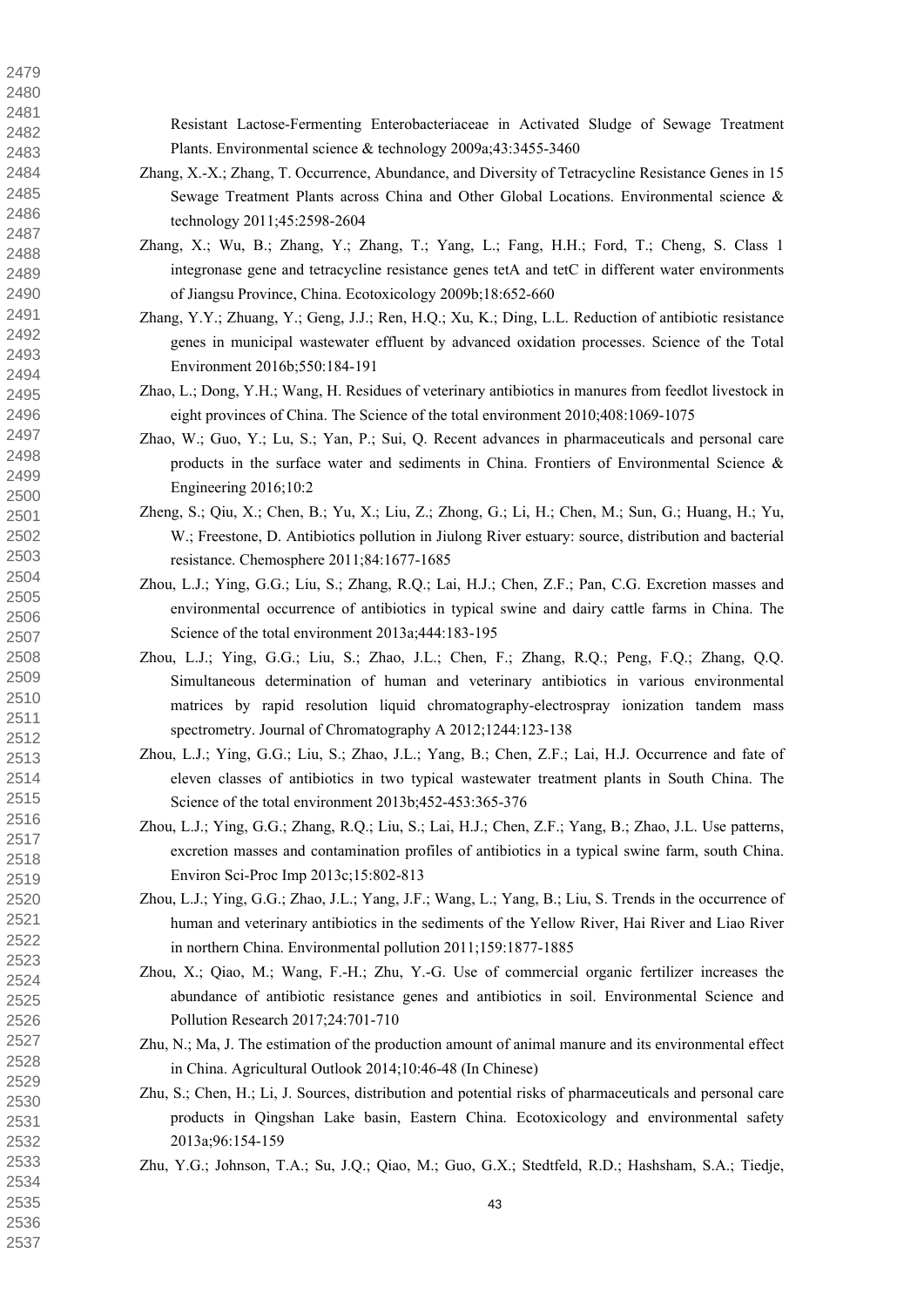Resistant Lactose-Fermenting Enterobacteriaceae in Activated Sludge of Sewage Treatment Plants. Environmental science & technology 2009a;43:3455-3460

- Zhang, X.-X.; Zhang, T. Occurrence, Abundance, and Diversity of Tetracycline Resistance Genes in 15 Sewage Treatment Plants across China and Other Global Locations. Environmental science & technology 2011;45:2598-2604
- Zhang, X.; Wu, B.; Zhang, Y.; Zhang, T.; Yang, L.; Fang, H.H.; Ford, T.; Cheng, S. Class 1 integronase gene and tetracycline resistance genes tetA and tetC in different water environments of Jiangsu Province, China. Ecotoxicology 2009b;18:652-660
- Zhang, Y.Y.; Zhuang, Y.; Geng, J.J.; Ren, H.Q.; Xu, K.; Ding, L.L. Reduction of antibiotic resistance genes in municipal wastewater effluent by advanced oxidation processes. Science of the Total Environment 2016b;550:184-191
- Zhao, L.; Dong, Y.H.; Wang, H. Residues of veterinary antibiotics in manures from feedlot livestock in eight provinces of China. The Science of the total environment 2010;408:1069-1075
- Zhao, W.; Guo, Y.; Lu, S.; Yan, P.; Sui, Q. Recent advances in pharmaceuticals and personal care products in the surface water and sediments in China. Frontiers of Environmental Science & Engineering 2016;10:2
- Zheng, S.; Qiu, X.; Chen, B.; Yu, X.; Liu, Z.; Zhong, G.; Li, H.; Chen, M.; Sun, G.; Huang, H.; Yu, W.; Freestone, D. Antibiotics pollution in Jiulong River estuary: source, distribution and bacterial resistance. Chemosphere 2011;84:1677-1685
- Zhou, L.J.; Ying, G.G.; Liu, S.; Zhang, R.Q.; Lai, H.J.; Chen, Z.F.; Pan, C.G. Excretion masses and environmental occurrence of antibiotics in typical swine and dairy cattle farms in China. The Science of the total environment 2013a;444:183-195
- Zhou, L.J.; Ying, G.G.; Liu, S.; Zhao, J.L.; Chen, F.; Zhang, R.Q.; Peng, F.Q.; Zhang, Q.Q. Simultaneous determination of human and veterinary antibiotics in various environmental matrices by rapid resolution liquid chromatography-electrospray ionization tandem mass spectrometry. Journal of Chromatography A 2012;1244:123-138
- Zhou, L.J.; Ying, G.G.; Liu, S.; Zhao, J.L.; Yang, B.; Chen, Z.F.; Lai, H.J. Occurrence and fate of eleven classes of antibiotics in two typical wastewater treatment plants in South China. The Science of the total environment 2013b;452-453:365-376
- Zhou, L.J.; Ying, G.G.; Zhang, R.Q.; Liu, S.; Lai, H.J.; Chen, Z.F.; Yang, B.; Zhao, J.L. Use patterns, excretion masses and contamination profiles of antibiotics in a typical swine farm, south China. Environ Sci-Proc Imp 2013c;15:802-813
- Zhou, L.J.; Ying, G.G.; Zhao, J.L.; Yang, J.F.; Wang, L.; Yang, B.; Liu, S. Trends in the occurrence of human and veterinary antibiotics in the sediments of the Yellow River, Hai River and Liao River in northern China. Environmental pollution 2011;159:1877-1885
- Zhou, X.; Qiao, M.; Wang, F.-H.; Zhu, Y.-G. Use of commercial organic fertilizer increases the abundance of antibiotic resistance genes and antibiotics in soil. Environmental Science and Pollution Research 2017;24:701-710
- Zhu, N.; Ma, J. The estimation of the production amount of animal manure and its environmental effect in China. Agricultural Outlook 2014;10:46-48 (In Chinese)
- Zhu, S.; Chen, H.; Li, J. Sources, distribution and potential risks of pharmaceuticals and personal care products in Qingshan Lake basin, Eastern China. Ecotoxicology and environmental safety 2013a;96:154-159
- Zhu, Y.G.; Johnson, T.A.; Su, J.Q.; Qiao, M.; Guo, G.X.; Stedtfeld, R.D.; Hashsham, S.A.; Tiedje,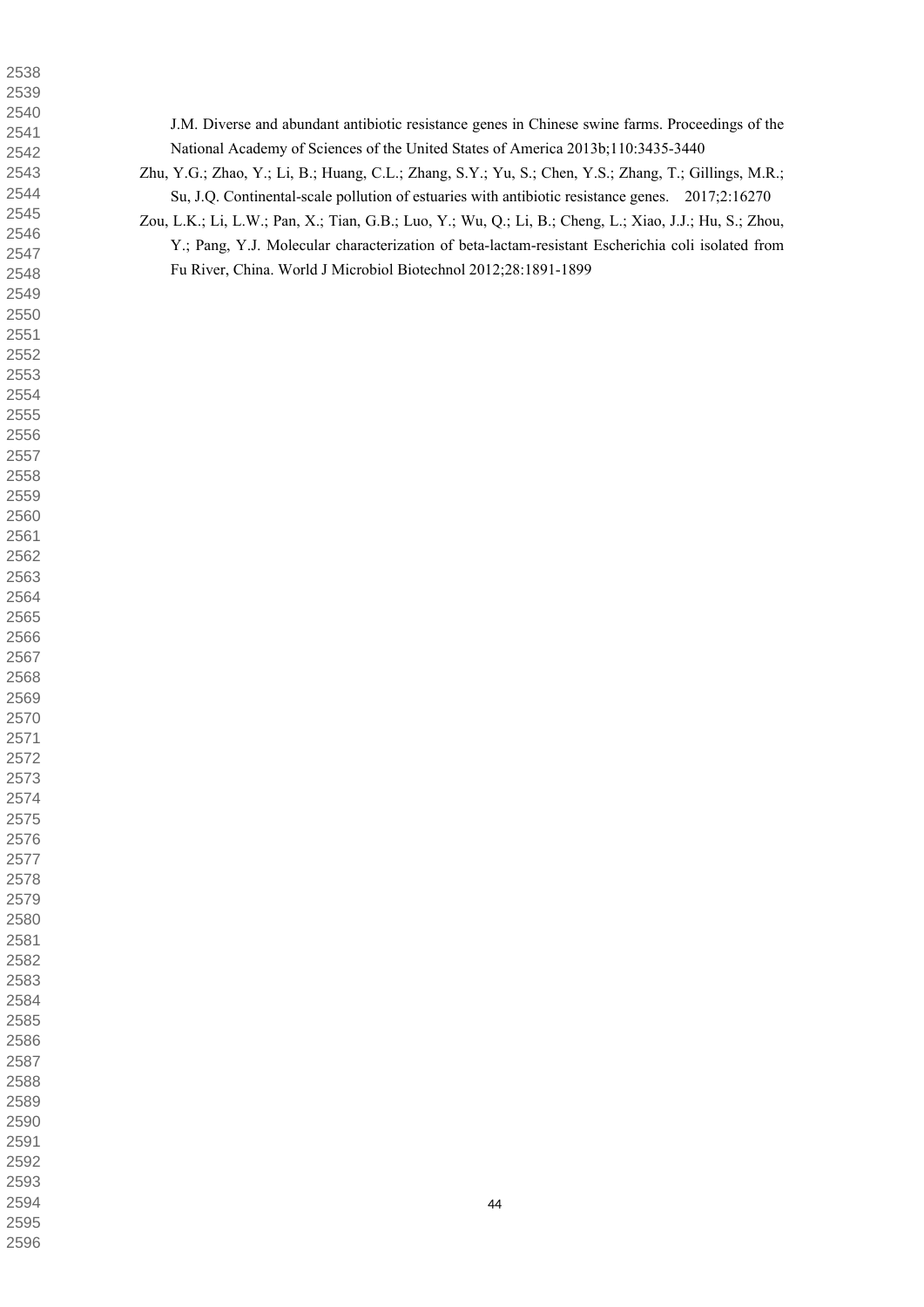| 2539 |                                                                                                         |
|------|---------------------------------------------------------------------------------------------------------|
| 2540 |                                                                                                         |
| 2541 | J.M. Diverse and abundant antibiotic resistance genes in Chinese swine farms. Proceedings of the        |
| 2542 | National Academy of Sciences of the United States of America 2013b;110:3435-3440                        |
| 2543 | Zhu, Y.G.; Zhao, Y.; Li, B.; Huang, C.L.; Zhang, S.Y.; Yu, S.; Chen, Y.S.; Zhang, T.; Gillings, M.R.;   |
| 2544 | Su, J.Q. Continental-scale pollution of estuaries with antibiotic resistance genes. 2017;2:16270        |
| 2545 |                                                                                                         |
| 2546 | Zou, L.K.; Li, L.W.; Pan, X.; Tian, G.B.; Luo, Y.; Wu, Q.; Li, B.; Cheng, L.; Xiao, J.J.; Hu, S.; Zhou, |
| 2547 | Y.; Pang, Y.J. Molecular characterization of beta-lactam-resistant Escherichia coli isolated from       |
| 2548 | Fu River, China. World J Microbiol Biotechnol 2012;28:1891-1899                                         |
| 2549 |                                                                                                         |
| 2550 |                                                                                                         |
| 2551 |                                                                                                         |
| 2552 |                                                                                                         |
| 2553 |                                                                                                         |
| 2554 |                                                                                                         |
| 2555 |                                                                                                         |
| 2556 |                                                                                                         |
| 2557 |                                                                                                         |
| 2558 |                                                                                                         |
| 2559 |                                                                                                         |
|      |                                                                                                         |
| 2560 |                                                                                                         |
| 2561 |                                                                                                         |
| 2562 |                                                                                                         |
| 2563 |                                                                                                         |
| 2564 |                                                                                                         |
| 2565 |                                                                                                         |
| 2566 |                                                                                                         |
| 2567 |                                                                                                         |
| 2568 |                                                                                                         |
| 2569 |                                                                                                         |
| 2570 |                                                                                                         |
| 2571 |                                                                                                         |
| 2572 |                                                                                                         |
| 2573 |                                                                                                         |
| 2574 |                                                                                                         |
| 2575 |                                                                                                         |
| 2576 |                                                                                                         |
| 2577 |                                                                                                         |
| 2578 |                                                                                                         |
| 2579 |                                                                                                         |
| 2580 |                                                                                                         |
| 2581 |                                                                                                         |
| 2582 |                                                                                                         |
| 2583 |                                                                                                         |
| 2584 |                                                                                                         |
| 2585 |                                                                                                         |
| 2586 |                                                                                                         |
| 2587 |                                                                                                         |
| 2588 |                                                                                                         |
| 2589 |                                                                                                         |
|      |                                                                                                         |
| 2590 |                                                                                                         |
| 2591 |                                                                                                         |
| 2592 |                                                                                                         |
| 2593 |                                                                                                         |
| 2594 | 44                                                                                                      |
| 2595 |                                                                                                         |
| 2596 |                                                                                                         |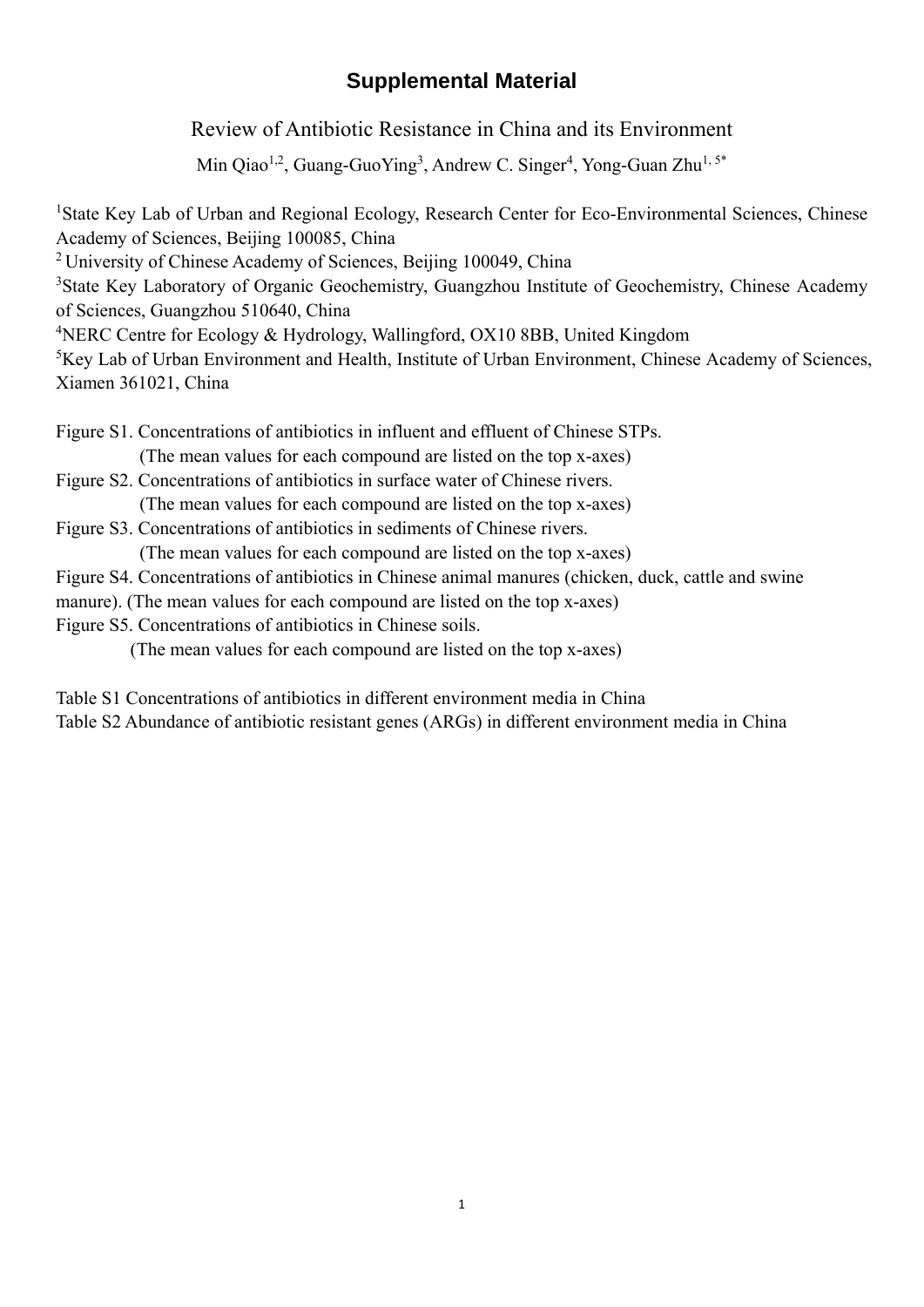## **Supplemental Material**

Review of Antibiotic Resistance in China and its Environment

Min Qiao<sup>1,2</sup>, Guang-GuoYing<sup>3</sup>, Andrew C. Singer<sup>4</sup>, Yong-Guan Zhu<sup>1,5\*</sup>

<sup>1</sup>State Key Lab of Urban and Regional Ecology, Research Center for Eco-Environmental Sciences, Chinese Academy of Sciences, Beijing 100085, China 2 University of Chinese Academy of Sciences, Beijing 100049, China <sup>3</sup>State Key Laboratory of Organic Geochemistry, Guangzhou Institute of Geochemistry, Chinese Academy of Sciences, Guangzhou 510640, China <sup>4</sup>NERC Centre for Ecology & Hydrology, Wallingford, OX10 8BB, United Kingdom <sup>5</sup>Key Lab of Urban Environment and Health, Institute of Urban Environment, Chinese Academy of Sciences, Xiamen 361021, China

Figure S1. Concentrations of antibiotics in influent and effluent of Chinese STPs. (The mean values for each compound are listed on the top x-axes)

Figure S2. Concentrations of antibiotics in surface water of Chinese rivers. (The mean values for each compound are listed on the top x-axes)

Figure S3. Concentrations of antibiotics in sediments of Chinese rivers.

(The mean values for each compound are listed on the top x-axes)

Figure S4. Concentrations of antibiotics in Chinese animal manures (chicken, duck, cattle and swine

manure). (The mean values for each compound are listed on the top x-axes)

Figure S5. Concentrations of antibiotics in Chinese soils.

(The mean values for each compound are listed on the top x-axes)

Table S1 Concentrations of antibiotics in different environment media in China Table S2 Abundance of antibiotic resistant genes (ARGs) in different environment media in China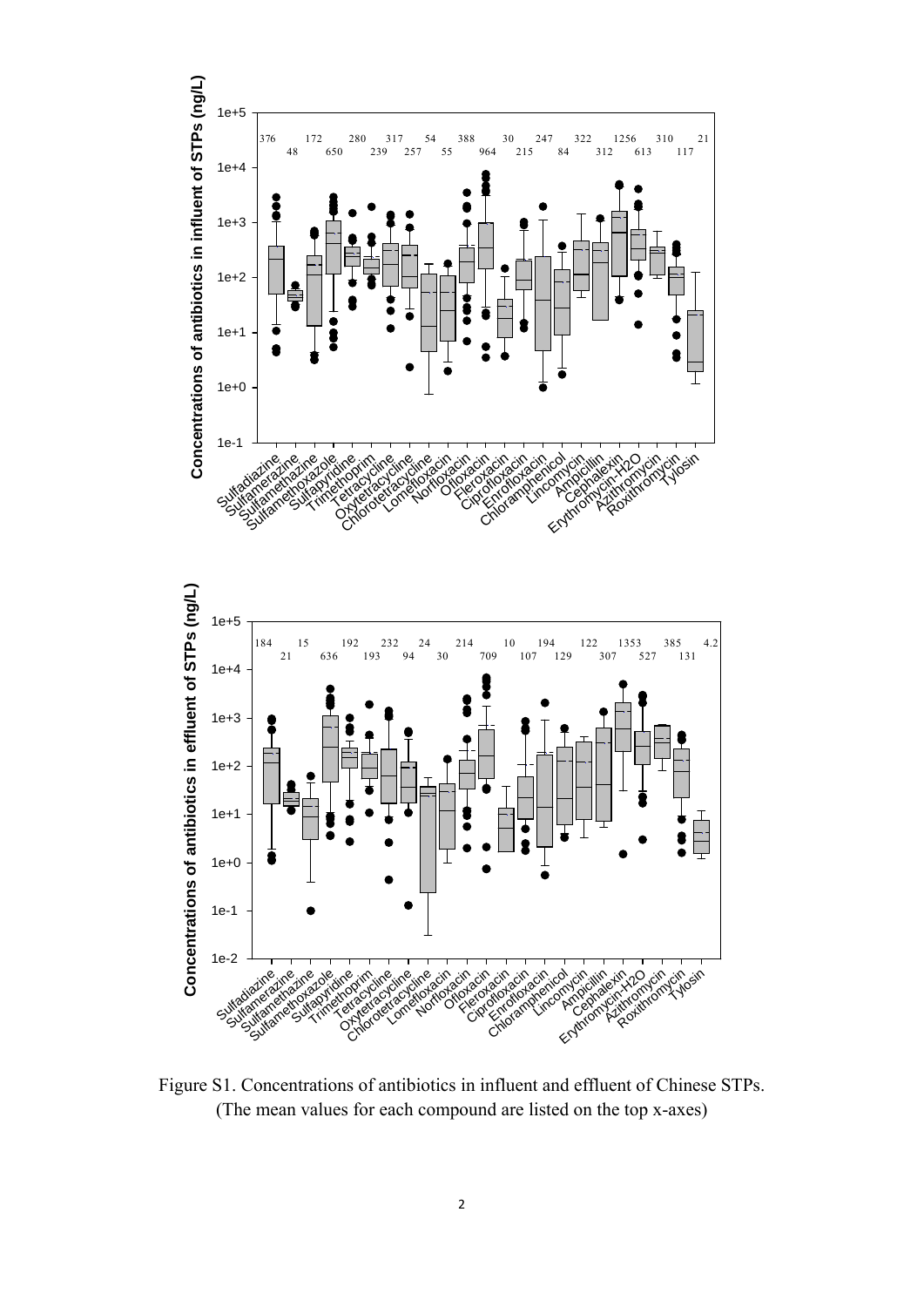

Figure S1. Concentrations of antibiotics in influent and effluent of Chinese STPs. (The mean values for each compound are listed on the top x-axes)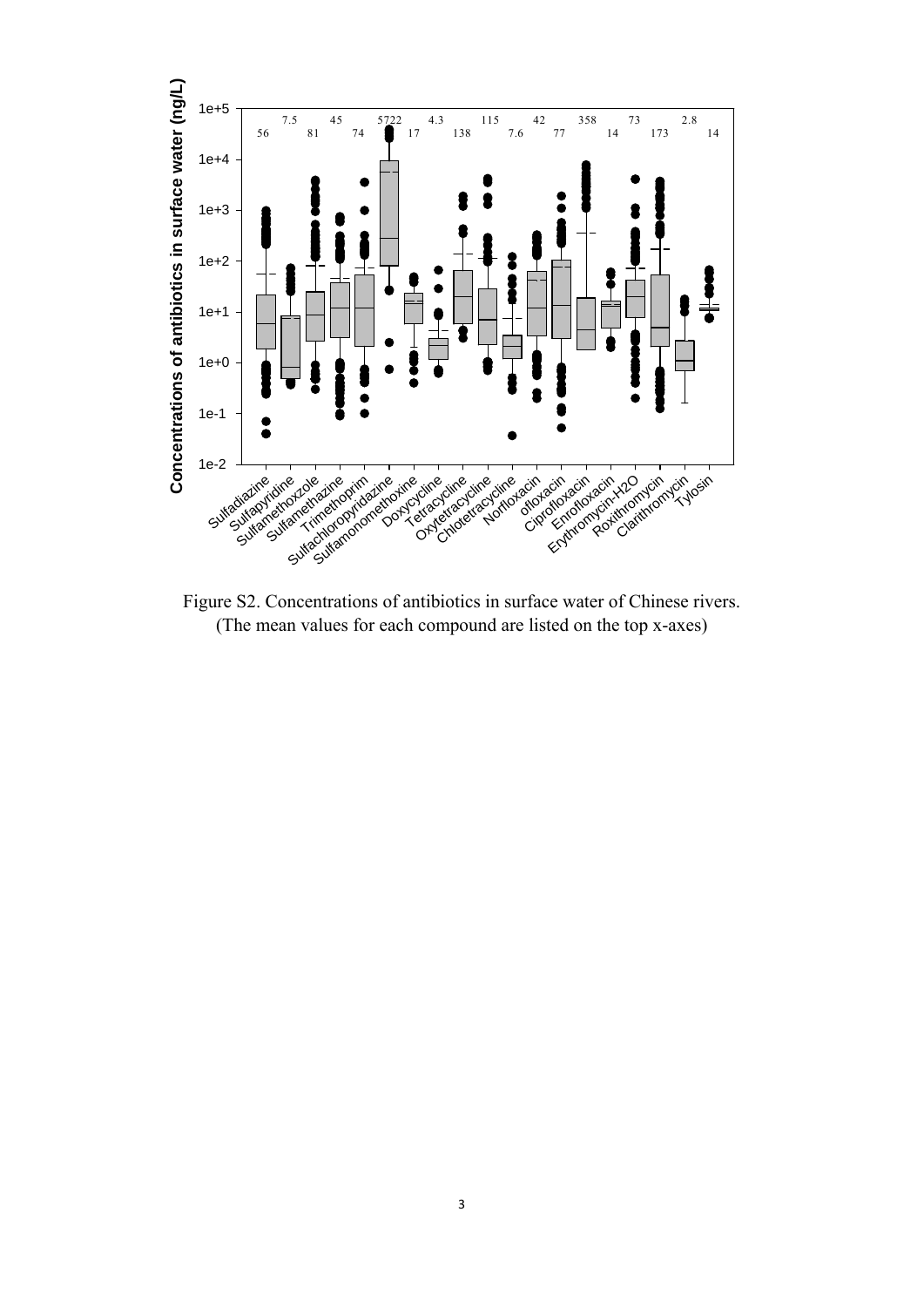

Figure S2. Concentrations of antibiotics in surface water of Chinese rivers. (The mean values for each compound are listed on the top x-axes)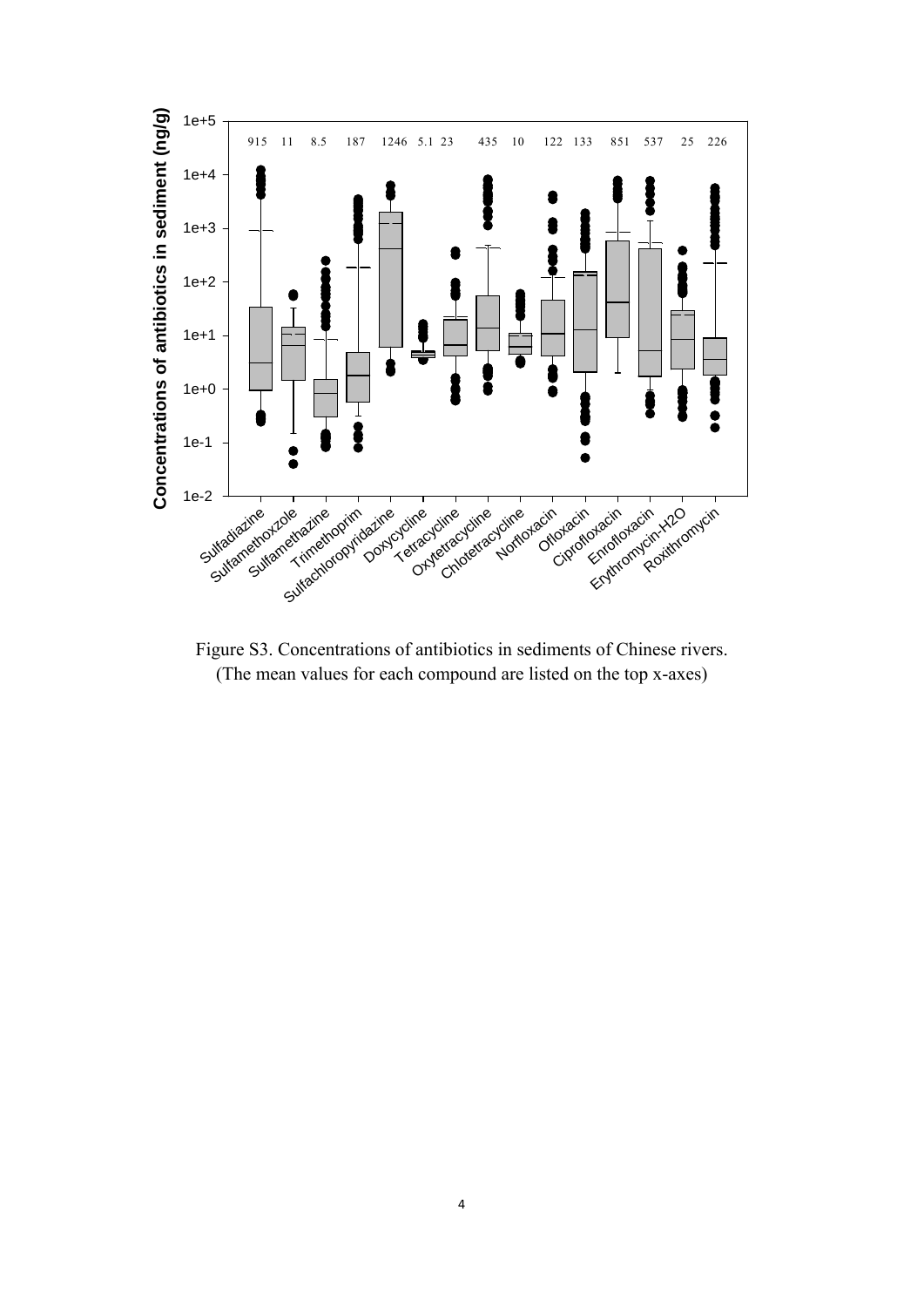

Figure S3. Concentrations of antibiotics in sediments of Chinese rivers. (The mean values for each compound are listed on the top x-axes)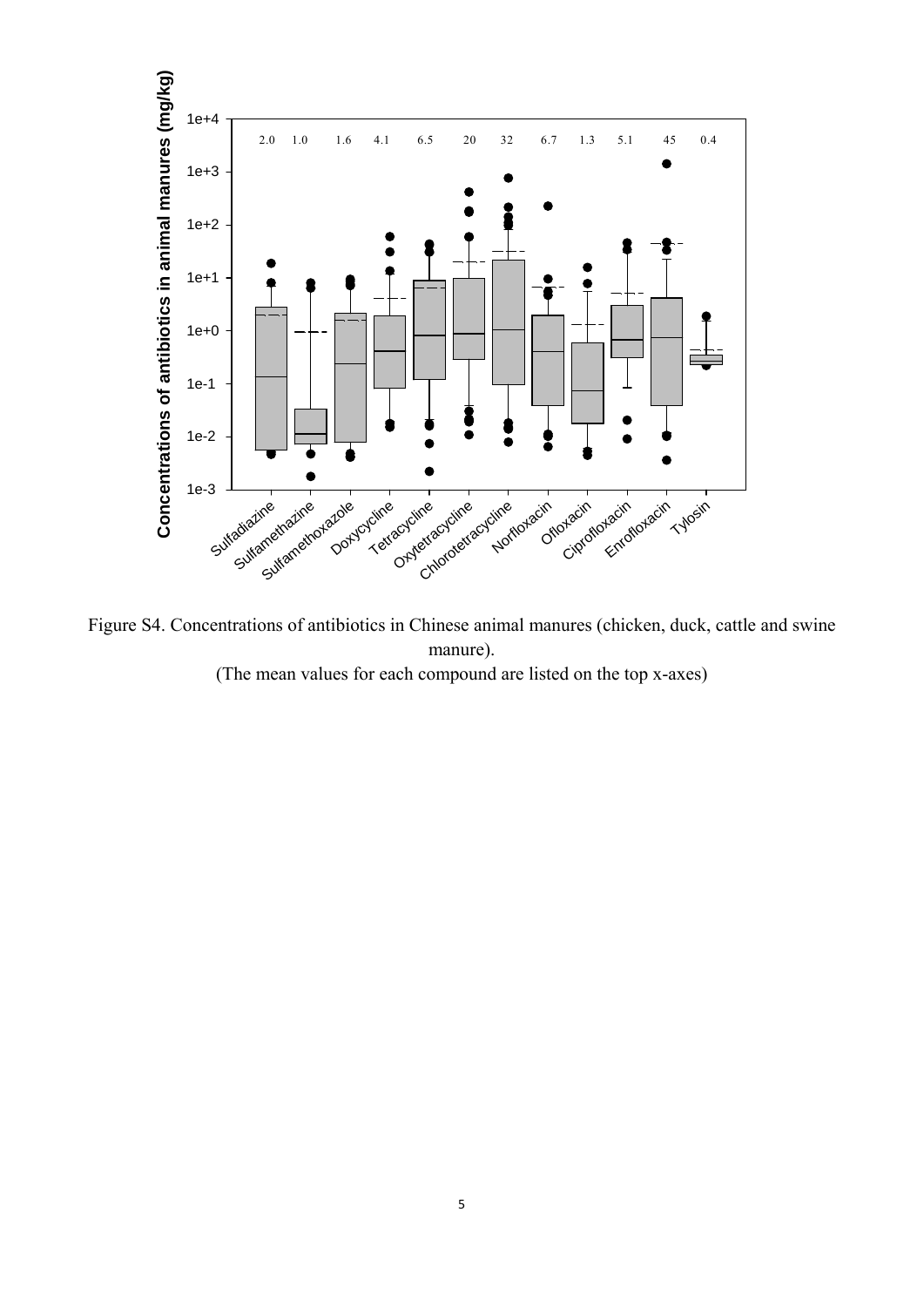

Figure S4. Concentrations of antibiotics in Chinese animal manures (chicken, duck, cattle and swine manure). (The mean values for each compound are listed on the top x-axes)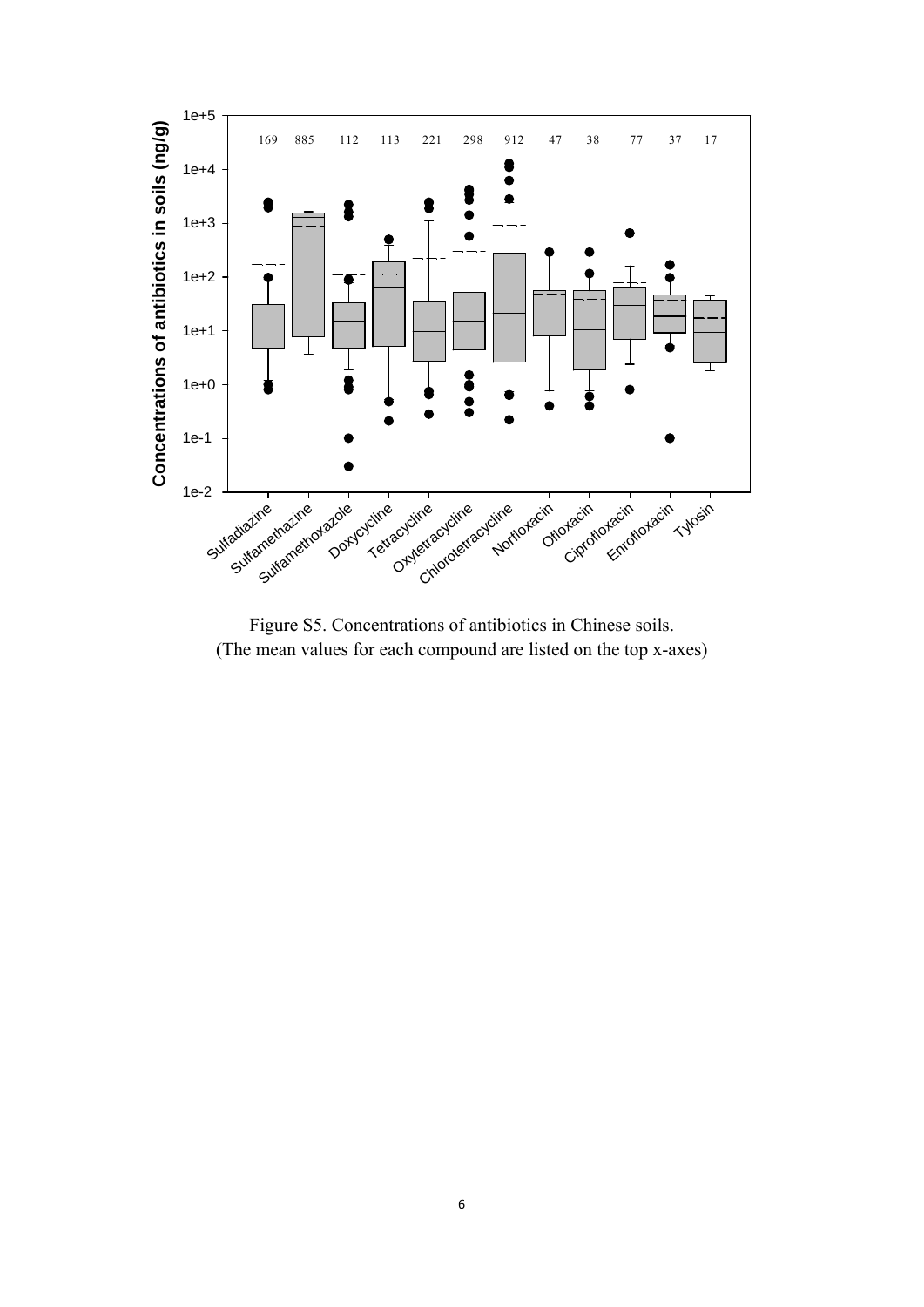

Figure S5. Concentrations of antibiotics in Chinese soils. (The mean values for each compound are listed on the top x-axes)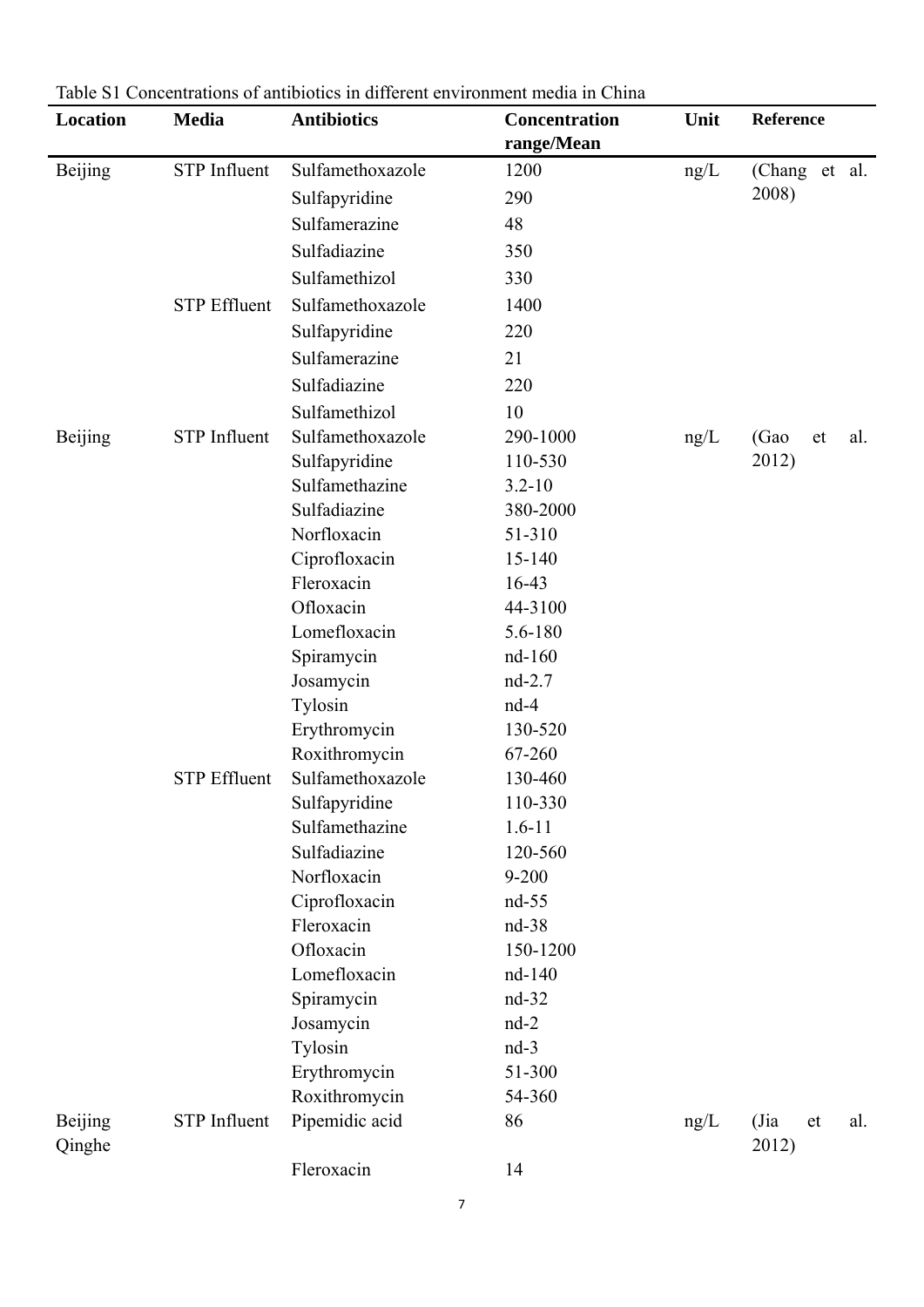| Location                 | <b>Media</b>        | <b>Antibiotics</b> | <b>Concentration</b> | Unit | Reference                   |
|--------------------------|---------------------|--------------------|----------------------|------|-----------------------------|
|                          |                     |                    | range/Mean           |      |                             |
| <b>Beijing</b>           | STP Influent        | Sulfamethoxazole   | 1200                 | ng/L | (Chang et al.               |
|                          |                     | Sulfapyridine      | 290                  |      | 2008)                       |
|                          |                     | Sulfamerazine      | 48                   |      |                             |
|                          |                     | Sulfadiazine       | 350                  |      |                             |
|                          |                     | Sulfamethizol      | 330                  |      |                             |
|                          | <b>STP</b> Effluent | Sulfamethoxazole   | 1400                 |      |                             |
|                          |                     | Sulfapyridine      | 220                  |      |                             |
|                          |                     | Sulfamerazine      | 21                   |      |                             |
|                          |                     | Sulfadiazine       | 220                  |      |                             |
|                          |                     | Sulfamethizol      | 10                   |      |                             |
| <b>Beijing</b>           | STP Influent        | Sulfamethoxazole   | 290-1000             | ng/L | (Gao<br>al.<br>et           |
|                          |                     | Sulfapyridine      | 110-530              |      | 2012)                       |
|                          |                     | Sulfamethazine     | $3.2 - 10$           |      |                             |
|                          |                     | Sulfadiazine       | 380-2000             |      |                             |
|                          |                     | Norfloxacin        | 51-310               |      |                             |
|                          |                     | Ciprofloxacin      | 15-140               |      |                             |
|                          |                     | Fleroxacin         | 16-43                |      |                             |
|                          |                     | Ofloxacin          | 44-3100              |      |                             |
|                          |                     | Lomefloxacin       | 5.6-180              |      |                             |
|                          |                     | Spiramycin         | nd-160               |      |                             |
|                          |                     | Josamycin          | nd-2.7               |      |                             |
|                          |                     | Tylosin            | $nd-4$               |      |                             |
|                          |                     | Erythromycin       | 130-520              |      |                             |
|                          |                     | Roxithromycin      | 67-260               |      |                             |
|                          | <b>STP</b> Effluent | Sulfamethoxazole   | 130-460              |      |                             |
|                          |                     | Sulfapyridine      | 110-330              |      |                             |
|                          |                     | Sulfamethazine     | $1.6 - 11$           |      |                             |
|                          |                     | Sulfadiazine       | 120-560              |      |                             |
|                          |                     | Norfloxacin        | $9 - 200$            |      |                             |
|                          |                     | Ciprofloxacin      | $nd-55$              |      |                             |
|                          |                     | Fleroxacin         | nd-38                |      |                             |
|                          |                     | Ofloxacin          | 150-1200             |      |                             |
|                          |                     | Lomefloxacin       | nd-140               |      |                             |
|                          |                     | Spiramycin         | $nd-32$              |      |                             |
|                          |                     | Josamycin          | $nd-2$               |      |                             |
|                          |                     | Tylosin            | $nd-3$               |      |                             |
|                          |                     | Erythromycin       | 51-300               |      |                             |
|                          |                     | Roxithromycin      | 54-360               |      |                             |
| <b>Beijing</b><br>Qinghe | STP Influent        | Pipemidic acid     | 86                   | ng/L | (Jia)<br>al.<br>et<br>2012) |
|                          |                     | Fleroxacin         | 14                   |      |                             |

Table S1 Concentrations of antibiotics in different environment media in China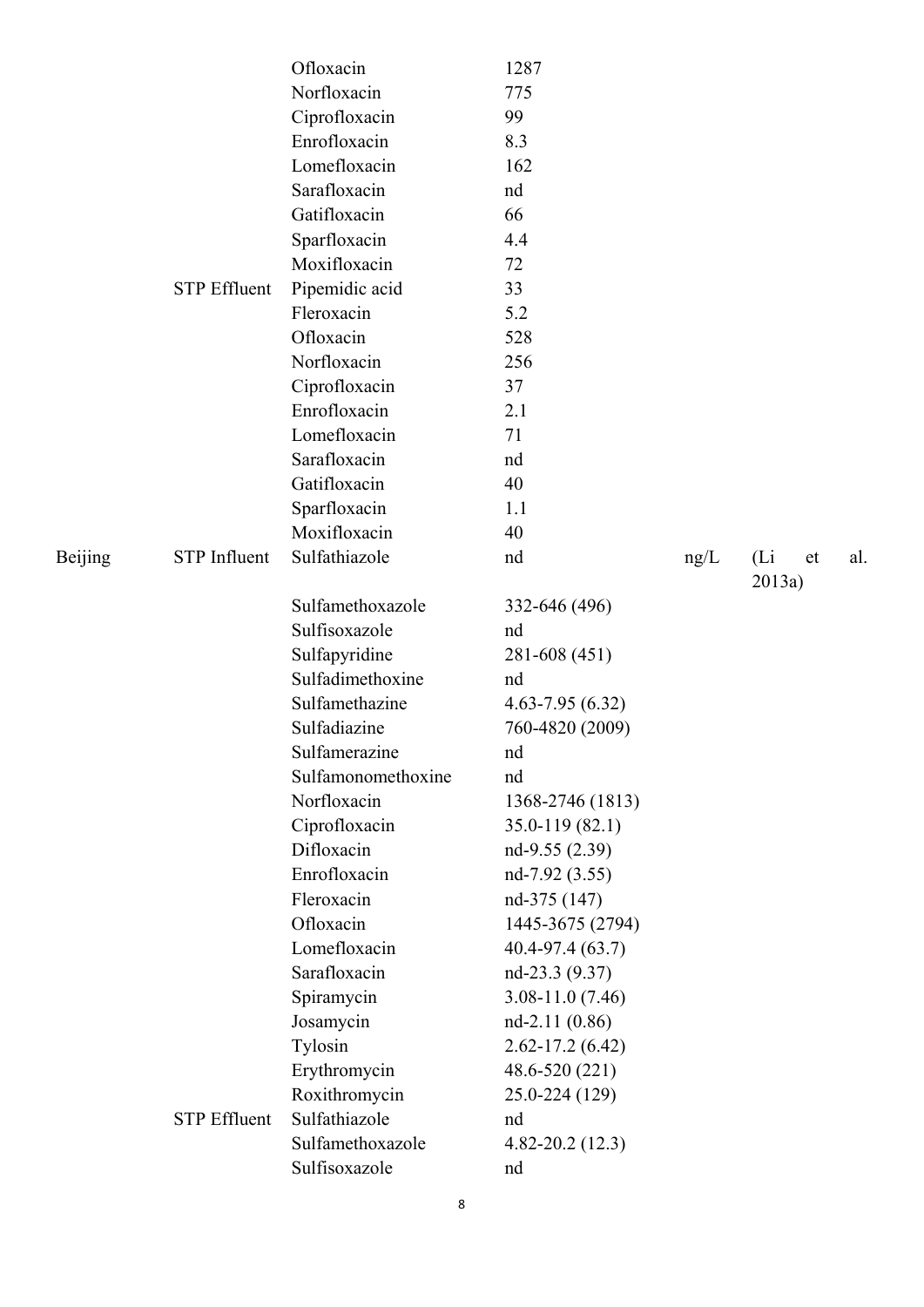| Ofloxacin<br>1287<br>Norfloxacin<br>775<br>Ciprofloxacin<br>99<br>Enrofloxacin<br>8.3<br>Lomefloxacin<br>162<br>Sarafloxacin<br>nd<br>Gatifloxacin<br>66<br>Sparfloxacin<br>4.4<br>Moxifloxacin<br>72<br><b>STP</b> Effluent<br>Pipemidic acid<br>33<br>Fleroxacin<br>5.2<br>Ofloxacin<br>528 |  |
|-----------------------------------------------------------------------------------------------------------------------------------------------------------------------------------------------------------------------------------------------------------------------------------------------|--|
|                                                                                                                                                                                                                                                                                               |  |
|                                                                                                                                                                                                                                                                                               |  |
|                                                                                                                                                                                                                                                                                               |  |
|                                                                                                                                                                                                                                                                                               |  |
|                                                                                                                                                                                                                                                                                               |  |
|                                                                                                                                                                                                                                                                                               |  |
|                                                                                                                                                                                                                                                                                               |  |
|                                                                                                                                                                                                                                                                                               |  |
|                                                                                                                                                                                                                                                                                               |  |
|                                                                                                                                                                                                                                                                                               |  |
|                                                                                                                                                                                                                                                                                               |  |
| Norfloxacin<br>256                                                                                                                                                                                                                                                                            |  |
| Ciprofloxacin<br>37                                                                                                                                                                                                                                                                           |  |
| Enrofloxacin<br>2.1                                                                                                                                                                                                                                                                           |  |
| Lomefloxacin<br>71                                                                                                                                                                                                                                                                            |  |
| Sarafloxacin<br>nd                                                                                                                                                                                                                                                                            |  |
| Gatifloxacin<br>40                                                                                                                                                                                                                                                                            |  |
| Sparfloxacin<br>1.1                                                                                                                                                                                                                                                                           |  |
| Moxifloxacin<br>40                                                                                                                                                                                                                                                                            |  |
| Sulfathiazole<br><b>Beijing</b><br><b>STP</b> Influent<br>(L <sub>i</sub> )<br>nd<br>ng/L<br>al.<br>et                                                                                                                                                                                        |  |
| 2013a)                                                                                                                                                                                                                                                                                        |  |
| Sulfamethoxazole<br>332-646 (496)                                                                                                                                                                                                                                                             |  |
| Sulfisoxazole<br>nd                                                                                                                                                                                                                                                                           |  |
| Sulfapyridine<br>281-608 (451)                                                                                                                                                                                                                                                                |  |
| Sulfadimethoxine<br>nd                                                                                                                                                                                                                                                                        |  |
| Sulfamethazine<br>$4.63 - 7.95(6.32)$                                                                                                                                                                                                                                                         |  |
| Sulfadiazine<br>760-4820 (2009)                                                                                                                                                                                                                                                               |  |
| Sulfamerazine<br>nd                                                                                                                                                                                                                                                                           |  |
| Sulfamonomethoxine<br>nd                                                                                                                                                                                                                                                                      |  |
| Norfloxacin<br>1368-2746 (1813)                                                                                                                                                                                                                                                               |  |
| Ciprofloxacin<br>$35.0 - 119(82.1)$                                                                                                                                                                                                                                                           |  |
| Difloxacin<br>nd-9.55 (2.39)                                                                                                                                                                                                                                                                  |  |
| Enrofloxacin<br>nd-7.92 (3.55)                                                                                                                                                                                                                                                                |  |
| Fleroxacin<br>nd-375 (147)                                                                                                                                                                                                                                                                    |  |
| Ofloxacin<br>1445-3675 (2794)                                                                                                                                                                                                                                                                 |  |
| Lomefloxacin<br>40.4-97.4 (63.7)                                                                                                                                                                                                                                                              |  |
| Sarafloxacin<br>nd-23.3 (9.37)                                                                                                                                                                                                                                                                |  |
| Spiramycin<br>$3.08 - 11.0(7.46)$                                                                                                                                                                                                                                                             |  |
| Josamycin<br>$nd-2.11(0.86)$                                                                                                                                                                                                                                                                  |  |
| Tylosin<br>$2.62 - 17.2(6.42)$                                                                                                                                                                                                                                                                |  |
| Erythromycin<br>48.6-520 (221)                                                                                                                                                                                                                                                                |  |
| Roxithromycin<br>25.0-224 (129)                                                                                                                                                                                                                                                               |  |
| Sulfathiazole<br><b>STP</b> Effluent<br>nd                                                                                                                                                                                                                                                    |  |
| Sulfamethoxazole<br>$4.82 - 20.2$ (12.3)                                                                                                                                                                                                                                                      |  |
| Sulfisoxazole<br>nd                                                                                                                                                                                                                                                                           |  |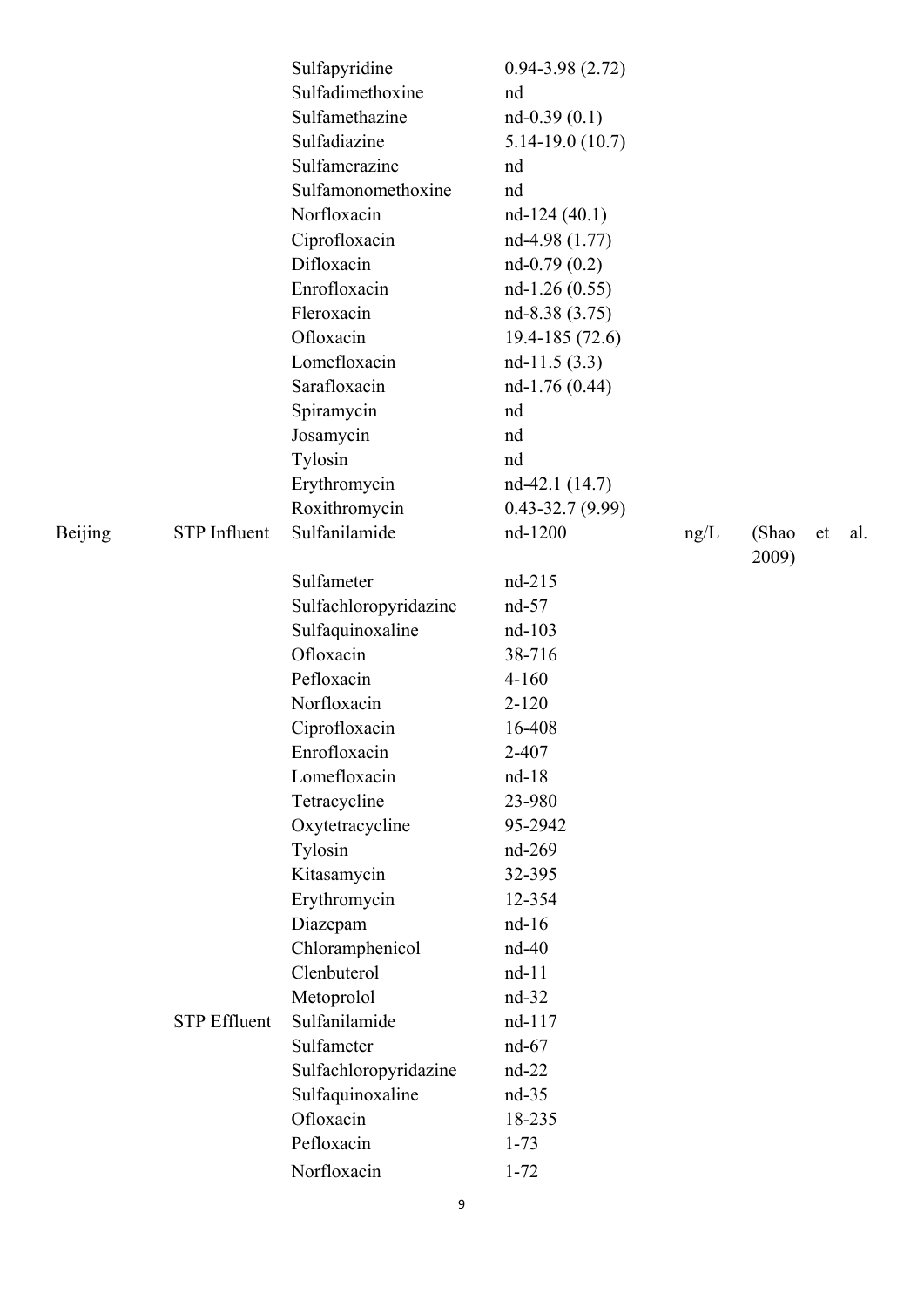|         |                     | Sulfapyridine         | $0.94 - 3.98(2.72)$ |      |       |    |     |
|---------|---------------------|-----------------------|---------------------|------|-------|----|-----|
|         |                     | Sulfadimethoxine      | nd                  |      |       |    |     |
|         |                     | Sulfamethazine        | $nd-0.39(0.1)$      |      |       |    |     |
|         |                     | Sulfadiazine          | $5.14 - 19.0(10.7)$ |      |       |    |     |
|         |                     | Sulfamerazine         | nd                  |      |       |    |     |
|         |                     | Sulfamonomethoxine    | nd                  |      |       |    |     |
|         |                     | Norfloxacin           | $nd-124(40.1)$      |      |       |    |     |
|         |                     | Ciprofloxacin         | nd-4.98 (1.77)      |      |       |    |     |
|         |                     | Difloxacin            | $nd-0.79(0.2)$      |      |       |    |     |
|         |                     | Enrofloxacin          | $nd-1.26(0.55)$     |      |       |    |     |
|         |                     | Fleroxacin            | nd-8.38 (3.75)      |      |       |    |     |
|         |                     | Ofloxacin             | $19.4 - 185(72.6)$  |      |       |    |     |
|         |                     | Lomefloxacin          | $nd-11.5(3.3)$      |      |       |    |     |
|         |                     | Sarafloxacin          | nd-1.76 (0.44)      |      |       |    |     |
|         |                     | Spiramycin            | nd                  |      |       |    |     |
|         |                     | Josamycin             | nd                  |      |       |    |     |
|         |                     | Tylosin               | nd                  |      |       |    |     |
|         |                     | Erythromycin          | nd-42.1 (14.7)      |      |       |    |     |
|         |                     | Roxithromycin         | $0.43 - 32.7(9.99)$ |      |       |    |     |
| Beijing | STP Influent        | Sulfanilamide         | nd-1200             | ng/L | (Shao | et | al. |
|         |                     |                       |                     |      | 2009) |    |     |
|         |                     | Sulfameter            | $nd-215$            |      |       |    |     |
|         |                     | Sulfachloropyridazine | $nd-57$             |      |       |    |     |
|         |                     | Sulfaquinoxaline      | nd-103              |      |       |    |     |
|         |                     | Ofloxacin             | 38-716              |      |       |    |     |
|         |                     | Pefloxacin            | $4 - 160$           |      |       |    |     |
|         |                     | Norfloxacin           | $2 - 120$           |      |       |    |     |
|         |                     | Ciprofloxacin         | 16-408              |      |       |    |     |
|         |                     | Enrofloxacin          | 2-407               |      |       |    |     |
|         |                     | Lomefloxacin          | $nd-18$             |      |       |    |     |
|         |                     | Tetracycline          | 23-980              |      |       |    |     |
|         |                     | Oxytetracycline       | 95-2942             |      |       |    |     |
|         |                     | Tylosin               | nd-269              |      |       |    |     |
|         |                     | Kitasamycin           | 32-395              |      |       |    |     |
|         |                     | Erythromycin          | 12-354              |      |       |    |     |
|         |                     | Diazepam              | $nd-16$             |      |       |    |     |
|         |                     | Chloramphenicol       | $nd-40$             |      |       |    |     |
|         |                     | Clenbuterol           | $nd-11$             |      |       |    |     |
|         |                     | Metoprolol            | nd-32               |      |       |    |     |
|         | <b>STP</b> Effluent | Sulfanilamide         | nd-117              |      |       |    |     |
|         |                     | Sulfameter            | $nd-67$             |      |       |    |     |
|         |                     | Sulfachloropyridazine | $nd-22$             |      |       |    |     |
|         |                     | Sulfaquinoxaline      | $nd-35$             |      |       |    |     |
|         |                     | Ofloxacin             | 18-235              |      |       |    |     |
|         |                     | Pefloxacin            | $1 - 73$            |      |       |    |     |
|         |                     | Norfloxacin           | $1 - 72$            |      |       |    |     |
|         |                     | 9                     |                     |      |       |    |     |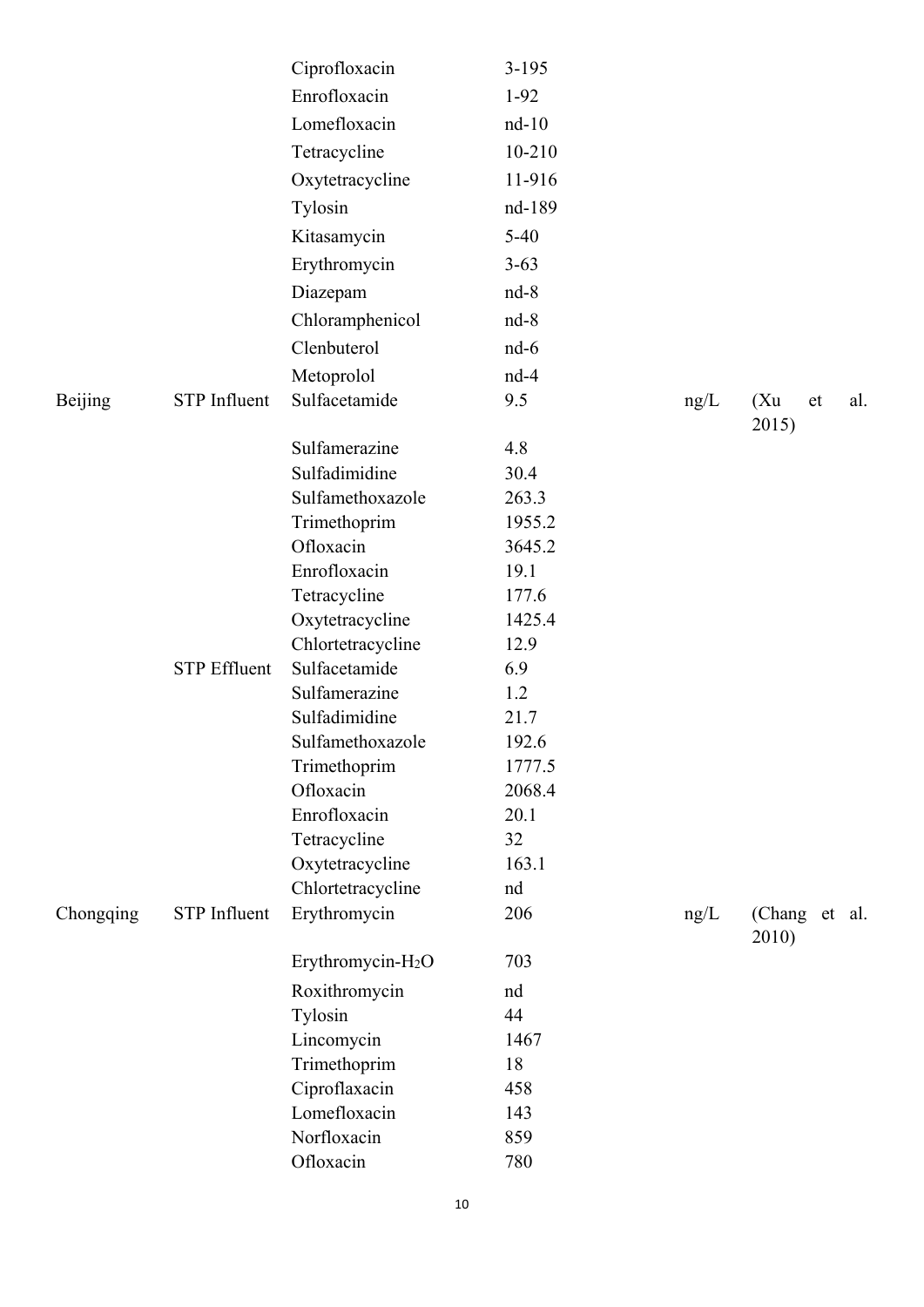|                |                     | Ciprofloxacin                 | $3 - 195$ |      |                            |
|----------------|---------------------|-------------------------------|-----------|------|----------------------------|
|                |                     | Enrofloxacin                  | $1-92$    |      |                            |
|                |                     | Lomefloxacin                  | $nd-10$   |      |                            |
|                |                     | Tetracycline                  | 10-210    |      |                            |
|                |                     | Oxytetracycline               | 11-916    |      |                            |
|                |                     |                               |           |      |                            |
|                |                     | Tylosin                       | nd-189    |      |                            |
|                |                     | Kitasamycin                   | $5-40$    |      |                            |
|                |                     | Erythromycin                  | $3 - 63$  |      |                            |
|                |                     | Diazepam                      | $nd-8$    |      |                            |
|                |                     | Chloramphenicol               | $nd-8$    |      |                            |
|                |                     | Clenbuterol                   | $nd-6$    |      |                            |
|                |                     | Metoprolol                    | $nd-4$    |      |                            |
| <b>Beijing</b> | STP Influent        | Sulfacetamide                 | 9.5       | ng/L | (Xu)<br>et<br>al.<br>2015) |
|                |                     | Sulfamerazine                 | 4.8       |      |                            |
|                |                     | Sulfadimidine                 | 30.4      |      |                            |
|                |                     | Sulfamethoxazole              | 263.3     |      |                            |
|                |                     | Trimethoprim                  | 1955.2    |      |                            |
|                |                     | Ofloxacin                     | 3645.2    |      |                            |
|                |                     | Enrofloxacin                  | 19.1      |      |                            |
|                |                     | Tetracycline                  | 177.6     |      |                            |
|                |                     | Oxytetracycline               | 1425.4    |      |                            |
|                |                     | Chlortetracycline             | 12.9      |      |                            |
|                | <b>STP</b> Effluent | Sulfacetamide                 | 6.9       |      |                            |
|                |                     | Sulfamerazine                 | 1.2       |      |                            |
|                |                     | Sulfadimidine                 | 21.7      |      |                            |
|                |                     | Sulfamethoxazole              | 192.6     |      |                            |
|                |                     | Trimethoprim                  | 1777.5    |      |                            |
|                |                     | Ofloxacin                     | 2068.4    |      |                            |
|                |                     | Enrofloxacin                  | 20.1      |      |                            |
|                |                     | Tetracycline                  | 32        |      |                            |
|                |                     | Oxytetracycline               | 163.1     |      |                            |
|                |                     | Chlortetracycline             | nd        |      |                            |
| Chongqing      | STP Influent        | Erythromycin                  | 206       | ng/L | (Chang et al.<br>2010)     |
|                |                     | Erythromycin-H <sub>2</sub> O | 703       |      |                            |
|                |                     | Roxithromycin                 | nd        |      |                            |
|                |                     | Tylosin                       | 44        |      |                            |
|                |                     | Lincomycin                    | 1467      |      |                            |
|                |                     | Trimethoprim                  | 18        |      |                            |
|                |                     | Ciproflaxacin                 | 458       |      |                            |
|                |                     | Lomefloxacin                  | 143       |      |                            |
|                |                     | Norfloxacin                   | 859       |      |                            |
|                |                     | Ofloxacin                     | 780       |      |                            |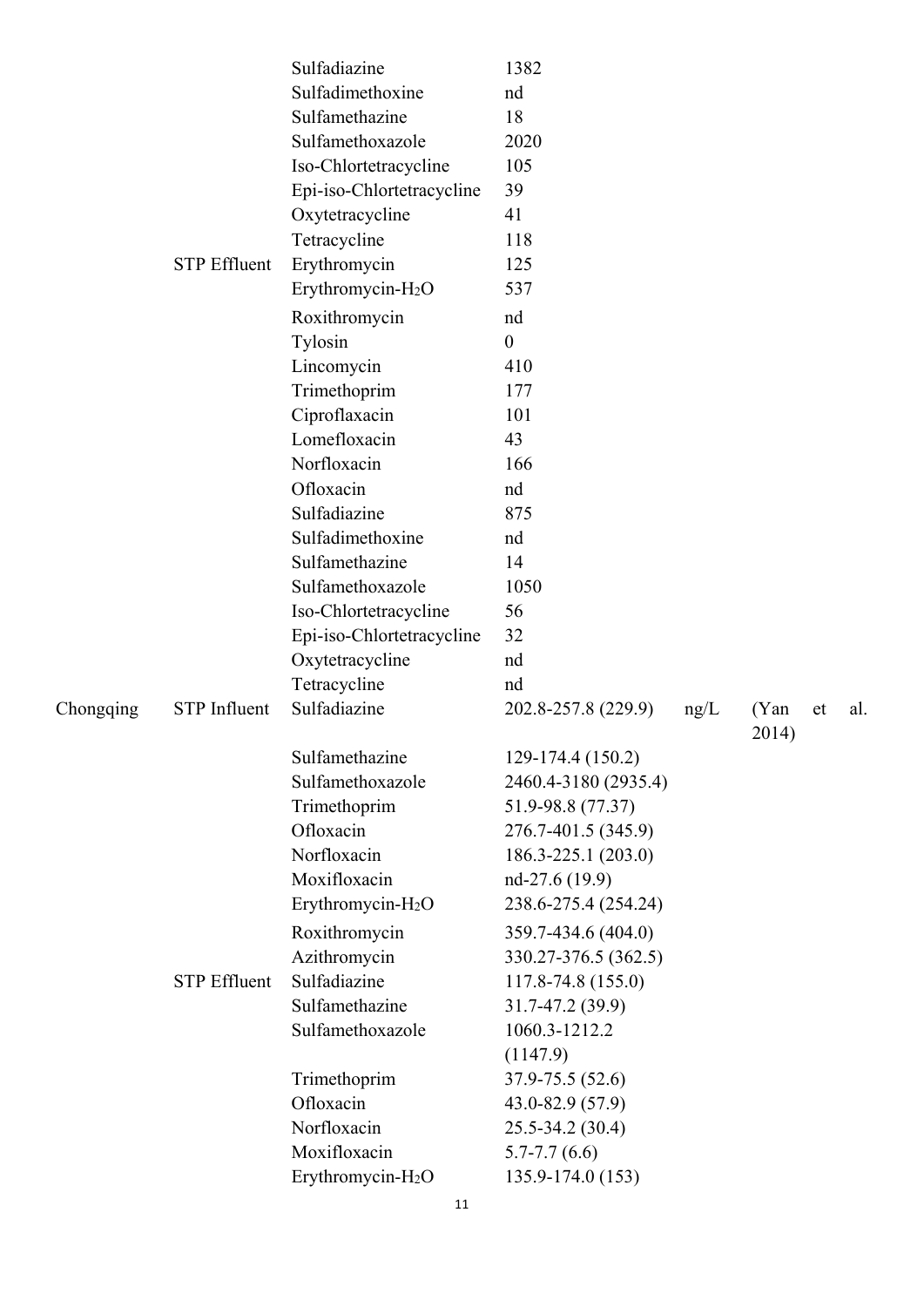|           | <b>STP</b> Effluent | Sulfadiazine<br>Sulfadimethoxine<br>Sulfamethazine<br>Sulfamethoxazole<br>Iso-Chlortetracycline<br>Epi-iso-Chlortetracycline<br>Oxytetracycline<br>Tetracycline<br>Erythromycin<br>Erythromycin-H <sub>2</sub> O<br>Roxithromycin                                                                                   | 1382<br>nd<br>18<br>2020<br>105<br>39<br>41<br>118<br>125<br>537<br>nd                                                                                                                                                                                                                                                                                                                  |      |               |    |     |
|-----------|---------------------|---------------------------------------------------------------------------------------------------------------------------------------------------------------------------------------------------------------------------------------------------------------------------------------------------------------------|-----------------------------------------------------------------------------------------------------------------------------------------------------------------------------------------------------------------------------------------------------------------------------------------------------------------------------------------------------------------------------------------|------|---------------|----|-----|
|           |                     | Tylosin<br>Lincomycin<br>Trimethoprim<br>Ciproflaxacin<br>Lomefloxacin<br>Norfloxacin<br>Ofloxacin<br>Sulfadiazine<br>Sulfadimethoxine<br>Sulfamethazine<br>Sulfamethoxazole<br>Iso-Chlortetracycline<br>Epi-iso-Chlortetracycline<br>Oxytetracycline                                                               | $\overline{0}$<br>410<br>177<br>101<br>43<br>166<br>nd<br>875<br>nd<br>14<br>1050<br>56<br>32<br>nd                                                                                                                                                                                                                                                                                     |      |               |    |     |
| Chongqing | <b>STP</b> Influent | Tetracycline<br>Sulfadiazine                                                                                                                                                                                                                                                                                        | nd<br>202.8-257.8 (229.9)                                                                                                                                                                                                                                                                                                                                                               | ng/L | (Yan<br>2014) | et | al. |
|           | <b>STP</b> Effluent | Sulfamethazine<br>Sulfamethoxazole<br>Trimethoprim<br>Ofloxacin<br>Norfloxacin<br>Moxifloxacin<br>Erythromycin-H <sub>2</sub> O<br>Roxithromycin<br>Azithromycin<br>Sulfadiazine<br>Sulfamethazine<br>Sulfamethoxazole<br>Trimethoprim<br>Ofloxacin<br>Norfloxacin<br>Moxifloxacin<br>Erythromycin-H <sub>2</sub> O | 129-174.4 (150.2)<br>2460.4-3180 (2935.4)<br>51.9-98.8 (77.37)<br>276.7-401.5 (345.9)<br>186.3-225.1 (203.0)<br>nd-27.6 (19.9)<br>238.6-275.4 (254.24)<br>359.7-434.6 (404.0)<br>330.27-376.5 (362.5)<br>117.8-74.8 (155.0)<br>31.7-47.2 (39.9)<br>1060.3-1212.2<br>(1147.9)<br>$37.9 - 75.5(52.6)$<br>43.0-82.9 (57.9)<br>$25.5 - 34.2(30.4)$<br>$5.7 - 7.7(6.6)$<br>135.9-174.0 (153) |      |               |    |     |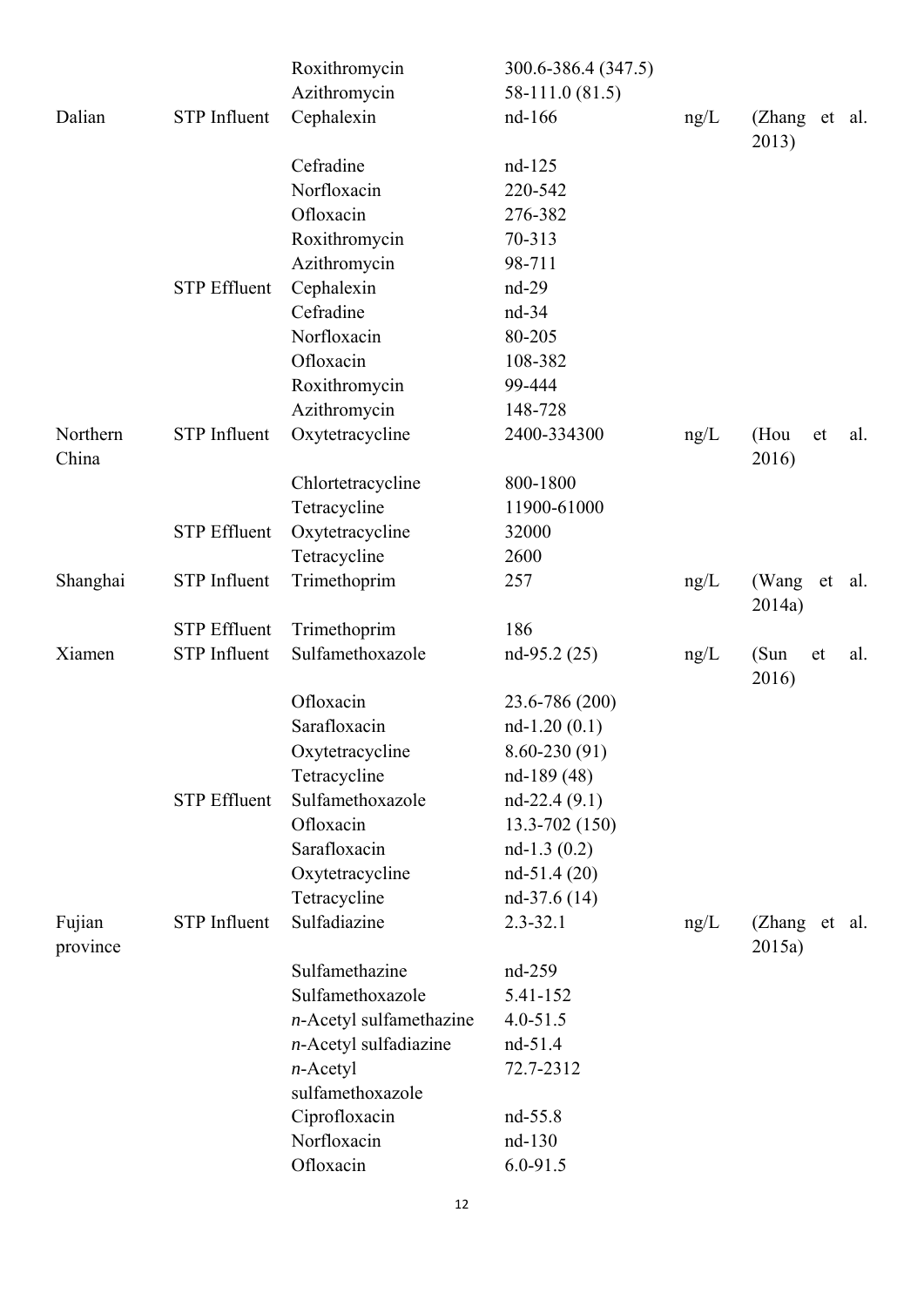|                    |                     | Roxithromycin                   | 300.6-386.4 (347.5) |      |                         |    |     |
|--------------------|---------------------|---------------------------------|---------------------|------|-------------------------|----|-----|
|                    |                     | Azithromycin                    | 58-111.0 (81.5)     |      |                         |    |     |
| Dalian             | STP Influent        | Cephalexin                      | nd-166              | ng/L | (Zhang et al.<br>2013)  |    |     |
|                    |                     | Cefradine                       | nd-125              |      |                         |    |     |
|                    |                     | Norfloxacin                     | 220-542             |      |                         |    |     |
|                    |                     | Ofloxacin                       | 276-382             |      |                         |    |     |
|                    |                     | Roxithromycin                   | 70-313              |      |                         |    |     |
|                    |                     | Azithromycin                    | 98-711              |      |                         |    |     |
|                    | <b>STP</b> Effluent | Cephalexin                      | $nd-29$             |      |                         |    |     |
|                    |                     | Cefradine                       | nd-34               |      |                         |    |     |
|                    |                     | Norfloxacin                     | 80-205              |      |                         |    |     |
|                    |                     | Ofloxacin                       | 108-382             |      |                         |    |     |
|                    |                     | Roxithromycin                   | 99-444              |      |                         |    |     |
|                    |                     | Azithromycin                    | 148-728             |      |                         |    |     |
| Northern<br>China  | STP Influent        | Oxytetracycline                 | 2400-334300         | ng/L | (Hou<br>2016)           | et | al. |
|                    |                     | Chlortetracycline               | 800-1800            |      |                         |    |     |
|                    |                     | Tetracycline                    | 11900-61000         |      |                         |    |     |
|                    | <b>STP</b> Effluent | Oxytetracycline                 | 32000               |      |                         |    |     |
|                    |                     | Tetracycline                    | 2600                |      |                         |    |     |
| Shanghai           | STP Influent        | Trimethoprim                    | 257                 | ng/L | (Wang<br>2014a)         | et | al. |
|                    | <b>STP</b> Effluent | Trimethoprim                    | 186                 |      |                         |    |     |
| Xiamen             | <b>STP</b> Influent | Sulfamethoxazole                | $nd-95.2(25)$       | ng/L | (Sun)<br>2016)          | et | al. |
|                    |                     | Ofloxacin                       | 23.6-786 (200)      |      |                         |    |     |
|                    |                     | Sarafloxacin                    | $nd-1.20(0.1)$      |      |                         |    |     |
|                    |                     | Oxytetracycline                 | $8.60 - 230(91)$    |      |                         |    |     |
|                    |                     | Tetracycline                    | $nd-189(48)$        |      |                         |    |     |
|                    | <b>STP</b> Effluent | Sulfamethoxazole                | $nd-22.4(9.1)$      |      |                         |    |     |
|                    |                     | Ofloxacin                       | 13.3-702 (150)      |      |                         |    |     |
|                    |                     | Sarafloxacin                    | $nd-1.3(0.2)$       |      |                         |    |     |
|                    |                     | Oxytetracycline                 | $nd-51.4(20)$       |      |                         |    |     |
|                    |                     | Tetracycline                    | $nd-37.6(14)$       |      |                         |    |     |
| Fujian<br>province | STP Influent        | Sulfadiazine                    | $2.3 - 32.1$        | ng/L | (Zhang et al.<br>2015a) |    |     |
|                    |                     | Sulfamethazine                  | nd-259              |      |                         |    |     |
|                    |                     | Sulfamethoxazole                | 5.41-152            |      |                         |    |     |
|                    |                     | $n$ -Acetyl sulfamethazine      | $4.0 - 51.5$        |      |                         |    |     |
|                    |                     | $n$ -Acetyl sulfadiazine        | nd-51.4             |      |                         |    |     |
|                    |                     | $n$ -Acetyl<br>sulfamethoxazole | 72.7-2312           |      |                         |    |     |
|                    |                     | Ciprofloxacin                   | nd-55.8             |      |                         |    |     |
|                    |                     | Norfloxacin                     | nd-130              |      |                         |    |     |
|                    |                     | Ofloxacin                       | 6.0-91.5            |      |                         |    |     |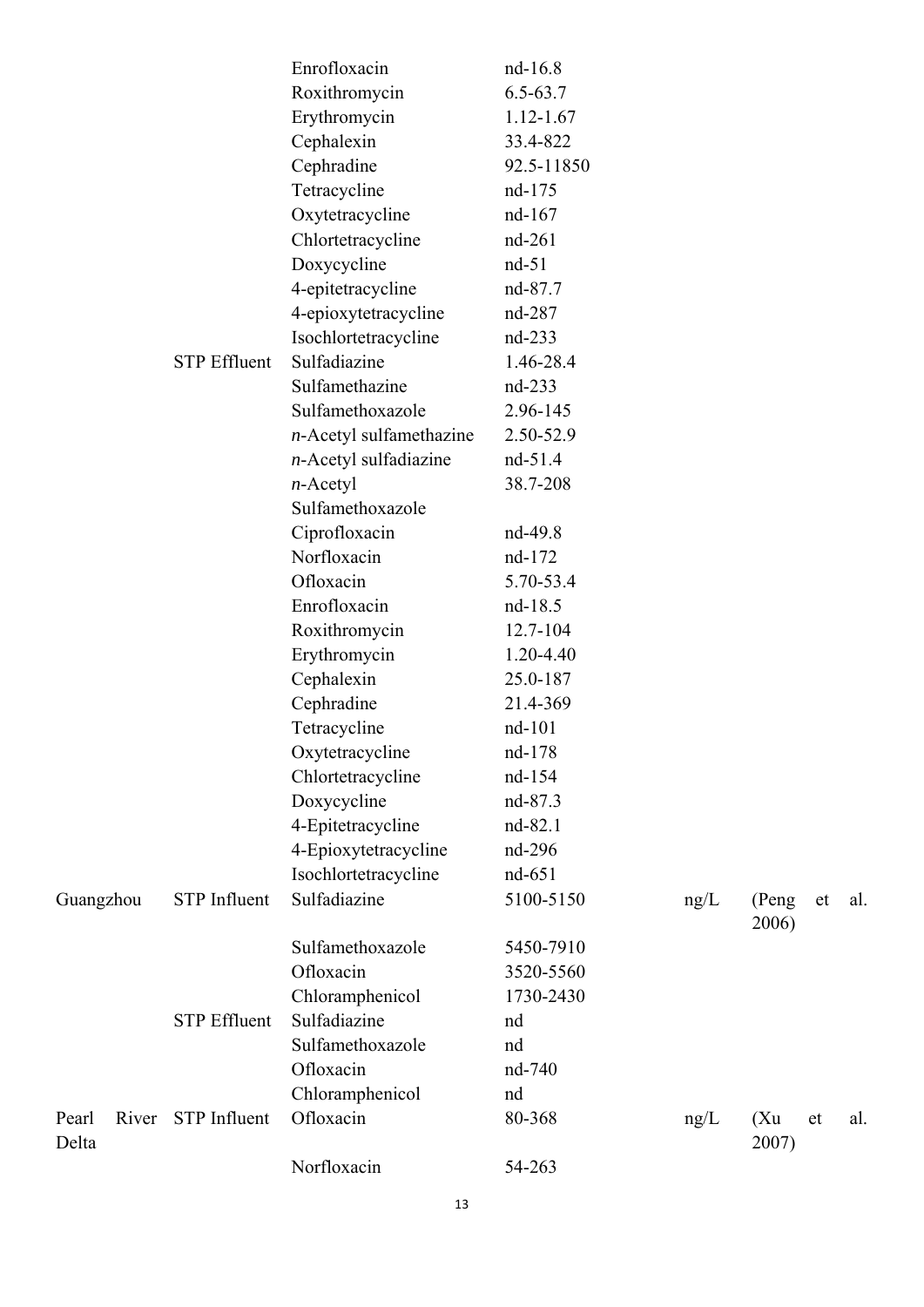|                         |                     | Enrofloxacin               | $nd-16.8$    |      |               |    |     |
|-------------------------|---------------------|----------------------------|--------------|------|---------------|----|-----|
|                         |                     | Roxithromycin              | $6.5 - 63.7$ |      |               |    |     |
|                         |                     | Erythromycin               | 1.12-1.67    |      |               |    |     |
|                         |                     | Cephalexin                 | 33.4-822     |      |               |    |     |
|                         |                     | Cephradine                 | 92.5-11850   |      |               |    |     |
|                         |                     | Tetracycline               | nd-175       |      |               |    |     |
|                         |                     | Oxytetracycline            | nd-167       |      |               |    |     |
|                         |                     | Chlortetracycline          | $nd-261$     |      |               |    |     |
|                         |                     | Doxycycline                | $nd-51$      |      |               |    |     |
|                         |                     | 4-epitetracycline          | nd-87.7      |      |               |    |     |
|                         |                     | 4-epioxytetracycline       | nd-287       |      |               |    |     |
|                         |                     | Isochlortetracycline       | nd-233       |      |               |    |     |
|                         | <b>STP</b> Effluent | Sulfadiazine               | 1.46-28.4    |      |               |    |     |
|                         |                     | Sulfamethazine             | nd-233       |      |               |    |     |
|                         |                     | Sulfamethoxazole           | 2.96-145     |      |               |    |     |
|                         |                     | $n$ -Acetyl sulfamethazine | 2.50-52.9    |      |               |    |     |
|                         |                     | $n$ -Acetyl sulfadiazine   | nd-51.4      |      |               |    |     |
|                         |                     | $n$ -Acetyl                | 38.7-208     |      |               |    |     |
|                         |                     | Sulfamethoxazole           |              |      |               |    |     |
|                         |                     | Ciprofloxacin              | nd-49.8      |      |               |    |     |
|                         |                     | Norfloxacin                | nd-172       |      |               |    |     |
|                         |                     | Ofloxacin                  | 5.70-53.4    |      |               |    |     |
|                         |                     | Enrofloxacin               | nd-18.5      |      |               |    |     |
|                         |                     | Roxithromycin              | 12.7-104     |      |               |    |     |
|                         |                     | Erythromycin               | 1.20-4.40    |      |               |    |     |
|                         |                     | Cephalexin                 | 25.0-187     |      |               |    |     |
|                         |                     | Cephradine                 | 21.4-369     |      |               |    |     |
|                         |                     | Tetracycline               | nd-101       |      |               |    |     |
|                         |                     | Oxytetracycline            | nd-178       |      |               |    |     |
|                         |                     | Chlortetracycline          | nd-154       |      |               |    |     |
|                         |                     | Doxycycline                | nd-87.3      |      |               |    |     |
|                         |                     | 4-Epitetracycline          | nd-82.1      |      |               |    |     |
|                         |                     | 4-Epioxytetracycline       | nd-296       |      |               |    |     |
|                         |                     | Isochlortetracycline       | nd-651       |      |               |    |     |
| Guangzhou               | STP Influent        | Sulfadiazine               | 5100-5150    | ng/L | (Peng         | et | al. |
|                         |                     |                            |              |      | 2006)         |    |     |
|                         |                     | Sulfamethoxazole           | 5450-7910    |      |               |    |     |
|                         |                     | Ofloxacin                  | 3520-5560    |      |               |    |     |
|                         |                     | Chloramphenicol            | 1730-2430    |      |               |    |     |
|                         | <b>STP</b> Effluent | Sulfadiazine               | nd           |      |               |    |     |
|                         |                     | Sulfamethoxazole           | nd           |      |               |    |     |
|                         |                     | Ofloxacin                  | nd-740       |      |               |    |     |
|                         |                     | Chloramphenicol            | nd           |      |               |    |     |
| Pearl<br>River<br>Delta | <b>STP</b> Influent | Ofloxacin                  | 80-368       | ng/L | (Xu)<br>2007) | et | al. |
|                         |                     | Norfloxacin                | 54-263       |      |               |    |     |
|                         |                     |                            |              |      |               |    |     |

Pearl Delta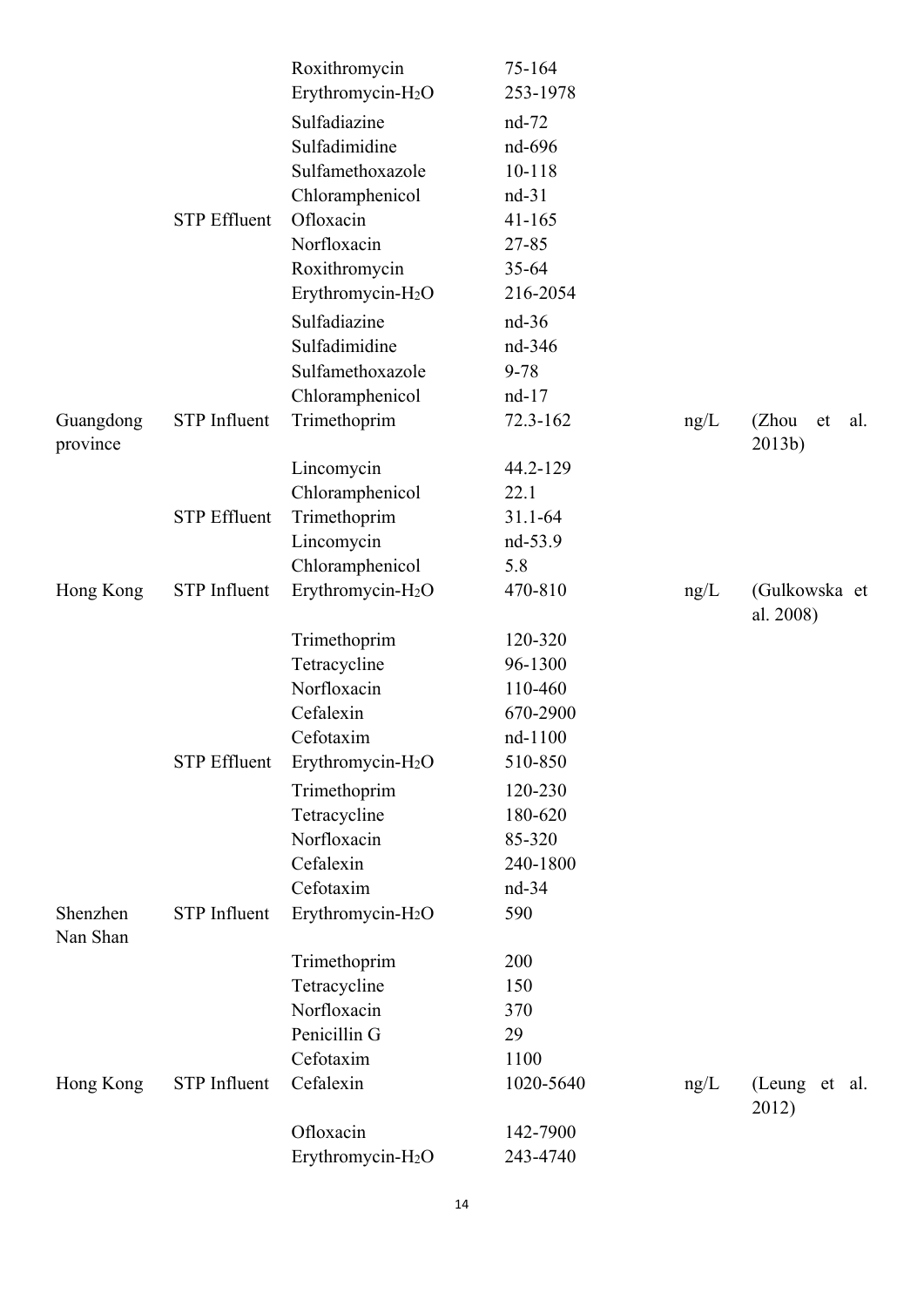|                       |                     | Roxithromycin<br>Erythromycin-H <sub>2</sub> O                                                                    | 75-164<br>253-1978                                                         |      |                              |
|-----------------------|---------------------|-------------------------------------------------------------------------------------------------------------------|----------------------------------------------------------------------------|------|------------------------------|
|                       | <b>STP</b> Effluent | Sulfadiazine<br>Sulfadimidine<br>Sulfamethoxazole<br>Chloramphenicol<br>Ofloxacin<br>Norfloxacin<br>Roxithromycin | $nd-72$<br>nd-696<br>10-118<br>$nd-31$<br>$41 - 165$<br>27-85<br>$35 - 64$ |      |                              |
|                       |                     | Erythromycin-H <sub>2</sub> O                                                                                     | 216-2054                                                                   |      |                              |
|                       |                     | Sulfadiazine<br>Sulfadimidine<br>Sulfamethoxazole<br>Chloramphenicol                                              | $nd-36$<br>nd-346<br>$9 - 78$<br>$nd-17$                                   |      |                              |
| Guangdong<br>province | <b>STP</b> Influent | Trimethoprim                                                                                                      | 72.3-162                                                                   | ng/L | (Zhou<br>al.<br>et<br>2013b) |
|                       |                     | Lincomycin<br>Chloramphenicol                                                                                     | 44.2-129<br>22.1                                                           |      |                              |
|                       | <b>STP</b> Effluent | Trimethoprim<br>Lincomycin<br>Chloramphenicol                                                                     | $31.1 - 64$<br>nd-53.9<br>5.8                                              |      |                              |
| Hong Kong             | STP Influent        | Erythromycin-H <sub>2</sub> O                                                                                     | 470-810                                                                    | ng/L | (Gulkowska et<br>al. 2008)   |
|                       |                     | Trimethoprim                                                                                                      | 120-320                                                                    |      |                              |
|                       |                     | Tetracycline                                                                                                      | 96-1300                                                                    |      |                              |
|                       |                     | Norfloxacin                                                                                                       | 110-460                                                                    |      |                              |
|                       |                     | Cefalexin                                                                                                         | 670-2900                                                                   |      |                              |
|                       |                     | Cefotaxim                                                                                                         | nd-1100                                                                    |      |                              |
|                       | <b>STP</b> Effluent | Erythromycin-H <sub>2</sub> O                                                                                     | 510-850                                                                    |      |                              |
|                       |                     | Trimethoprim                                                                                                      | 120-230                                                                    |      |                              |
|                       |                     | Tetracycline                                                                                                      | 180-620                                                                    |      |                              |
|                       |                     | Norfloxacin                                                                                                       | 85-320                                                                     |      |                              |
|                       |                     | Cefalexin                                                                                                         | 240-1800                                                                   |      |                              |
|                       |                     | Cefotaxim                                                                                                         | nd-34                                                                      |      |                              |
| Shenzhen<br>Nan Shan  | STP Influent        | Erythromycin-H <sub>2</sub> O                                                                                     | 590                                                                        |      |                              |
|                       |                     | Trimethoprim                                                                                                      | 200                                                                        |      |                              |
|                       |                     | Tetracycline                                                                                                      | 150                                                                        |      |                              |
|                       |                     | Norfloxacin                                                                                                       | 370                                                                        |      |                              |
|                       |                     | Penicillin G                                                                                                      | 29                                                                         |      |                              |
|                       |                     | Cefotaxim                                                                                                         | 1100                                                                       |      |                              |
| Hong Kong             | STP Influent        | Cefalexin                                                                                                         | 1020-5640                                                                  | ng/L | (Leung et al.<br>2012)       |
|                       |                     | Ofloxacin                                                                                                         | 142-7900                                                                   |      |                              |
|                       |                     | Erythromycin-H <sub>2</sub> O                                                                                     | 243-4740                                                                   |      |                              |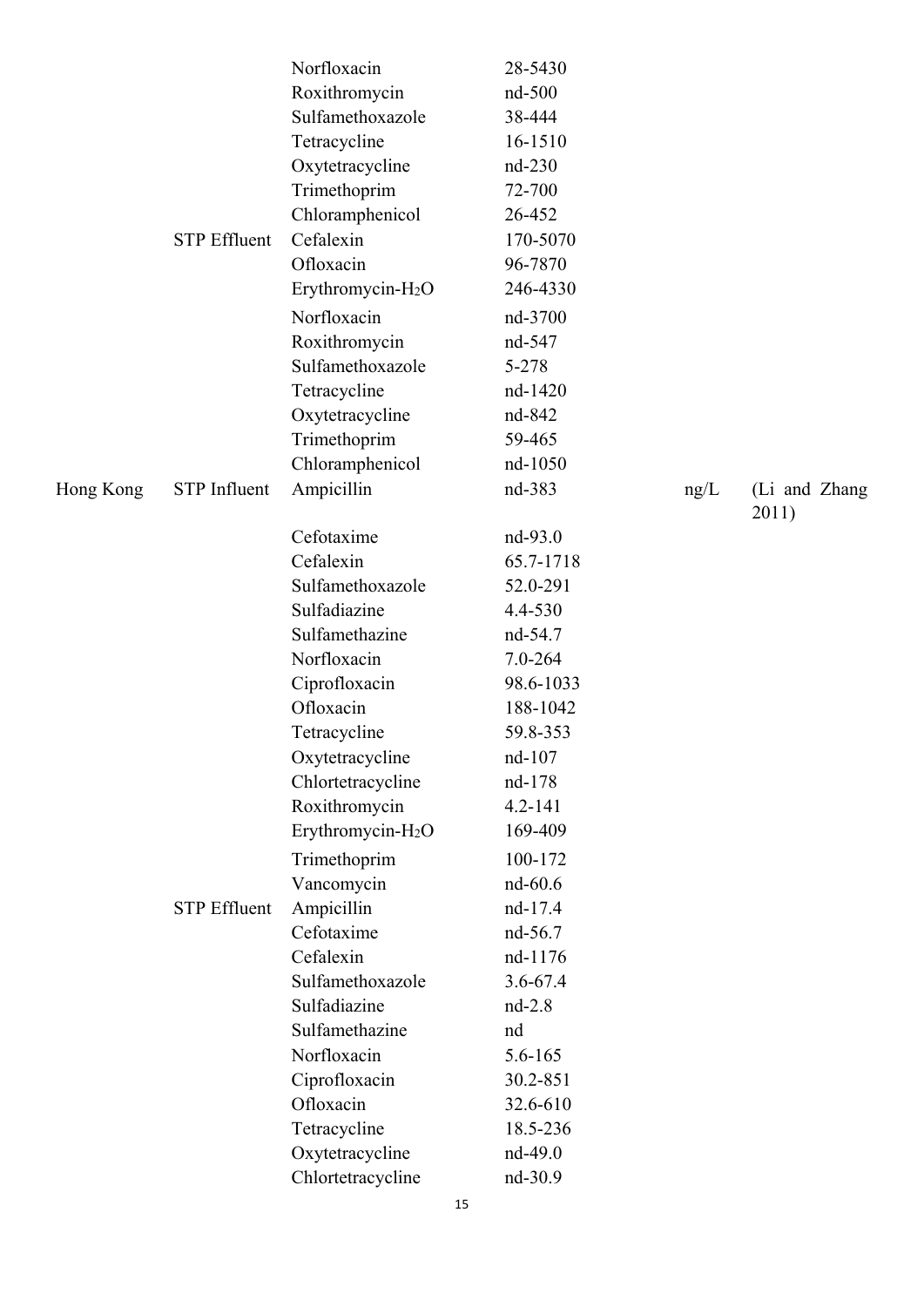|           | <b>STP</b> Effluent | Norfloxacin<br>Roxithromycin<br>Sulfamethoxazole<br>Tetracycline<br>Oxytetracycline<br>Trimethoprim<br>Chloramphenicol<br>Cefalexin<br>Ofloxacin                                                                                                   | 28-5430<br>$nd-500$<br>38-444<br>16-1510<br>$nd-230$<br>72-700<br>26-452<br>170-5070<br>96-7870                                                                |      |                        |
|-----------|---------------------|----------------------------------------------------------------------------------------------------------------------------------------------------------------------------------------------------------------------------------------------------|----------------------------------------------------------------------------------------------------------------------------------------------------------------|------|------------------------|
|           |                     | Erythromycin-H <sub>2</sub> O<br>Norfloxacin<br>Roxithromycin<br>Sulfamethoxazole<br>Tetracycline<br>Oxytetracycline<br>Trimethoprim<br>Chloramphenicol                                                                                            | 246-4330<br>nd-3700<br>nd-547<br>5-278<br>nd-1420<br>nd-842<br>59-465<br>nd-1050                                                                               |      |                        |
| Hong Kong | <b>STP</b> Influent | Ampicillin<br>Cefotaxime<br>Cefalexin<br>Sulfamethoxazole<br>Sulfadiazine<br>Sulfamethazine<br>Norfloxacin<br>Ciprofloxacin<br>Ofloxacin<br>Tetracycline<br>Oxytetracycline<br>Chlortetracycline<br>Roxithromycin<br>Erythromycin-H <sub>2</sub> O | nd-383<br>nd-93.0<br>65.7-1718<br>52.0-291<br>4.4-530<br>nd-54.7<br>7.0-264<br>98.6-1033<br>188-1042<br>59.8-353<br>nd-107<br>nd-178<br>$4.2 - 141$<br>169-409 | ng/L | (Li and Zhang<br>2011) |
|           | <b>STP</b> Effluent | Trimethoprim<br>Vancomycin<br>Ampicillin<br>Cefotaxime<br>Cefalexin<br>Sulfamethoxazole<br>Sulfadiazine<br>Sulfamethazine<br>Norfloxacin<br>Ciprofloxacin<br>Ofloxacin<br>Tetracycline<br>Oxytetracycline<br>Chlortetracycline                     | 100-172<br>nd-60.6<br>nd-17.4<br>nd-56.7<br>nd-1176<br>3.6-67.4<br>$nd-2.8$<br>nd<br>5.6-165<br>30.2-851<br>32.6-610<br>18.5-236<br>nd-49.0<br>nd-30.9         |      |                        |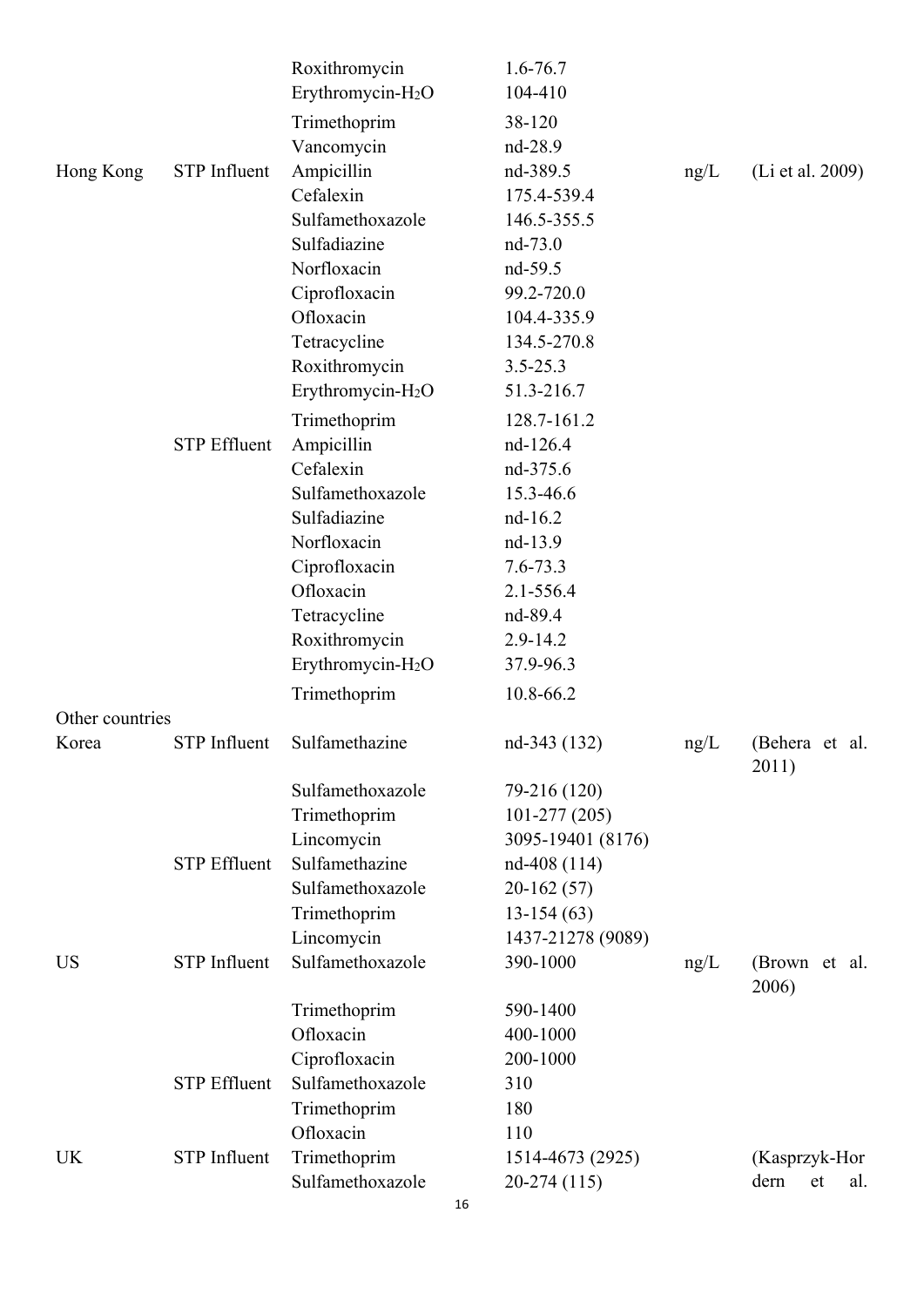|                 |                     | Roxithromycin                 | $1.6 - 76.7$      |      |                         |
|-----------------|---------------------|-------------------------------|-------------------|------|-------------------------|
|                 |                     | Erythromycin-H <sub>2</sub> O | 104-410           |      |                         |
|                 |                     | Trimethoprim                  | 38-120            |      |                         |
|                 |                     | Vancomycin                    | nd-28.9           |      |                         |
| Hong Kong       | <b>STP</b> Influent | Ampicillin                    | nd-389.5          | ng/L | (Li et al. 2009)        |
|                 |                     | Cefalexin                     | 175.4-539.4       |      |                         |
|                 |                     | Sulfamethoxazole              | 146.5-355.5       |      |                         |
|                 |                     | Sulfadiazine                  | nd-73.0           |      |                         |
|                 |                     | Norfloxacin                   | nd-59.5           |      |                         |
|                 |                     | Ciprofloxacin                 | 99.2-720.0        |      |                         |
|                 |                     | Ofloxacin                     | 104.4-335.9       |      |                         |
|                 |                     | Tetracycline                  | 134.5-270.8       |      |                         |
|                 |                     | Roxithromycin                 | $3.5 - 25.3$      |      |                         |
|                 |                     | Erythromycin-H <sub>2</sub> O | 51.3-216.7        |      |                         |
|                 |                     | Trimethoprim                  | 128.7-161.2       |      |                         |
|                 | <b>STP</b> Effluent | Ampicillin                    | nd-126.4          |      |                         |
|                 |                     | Cefalexin                     | nd-375.6          |      |                         |
|                 |                     | Sulfamethoxazole              | 15.3-46.6         |      |                         |
|                 |                     | Sulfadiazine                  | $nd-16.2$         |      |                         |
|                 |                     | Norfloxacin                   | nd-13.9           |      |                         |
|                 |                     | Ciprofloxacin                 | $7.6 - 73.3$      |      |                         |
|                 |                     | Ofloxacin                     | 2.1-556.4         |      |                         |
|                 |                     | Tetracycline                  | nd-89.4           |      |                         |
|                 |                     | Roxithromycin                 | 2.9-14.2          |      |                         |
|                 |                     | Erythromycin-H <sub>2</sub> O | 37.9-96.3         |      |                         |
|                 |                     | Trimethoprim                  | 10.8-66.2         |      |                         |
| Other countries |                     |                               |                   |      |                         |
| Korea           | STP Influent        | Sulfamethazine                | nd-343 (132)      | ng/L | (Behera et al.<br>2011) |
|                 |                     | Sulfamethoxazole              | 79-216 (120)      |      |                         |
|                 |                     | Trimethoprim                  | $101-277(205)$    |      |                         |
|                 |                     | Lincomycin                    | 3095-19401 (8176) |      |                         |
|                 | <b>STP</b> Effluent | Sulfamethazine                | nd-408 (114)      |      |                         |
|                 |                     | Sulfamethoxazole              | $20-162(57)$      |      |                         |
|                 |                     | Trimethoprim                  | $13-154(63)$      |      |                         |
|                 |                     | Lincomycin                    | 1437-21278 (9089) |      |                         |
| <b>US</b>       | <b>STP</b> Influent | Sulfamethoxazole              | 390-1000          | ng/L | (Brown et al.<br>2006)  |
|                 |                     | Trimethoprim                  | 590-1400          |      |                         |
|                 |                     | Ofloxacin                     | 400-1000          |      |                         |
|                 |                     | Ciprofloxacin                 | 200-1000          |      |                         |
|                 | <b>STP</b> Effluent | Sulfamethoxazole              | 310               |      |                         |
|                 |                     | Trimethoprim                  | 180               |      |                         |
|                 |                     | Ofloxacin                     | 110               |      |                         |
| <b>UK</b>       | <b>STP</b> Influent | Trimethoprim                  | 1514-4673 (2925)  |      | (Kasprzyk-Hor           |
|                 |                     | Sulfamethoxazole              | $20-274(115)$     |      | et<br>dern<br>al.       |
|                 |                     | 16                            |                   |      |                         |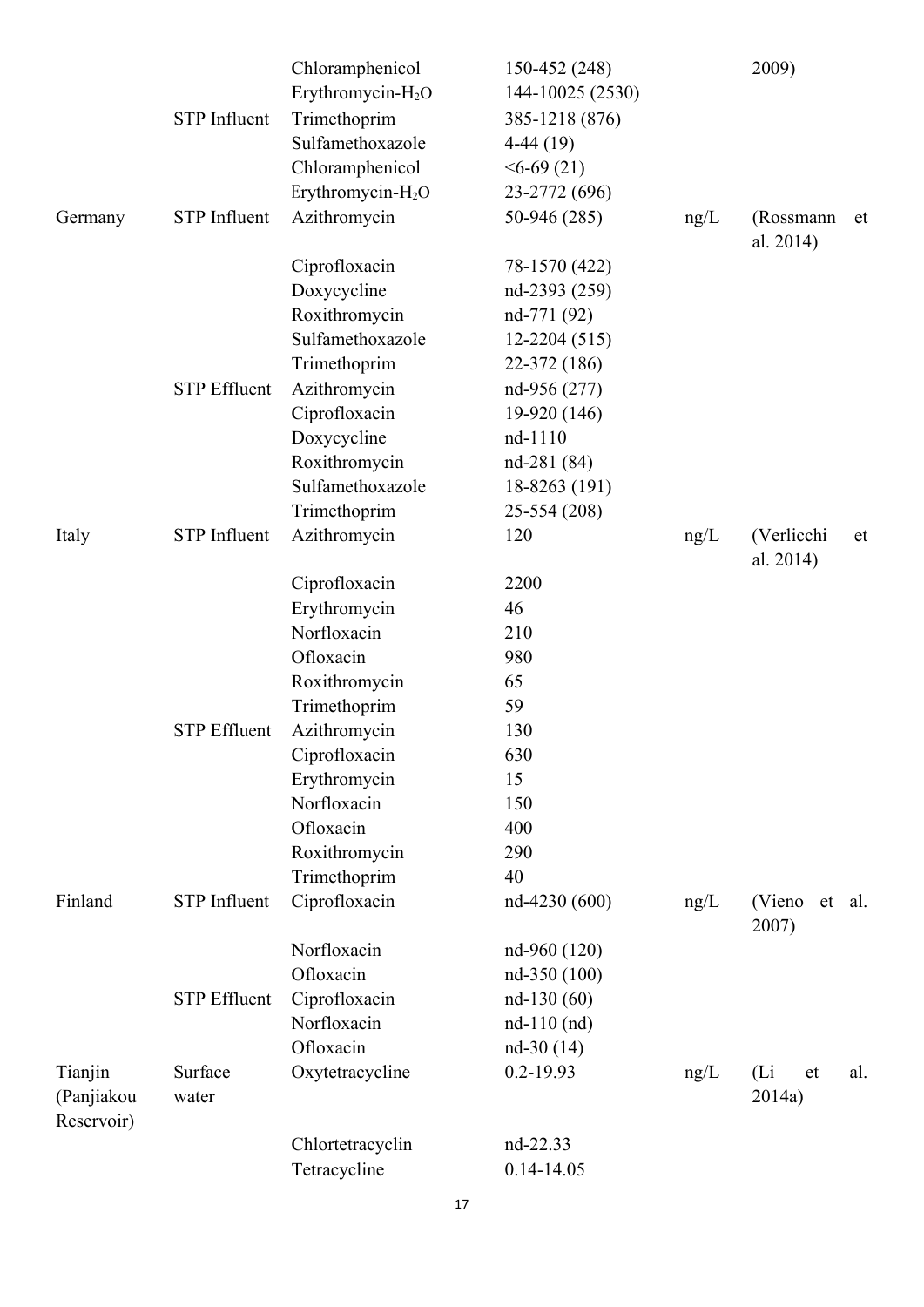|                          |                     | Chloramphenicol                  | 150-452 (248)    |      | 2009)                   |     |
|--------------------------|---------------------|----------------------------------|------------------|------|-------------------------|-----|
|                          |                     | Erythromycin-H <sub>2</sub> O    | 144-10025 (2530) |      |                         |     |
|                          | <b>STP</b> Influent | Trimethoprim<br>Sulfamethoxazole | 385-1218 (876)   |      |                         |     |
|                          |                     |                                  | $4-44(19)$       |      |                         |     |
|                          |                     | Chloramphenicol                  | $\leq 6.69(21)$  |      |                         |     |
|                          |                     | Erythromycin-H <sub>2</sub> O    | 23-2772 (696)    |      |                         |     |
| Germany                  | STP Influent        | Azithromycin                     | 50-946 (285)     | ng/L | (Rossmann<br>al. 2014)  | et  |
|                          |                     | Ciprofloxacin                    | 78-1570 (422)    |      |                         |     |
|                          |                     | Doxycycline                      | nd-2393 (259)    |      |                         |     |
|                          |                     | Roxithromycin                    | nd-771 (92)      |      |                         |     |
|                          |                     | Sulfamethoxazole                 | $12 - 2204(515)$ |      |                         |     |
|                          |                     | Trimethoprim                     | 22-372 (186)     |      |                         |     |
|                          | <b>STP</b> Effluent | Azithromycin                     | nd-956 (277)     |      |                         |     |
|                          |                     | Ciprofloxacin                    | 19-920 (146)     |      |                         |     |
|                          |                     | Doxycycline                      | nd-1110          |      |                         |     |
|                          |                     | Roxithromycin                    | nd-281 (84)      |      |                         |     |
|                          |                     | Sulfamethoxazole                 | 18-8263 (191)    |      |                         |     |
|                          |                     | Trimethoprim                     | 25-554 (208)     |      |                         |     |
| Italy                    | STP Influent        | Azithromycin                     | 120              | ng/L | (Verlicchi<br>al. 2014) | et  |
|                          |                     | Ciprofloxacin                    | 2200             |      |                         |     |
|                          |                     | Erythromycin                     | 46               |      |                         |     |
|                          |                     | Norfloxacin                      | 210              |      |                         |     |
|                          |                     | Ofloxacin                        | 980              |      |                         |     |
|                          |                     | Roxithromycin                    | 65               |      |                         |     |
|                          |                     | Trimethoprim                     | 59               |      |                         |     |
|                          | <b>STP</b> Effluent | Azithromycin                     | 130              |      |                         |     |
|                          |                     | Ciprofloxacin                    | 630              |      |                         |     |
|                          |                     | Erythromycin                     | 15               |      |                         |     |
|                          |                     | Norfloxacin                      | 150              |      |                         |     |
|                          |                     | Ofloxacin                        | 400              |      |                         |     |
|                          |                     | Roxithromycin                    | 290              |      |                         |     |
|                          |                     | Trimethoprim                     | 40               |      |                         |     |
| Finland                  | STP Influent        | Ciprofloxacin                    | $nd-4230(600)$   | ng/L | (Vieno<br>et<br>2007)   | al. |
|                          |                     | Norfloxacin                      | nd-960 (120)     |      |                         |     |
|                          |                     | Ofloxacin                        | nd-350 (100)     |      |                         |     |
|                          | <b>STP</b> Effluent | Ciprofloxacin                    | $nd-130(60)$     |      |                         |     |
|                          |                     | Norfloxacin                      | $nd-110$ (nd)    |      |                         |     |
|                          |                     | Ofloxacin                        | $nd-30(14)$      |      |                         |     |
| Tianjin                  | Surface             | Oxytetracycline                  | $0.2 - 19.93$    | ng/L | (Li<br>et               | al. |
| (Panjiakou<br>Reservoir) | water               |                                  |                  |      | 2014a)                  |     |
|                          |                     | Chlortetracyclin                 | nd-22.33         |      |                         |     |
|                          |                     | Tetracycline                     | $0.14 - 14.05$   |      |                         |     |
|                          |                     |                                  |                  |      |                         |     |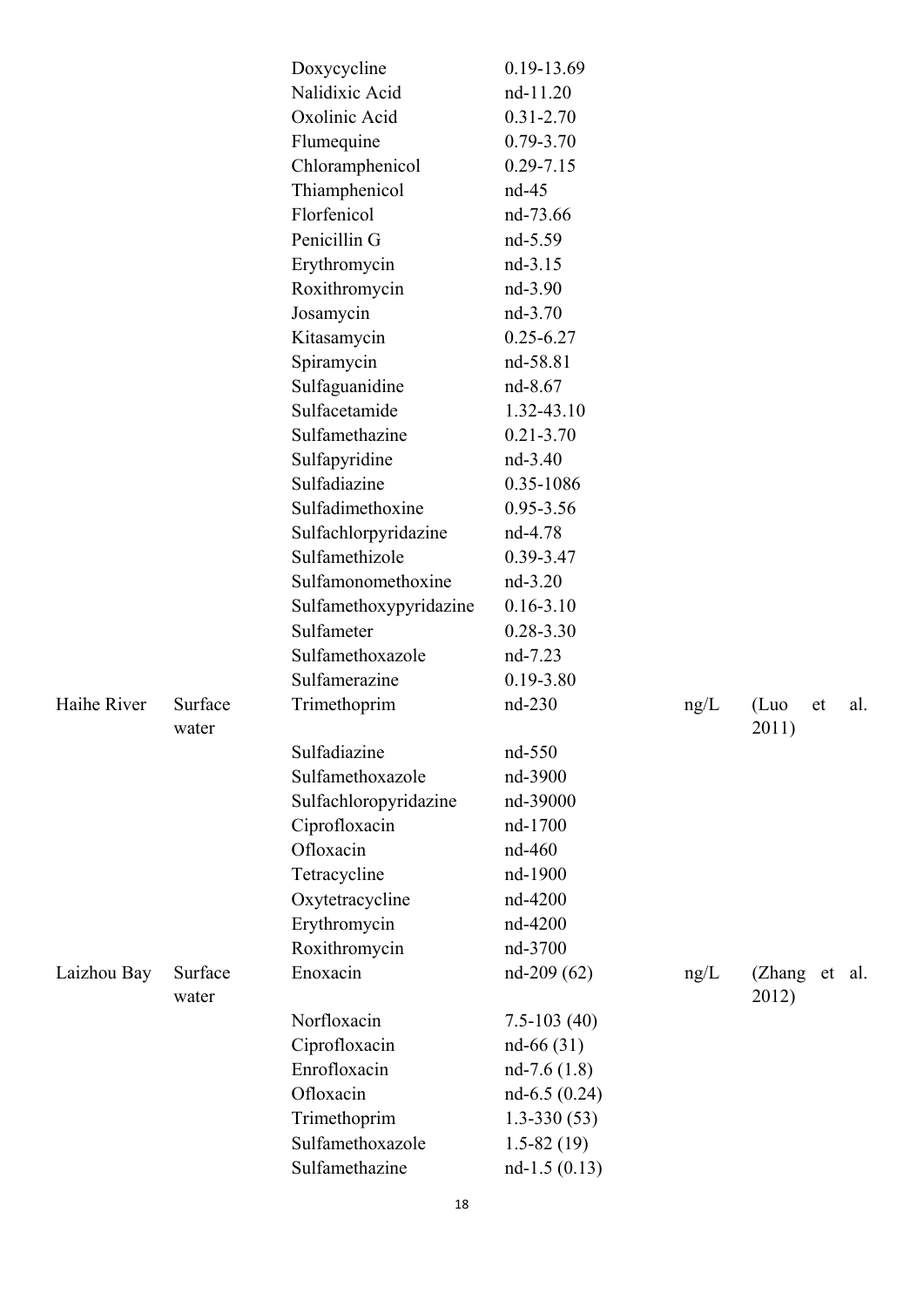|             |                  | Doxycycline            | 0.19-13.69      |      |                           |
|-------------|------------------|------------------------|-----------------|------|---------------------------|
|             |                  | Nalidixic Acid         | nd-11.20        |      |                           |
|             |                  | Oxolinic Acid          | $0.31 - 2.70$   |      |                           |
|             |                  | Flumequine             | $0.79 - 3.70$   |      |                           |
|             |                  | Chloramphenicol        | $0.29 - 7.15$   |      |                           |
|             |                  | Thiamphenicol          | $nd-45$         |      |                           |
|             |                  | Florfenicol            | nd-73.66        |      |                           |
|             |                  | Penicillin G           | nd-5.59         |      |                           |
|             |                  | Erythromycin           | nd-3.15         |      |                           |
|             |                  | Roxithromycin          | nd-3.90         |      |                           |
|             |                  | Josamycin              | nd-3.70         |      |                           |
|             |                  | Kitasamycin            | $0.25 - 6.27$   |      |                           |
|             |                  | Spiramycin             | nd-58.81        |      |                           |
|             |                  | Sulfaguanidine         | nd-8.67         |      |                           |
|             |                  | Sulfacetamide          | 1.32-43.10      |      |                           |
|             |                  | Sulfamethazine         | $0.21 - 3.70$   |      |                           |
|             |                  | Sulfapyridine          | nd-3.40         |      |                           |
|             |                  | Sulfadiazine           | 0.35-1086       |      |                           |
|             |                  | Sulfadimethoxine       | 0.95-3.56       |      |                           |
|             |                  | Sulfachlorpyridazine   | nd-4.78         |      |                           |
|             |                  | Sulfamethizole         | 0.39-3.47       |      |                           |
|             |                  | Sulfamonomethoxine     | nd-3.20         |      |                           |
|             |                  | Sulfamethoxypyridazine | $0.16 - 3.10$   |      |                           |
|             |                  | Sulfameter             | $0.28 - 3.30$   |      |                           |
|             |                  | Sulfamethoxazole       | nd-7.23         |      |                           |
|             |                  | Sulfamerazine          | $0.19 - 3.80$   |      |                           |
| Haihe River | Surface          | Trimethoprim           | $nd-230$        | ng/L | (Luo)<br>al.<br>et        |
|             | water            |                        |                 |      | 2011)                     |
|             |                  | Sulfadiazine           | nd-550          |      |                           |
|             |                  | Sulfamethoxazole       | nd-3900         |      |                           |
|             |                  | Sulfachloropyridazine  | nd-39000        |      |                           |
|             |                  | Ciprofloxacin          | nd-1700         |      |                           |
|             |                  | Ofloxacin              | nd-460          |      |                           |
|             |                  | Tetracycline           | nd-1900         |      |                           |
|             |                  | Oxytetracycline        | nd-4200         |      |                           |
|             |                  | Erythromycin           | nd-4200         |      |                           |
|             |                  | Roxithromycin          | nd-3700         |      |                           |
| Laizhou Bay | Surface<br>water | Enoxacin               | $nd-209(62)$    | ng/L | (Zhang et<br>al.<br>2012) |
|             |                  | Norfloxacin            | $7.5 - 103(40)$ |      |                           |
|             |                  | Ciprofloxacin          | $nd-66(31)$     |      |                           |
|             |                  | Enrofloxacin           | $nd-7.6(1.8)$   |      |                           |
|             |                  | Ofloxacin              | $nd-6.5(0.24)$  |      |                           |
|             |                  | Trimethoprim           | $1.3 - 330(53)$ |      |                           |
|             |                  | Sulfamethoxazole       | $1.5 - 82(19)$  |      |                           |
|             |                  | Sulfamethazine         | $nd-1.5(0.13)$  |      |                           |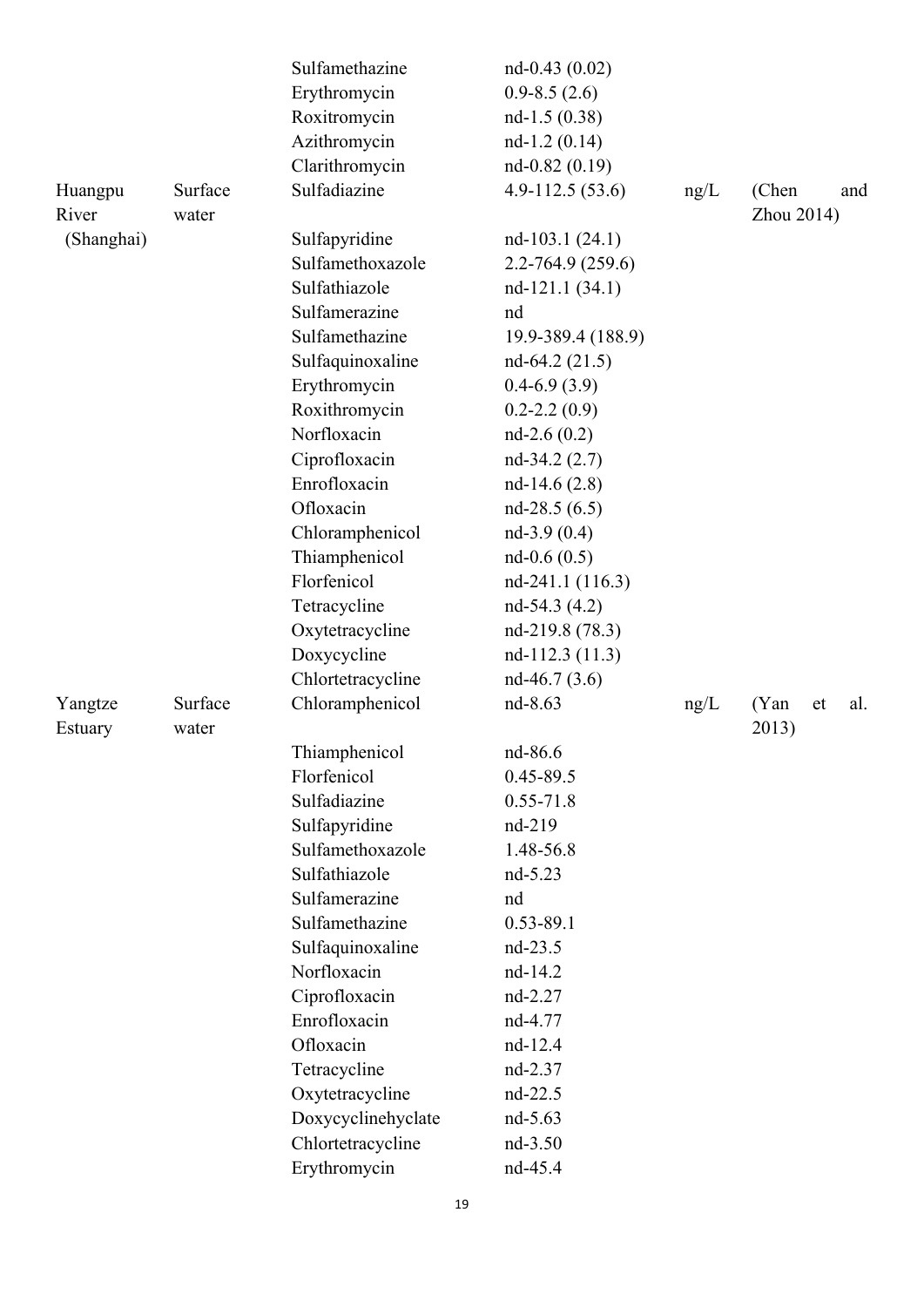|            |         | Sulfamethazine     | $nd-0.43(0.02)$      |      |                   |
|------------|---------|--------------------|----------------------|------|-------------------|
|            |         | Erythromycin       | $0.9 - 8.5(2.6)$     |      |                   |
|            |         | Roxitromycin       | $nd-1.5(0.38)$       |      |                   |
|            |         | Azithromycin       | $nd-1.2(0.14)$       |      |                   |
|            |         | Clarithromycin     | $nd-0.82(0.19)$      |      |                   |
| Huangpu    | Surface | Sulfadiazine       | $4.9 - 112.5(53.6)$  | ng/L | (Chen<br>and      |
| River      | water   |                    |                      |      | Zhou 2014)        |
| (Shanghai) |         | Sulfapyridine      | $nd-103.1(24.1)$     |      |                   |
|            |         | Sulfamethoxazole   | $2.2 - 764.9(259.6)$ |      |                   |
|            |         | Sulfathiazole      | $nd-121.1(34.1)$     |      |                   |
|            |         | Sulfamerazine      | nd                   |      |                   |
|            |         | Sulfamethazine     | 19.9-389.4 (188.9)   |      |                   |
|            |         | Sulfaquinoxaline   | $nd-64.2(21.5)$      |      |                   |
|            |         | Erythromycin       | $0.4 - 6.9(3.9)$     |      |                   |
|            |         | Roxithromycin      | $0.2 - 2.2(0.9)$     |      |                   |
|            |         | Norfloxacin        | $nd-2.6(0.2)$        |      |                   |
|            |         | Ciprofloxacin      | $nd-34.2(2.7)$       |      |                   |
|            |         | Enrofloxacin       | $nd-14.6(2.8)$       |      |                   |
|            |         | Ofloxacin          | $nd-28.5(6.5)$       |      |                   |
|            |         | Chloramphenicol    | $nd-3.9(0.4)$        |      |                   |
|            |         | Thiamphenicol      | $nd-0.6(0.5)$        |      |                   |
|            |         | Florfenicol        | nd-241.1 (116.3)     |      |                   |
|            |         | Tetracycline       | $nd-54.3(4.2)$       |      |                   |
|            |         | Oxytetracycline    | nd-219.8 (78.3)      |      |                   |
|            |         | Doxycycline        | $nd-112.3(11.3)$     |      |                   |
|            |         | Chlortetracycline  | $nd-46.7(3.6)$       |      |                   |
| Yangtze    | Surface | Chloramphenicol    | nd-8.63              | ng/L | (Yan<br>et<br>al. |
| Estuary    | water   |                    |                      |      | 2013)             |
|            |         | Thiamphenicol      | $nd-86.6$            |      |                   |
|            |         | Florfenicol        | $0.45 - 89.5$        |      |                   |
|            |         | Sulfadiazine       | $0.55 - 71.8$        |      |                   |
|            |         | Sulfapyridine      | nd-219               |      |                   |
|            |         | Sulfamethoxazole   | 1.48-56.8            |      |                   |
|            |         | Sulfathiazole      | nd-5.23              |      |                   |
|            |         | Sulfamerazine      | nd                   |      |                   |
|            |         | Sulfamethazine     | $0.53 - 89.1$        |      |                   |
|            |         | Sulfaquinoxaline   | nd-23.5              |      |                   |
|            |         | Norfloxacin        | nd-14.2              |      |                   |
|            |         | Ciprofloxacin      | nd-2.27              |      |                   |
|            |         | Enrofloxacin       | nd-4.77              |      |                   |
|            |         | Ofloxacin          | nd-12.4              |      |                   |
|            |         | Tetracycline       | nd-2.37              |      |                   |
|            |         | Oxytetracycline    | nd-22.5              |      |                   |
|            |         | Doxycyclinehyclate | nd-5.63              |      |                   |
|            |         | Chlortetracycline  | nd-3.50              |      |                   |
|            |         | Erythromycin       | nd-45.4              |      |                   |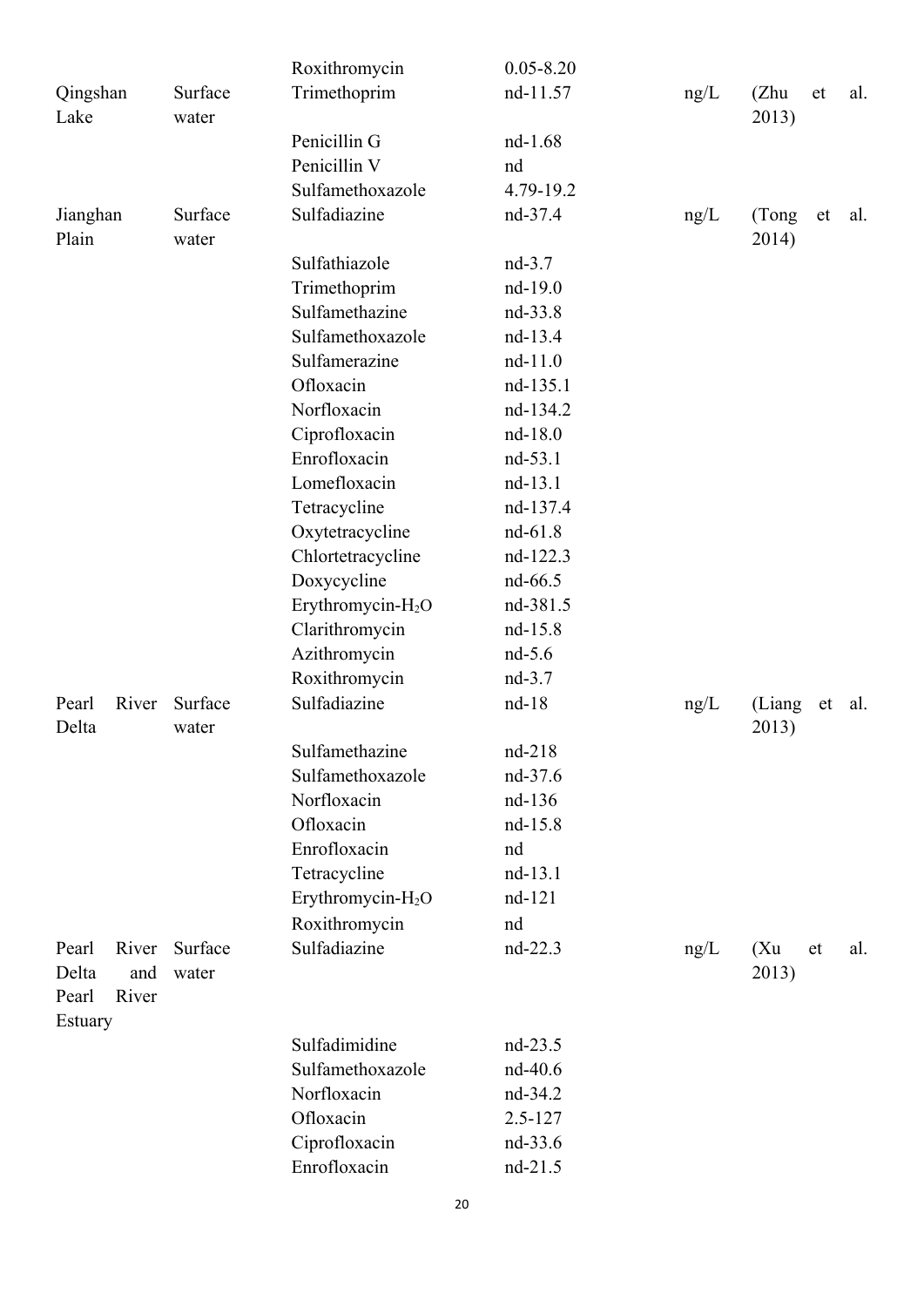|                         |                  | Roxithromycin                 | $0.05 - 8.20$ |      |                  |    |     |
|-------------------------|------------------|-------------------------------|---------------|------|------------------|----|-----|
| Qingshan<br>Lake        | Surface<br>water | Trimethoprim                  | nd-11.57      | ng/L | (Zhu)<br>2013)   | et | al. |
|                         |                  | Penicillin G                  | nd-1.68       |      |                  |    |     |
|                         |                  | Penicillin V                  | nd            |      |                  |    |     |
|                         |                  | Sulfamethoxazole              | 4.79-19.2     |      |                  |    |     |
| Jianghan                | Surface          | Sulfadiazine                  | nd-37.4       | ng/L | (Tong            | et | al. |
| Plain                   | water            |                               |               |      | 2014)            |    |     |
|                         |                  | Sulfathiazole                 | $nd-3.7$      |      |                  |    |     |
|                         |                  | Trimethoprim                  | nd-19.0       |      |                  |    |     |
|                         |                  | Sulfamethazine                | nd-33.8       |      |                  |    |     |
|                         |                  | Sulfamethoxazole              | nd-13.4       |      |                  |    |     |
|                         |                  | Sulfamerazine                 | $nd-11.0$     |      |                  |    |     |
|                         |                  | Ofloxacin                     | nd-135.1      |      |                  |    |     |
|                         |                  | Norfloxacin                   | nd-134.2      |      |                  |    |     |
|                         |                  | Ciprofloxacin                 | nd-18.0       |      |                  |    |     |
|                         |                  | Enrofloxacin                  | nd-53.1       |      |                  |    |     |
|                         |                  | Lomefloxacin                  | nd-13.1       |      |                  |    |     |
|                         |                  | Tetracycline                  | nd-137.4      |      |                  |    |     |
|                         |                  | Oxytetracycline               | nd-61.8       |      |                  |    |     |
|                         |                  | Chlortetracycline             | nd-122.3      |      |                  |    |     |
|                         |                  | Doxycycline                   | nd-66.5       |      |                  |    |     |
|                         |                  | Erythromycin-H <sub>2</sub> O | nd-381.5      |      |                  |    |     |
|                         |                  | Clarithromycin                | nd-15.8       |      |                  |    |     |
|                         |                  | Azithromycin                  | $nd-5.6$      |      |                  |    |     |
|                         |                  | Roxithromycin                 | $nd-3.7$      |      |                  |    |     |
| River<br>Pearl<br>Delta | Surface<br>water | Sulfadiazine                  | nd-18         | ng/L | (Liang)<br>2013) | et | al. |
|                         |                  | Sulfamethazine                | nd-218        |      |                  |    |     |
|                         |                  | Sulfamethoxazole              | nd-37.6       |      |                  |    |     |
|                         |                  | Norfloxacin                   | nd-136        |      |                  |    |     |
|                         |                  | Ofloxacin                     | nd-15.8       |      |                  |    |     |
|                         |                  | Enrofloxacin                  | nd            |      |                  |    |     |
|                         |                  | Tetracycline                  | nd-13.1       |      |                  |    |     |
|                         |                  | Erythromycin-H <sub>2</sub> O | nd-121        |      |                  |    |     |
|                         |                  | Roxithromycin                 | nd            |      |                  |    |     |
| River<br>Pearl          | Surface          | Sulfadiazine                  | nd-22.3       | ng/L | (Xu)             | et | al. |
| Delta<br>and            | water            |                               |               |      | 2013)            |    |     |
| Pearl<br>River          |                  |                               |               |      |                  |    |     |
| Estuary                 |                  |                               |               |      |                  |    |     |
|                         |                  | Sulfadimidine                 | nd-23.5       |      |                  |    |     |
|                         |                  | Sulfamethoxazole              | nd-40.6       |      |                  |    |     |
|                         |                  | Norfloxacin                   | nd-34.2       |      |                  |    |     |
|                         |                  | Ofloxacin                     | 2.5-127       |      |                  |    |     |
|                         |                  | Ciprofloxacin                 | nd-33.6       |      |                  |    |     |
|                         |                  | Enrofloxacin                  | nd-21.5       |      |                  |    |     |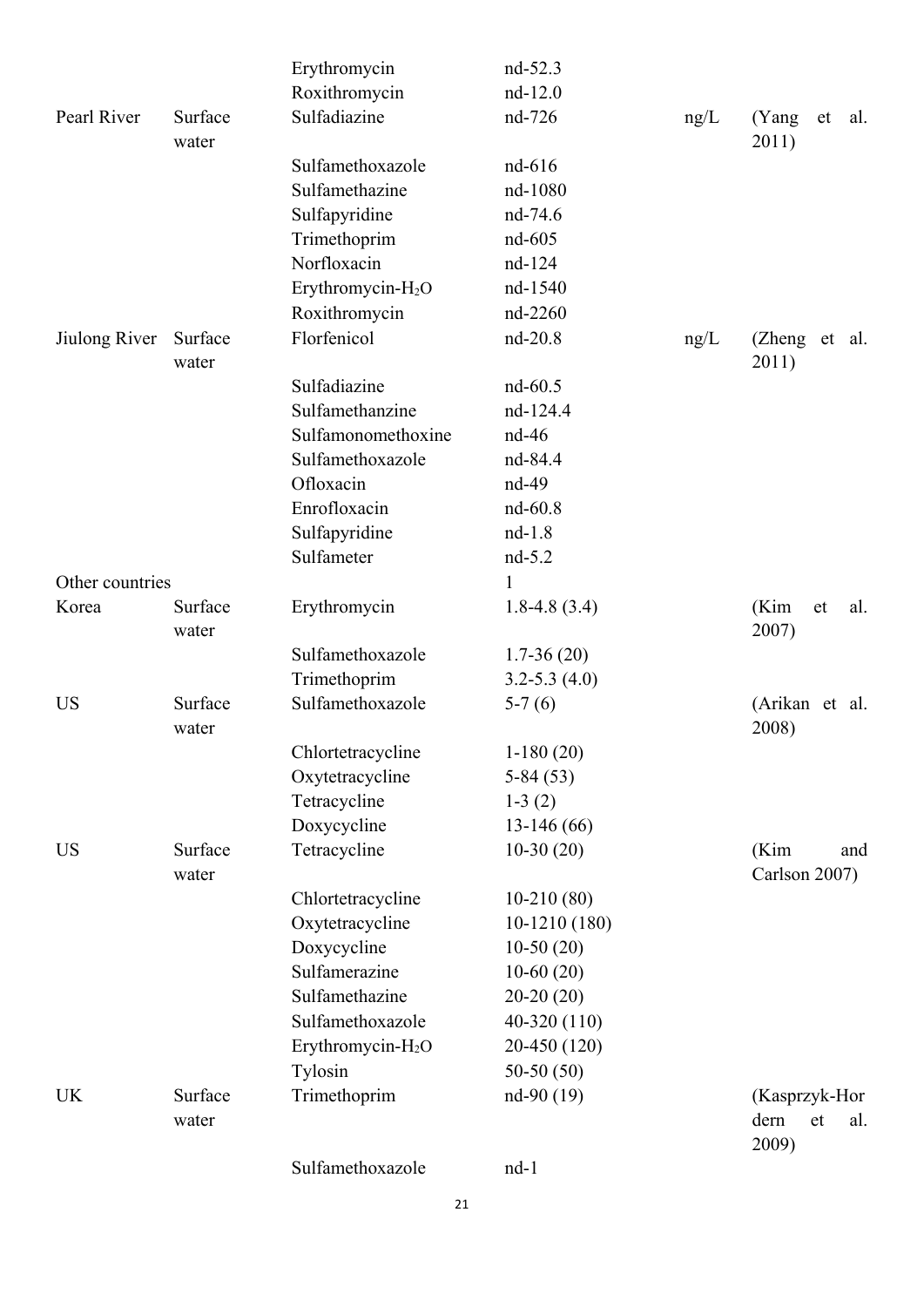|                 |                  | Erythromycin                  | nd-52.3          |      |                            |
|-----------------|------------------|-------------------------------|------------------|------|----------------------------|
|                 |                  | Roxithromycin                 | nd-12.0          |      |                            |
| Pearl River     | Surface          | Sulfadiazine                  | nd-726           | ng/L | (Yang<br>et<br>al.         |
|                 | water            |                               |                  |      | 2011)                      |
|                 |                  | Sulfamethoxazole              | nd-616           |      |                            |
|                 |                  | Sulfamethazine                | nd-1080          |      |                            |
|                 |                  | Sulfapyridine                 | nd-74.6          |      |                            |
|                 |                  | Trimethoprim                  | nd-605           |      |                            |
|                 |                  | Norfloxacin                   | nd-124           |      |                            |
|                 |                  | Erythromycin-H <sub>2</sub> O | nd-1540          |      |                            |
|                 |                  | Roxithromycin                 | nd-2260          |      |                            |
| Jiulong River   | Surface<br>water | Florfenicol                   | nd-20.8          | ng/L | (Zheng et al.<br>2011)     |
|                 |                  | Sulfadiazine                  | $nd-60.5$        |      |                            |
|                 |                  | Sulfamethanzine               | nd-124.4         |      |                            |
|                 |                  | Sulfamonomethoxine            | $nd-46$          |      |                            |
|                 |                  | Sulfamethoxazole              | nd-84.4          |      |                            |
|                 |                  | Ofloxacin                     | nd-49            |      |                            |
|                 |                  | Enrofloxacin                  | nd-60.8          |      |                            |
|                 |                  | Sulfapyridine                 | $nd-1.8$         |      |                            |
|                 |                  | Sulfameter                    | $nd-5.2$         |      |                            |
| Other countries |                  |                               | 1                |      |                            |
| Korea           | Surface<br>water | Erythromycin                  | $1.8 - 4.8(3.4)$ |      | (Kim<br>al.<br>et<br>2007) |
|                 |                  | Sulfamethoxazole              | $1.7 - 36(20)$   |      |                            |
|                 |                  | Trimethoprim                  | $3.2 - 5.3(4.0)$ |      |                            |
| <b>US</b>       | Surface          | Sulfamethoxazole              | $5-7(6)$         |      | (Arikan et al.             |
|                 | water            |                               |                  |      | 2008)                      |
|                 |                  | Chlortetracycline             | $1-180(20)$      |      |                            |
|                 |                  | Oxytetracycline               | $5-84(53)$       |      |                            |
|                 |                  | Tetracycline                  | $1-3(2)$         |      |                            |
|                 |                  | Doxycycline                   | $13-146(66)$     |      |                            |
| <b>US</b>       | Surface          | Tetracycline                  | $10-30(20)$      |      | (Kim<br>and                |
|                 | water            |                               |                  |      | Carlson 2007)              |
|                 |                  | Chlortetracycline             | $10-210(80)$     |      |                            |
|                 |                  | Oxytetracycline               | $10-1210(180)$   |      |                            |
|                 |                  | Doxycycline                   | $10-50(20)$      |      |                            |
|                 |                  | Sulfamerazine                 | $10-60(20)$      |      |                            |
|                 |                  | Sulfamethazine                | $20-20(20)$      |      |                            |
|                 |                  | Sulfamethoxazole              | $40-320(110)$    |      |                            |
|                 |                  | Erythromycin-H <sub>2</sub> O | 20-450 (120)     |      |                            |
|                 |                  | Tylosin                       | $50-50(50)$      |      |                            |
| <b>UK</b>       | Surface          | Trimethoprim                  | nd-90 (19)       |      | (Kasprzyk-Hor              |
|                 | water            |                               |                  |      | dern<br>et<br>al.<br>2009) |
|                 |                  | Sulfamethoxazole              | $nd-1$           |      |                            |
|                 |                  |                               |                  |      |                            |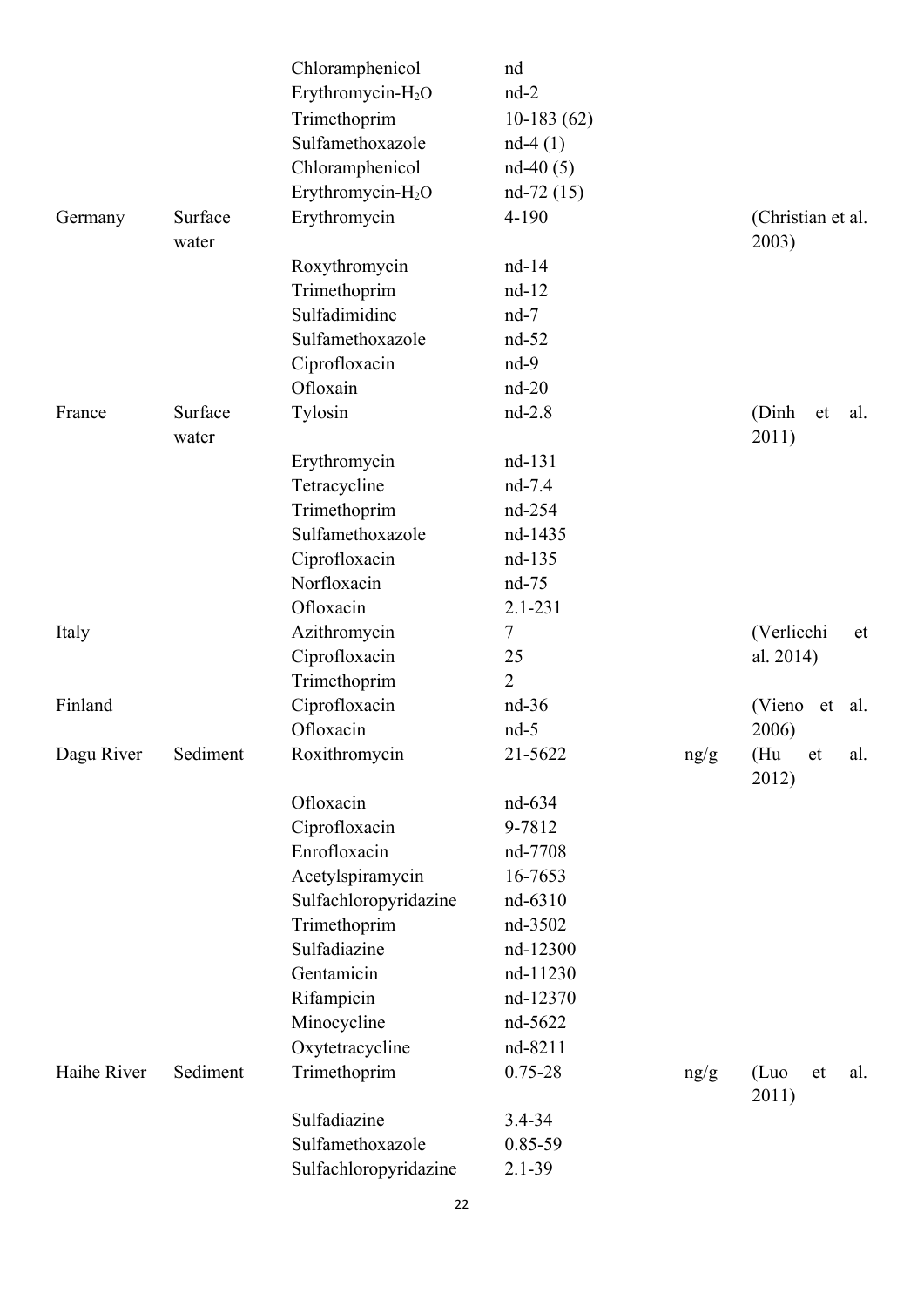|             |          | Chloramphenicol               | nd             |      |                            |
|-------------|----------|-------------------------------|----------------|------|----------------------------|
|             |          | Erythromycin-H <sub>2</sub> O | $nd-2$         |      |                            |
|             |          | Trimethoprim                  | $10-183(62)$   |      |                            |
|             |          | Sulfamethoxazole              | $nd-4(1)$      |      |                            |
|             |          | Chloramphenicol               | $nd-40(5)$     |      |                            |
|             |          | Erythromycin-H <sub>2</sub> O | $nd-72(15)$    |      |                            |
| Germany     | Surface  | Erythromycin                  | 4-190          |      | (Christian et al.          |
|             | water    |                               |                |      | 2003)                      |
|             |          | Roxythromycin                 | nd-14          |      |                            |
|             |          | Trimethoprim                  | nd-12          |      |                            |
|             |          | Sulfadimidine                 | $nd-7$         |      |                            |
|             |          | Sulfamethoxazole              | $nd-52$        |      |                            |
|             |          | Ciprofloxacin                 | $nd-9$         |      |                            |
|             |          | Ofloxain                      | $nd-20$        |      |                            |
| France      | Surface  | Tylosin                       | $nd-2.8$       |      | (Dinh<br>et<br>al.         |
|             | water    |                               |                |      | 2011)                      |
|             |          | Erythromycin                  | nd-131         |      |                            |
|             |          | Tetracycline                  | nd-7.4         |      |                            |
|             |          | Trimethoprim                  | nd-254         |      |                            |
|             |          | Sulfamethoxazole              | nd-1435        |      |                            |
|             |          | Ciprofloxacin                 | nd-135         |      |                            |
|             |          | Norfloxacin                   | $nd-75$        |      |                            |
|             |          | Ofloxacin                     | 2.1-231        |      |                            |
| Italy       |          | Azithromycin                  | 7              |      | (Verlicchi<br>et           |
|             |          | Ciprofloxacin                 | 25             |      | al. 2014)                  |
|             |          | Trimethoprim                  | $\overline{2}$ |      |                            |
| Finland     |          | Ciprofloxacin                 | $nd-36$        |      | (Vieno<br>et<br>al.        |
|             |          | Ofloxacin                     | $nd-5$         |      | 2006)                      |
| Dagu River  | Sediment | Roxithromycin                 | 21-5622        | ng/g | (Hu<br>et<br>al.<br>2012)  |
|             |          | Ofloxacin                     | nd-634         |      |                            |
|             |          | Ciprofloxacin                 | 9-7812         |      |                            |
|             |          | Enrofloxacin                  | nd-7708        |      |                            |
|             |          | Acetylspiramycin              | 16-7653        |      |                            |
|             |          | Sulfachloropyridazine         | nd-6310        |      |                            |
|             |          | Trimethoprim                  | nd-3502        |      |                            |
|             |          | Sulfadiazine                  | nd-12300       |      |                            |
|             |          | Gentamicin                    | nd-11230       |      |                            |
|             |          | Rifampicin                    | nd-12370       |      |                            |
|             |          | Minocycline                   | nd-5622        |      |                            |
|             |          | Oxytetracycline               | nd-8211        |      |                            |
| Haihe River | Sediment | Trimethoprim                  | $0.75 - 28$    | ng/g | (Luo<br>et<br>al.<br>2011) |
|             |          | Sulfadiazine                  | $3.4 - 34$     |      |                            |
|             |          | Sulfamethoxazole              | 0.85-59        |      |                            |
|             |          | Sulfachloropyridazine         | $2.1 - 39$     |      |                            |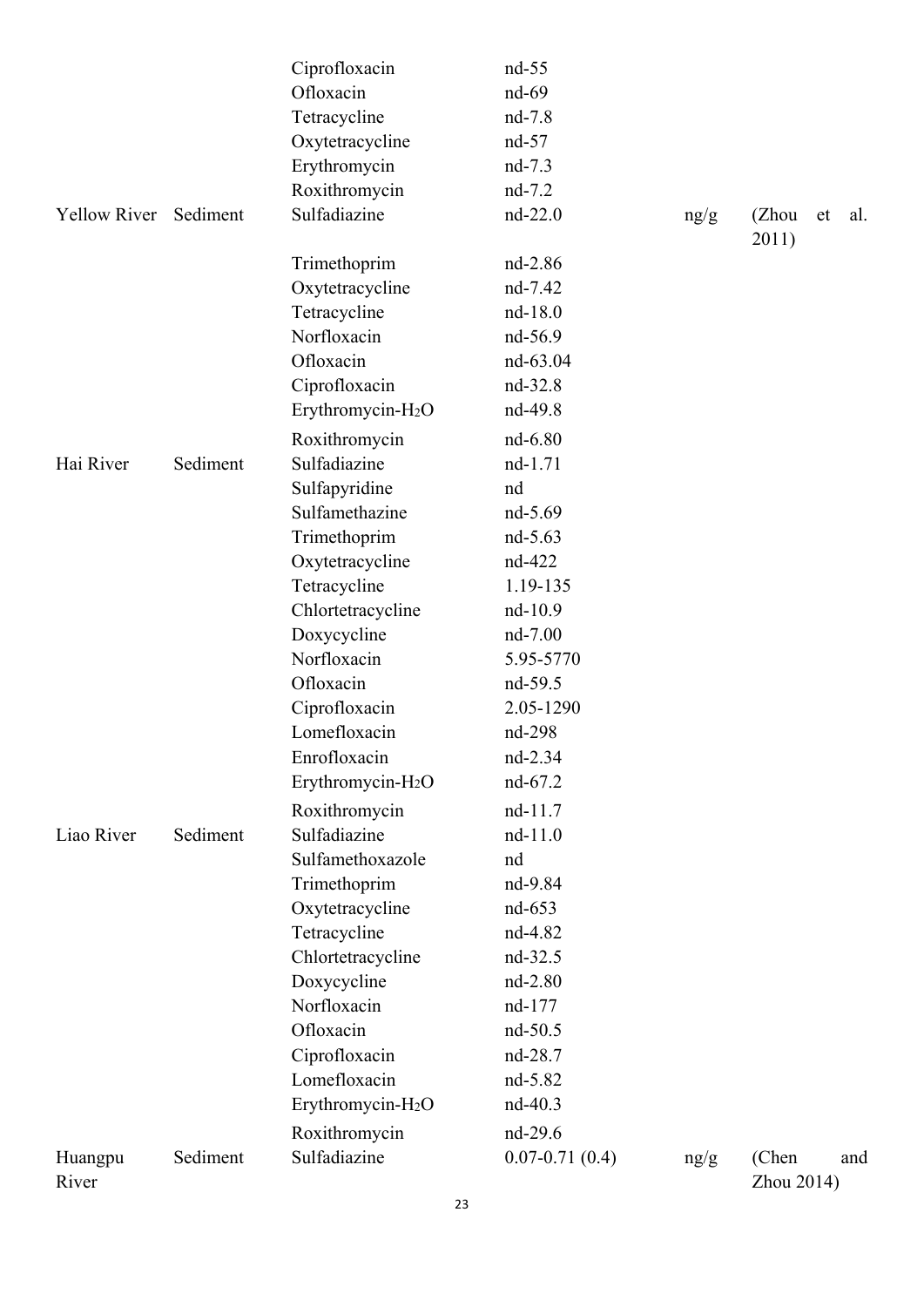|                     |          | Ciprofloxacin                 | $nd-55$            |      |            |    |     |
|---------------------|----------|-------------------------------|--------------------|------|------------|----|-----|
|                     |          | Ofloxacin                     | nd-69              |      |            |    |     |
|                     |          | Tetracycline                  | nd-7.8             |      |            |    |     |
|                     |          | Oxytetracycline               | $nd-57$            |      |            |    |     |
|                     |          | Erythromycin                  | nd-7.3             |      |            |    |     |
|                     |          | Roxithromycin                 | nd-7.2             |      |            |    |     |
| <b>Yellow River</b> | Sediment | Sulfadiazine                  | nd-22.0            | ng/g | (Zhou      | et | al. |
|                     |          |                               |                    |      | 2011)      |    |     |
|                     |          | Trimethoprim                  | nd-2.86            |      |            |    |     |
|                     |          | Oxytetracycline               | nd-7.42            |      |            |    |     |
|                     |          | Tetracycline                  | nd-18.0            |      |            |    |     |
|                     |          | Norfloxacin                   | nd-56.9            |      |            |    |     |
|                     |          | Ofloxacin                     | nd-63.04           |      |            |    |     |
|                     |          | Ciprofloxacin                 | nd-32.8            |      |            |    |     |
|                     |          | Erythromycin-H <sub>2</sub> O | nd-49.8            |      |            |    |     |
|                     |          | Roxithromycin                 | nd-6.80            |      |            |    |     |
| Hai River           | Sediment | Sulfadiazine                  | nd-1.71            |      |            |    |     |
|                     |          | Sulfapyridine                 | nd                 |      |            |    |     |
|                     |          | Sulfamethazine                | nd-5.69            |      |            |    |     |
|                     |          | Trimethoprim                  | nd-5.63            |      |            |    |     |
|                     |          | Oxytetracycline               | nd-422             |      |            |    |     |
|                     |          | Tetracycline                  | 1.19-135           |      |            |    |     |
|                     |          | Chlortetracycline             | nd-10.9            |      |            |    |     |
|                     |          | Doxycycline                   | nd-7.00            |      |            |    |     |
|                     |          | Norfloxacin                   | 5.95-5770          |      |            |    |     |
|                     |          | Ofloxacin                     | nd-59.5            |      |            |    |     |
|                     |          | Ciprofloxacin                 | 2.05-1290          |      |            |    |     |
|                     |          | Lomefloxacin                  | nd-298             |      |            |    |     |
|                     |          | Enrofloxacin                  | nd-2.34            |      |            |    |     |
|                     |          | Erythromycin-H <sub>2</sub> O | nd-67.2            |      |            |    |     |
|                     |          | Roxithromycin                 | nd-11.7            |      |            |    |     |
| Liao River          | Sediment | Sulfadiazine                  | nd-11.0            |      |            |    |     |
|                     |          | Sulfamethoxazole              | nd                 |      |            |    |     |
|                     |          | Trimethoprim                  | nd-9.84            |      |            |    |     |
|                     |          | Oxytetracycline               | nd-653             |      |            |    |     |
|                     |          | Tetracycline                  | nd-4.82            |      |            |    |     |
|                     |          | Chlortetracycline             | nd-32.5            |      |            |    |     |
|                     |          | Doxycycline                   | nd-2.80            |      |            |    |     |
|                     |          | Norfloxacin                   | nd-177             |      |            |    |     |
|                     |          | Ofloxacin                     | nd-50.5            |      |            |    |     |
|                     |          | Ciprofloxacin                 | nd-28.7            |      |            |    |     |
|                     |          | Lomefloxacin                  | nd-5.82            |      |            |    |     |
|                     |          | Erythromycin-H <sub>2</sub> O | nd-40.3            |      |            |    |     |
|                     |          | Roxithromycin                 | nd-29.6            |      |            |    |     |
| Huangpu             | Sediment | Sulfadiazine                  | $0.07 - 0.71(0.4)$ | ng/g | (Chen      |    | and |
| River               |          |                               |                    |      | Zhou 2014) |    |     |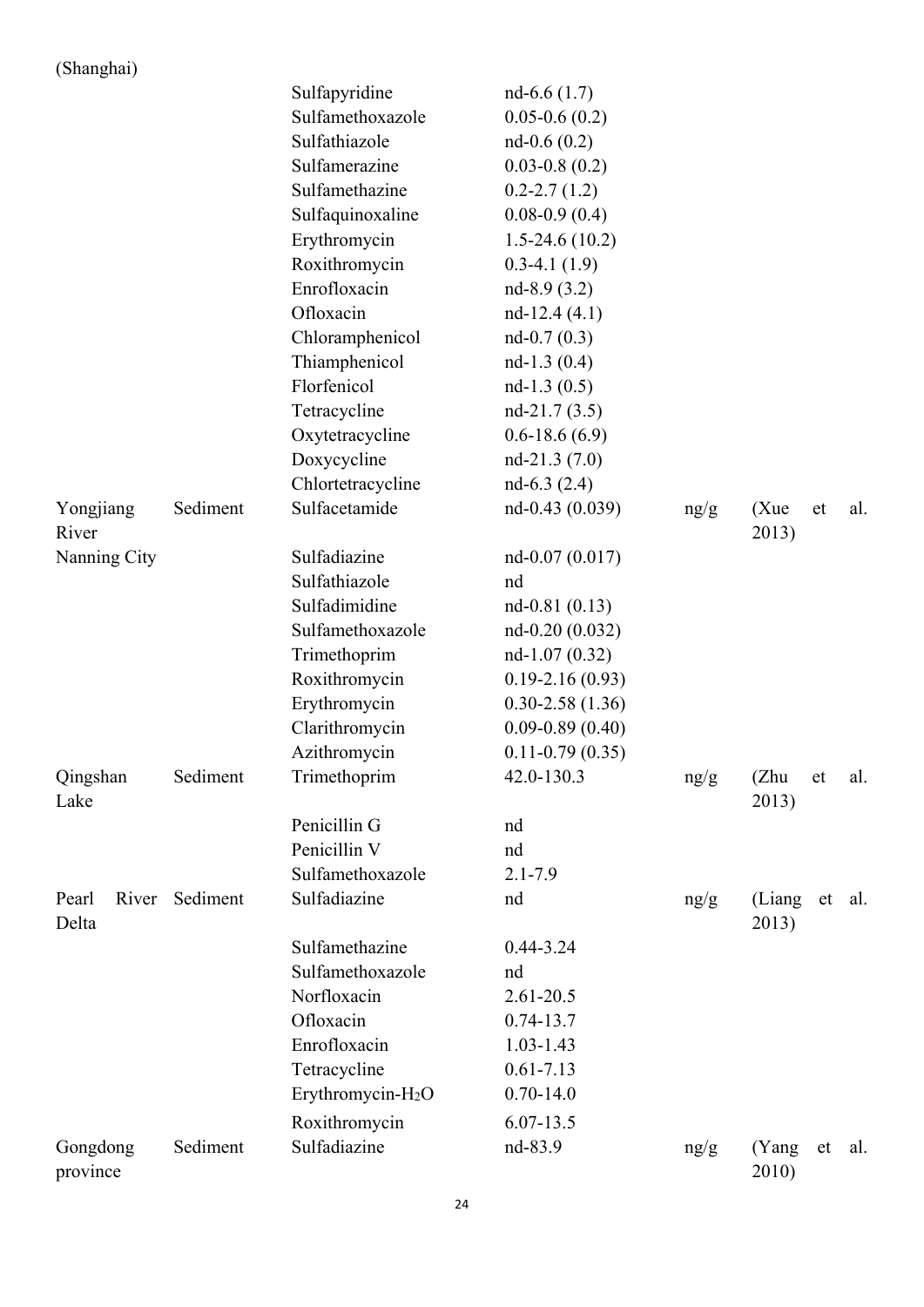## (Shanghai)

|                         |          | Sulfapyridine                 | $nd-6.6(1.7)$       |      |                    |    |     |
|-------------------------|----------|-------------------------------|---------------------|------|--------------------|----|-----|
|                         |          | Sulfamethoxazole              | $0.05 - 0.6(0.2)$   |      |                    |    |     |
|                         |          | Sulfathiazole                 | $nd-0.6(0.2)$       |      |                    |    |     |
|                         |          | Sulfamerazine                 | $0.03 - 0.8(0.2)$   |      |                    |    |     |
|                         |          | Sulfamethazine                | $0.2 - 2.7(1.2)$    |      |                    |    |     |
|                         |          | Sulfaquinoxaline              | $0.08 - 0.9(0.4)$   |      |                    |    |     |
|                         |          | Erythromycin                  | $1.5 - 24.6(10.2)$  |      |                    |    |     |
|                         |          | Roxithromycin                 | $0.3-4.1(1.9)$      |      |                    |    |     |
|                         |          | Enrofloxacin                  | $nd-8.9(3.2)$       |      |                    |    |     |
|                         |          | Ofloxacin                     | $nd-12.4(4.1)$      |      |                    |    |     |
|                         |          | Chloramphenicol               | $nd-0.7(0.3)$       |      |                    |    |     |
|                         |          | Thiamphenicol                 | $nd-1.3(0.4)$       |      |                    |    |     |
|                         |          | Florfenicol                   | $nd-1.3(0.5)$       |      |                    |    |     |
|                         |          | Tetracycline                  | $nd-21.7(3.5)$      |      |                    |    |     |
|                         |          | Oxytetracycline               | $0.6 - 18.6(6.9)$   |      |                    |    |     |
|                         |          | Doxycycline                   | $nd-21.3(7.0)$      |      |                    |    |     |
|                         |          | Chlortetracycline             | $nd-6.3(2.4)$       |      |                    |    |     |
| Yongjiang<br>River      | Sediment | Sulfacetamide                 | nd-0.43 (0.039)     | ng/g | (Xue)<br>2013)     | et | al. |
| Nanning City            |          | Sulfadiazine                  | $nd-0.07(0.017)$    |      |                    |    |     |
|                         |          | Sulfathiazole                 | nd                  |      |                    |    |     |
|                         |          | Sulfadimidine                 | $nd-0.81(0.13)$     |      |                    |    |     |
|                         |          | Sulfamethoxazole              | $nd-0.20(0.032)$    |      |                    |    |     |
|                         |          | Trimethoprim                  | $nd-1.07(0.32)$     |      |                    |    |     |
|                         |          | Roxithromycin                 | $0.19 - 2.16(0.93)$ |      |                    |    |     |
|                         |          | Erythromycin                  | $0.30 - 2.58(1.36)$ |      |                    |    |     |
|                         |          | Clarithromycin                | $0.09 - 0.89(0.40)$ |      |                    |    |     |
|                         |          | Azithromycin                  | $0.11 - 0.79(0.35)$ |      |                    |    |     |
| Qingshan<br>Lake        | Sediment | Trimethoprim                  | 42.0-130.3          | ng/g | $(Zhu$ et<br>2013) |    | al. |
|                         |          | Penicillin G                  | nd                  |      |                    |    |     |
|                         |          | Penicillin V                  | nd                  |      |                    |    |     |
|                         |          | Sulfamethoxazole              | $2.1 - 7.9$         |      |                    |    |     |
| River<br>Pearl<br>Delta | Sediment | Sulfadiazine                  | nd                  | ng/g | (Liang et<br>2013) |    | al. |
|                         |          | Sulfamethazine                | $0.44 - 3.24$       |      |                    |    |     |
|                         |          | Sulfamethoxazole              | nd                  |      |                    |    |     |
|                         |          | Norfloxacin                   | $2.61 - 20.5$       |      |                    |    |     |
|                         |          | Ofloxacin                     | $0.74 - 13.7$       |      |                    |    |     |
|                         |          | Enrofloxacin                  | $1.03 - 1.43$       |      |                    |    |     |
|                         |          | Tetracycline                  | $0.61 - 7.13$       |      |                    |    |     |
|                         |          | Erythromycin-H <sub>2</sub> O | $0.70 - 14.0$       |      |                    |    |     |
|                         |          | Roxithromycin                 | $6.07 - 13.5$       |      |                    |    |     |
| Gongdong<br>province    | Sediment | Sulfadiazine                  | nd-83.9             | ng/g | (Yang<br>2010)     | et | al. |
|                         |          |                               |                     |      |                    |    |     |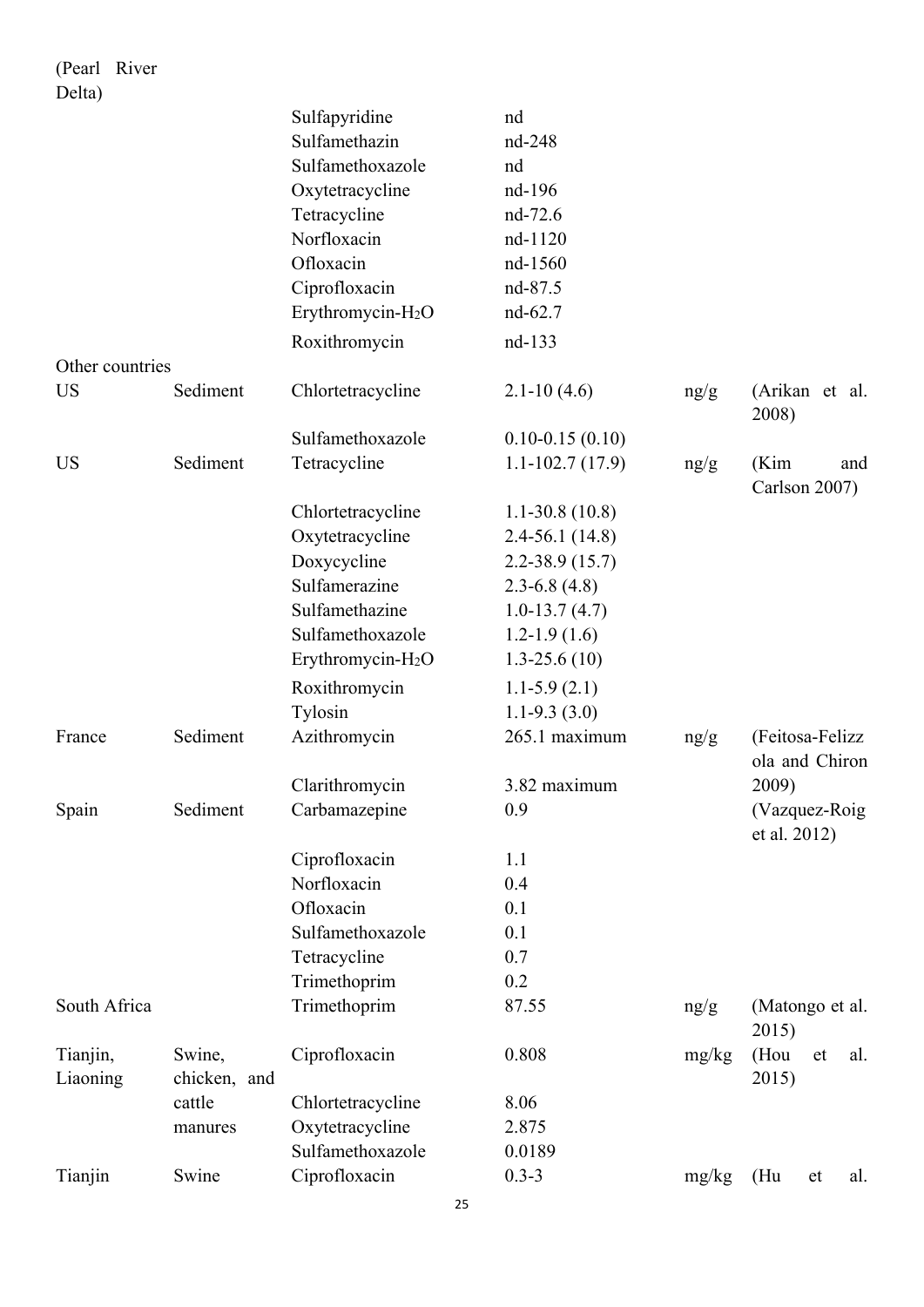| (Pearl River    |              |                               |                     |         |                                   |
|-----------------|--------------|-------------------------------|---------------------|---------|-----------------------------------|
| Delta)          |              | Sulfapyridine                 | nd                  |         |                                   |
|                 |              | Sulfamethazin                 | nd-248              |         |                                   |
|                 |              | Sulfamethoxazole              | nd                  |         |                                   |
|                 |              | Oxytetracycline               | nd-196              |         |                                   |
|                 |              | Tetracycline                  | nd-72.6             |         |                                   |
|                 |              | Norfloxacin                   | nd-1120             |         |                                   |
|                 |              | Ofloxacin                     | nd-1560             |         |                                   |
|                 |              | Ciprofloxacin                 | nd-87.5             |         |                                   |
|                 |              | Erythromycin-H <sub>2</sub> O | nd-62.7             |         |                                   |
|                 |              |                               |                     |         |                                   |
|                 |              | Roxithromycin                 | nd-133              |         |                                   |
| Other countries |              |                               |                     |         |                                   |
| <b>US</b>       | Sediment     | Chlortetracycline             | $2.1 - 10(4.6)$     | ng/g    | (Arikan et al.<br>2008)           |
|                 |              | Sulfamethoxazole              | $0.10 - 0.15(0.10)$ |         |                                   |
| <b>US</b>       | Sediment     | Tetracycline                  | $1.1 - 102.7(17.9)$ | ng/g    | (Kim)<br>and<br>Carlson 2007)     |
|                 |              | Chlortetracycline             | $1.1 - 30.8(10.8)$  |         |                                   |
|                 |              | Oxytetracycline               | $2.4 - 56.1(14.8)$  |         |                                   |
|                 |              | Doxycycline                   | $2.2 - 38.9(15.7)$  |         |                                   |
|                 |              | Sulfamerazine                 | $2.3 - 6.8(4.8)$    |         |                                   |
|                 |              | Sulfamethazine                | $1.0 - 13.7(4.7)$   |         |                                   |
|                 |              | Sulfamethoxazole              | $1.2 - 1.9(1.6)$    |         |                                   |
|                 |              | Erythromycin-H <sub>2</sub> O | $1.3 - 25.6(10)$    |         |                                   |
|                 |              | Roxithromycin                 | $1.1 - 5.9(2.1)$    |         |                                   |
|                 |              | Tylosin                       | $1.1 - 9.3(3.0)$    |         |                                   |
| France          | Sediment     | Azithromycin                  | 265.1 maximum       | ng/g    | (Feitosa-Felizz<br>ola and Chiron |
|                 |              | Clarithromycin                | 3.82 maximum        |         | 2009)                             |
| Spain           | Sediment     | Carbamazepine                 | 0.9                 |         | (Vazquez-Roig<br>et al. 2012)     |
|                 |              | Ciprofloxacin                 | 1.1                 |         |                                   |
|                 |              | Norfloxacin                   | 0.4                 |         |                                   |
|                 |              | Ofloxacin                     | 0.1                 |         |                                   |
|                 |              | Sulfamethoxazole              | 0.1                 |         |                                   |
|                 |              | Tetracycline                  | 0.7                 |         |                                   |
|                 |              | Trimethoprim                  | 0.2                 |         |                                   |
| South Africa    |              | Trimethoprim                  | 87.55               | ng/g    | (Matongo et al.<br>2015)          |
| Tianjin,        | Swine,       | Ciprofloxacin                 | 0.808               | mg/kg   | (Hou<br>al.<br>et                 |
| Liaoning        | chicken, and |                               |                     |         | 2015)                             |
|                 | cattle       | Chlortetracycline             | 8.06                |         |                                   |
|                 | manures      | Oxytetracycline               | 2.875               |         |                                   |
|                 |              | Sulfamethoxazole              | 0.0189              |         |                                   |
| Tianjin         | Swine        | Ciprofloxacin                 | $0.3 - 3$           | $mg/kg$ | (Hu<br>al.<br>et                  |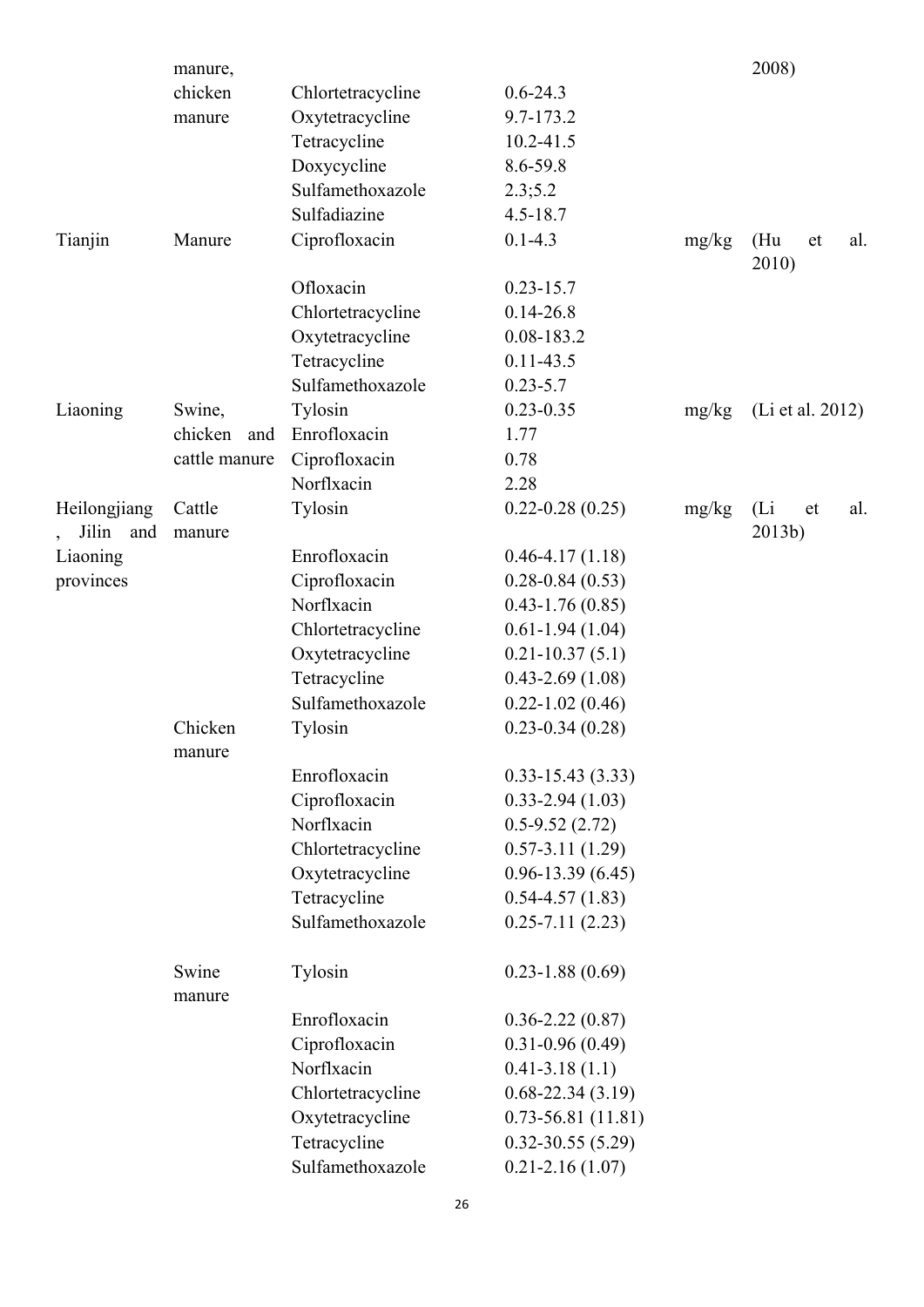|                           | manure,           |                   |                       |       | 2008)                                    |
|---------------------------|-------------------|-------------------|-----------------------|-------|------------------------------------------|
|                           | chicken           | Chlortetracycline | $0.6 - 24.3$          |       |                                          |
|                           | manure            | Oxytetracycline   | 9.7-173.2             |       |                                          |
|                           |                   | Tetracycline      | 10.2-41.5             |       |                                          |
|                           |                   | Doxycycline       | 8.6-59.8              |       |                                          |
|                           |                   | Sulfamethoxazole  | 2.3;5.2               |       |                                          |
|                           |                   | Sulfadiazine      | $4.5 - 18.7$          |       |                                          |
| Tianjin                   | Manure            | Ciprofloxacin     | $0.1 - 4.3$           | mg/kg | (Hu<br>et<br>al.<br>2010)                |
|                           |                   | Ofloxacin         | $0.23 - 15.7$         |       |                                          |
|                           |                   | Chlortetracycline | $0.14 - 26.8$         |       |                                          |
|                           |                   | Oxytetracycline   | 0.08-183.2            |       |                                          |
|                           |                   | Tetracycline      | $0.11 - 43.5$         |       |                                          |
|                           |                   | Sulfamethoxazole  | $0.23 - 5.7$          |       |                                          |
| Liaoning                  | Swine,            | Tylosin           | $0.23 - 0.35$         | mg/kg | (Li et al. 2012)                         |
|                           | chicken<br>and    | Enrofloxacin      | 1.77                  |       |                                          |
|                           | cattle manure     | Ciprofloxacin     | 0.78                  |       |                                          |
|                           |                   | Norflxacin        | 2.28                  |       |                                          |
| Heilongjiang<br>Jilin and | Cattle<br>manure  | Tylosin           | $0.22 - 0.28(0.25)$   | mg/kg | (L <sub>i</sub> )<br>al.<br>et<br>2013b) |
| Liaoning                  |                   | Enrofloxacin      | $0.46 - 4.17(1.18)$   |       |                                          |
| provinces                 |                   | Ciprofloxacin     | $0.28 - 0.84(0.53)$   |       |                                          |
|                           |                   | Norflxacin        | $0.43 - 1.76(0.85)$   |       |                                          |
|                           |                   | Chlortetracycline | $0.61 - 1.94(1.04)$   |       |                                          |
|                           |                   | Oxytetracycline   | $0.21 - 10.37(5.1)$   |       |                                          |
|                           |                   | Tetracycline      | $0.43 - 2.69(1.08)$   |       |                                          |
|                           |                   | Sulfamethoxazole  | $0.22 - 1.02(0.46)$   |       |                                          |
|                           | Chicken<br>manure | Tylosin           | $0.23 - 0.34(0.28)$   |       |                                          |
|                           |                   | Enrofloxacin      | $0.33 - 15.43(3.33)$  |       |                                          |
|                           |                   | Ciprofloxacin     | $0.33 - 2.94(1.03)$   |       |                                          |
|                           |                   | Norflxacin        | $0.5 - 9.52(2.72)$    |       |                                          |
|                           |                   | Chlortetracycline | $0.57 - 3.11(1.29)$   |       |                                          |
|                           |                   | Oxytetracycline   | $0.96 - 13.39(6.45)$  |       |                                          |
|                           |                   | Tetracycline      | $0.54 - 4.57(1.83)$   |       |                                          |
|                           |                   | Sulfamethoxazole  | $0.25 - 7.11(2.23)$   |       |                                          |
|                           | Swine<br>manure   | Tylosin           | $0.23 - 1.88(0.69)$   |       |                                          |
|                           |                   | Enrofloxacin      | $0.36 - 2.22(0.87)$   |       |                                          |
|                           |                   | Ciprofloxacin     | $0.31 - 0.96(0.49)$   |       |                                          |
|                           |                   | Norflxacin        | $0.41 - 3.18(1.1)$    |       |                                          |
|                           |                   | Chlortetracycline | $0.68 - 22.34(3.19)$  |       |                                          |
|                           |                   | Oxytetracycline   | $0.73 - 56.81(11.81)$ |       |                                          |
|                           |                   | Tetracycline      | $0.32 - 30.55(5.29)$  |       |                                          |
|                           |                   | Sulfamethoxazole  | $0.21 - 2.16(1.07)$   |       |                                          |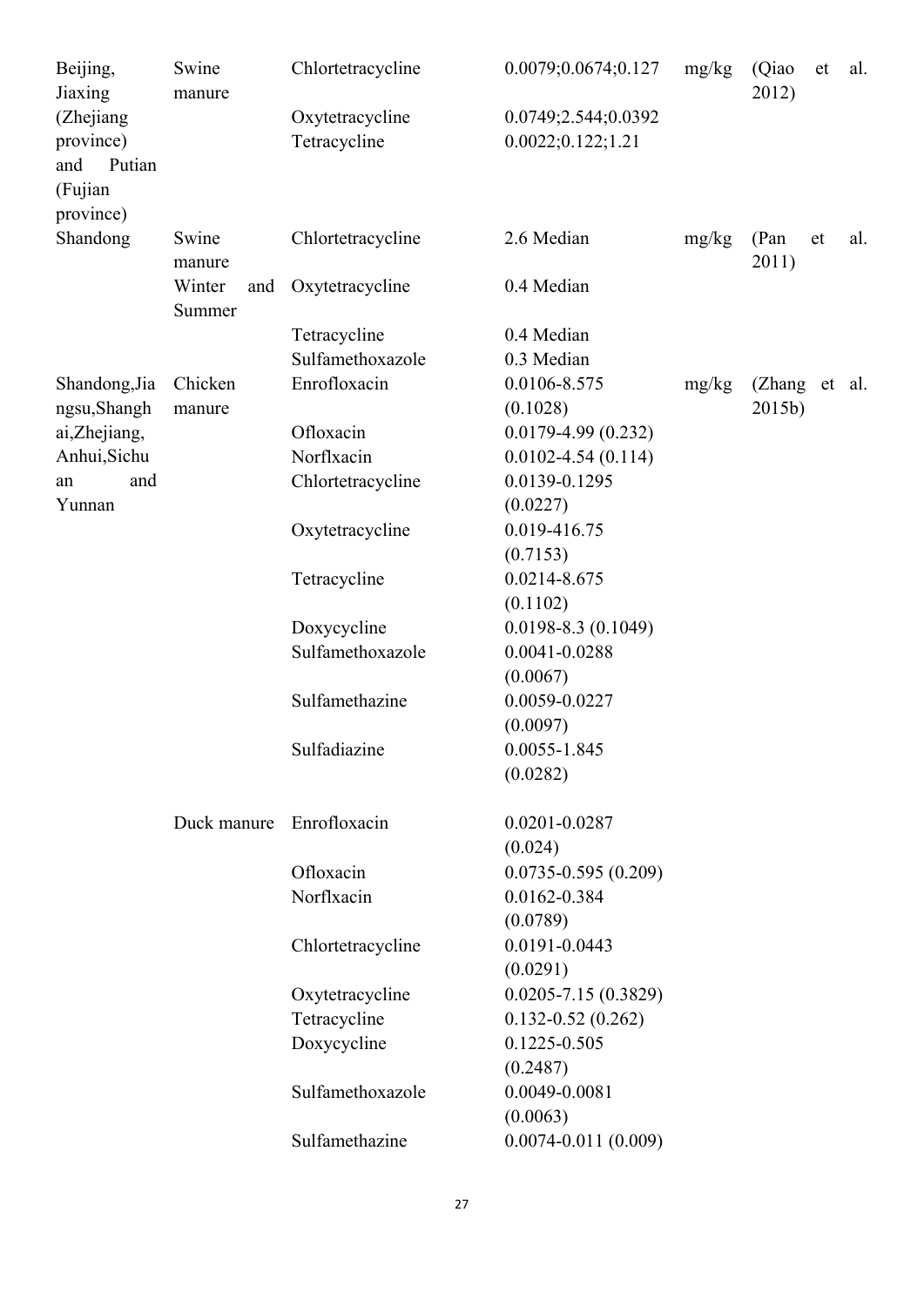| Beijing,<br>Jiaxing        | Swine<br>manure         | Chlortetracycline | 0.0079;0.0674;0.127     | mg/kg | (Qiao<br>et<br>2012) | al. |
|----------------------------|-------------------------|-------------------|-------------------------|-------|----------------------|-----|
| (Zhejiang                  |                         | Oxytetracycline   | 0.0749;2.544;0.0392     |       |                      |     |
| province)<br>and<br>Putian |                         | Tetracycline      | 0.0022; 0.122; 1.21     |       |                      |     |
| (Fujian                    |                         |                   |                         |       |                      |     |
| province)                  |                         |                   |                         |       |                      |     |
| Shandong                   | Swine                   | Chlortetracycline | 2.6 Median              | mg/kg | (Pan<br>et           | al. |
|                            | manure                  |                   |                         |       | 2011)                |     |
|                            | Winter<br>and<br>Summer | Oxytetracycline   | 0.4 Median              |       |                      |     |
|                            |                         | Tetracycline      | 0.4 Median              |       |                      |     |
|                            |                         | Sulfamethoxazole  | 0.3 Median              |       |                      |     |
| Shandong, Jia              | Chicken                 | Enrofloxacin      | 0.0106-8.575            | mg/kg | (Zhang et            | al. |
| ngsu, Shangh               | manure                  |                   | (0.1028)                |       | 2015b)               |     |
| ai, Zhejiang,              |                         | Ofloxacin         | $0.0179 - 4.99(0.232)$  |       |                      |     |
| Anhui, Sichu               |                         | Norflxacin        | $0.0102 - 4.54(0.114)$  |       |                      |     |
| and<br>an                  |                         | Chlortetracycline | 0.0139-0.1295           |       |                      |     |
| Yunnan                     |                         |                   | (0.0227)                |       |                      |     |
|                            |                         | Oxytetracycline   | 0.019-416.75            |       |                      |     |
|                            |                         |                   | (0.7153)                |       |                      |     |
|                            |                         | Tetracycline      | 0.0214-8.675            |       |                      |     |
|                            |                         |                   | (0.1102)                |       |                      |     |
|                            |                         | Doxycycline       | $0.0198 - 8.3(0.1049)$  |       |                      |     |
|                            |                         | Sulfamethoxazole  | 0.0041-0.0288           |       |                      |     |
|                            |                         |                   | (0.0067)                |       |                      |     |
|                            |                         | Sulfamethazine    | 0.0059-0.0227           |       |                      |     |
|                            |                         |                   | (0.0097)                |       |                      |     |
|                            |                         | Sulfadiazine      | 0.0055-1.845            |       |                      |     |
|                            |                         |                   | (0.0282)                |       |                      |     |
|                            | Duck manure             | Enrofloxacin      | 0.0201-0.0287           |       |                      |     |
|                            |                         |                   | (0.024)                 |       |                      |     |
|                            |                         | Ofloxacin         | $0.0735 - 0.595(0.209)$ |       |                      |     |
|                            |                         | Norflxacin        | 0.0162-0.384            |       |                      |     |
|                            |                         |                   | (0.0789)                |       |                      |     |
|                            |                         | Chlortetracycline | 0.0191-0.0443           |       |                      |     |
|                            |                         |                   | (0.0291)                |       |                      |     |
|                            |                         | Oxytetracycline   | $0.0205 - 7.15(0.3829)$ |       |                      |     |
|                            |                         | Tetracycline      | $0.132 - 0.52(0.262)$   |       |                      |     |
|                            |                         | Doxycycline       | 0.1225-0.505            |       |                      |     |
|                            |                         |                   | (0.2487)                |       |                      |     |
|                            |                         | Sulfamethoxazole  | 0.0049-0.0081           |       |                      |     |
|                            |                         |                   | (0.0063)                |       |                      |     |
|                            |                         | Sulfamethazine    | $0.0074 - 0.011(0.009)$ |       |                      |     |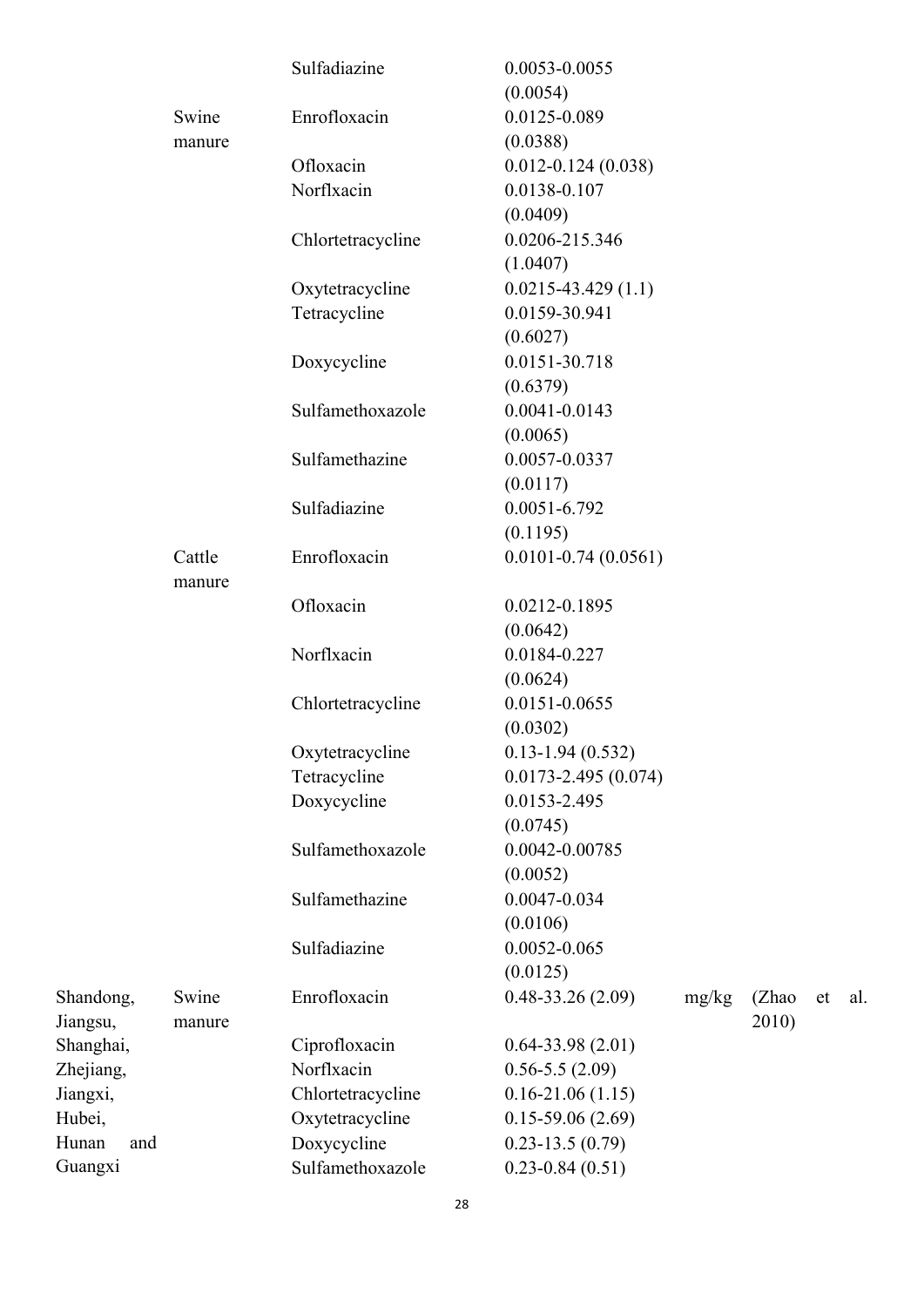|              |        | Sulfadiazine      | 0.0053-0.0055           |       |        |    |     |
|--------------|--------|-------------------|-------------------------|-------|--------|----|-----|
|              |        |                   | (0.0054)                |       |        |    |     |
|              | Swine  | Enrofloxacin      | 0.0125-0.089            |       |        |    |     |
|              |        |                   |                         |       |        |    |     |
|              | manure |                   | (0.0388)                |       |        |    |     |
|              |        | Ofloxacin         | $0.012 - 0.124(0.038)$  |       |        |    |     |
|              |        | Norflxacin        | 0.0138-0.107            |       |        |    |     |
|              |        |                   | (0.0409)                |       |        |    |     |
|              |        | Chlortetracycline | 0.0206-215.346          |       |        |    |     |
|              |        |                   | (1.0407)                |       |        |    |     |
|              |        | Oxytetracycline   | $0.0215 - 43.429(1.1)$  |       |        |    |     |
|              |        | Tetracycline      | 0.0159-30.941           |       |        |    |     |
|              |        |                   | (0.6027)                |       |        |    |     |
|              |        | Doxycycline       | 0.0151-30.718           |       |        |    |     |
|              |        |                   | (0.6379)                |       |        |    |     |
|              |        | Sulfamethoxazole  | $0.0041 - 0.0143$       |       |        |    |     |
|              |        |                   | (0.0065)                |       |        |    |     |
|              |        | Sulfamethazine    | 0.0057-0.0337           |       |        |    |     |
|              |        |                   | (0.0117)                |       |        |    |     |
|              |        | Sulfadiazine      | $0.0051 - 6.792$        |       |        |    |     |
|              |        |                   | (0.1195)                |       |        |    |     |
|              | Cattle | Enrofloxacin      | $0.0101 - 0.74(0.0561)$ |       |        |    |     |
|              | manure |                   |                         |       |        |    |     |
|              |        | Ofloxacin         | 0.0212-0.1895           |       |        |    |     |
|              |        |                   | (0.0642)                |       |        |    |     |
|              |        | Norflxacin        | 0.0184-0.227            |       |        |    |     |
|              |        |                   | (0.0624)                |       |        |    |     |
|              |        | Chlortetracycline | 0.0151-0.0655           |       |        |    |     |
|              |        |                   | (0.0302)                |       |        |    |     |
|              |        | Oxytetracycline   | $0.13 - 1.94(0.532)$    |       |        |    |     |
|              |        |                   | $0.0173 - 2.495(0.074)$ |       |        |    |     |
|              |        | Tetracycline      | 0.0153-2.495            |       |        |    |     |
|              |        | Doxycycline       |                         |       |        |    |     |
|              |        |                   | (0.0745)                |       |        |    |     |
|              |        | Sulfamethoxazole  | 0.0042-0.00785          |       |        |    |     |
|              |        |                   | (0.0052)                |       |        |    |     |
|              |        | Sulfamethazine    | 0.0047-0.034            |       |        |    |     |
|              |        |                   | (0.0106)                |       |        |    |     |
|              |        | Sulfadiazine      | 0.0052-0.065            |       |        |    |     |
|              |        |                   | (0.0125)                |       |        |    |     |
| Shandong,    | Swine  | Enrofloxacin      | $0.48 - 33.26(2.09)$    | mg/kg | (Zhao) | et | al. |
| Jiangsu,     | manure |                   |                         |       | 2010)  |    |     |
| Shanghai,    |        | Ciprofloxacin     | $0.64 - 33.98(2.01)$    |       |        |    |     |
| Zhejiang,    |        | Norflxacin        | $0.56 - 5.5(2.09)$      |       |        |    |     |
| Jiangxi,     |        | Chlortetracycline | $0.16 - 21.06(1.15)$    |       |        |    |     |
| Hubei,       |        | Oxytetracycline   | $0.15 - 59.06(2.69)$    |       |        |    |     |
| Hunan<br>and |        | Doxycycline       | $0.23 - 13.5(0.79)$     |       |        |    |     |
| Guangxi      |        | Sulfamethoxazole  | $0.23 - 0.84(0.51)$     |       |        |    |     |
|              |        |                   |                         |       |        |    |     |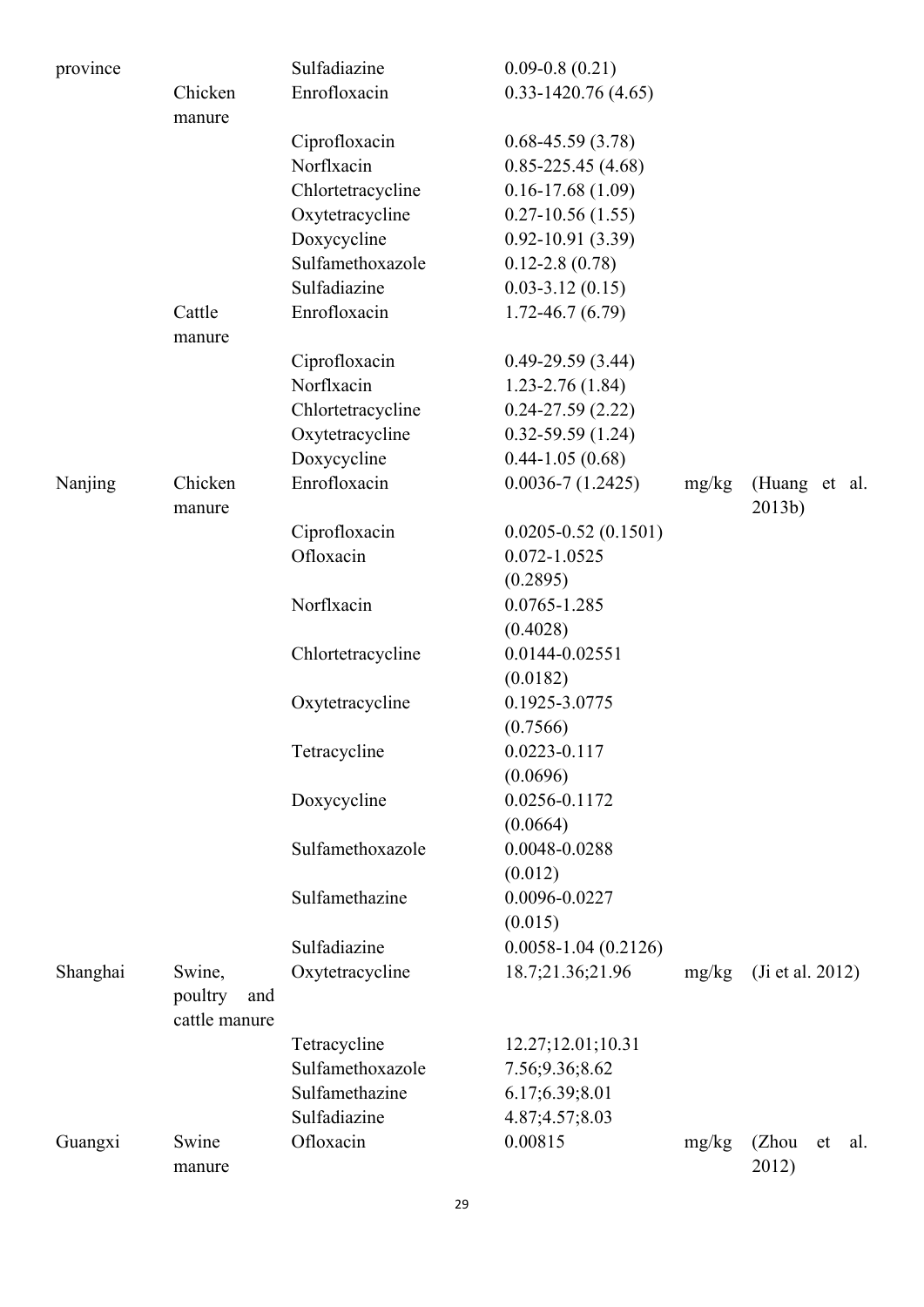| province |                | Sulfadiazine      | $0.09 - 0.8(0.21)$      |       |                    |
|----------|----------------|-------------------|-------------------------|-------|--------------------|
|          | Chicken        | Enrofloxacin      | $0.33 - 1420.76(4.65)$  |       |                    |
|          | manure         |                   |                         |       |                    |
|          |                | Ciprofloxacin     | $0.68 - 45.59(3.78)$    |       |                    |
|          |                | Norflxacin        | $0.85 - 225.45(4.68)$   |       |                    |
|          |                | Chlortetracycline | $0.16 - 17.68(1.09)$    |       |                    |
|          |                | Oxytetracycline   | $0.27 - 10.56(1.55)$    |       |                    |
|          |                | Doxycycline       | $0.92 - 10.91(3.39)$    |       |                    |
|          |                | Sulfamethoxazole  | $0.12 - 2.8(0.78)$      |       |                    |
|          |                | Sulfadiazine      | $0.03 - 3.12(0.15)$     |       |                    |
|          | Cattle         | Enrofloxacin      | $1.72 - 46.7(6.79)$     |       |                    |
|          | manure         |                   |                         |       |                    |
|          |                | Ciprofloxacin     | $0.49 - 29.59(3.44)$    |       |                    |
|          |                | Norflxacin        | $1.23 - 2.76(1.84)$     |       |                    |
|          |                | Chlortetracycline | $0.24 - 27.59(2.22)$    |       |                    |
|          |                | Oxytetracycline   | $0.32 - 59.59(1.24)$    |       |                    |
|          |                | Doxycycline       | $0.44 - 1.05(0.68)$     |       |                    |
| Nanjing  | Chicken        | Enrofloxacin      | $0.0036 - 7(1.2425)$    | mg/kg | (Huang et al.      |
|          | manure         |                   |                         |       | 2013b)             |
|          |                | Ciprofloxacin     | $0.0205 - 0.52(0.1501)$ |       |                    |
|          |                | Ofloxacin         | $0.072 - 1.0525$        |       |                    |
|          |                |                   | (0.2895)                |       |                    |
|          |                | Norflxacin        | 0.0765-1.285            |       |                    |
|          |                |                   | (0.4028)                |       |                    |
|          |                | Chlortetracycline | 0.0144-0.02551          |       |                    |
|          |                |                   | (0.0182)                |       |                    |
|          |                | Oxytetracycline   | 0.1925-3.0775           |       |                    |
|          |                |                   | (0.7566)                |       |                    |
|          |                | Tetracycline      | $0.0223 - 0.117$        |       |                    |
|          |                |                   | (0.0696)                |       |                    |
|          |                | Doxycycline       | 0.0256-0.1172           |       |                    |
|          |                |                   | (0.0664)                |       |                    |
|          |                | Sulfamethoxazole  | 0.0048-0.0288           |       |                    |
|          |                |                   | (0.012)                 |       |                    |
|          |                | Sulfamethazine    | 0.0096-0.0227           |       |                    |
|          |                |                   | (0.015)                 |       |                    |
|          |                | Sulfadiazine      | $0.0058 - 1.04(0.2126)$ |       |                    |
| Shanghai | Swine,         | Oxytetracycline   | 18.7;21.36;21.96        | mg/kg | (Ji et al. 2012)   |
|          | poultry<br>and |                   |                         |       |                    |
|          | cattle manure  |                   |                         |       |                    |
|          |                | Tetracycline      | 12.27;12.01;10.31       |       |                    |
|          |                | Sulfamethoxazole  | 7.56;9.36;8.62          |       |                    |
|          |                | Sulfamethazine    | 6.17;6.39;8.01          |       |                    |
|          |                | Sulfadiazine      | 4.87;4.57;8.03          |       |                    |
| Guangxi  | Swine          | Ofloxacin         | 0.00815                 | mg/kg | (Zhou<br>et<br>al. |
|          | manure         |                   |                         |       | 2012)              |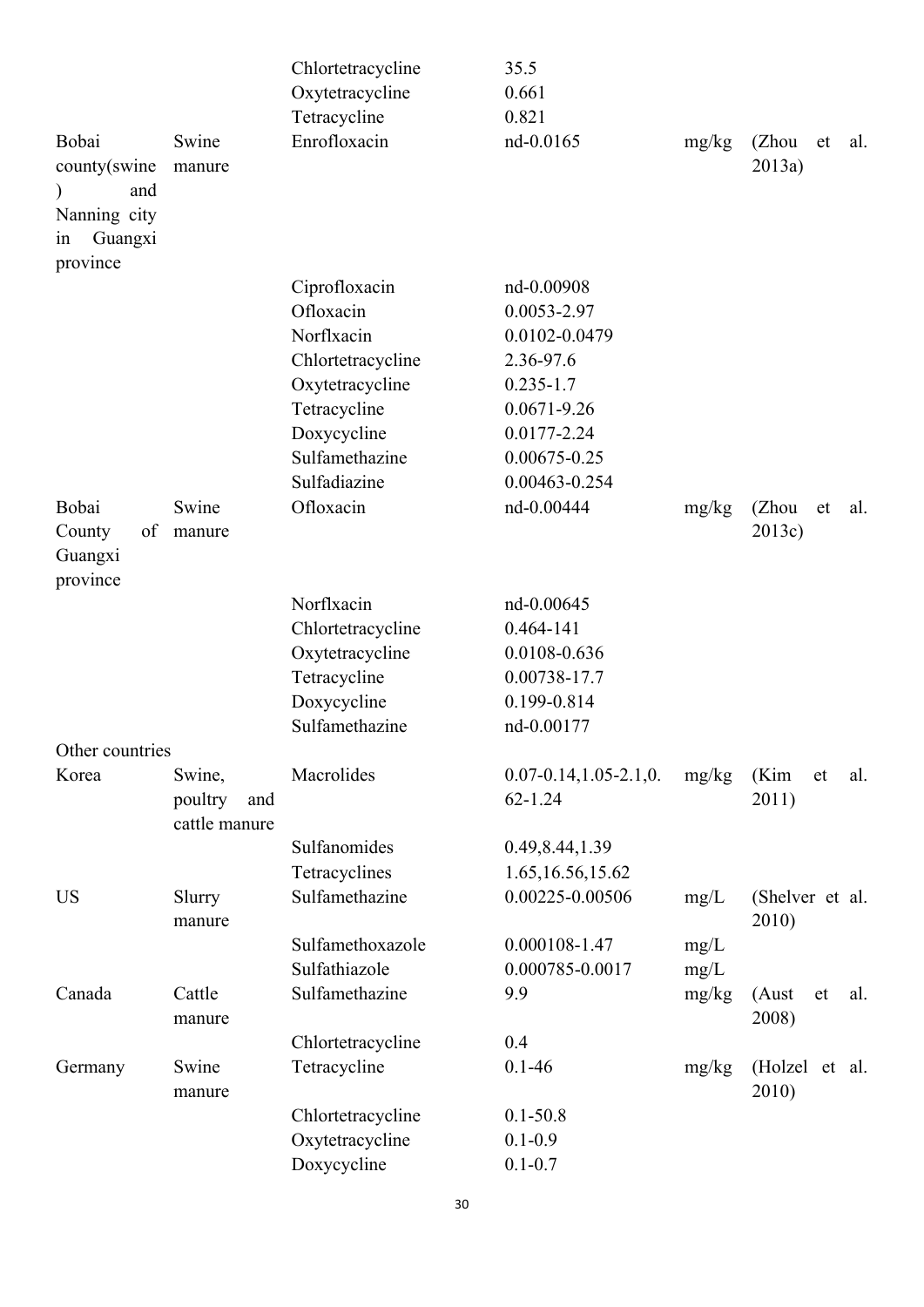|                          |                | Chlortetracycline             | 35.5                         |       |                 |     |
|--------------------------|----------------|-------------------------------|------------------------------|-------|-----------------|-----|
|                          |                | Oxytetracycline               | 0.661                        |       |                 |     |
|                          |                | Tetracycline                  | 0.821                        |       |                 |     |
| Bobai                    | Swine          | Enrofloxacin                  | nd-0.0165                    | mg/kg | (Zhou<br>et     | al. |
| county(swine             | manure         |                               |                              |       | 2013a)          |     |
| and                      |                |                               |                              |       |                 |     |
| Nanning city             |                |                               |                              |       |                 |     |
| Guangxi<br>1n            |                |                               |                              |       |                 |     |
| province                 |                |                               |                              |       |                 |     |
|                          |                | Ciprofloxacin                 | nd-0.00908                   |       |                 |     |
|                          |                | Ofloxacin                     | 0.0053-2.97                  |       |                 |     |
|                          |                | Norflxacin                    | 0.0102-0.0479                |       |                 |     |
|                          |                | Chlortetracycline             | 2.36-97.6                    |       |                 |     |
|                          |                | Oxytetracycline               | $0.235 - 1.7$                |       |                 |     |
|                          |                | Tetracycline                  | 0.0671-9.26                  |       |                 |     |
|                          |                | Doxycycline                   | 0.0177-2.24                  |       |                 |     |
|                          |                | Sulfamethazine                | 0.00675-0.25                 |       |                 |     |
|                          |                | Sulfadiazine                  | 0.00463-0.254                |       |                 |     |
| Bobai                    | Swine          | Ofloxacin                     | nd-0.00444                   | mg/kg | (Zhou<br>et     | al. |
| County<br>of             | manure         |                               |                              |       | 2013c)          |     |
| Guangxi                  |                |                               |                              |       |                 |     |
| province                 |                |                               |                              |       |                 |     |
|                          |                | Norflxacin                    | nd-0.00645                   |       |                 |     |
|                          |                | Chlortetracycline             | 0.464-141                    |       |                 |     |
|                          |                | Oxytetracycline               | 0.0108-0.636                 |       |                 |     |
|                          |                | Tetracycline                  | 0.00738-17.7                 |       |                 |     |
|                          |                |                               | 0.199-0.814                  |       |                 |     |
|                          |                | Doxycycline<br>Sulfamethazine | nd-0.00177                   |       |                 |     |
|                          |                |                               |                              |       |                 |     |
| Other countries<br>Korea |                | Macrolides                    |                              |       |                 |     |
|                          | Swine,         |                               | $0.07 - 0.14$ , 1.05-2.1, 0. | mg/kg | (Kim<br>et      | al. |
|                          | poultry<br>and |                               | $62 - 1.24$                  |       | 2011)           |     |
|                          | cattle manure  |                               |                              |       |                 |     |
|                          |                | Sulfanomides                  | 0.49, 8.44, 1.39             |       |                 |     |
|                          |                | Tetracyclines                 | 1.65, 16.56, 15.62           |       |                 |     |
| <b>US</b>                | Slurry         | Sulfamethazine                | 0.00225-0.00506              | mg/L  | (Shelver et al. |     |
|                          | manure         |                               |                              |       | 2010)           |     |
|                          |                | Sulfamethoxazole              | 0.000108-1.47                | mg/L  |                 |     |
|                          |                | Sulfathiazole                 | 0.000785-0.0017              | mg/L  |                 |     |
| Canada                   | Cattle         | Sulfamethazine                | 9.9                          | mg/kg | (Aust<br>et     | al. |
|                          | manure         |                               |                              |       | 2008)           |     |
|                          |                | Chlortetracycline             | 0.4                          |       |                 |     |
| Germany                  | Swine          | Tetracycline                  | $0.1 - 46$                   | mg/kg | (Holzel et al.  |     |
|                          | manure         |                               |                              |       | 2010)           |     |
|                          |                | Chlortetracycline             | $0.1 - 50.8$                 |       |                 |     |
|                          |                | Oxytetracycline               | $0.1 - 0.9$                  |       |                 |     |
|                          |                | Doxycycline                   | $0.1 - 0.7$                  |       |                 |     |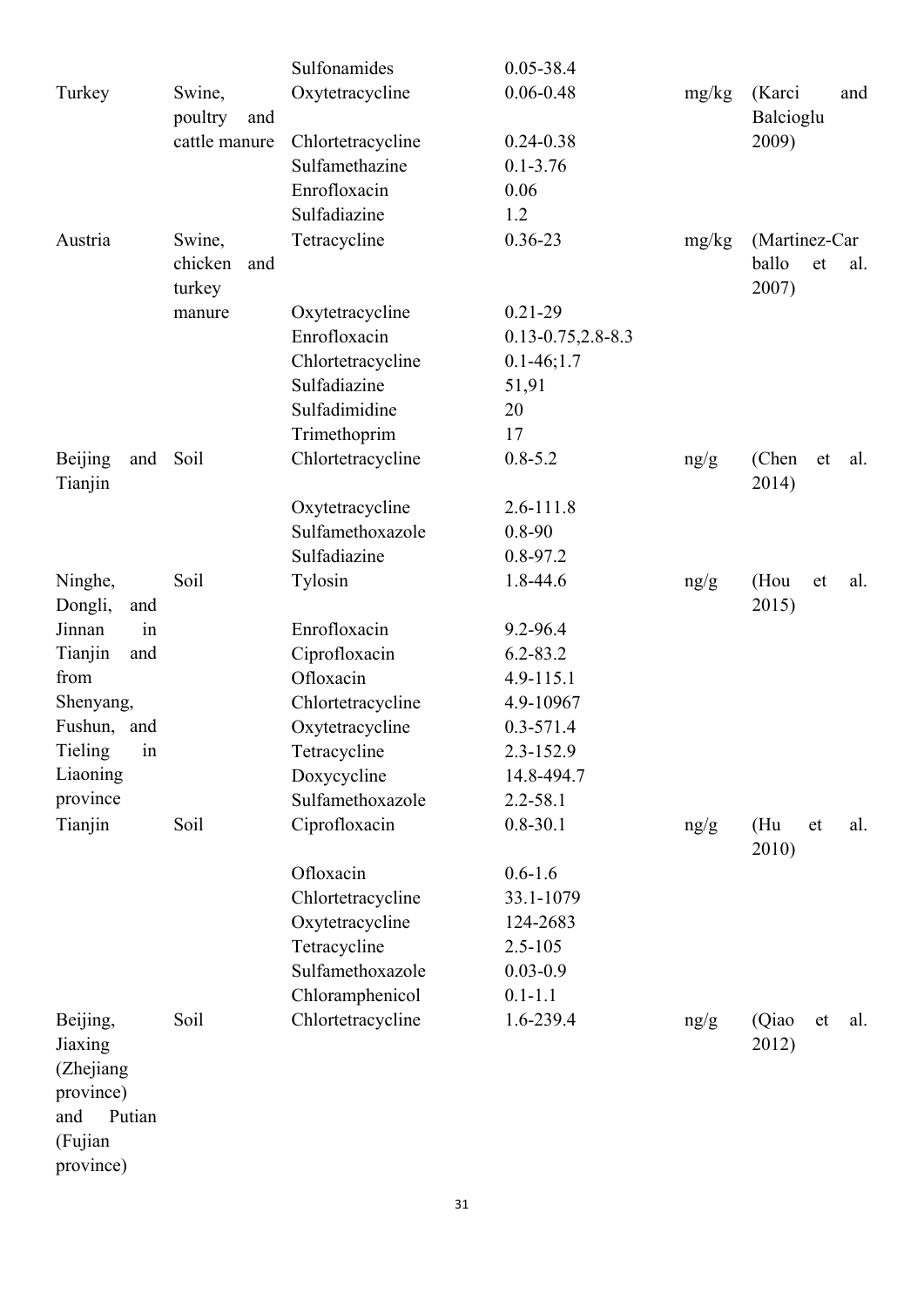|                                                                 |                | Sulfonamides      | $0.05 - 38.4$            |       |                      |     |
|-----------------------------------------------------------------|----------------|-------------------|--------------------------|-------|----------------------|-----|
| Turkey                                                          | Swine,         | Oxytetracycline   | $0.06 - 0.48$            | mg/kg | (Karci               | and |
|                                                                 | poultry<br>and |                   |                          |       | Balcioglu            |     |
|                                                                 | cattle manure  | Chlortetracycline | $0.24 - 0.38$            |       | 2009)                |     |
|                                                                 |                | Sulfamethazine    | $0.1 - 3.76$             |       |                      |     |
|                                                                 |                | Enrofloxacin      | 0.06                     |       |                      |     |
|                                                                 |                | Sulfadiazine      | 1.2                      |       |                      |     |
| Austria                                                         | Swine,         | Tetracycline      | $0.36 - 23$              | mg/kg | (Martinez-Car)       |     |
|                                                                 | chicken<br>and |                   |                          |       | ballo<br>et          | al. |
|                                                                 | turkey         |                   |                          |       | 2007)                |     |
|                                                                 | manure         | Oxytetracycline   | $0.21 - 29$              |       |                      |     |
|                                                                 |                | Enrofloxacin      | $0.13 - 0.75, 2.8 - 8.3$ |       |                      |     |
|                                                                 |                | Chlortetracycline | $0.1 - 46; 1.7$          |       |                      |     |
|                                                                 |                | Sulfadiazine      | 51,91                    |       |                      |     |
|                                                                 |                | Sulfadimidine     | 20                       |       |                      |     |
|                                                                 |                | Trimethoprim      | 17                       |       |                      |     |
| <b>Beijing</b><br>and<br>Tianjin                                | Soil           | Chlortetracycline | $0.8 - 5.2$              | ng/g  | (Chen<br>et<br>2014) | al. |
|                                                                 |                | Oxytetracycline   | $2.6 - 111.8$            |       |                      |     |
|                                                                 |                | Sulfamethoxazole  | $0.8 - 90$               |       |                      |     |
|                                                                 |                | Sulfadiazine      | $0.8 - 97.2$             |       |                      |     |
| Ninghe,<br>Dongli,<br>and                                       | Soil           | Tylosin           | 1.8-44.6                 | ng/g  | (Hou<br>et<br>2015)  | al. |
| Jinnan<br>in                                                    |                | Enrofloxacin      | 9.2-96.4                 |       |                      |     |
| Tianjin<br>and                                                  |                | Ciprofloxacin     | $6.2 - 83.2$             |       |                      |     |
| from                                                            |                | Ofloxacin         | 4.9-115.1                |       |                      |     |
| Shenyang,                                                       |                | Chlortetracycline | 4.9-10967                |       |                      |     |
| Fushun, and                                                     |                | Oxytetracycline   | $0.3 - 571.4$            |       |                      |     |
| Tieling<br>1n                                                   |                | Tetracycline      | 2.3-152.9                |       |                      |     |
| Liaoning                                                        |                | Doxycycline       | 14.8-494.7               |       |                      |     |
| province                                                        |                | Sulfamethoxazole  | 2.2-58.1                 |       |                      |     |
| Tianjin                                                         | Soil           | Ciprofloxacin     | $0.8 - 30.1$             | ng/g  | (Hu<br>et<br>2010)   | al. |
|                                                                 |                | Ofloxacin         | $0.6 - 1.6$              |       |                      |     |
|                                                                 |                | Chlortetracycline | 33.1-1079                |       |                      |     |
|                                                                 |                | Oxytetracycline   | 124-2683                 |       |                      |     |
|                                                                 |                | Tetracycline      | $2.5 - 105$              |       |                      |     |
|                                                                 |                | Sulfamethoxazole  | $0.03 - 0.9$             |       |                      |     |
|                                                                 |                | Chloramphenicol   | $0.1 - 1.1$              |       |                      |     |
| Beijing,<br>Jiaxing                                             | Soil           | Chlortetracycline | 1.6-239.4                | ng/g  | (Qiao<br>et<br>2012) | al. |
| (Zhejiang<br>province)<br>Putian<br>and<br>(Fujian<br>province) |                |                   |                          |       |                      |     |
|                                                                 |                |                   |                          |       |                      |     |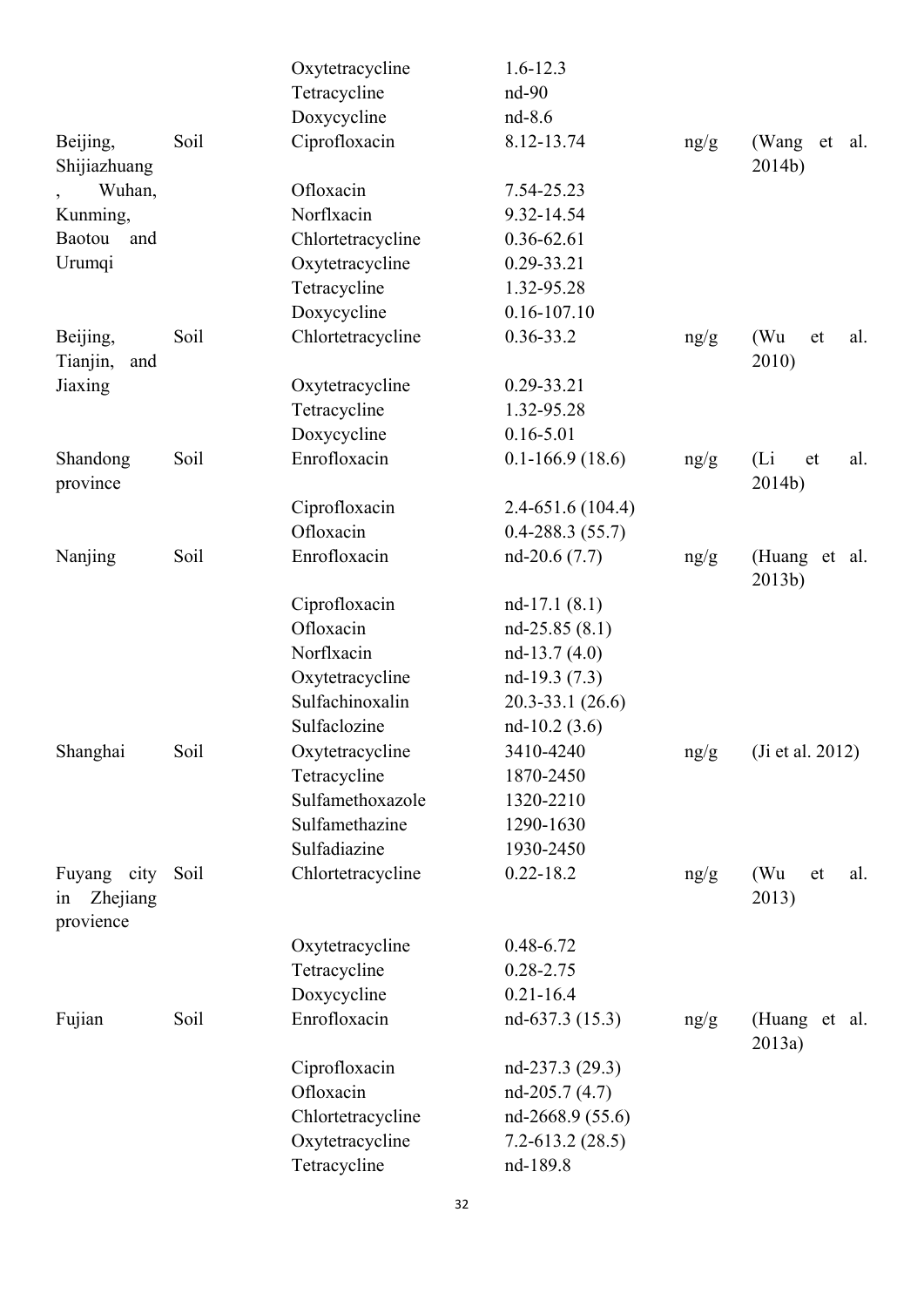|                                            |      | Oxytetracycline   | $1.6 - 12.3$        |      |                                   |     |
|--------------------------------------------|------|-------------------|---------------------|------|-----------------------------------|-----|
|                                            |      | Tetracycline      | nd-90               |      |                                   |     |
|                                            |      | Doxycycline       | nd-8.6              |      |                                   |     |
| Beijing,                                   | Soil | Ciprofloxacin     | 8.12-13.74          | ng/g | (Wang<br>et                       | al. |
| Shijiazhuang                               |      |                   |                     |      | 2014b)                            |     |
| Wuhan,                                     |      | Ofloxacin         | 7.54-25.23          |      |                                   |     |
| Kunming,                                   |      | Norflxacin        | 9.32-14.54          |      |                                   |     |
| Baotou<br>and                              |      | Chlortetracycline | $0.36 - 62.61$      |      |                                   |     |
| Urumqi                                     |      | Oxytetracycline   | 0.29-33.21          |      |                                   |     |
|                                            |      | Tetracycline      | 1.32-95.28          |      |                                   |     |
|                                            |      | Doxycycline       | $0.16 - 107.10$     |      |                                   |     |
| Beijing,<br>Tianjin,<br>and                | Soil | Chlortetracycline | 0.36-33.2           | ng/g | (Wu<br>et<br>2010)                | al. |
| Jiaxing                                    |      | Oxytetracycline   | 0.29-33.21          |      |                                   |     |
|                                            |      | Tetracycline      | 1.32-95.28          |      |                                   |     |
|                                            |      | Doxycycline       | $0.16 - 5.01$       |      |                                   |     |
| Shandong<br>province                       | Soil | Enrofloxacin      | $0.1 - 166.9(18.6)$ | ng/g | (L <sub>i</sub> )<br>et<br>2014b) | al. |
|                                            |      | Ciprofloxacin     | 2.4-651.6 (104.4)   |      |                                   |     |
|                                            |      | Ofloxacin         | $0.4 - 288.3(55.7)$ |      |                                   |     |
| Nanjing                                    | Soil | Enrofloxacin      | $nd-20.6(7.7)$      | ng/g | (Huang et al.<br>2013b)           |     |
|                                            |      | Ciprofloxacin     | $nd-17.1(8.1)$      |      |                                   |     |
|                                            |      | Ofloxacin         | $nd-25.85(8.1)$     |      |                                   |     |
|                                            |      | Norflxacin        | $nd-13.7(4.0)$      |      |                                   |     |
|                                            |      | Oxytetracycline   | $nd-19.3(7.3)$      |      |                                   |     |
|                                            |      | Sulfachinoxalin   | $20.3 - 33.1(26.6)$ |      |                                   |     |
|                                            |      | Sulfaclozine      | $nd-10.2(3.6)$      |      |                                   |     |
| Shanghai                                   | Soil | Oxytetracycline   | 3410-4240           | ng/g | (Ji et al. 2012)                  |     |
|                                            |      | Tetracycline      | 1870-2450           |      |                                   |     |
|                                            |      | Sulfamethoxazole  | 1320-2210           |      |                                   |     |
|                                            |      | Sulfamethazine    | 1290-1630           |      |                                   |     |
|                                            |      | Sulfadiazine      | 1930-2450           |      |                                   |     |
| Fuyang city<br>Zhejiang<br>1n<br>provience | Soil | Chlortetracycline | $0.22 - 18.2$       | ng/g | (Wu<br>et<br>2013)                | al. |
|                                            |      | Oxytetracycline   | $0.48 - 6.72$       |      |                                   |     |
|                                            |      | Tetracycline      | $0.28 - 2.75$       |      |                                   |     |
|                                            |      | Doxycycline       | $0.21 - 16.4$       |      |                                   |     |
| Fujian                                     | Soil | Enrofloxacin      | nd-637.3 (15.3)     | ng/g | (Huang et al.<br>2013a)           |     |
|                                            |      | Ciprofloxacin     | nd-237.3 (29.3)     |      |                                   |     |
|                                            |      | Ofloxacin         | $nd-205.7(4.7)$     |      |                                   |     |
|                                            |      | Chlortetracycline | nd-2668.9 (55.6)    |      |                                   |     |
|                                            |      | Oxytetracycline   | $7.2 - 613.2(28.5)$ |      |                                   |     |
|                                            |      | Tetracycline      | nd-189.8            |      |                                   |     |
|                                            |      |                   |                     |      |                                   |     |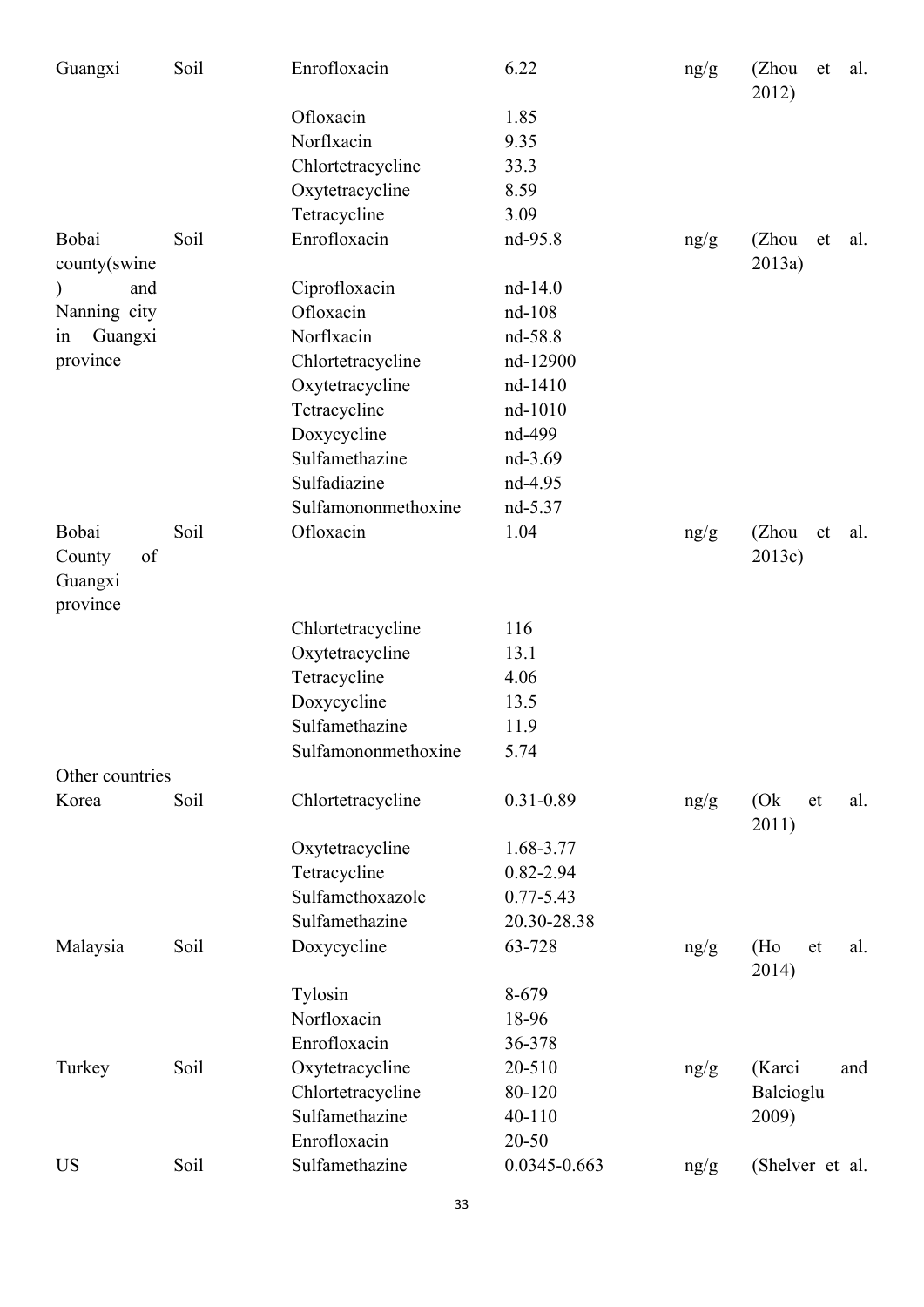| Guangxi               | Soil | Enrofloxacin                         | 6.22          | ng/g | (Zhou<br>et<br>al.<br>2012)  |
|-----------------------|------|--------------------------------------|---------------|------|------------------------------|
|                       |      | Ofloxacin                            | 1.85          |      |                              |
|                       |      | Norflxacin                           | 9.35          |      |                              |
|                       |      | Chlortetracycline                    | 33.3          |      |                              |
|                       |      | Oxytetracycline                      | 8.59          |      |                              |
|                       |      | Tetracycline                         | 3.09          |      |                              |
| Bobai<br>county(swine | Soil | Enrofloxacin                         | nd-95.8       | ng/g | (Zhou<br>al.<br>et<br>2013a) |
| and                   |      | Ciprofloxacin                        | nd-14.0       |      |                              |
| Nanning city          |      | Ofloxacin                            | nd-108        |      |                              |
| Guangxi<br>in         |      | Norflxacin                           | nd-58.8       |      |                              |
| province              |      | Chlortetracycline                    | nd-12900      |      |                              |
|                       |      | Oxytetracycline                      | nd-1410       |      |                              |
|                       |      | Tetracycline                         | nd-1010       |      |                              |
|                       |      | Doxycycline                          | nd-499        |      |                              |
|                       |      | Sulfamethazine                       | nd-3.69       |      |                              |
|                       |      | Sulfadiazine                         | nd-4.95       |      |                              |
|                       |      | Sulfamononmethoxine                  | nd-5.37       |      |                              |
| Bobai<br>of<br>County | Soil | Ofloxacin                            | 1.04          | ng/g | (Zhou<br>al.<br>et<br>2013c  |
| Guangxi               |      |                                      |               |      |                              |
| province              |      |                                      | 116           |      |                              |
|                       |      | Chlortetracycline<br>Oxytetracycline | 13.1          |      |                              |
|                       |      | Tetracycline                         | 4.06          |      |                              |
|                       |      | Doxycycline                          | 13.5          |      |                              |
|                       |      | Sulfamethazine                       | 11.9          |      |                              |
|                       |      | Sulfamononmethoxine                  | 5.74          |      |                              |
| Other countries       |      |                                      |               |      |                              |
| Korea                 | Soil | Chlortetracycline                    | $0.31 - 0.89$ | ng/g | (Ok)<br>et<br>al.<br>2011)   |
|                       |      | Oxytetracycline                      | 1.68-3.77     |      |                              |
|                       |      | Tetracycline                         | 0.82-2.94     |      |                              |
|                       |      | Sulfamethoxazole                     | $0.77 - 5.43$ |      |                              |
|                       |      | Sulfamethazine                       | 20.30-28.38   |      |                              |
| Malaysia              | Soil | Doxycycline                          | 63-728        | ng/g | (Ho<br>al.<br>et<br>2014)    |
|                       |      | Tylosin                              | 8-679         |      |                              |
|                       |      | Norfloxacin                          | 18-96         |      |                              |
|                       |      | Enrofloxacin                         | 36-378        |      |                              |
| Turkey                | Soil | Oxytetracycline                      | 20-510        | ng/g | (Karci<br>and                |
|                       |      | Chlortetracycline                    | 80-120        |      | Balcioglu                    |
|                       |      | Sulfamethazine                       | 40-110        |      | 2009)                        |
|                       |      | Enrofloxacin                         | $20 - 50$     |      |                              |
| <b>US</b>             | Soil | Sulfamethazine                       | 0.0345-0.663  | ng/g | (Shelver et al.              |
|                       |      |                                      |               |      |                              |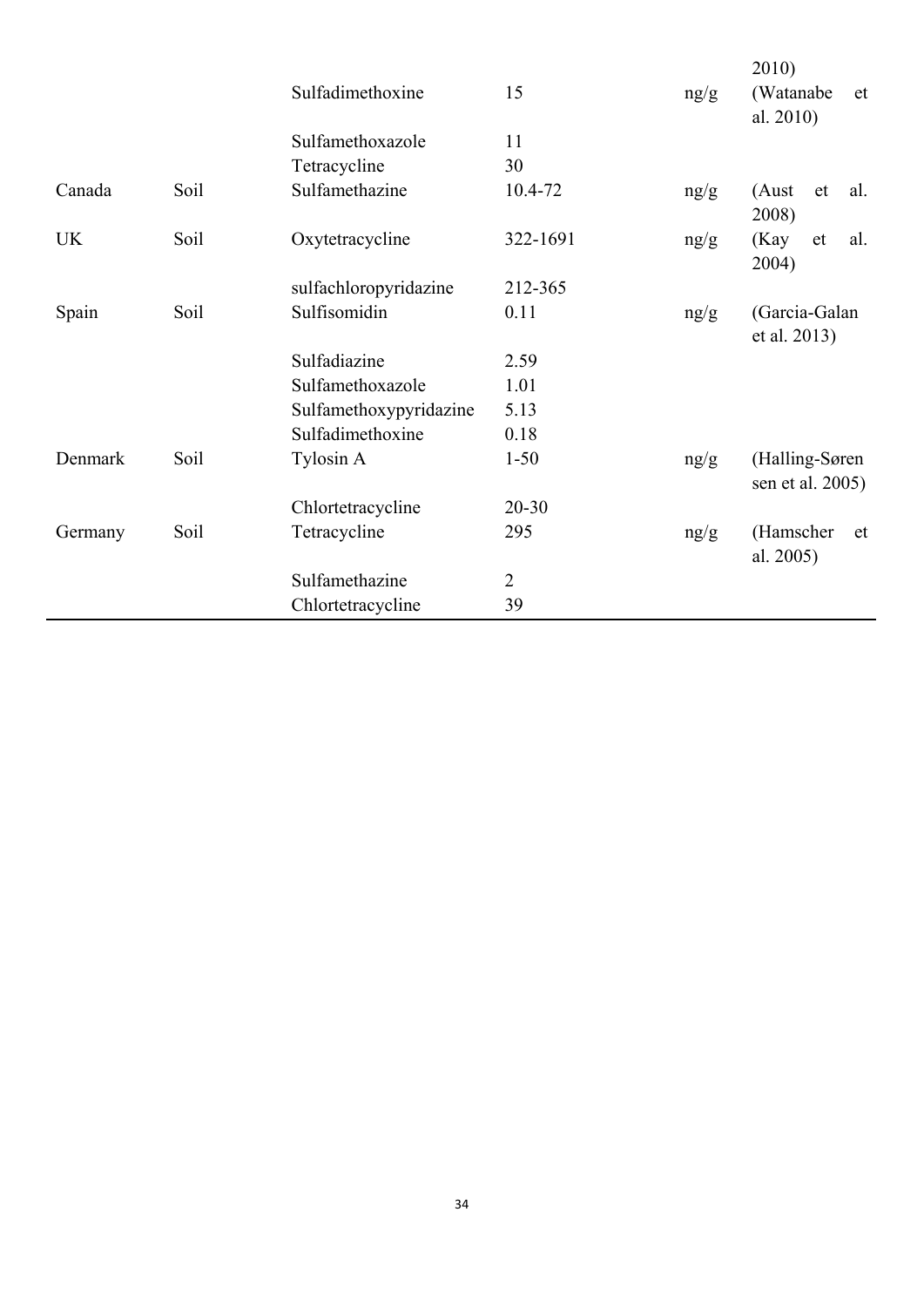|           |                         |                        |                |      | 2010)                              |
|-----------|-------------------------|------------------------|----------------|------|------------------------------------|
|           |                         | Sulfadimethoxine       | 15             | ng/g | (Watanabe<br>et<br>al. 2010)       |
|           |                         | Sulfamethoxazole       | 11             |      |                                    |
|           |                         | Tetracycline           | 30             |      |                                    |
| Canada    | Soil                    | Sulfamethazine         | 10.4-72        | ng/g | (Aust<br>et<br>al.<br>2008)        |
| <b>UK</b> | Soil<br>Oxytetracycline |                        | 322-1691       | ng/g | (Kay<br>et<br>al.<br>2004)         |
|           |                         | sulfachloropyridazine  | 212-365        |      |                                    |
| Spain     | Soil                    | Sulfisomidin           | 0.11           | ng/g | (Garcia-Galan<br>et al. 2013)      |
|           |                         | Sulfadiazine           | 2.59           |      |                                    |
|           |                         | Sulfamethoxazole       | 1.01           |      |                                    |
|           |                         | Sulfamethoxypyridazine | 5.13           |      |                                    |
|           |                         | Sulfadimethoxine       | 0.18           |      |                                    |
| Denmark   | Soil                    | Tylosin A              | $1 - 50$       | ng/g | (Halling-Søren<br>sen et al. 2005) |
|           |                         | Chlortetracycline      | $20 - 30$      |      |                                    |
| Germany   | Soil                    | Tetracycline           | 295            | ng/g | (Hamscher<br>et<br>al. 2005)       |
|           |                         | Sulfamethazine         | $\overline{2}$ |      |                                    |
|           |                         | Chlortetracycline      | 39             |      |                                    |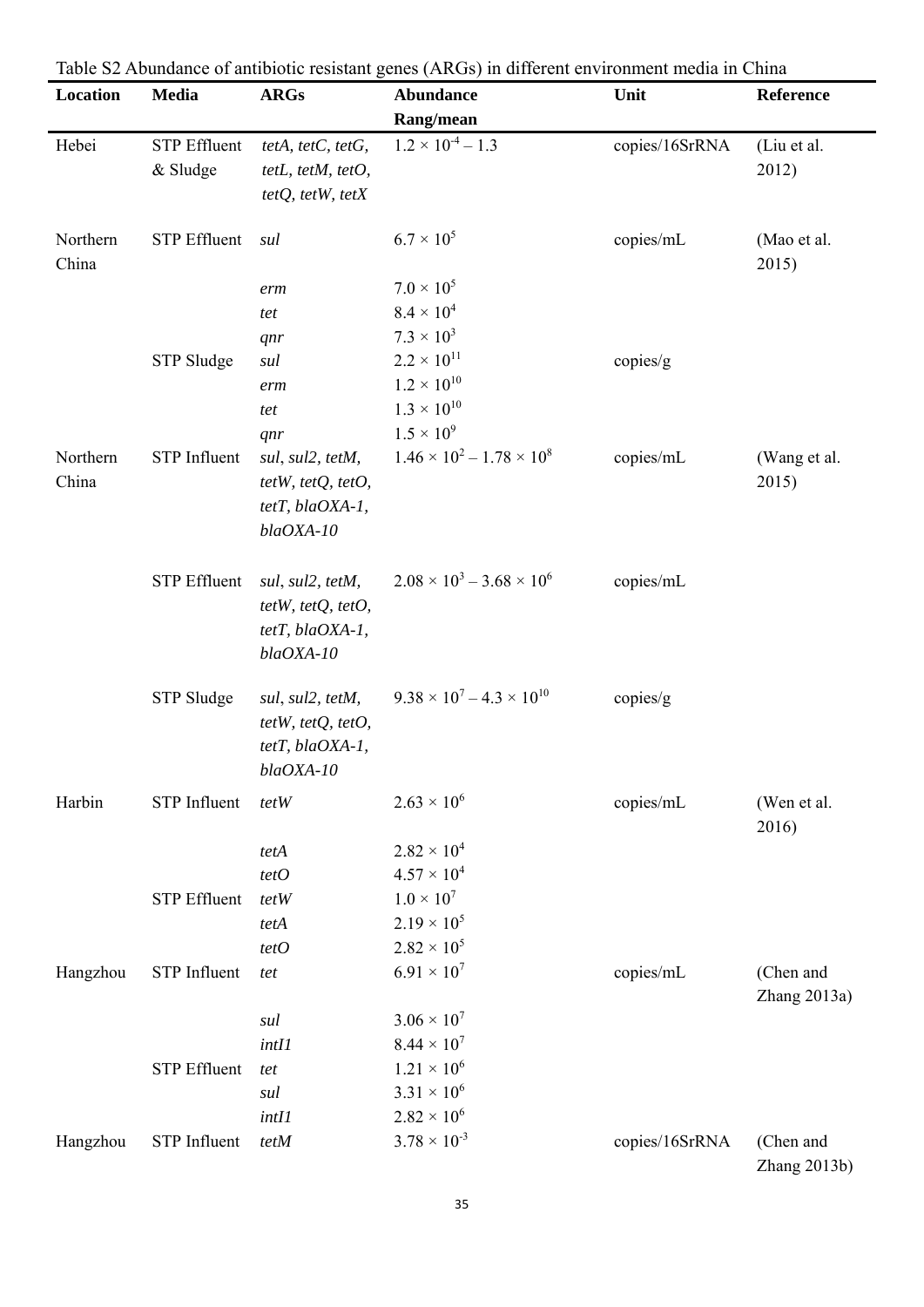| Location          | Media               | <b>ARGs</b>                                                             | Table S2 Abundance of antibiotic resistant genes (ARGs) in different environment media in China<br><b>Abundance</b> | Unit           | Reference                 |
|-------------------|---------------------|-------------------------------------------------------------------------|---------------------------------------------------------------------------------------------------------------------|----------------|---------------------------|
|                   |                     |                                                                         | Rang/mean                                                                                                           |                |                           |
| Hebei             | <b>STP</b> Effluent | tetA, tetC, tetG,                                                       | $1.2 \times 10^{-4} - 1.3$                                                                                          | copies/16SrRNA | (Liu et al.               |
|                   | $&$ Sludge          | tetL, tetM, tetO,                                                       |                                                                                                                     |                | 2012)                     |
|                   |                     | tetQ, tetW, tetX                                                        |                                                                                                                     |                |                           |
| Northern<br>China | STP Effluent        | sul                                                                     | $6.7 \times 10^{5}$                                                                                                 | copies/mL      | (Mao et al.<br>2015)      |
|                   |                     | erm                                                                     | $7.0 \times 10^{5}$                                                                                                 |                |                           |
|                   |                     | tet                                                                     | $8.4 \times 10^{4}$                                                                                                 |                |                           |
|                   |                     | qnr                                                                     | $7.3 \times 10^{3}$                                                                                                 |                |                           |
|                   | STP Sludge          | sul                                                                     | $2.2 \times 10^{11}$                                                                                                | copies/g       |                           |
|                   |                     | erm                                                                     | $1.2 \times 10^{10}$                                                                                                |                |                           |
|                   |                     | tet                                                                     | $1.3 \times 10^{10}$                                                                                                |                |                           |
|                   |                     | qnr                                                                     | $1.5 \times 10^{9}$                                                                                                 |                |                           |
| Northern<br>China | STP Influent        | sul, sul2, tetM,<br>tetW, tetQ, tetO,<br>tetT, blaOXA-1,<br>$blaOXA-10$ | $1.46 \times 10^2 - 1.78 \times 10^8$                                                                               | copies/mL      | (Wang et al.<br>2015)     |
|                   | STP Effluent        | sul, sul2, tetM,<br>tetW, tetQ, tetO,<br>tetT, blaOXA-1,<br>blaOXA-10   | $2.08 \times 10^3 - 3.68 \times 10^6$                                                                               | copies/mL      |                           |
|                   | STP Sludge          | sul, sul2, tetM,<br>tetW, tetQ, tetO,<br>$tetT, blaOXA-1,$<br>blaOXA-10 | $9.38 \times 10^7 - 4.3 \times 10^{10}$                                                                             | copies/g       |                           |
| Harbin            | STP Influent        | tetW                                                                    | $2.63\times10^6$                                                                                                    | copies/mL      | (Wen et al.<br>2016)      |
|                   |                     | tetA                                                                    | $2.82 \times 10^{4}$                                                                                                |                |                           |
|                   |                     | tetO                                                                    | $4.57 \times 10^{4}$                                                                                                |                |                           |
|                   | STP Effluent        | tetW                                                                    | $1.0 \times 10^{7}$                                                                                                 |                |                           |
|                   |                     | tetA                                                                    | $2.19 \times 10^{5}$                                                                                                |                |                           |
|                   |                     | tetO                                                                    | $2.82 \times 10^{5}$                                                                                                |                |                           |
| Hangzhou          | STP Influent        | tet                                                                     | $6.91 \times 10^{7}$                                                                                                | copies/mL      | (Chen and<br>Zhang 2013a) |
|                   |                     | sul                                                                     | $3.06 \times 10^{7}$                                                                                                |                |                           |
|                   |                     | intI1                                                                   | $8.44 \times 10^{7}$                                                                                                |                |                           |
|                   | STP Effluent        | tet                                                                     | $1.21 \times 10^{6}$                                                                                                |                |                           |
|                   |                     | sul                                                                     | $3.31 \times 10^{6}$                                                                                                |                |                           |
|                   |                     | int11                                                                   | $2.82 \times 10^{6}$                                                                                                |                |                           |
| Hangzhou          | STP Influent        | tetM                                                                    | $3.78 \times 10^{-3}$                                                                                               | copies/16SrRNA | (Chen and<br>Zhang 2013b) |

35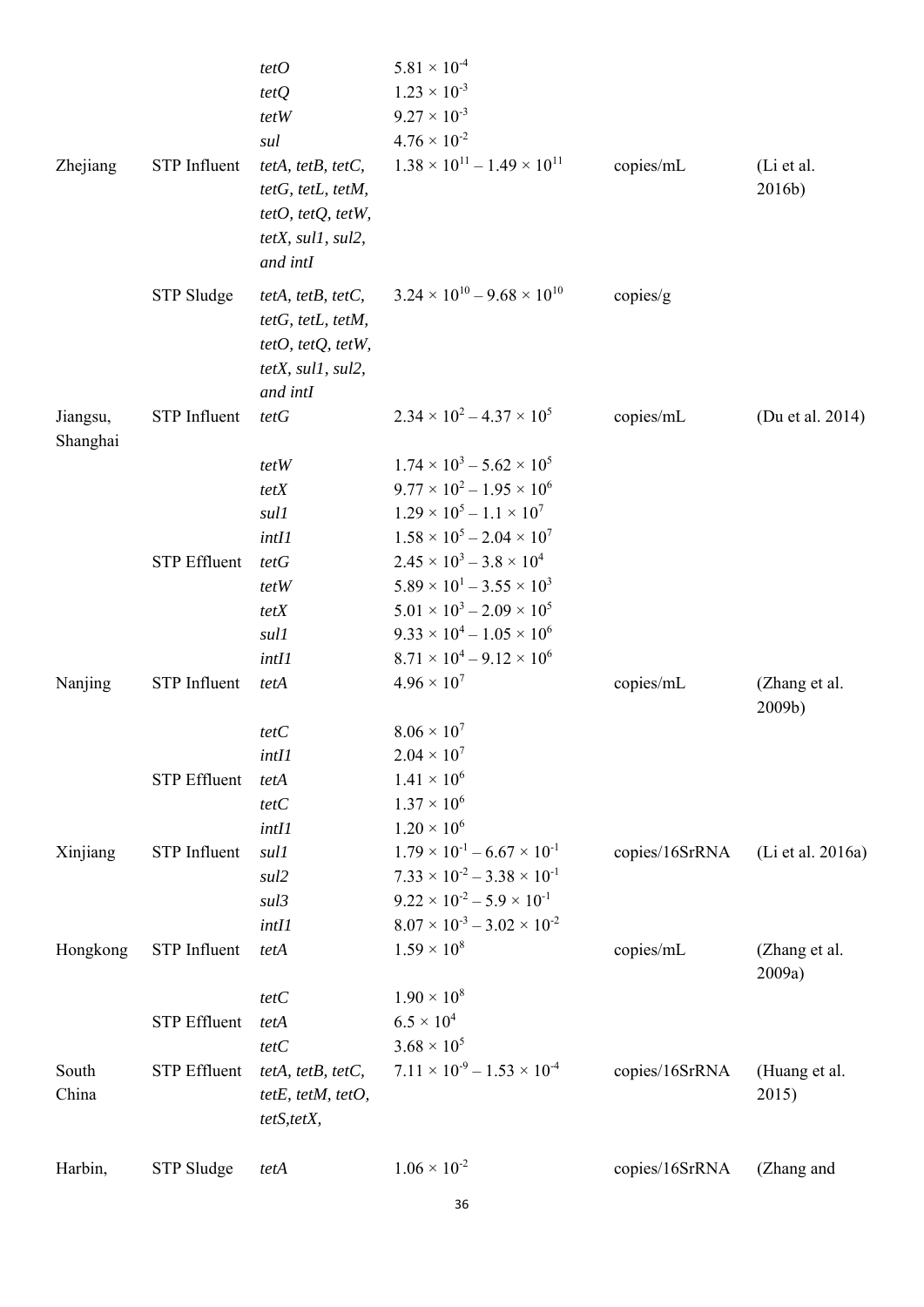| Zhejiang             | STP Influent        | tetO<br>tetQ<br>tetW<br>sul<br>tetA, tetB, tetC,<br>tetG, tetL, tetM,<br>tetO, tetQ, tetW, | $5.81 \times 10^{-4}$<br>$1.23 \times 10^{-3}$<br>$9.27 \times 10^{-3}$<br>$4.76 \times 10^{-2}$<br>$1.38 \times 10^{11} - 1.49 \times 10^{11}$ | copies/mL      | (Li et al.<br>2016b)    |
|----------------------|---------------------|--------------------------------------------------------------------------------------------|-------------------------------------------------------------------------------------------------------------------------------------------------|----------------|-------------------------|
|                      | STP Sludge          | tetX, sul1, sul2,<br>and intI<br>tetA, tetB, tetC,<br>tetG, tetL, tetM,                    | $3.24 \times 10^{10} - 9.68 \times 10^{10}$                                                                                                     | copies/g       |                         |
|                      |                     | tetO, tetQ, tetW,<br>tetX, sul1, sul2,<br>and intI                                         |                                                                                                                                                 |                |                         |
| Jiangsu,<br>Shanghai | STP Influent        | tetG                                                                                       | $2.34 \times 10^2 - 4.37 \times 10^5$                                                                                                           | copies/mL      | (Du et al. 2014)        |
|                      |                     | tetW                                                                                       | $1.74 \times 10^3 - 5.62 \times 10^5$                                                                                                           |                |                         |
|                      |                     | tetX                                                                                       | $9.77 \times 10^2 - 1.95 \times 10^6$                                                                                                           |                |                         |
|                      |                     | sul1                                                                                       | $1.29 \times 10^5 - 1.1 \times 10^7$                                                                                                            |                |                         |
|                      |                     | <i>intI1</i>                                                                               | $1.58 \times 10^5 - 2.04 \times 10^7$                                                                                                           |                |                         |
|                      | STP Effluent        | tetG                                                                                       | $2.45 \times 10^3 - 3.8 \times 10^4$                                                                                                            |                |                         |
|                      |                     | tetW                                                                                       | $5.89 \times 10^{1} - 3.55 \times 10^{3}$                                                                                                       |                |                         |
|                      |                     | tetX                                                                                       | $5.01 \times 10^3 - 2.09 \times 10^5$                                                                                                           |                |                         |
|                      |                     | sul1                                                                                       | $9.33 \times 10^4 - 1.05 \times 10^6$                                                                                                           |                |                         |
|                      |                     | <i>intI1</i>                                                                               | $8.71 \times 10^4 - 9.12 \times 10^6$                                                                                                           |                |                         |
| Nanjing              | STP Influent        | tetA                                                                                       | $4.96 \times 10^{7}$                                                                                                                            | copies/mL      | (Zhang et al.<br>2009b) |
|                      |                     | tetC                                                                                       | $8.06 \times 10^{7}$                                                                                                                            |                |                         |
|                      |                     | intI1                                                                                      | $2.04 \times 10^{7}$                                                                                                                            |                |                         |
|                      | <b>STP</b> Effluent | tetA                                                                                       | $1.41 \times 10^{6}$                                                                                                                            |                |                         |
|                      |                     | tetC                                                                                       | $1.37 \times 10^{6}$                                                                                                                            |                |                         |
|                      |                     | intI1                                                                                      | $1.20 \times 10^{6}$                                                                                                                            |                |                         |
| Xinjiang             | STP Influent        | sul1                                                                                       | $1.79 \times 10^{-1} - 6.67 \times 10^{-1}$                                                                                                     | copies/16SrRNA | (Li et al. 2016a)       |
|                      |                     | sul2                                                                                       | $7.33 \times 10^{-2} - 3.38 \times 10^{-1}$                                                                                                     |                |                         |
|                      |                     | sul3                                                                                       | $9.22 \times 10^{-2} - 5.9 \times 10^{-1}$                                                                                                      |                |                         |
|                      |                     | intI1                                                                                      | $8.07 \times 10^{-3} - 3.02 \times 10^{-2}$                                                                                                     |                |                         |
| Hongkong             | STP Influent        | tetA                                                                                       | $1.59 \times 10^8$                                                                                                                              | copies/mL      | (Zhang et al.<br>2009a) |
|                      |                     | tetC                                                                                       | $1.90 \times 10^8$                                                                                                                              |                |                         |
|                      | <b>STP</b> Effluent | tetA                                                                                       | $6.5 \times 10^{4}$                                                                                                                             |                |                         |
|                      |                     | tetC                                                                                       | $3.68 \times 10^{5}$                                                                                                                            |                |                         |
| South<br>China       | STP Effluent        | tetA, tetB, tetC,<br>tetE, tetM, tetO,<br>tetS, tetX,                                      | $7.11 \times 10^{-9} - 1.53 \times 10^{-4}$                                                                                                     | copies/16SrRNA | (Huang et al.<br>2015)  |
| Harbin,              | <b>STP Sludge</b>   | tetA                                                                                       | $1.06 \times 10^{-2}$                                                                                                                           | copies/16SrRNA | (Zhang and              |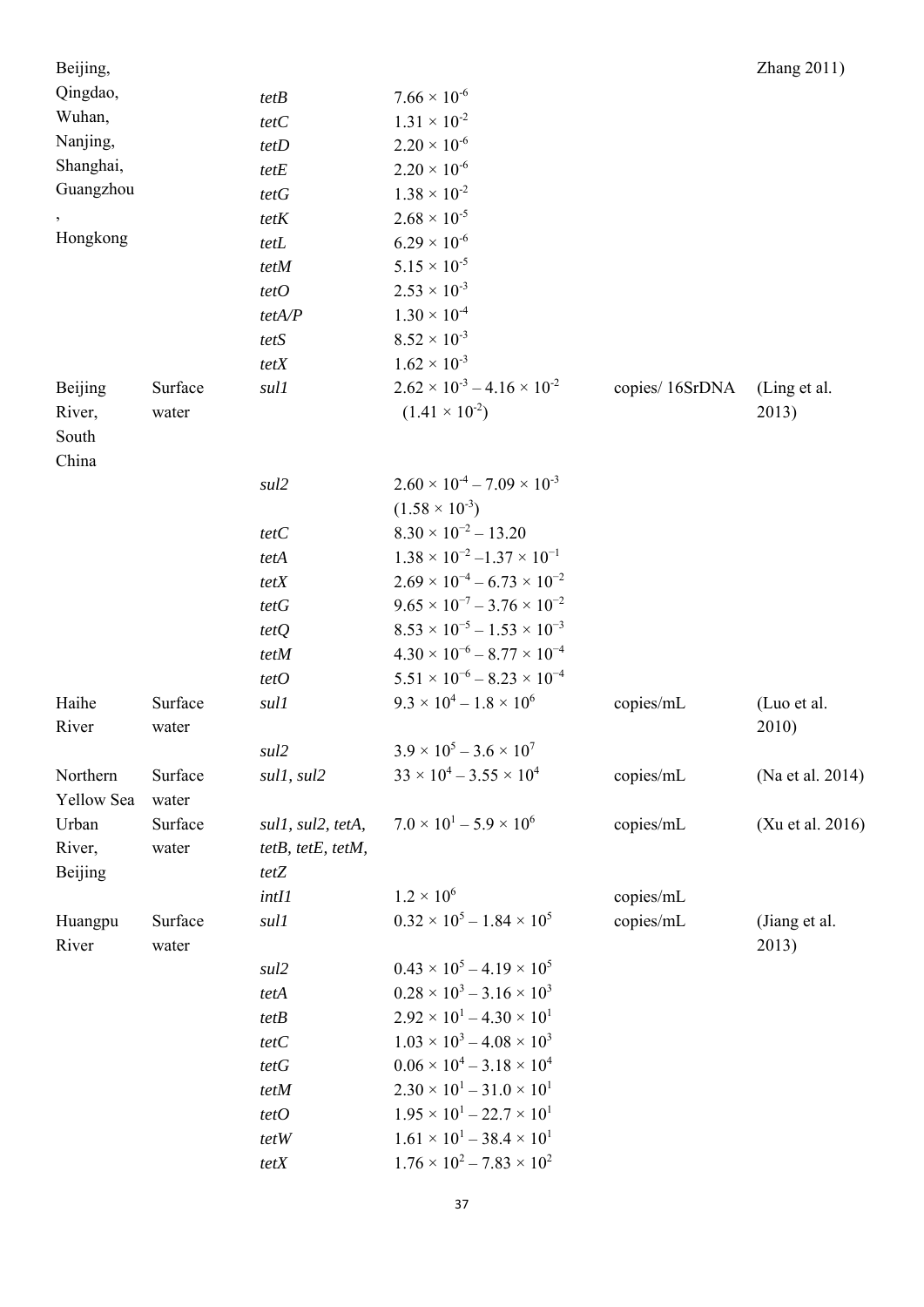| Beijing,       |         |                   |                                             |                 | Zhang 2011)      |
|----------------|---------|-------------------|---------------------------------------------|-----------------|------------------|
| Qingdao,       |         | tetB              | $7.66 \times 10^{-6}$                       |                 |                  |
| Wuhan,         |         | tetC              | $1.31 \times 10^{-2}$                       |                 |                  |
| Nanjing,       |         | tetD              | $2.20 \times 10^{-6}$                       |                 |                  |
| Shanghai,      |         | tetE              | $2.20 \times 10^{-6}$                       |                 |                  |
| Guangzhou      |         | tetG              | $1.38 \times 10^{-2}$                       |                 |                  |
|                |         | tetK              | $2.68\times10^{\text{-}5}$                  |                 |                  |
| Hongkong       |         | tetL              | $6.29 \times 10^{-6}$                       |                 |                  |
|                |         | tetM              | $5.15 \times 10^{-5}$                       |                 |                  |
|                |         | tetO              | $2.53 \times 10^{-3}$                       |                 |                  |
|                |         | tetA/P            | $1.30 \times 10^{-4}$                       |                 |                  |
|                |         | tetS              | $8.52 \times 10^{-3}$                       |                 |                  |
|                |         | tetX              | $1.62 \times 10^{-3}$                       |                 |                  |
| <b>Beijing</b> | Surface | sul1              | $2.62 \times 10^{-3} - 4.16 \times 10^{-2}$ | copies/ 16SrDNA | (Ling et al.     |
| River,         | water   |                   | $(1.41 \times 10^{-2})$                     |                 | 2013)            |
| South          |         |                   |                                             |                 |                  |
| China          |         |                   |                                             |                 |                  |
|                |         | sul2              | $2.60 \times 10^{-4} - 7.09 \times 10^{-3}$ |                 |                  |
|                |         |                   | $(1.58 \times 10^{-3})$                     |                 |                  |
|                |         | tetC              | $8.30 \times 10^{-2} - 13.20$               |                 |                  |
|                |         | tetA              | $1.38 \times 10^{-2} - 1.37 \times 10^{-1}$ |                 |                  |
|                |         | tetX              | $2.69 \times 10^{-4} - 6.73 \times 10^{-2}$ |                 |                  |
|                |         | tetG              | $9.65 \times 10^{-7} - 3.76 \times 10^{-2}$ |                 |                  |
|                |         | tetQ              | $8.53 \times 10^{-5} - 1.53 \times 10^{-3}$ |                 |                  |
|                |         | tetM              | $4.30 \times 10^{-6} - 8.77 \times 10^{-4}$ |                 |                  |
|                |         | tetO              | $5.51 \times 10^{-6} - 8.23 \times 10^{-4}$ |                 |                  |
| Haihe          | Surface | sul1              | $9.3 \times 10^4 - 1.8 \times 10^6$         | copies/mL       | (Luo et al.      |
| River          | water   |                   |                                             |                 | 2010)            |
|                |         | sul2              | $3.9 \times 10^5 - 3.6 \times 10^7$         |                 |                  |
| Northern       | Surface | sul1, sul2        | $33 \times 10^4 - 3.55 \times 10^4$         | copies/mL       | (Na et al. 2014) |
| Yellow Sea     | water   |                   |                                             |                 |                  |
| Urban          | Surface | sul1, sul2, tetA, | $7.0 \times 10^1 - 5.9 \times 10^6$         | copies/mL       | (Xu et al. 2016) |
| River,         | water   | tetB, tetE, tetM, |                                             |                 |                  |
| <b>Beijing</b> |         | tetZ              |                                             |                 |                  |
|                |         | int11             | $1.2 \times 10^{6}$                         | copies/mL       |                  |
| Huangpu        | Surface | sul1              | $0.32 \times 10^5 - 1.84 \times 10^5$       | copies/mL       | (Jiang et al.    |
| River          | water   |                   |                                             |                 | 2013)            |
|                |         | sul2              | $0.43 \times 10^5 - 4.19 \times 10^5$       |                 |                  |
|                |         | tetA              | $0.28 \times 10^3 - 3.16 \times 10^3$       |                 |                  |
|                |         | tetB              | $2.92 \times 10^{1} - 4.30 \times 10^{1}$   |                 |                  |
|                |         | tetC              | $1.03 \times 10^3 - 4.08 \times 10^3$       |                 |                  |
|                |         | tetG              | $0.06 \times 10^4 - 3.18 \times 10^4$       |                 |                  |
|                |         | tetM              | $2.30 \times 10^{1} - 31.0 \times 10^{1}$   |                 |                  |
|                |         | tetO              | $1.95 \times 10^{1} - 22.7 \times 10^{1}$   |                 |                  |
|                |         | tetW              | $1.61 \times 10^{1} - 38.4 \times 10^{1}$   |                 |                  |
|                |         | tetX              | $1.76 \times 10^2 - 7.83 \times 10^2$       |                 |                  |
|                |         |                   |                                             |                 |                  |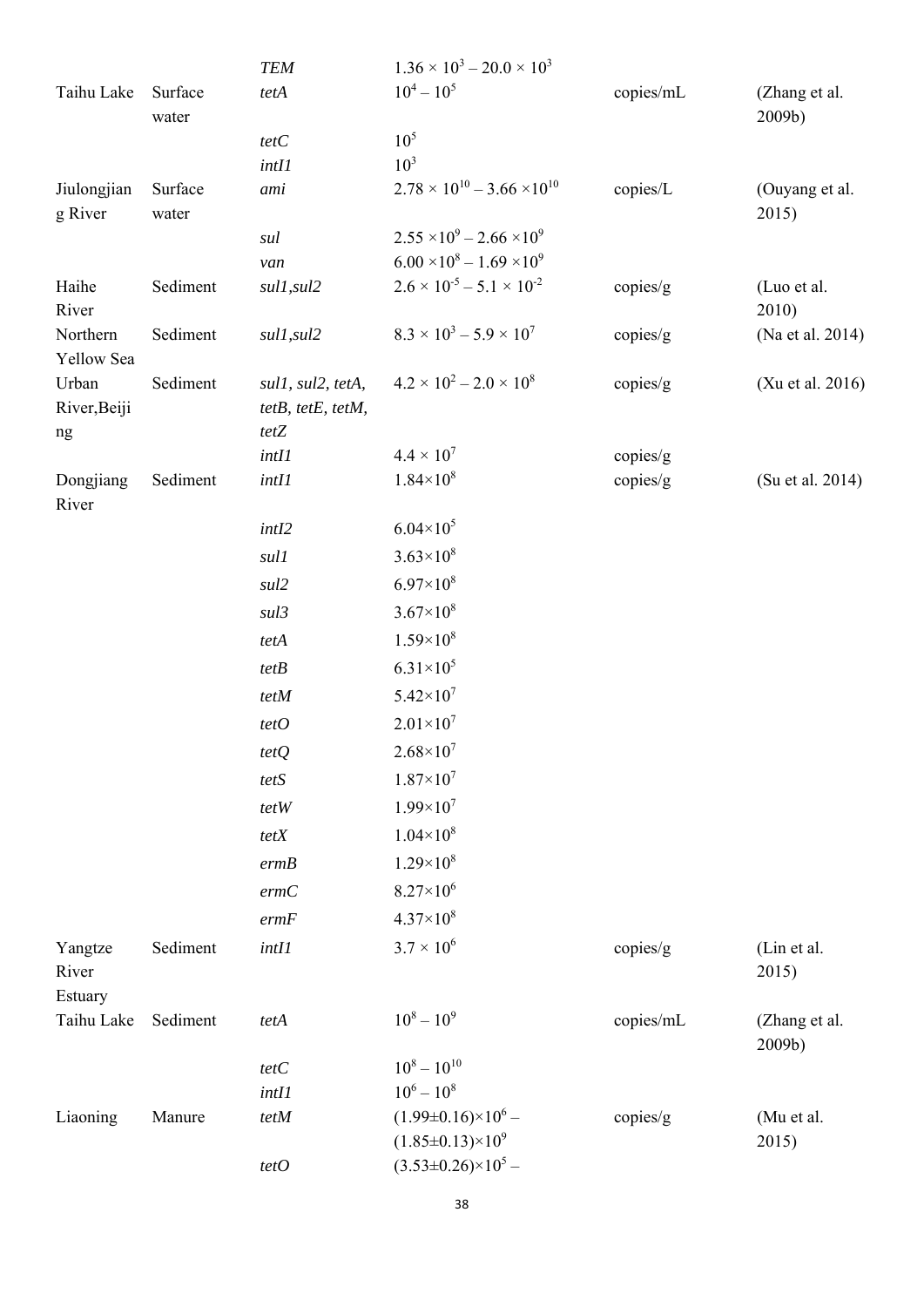|                             |                  | <b>TEM</b>                                     | $1.36 \times 10^3 - 20.0 \times 10^3$       |           |                         |
|-----------------------------|------------------|------------------------------------------------|---------------------------------------------|-----------|-------------------------|
| Taihu Lake                  | Surface<br>water | tetA                                           | $10^4 - 10^5$                               | copies/mL | (Zhang et al.<br>2009b) |
|                             |                  | tetC                                           | 10 <sup>5</sup>                             |           |                         |
|                             |                  | int11                                          | 10 <sup>3</sup>                             |           |                         |
| Jiulongjian<br>g River      | Surface<br>water | ami                                            | $2.78 \times 10^{10} - 3.66 \times 10^{10}$ | copies/L  | (Ouyang et al.<br>2015) |
|                             |                  | sul                                            | $2.55 \times 10^{9} - 2.66 \times 10^{9}$   |           |                         |
|                             |                  | van                                            | $6.00 \times 10^8 - 1.69 \times 10^9$       |           |                         |
| Haihe<br>River              | Sediment         | sul1,sul2                                      | $2.6 \times 10^{-5} - 5.1 \times 10^{-2}$   | copies/g  | (Luo et al.<br>2010)    |
| Northern<br>Yellow Sea      | Sediment         | sul1,sul2                                      | $8.3 \times 10^3 - 5.9 \times 10^7$         | copies/g  | (Na et al. 2014)        |
| Urban<br>River, Beiji<br>ng | Sediment         | sul1, sul2, tetA,<br>tetB, tetE, tetM,<br>tetZ | $4.2 \times 10^2 - 2.0 \times 10^8$         | copies/g  | (Xu et al. 2016)        |
|                             |                  | int11                                          | $4.4 \times 10^{7}$                         | copies/g  |                         |
| Dongjiang<br>River          | Sediment         | int11                                          | $1.84 \times 10^8$                          | copies/g  | (Su et al. 2014)        |
|                             |                  | int12                                          | $6.04 \times 10^{5}$                        |           |                         |
|                             |                  | sul1                                           | $3.63\times10^{8}$                          |           |                         |
|                             |                  | sul2                                           | $6.97\times10^{8}$                          |           |                         |
|                             |                  | sul3                                           | $3.67 \times 10^{8}$                        |           |                         |
|                             |                  | tetA                                           | $1.59\times10^{8}$                          |           |                         |
|                             |                  | tetB                                           | $6.31\times10^{5}$                          |           |                         |
|                             |                  | tetM                                           | $5.42\times10^{7}$                          |           |                         |
|                             |                  | tetO                                           | $2.01 \times 10^{7}$                        |           |                         |
|                             |                  | tetQ                                           | $2.68 \times 10^{7}$                        |           |                         |
|                             |                  | tetS                                           | $1.87\times10^{7}$                          |           |                         |
|                             |                  | $tetW$                                         | $1.99\times10^{7}$                          |           |                         |
|                             |                  | tetX                                           | $1.04\times10^{8}$                          |           |                         |
|                             |                  | ermB                                           | $1.29\times10^{8}$                          |           |                         |
|                             |                  | ermC                                           | $8.27\times10^{6}$                          |           |                         |
|                             |                  | ermF                                           | $4.37\times10^{8}$                          |           |                         |
| Yangtze<br>River            | Sediment         | int11                                          | $3.7 \times 10^{6}$                         | copies/g  | (Lin et al.<br>2015)    |
| Estuary                     |                  |                                                |                                             |           |                         |
| Taihu Lake                  | Sediment         | tetA                                           | $10^8 - 10^9$                               | copies/mL | (Zhang et al.<br>2009b) |
|                             |                  | tetC                                           | $10^8 - 10^{10}$                            |           |                         |
|                             |                  | int11                                          | $10^6 - 10^8$                               |           |                         |
| Liaoning                    | Manure           | tetM                                           | $(1.99\pm0.16)\times10^{6}$ –               | copies/g  | (Mu et al.              |
|                             |                  |                                                | $(1.85 \pm 0.13) \times 10^{9}$             |           | 2015)                   |
|                             |                  | tetO                                           | $(3.53\pm0.26)\times10^{5}$ –               |           |                         |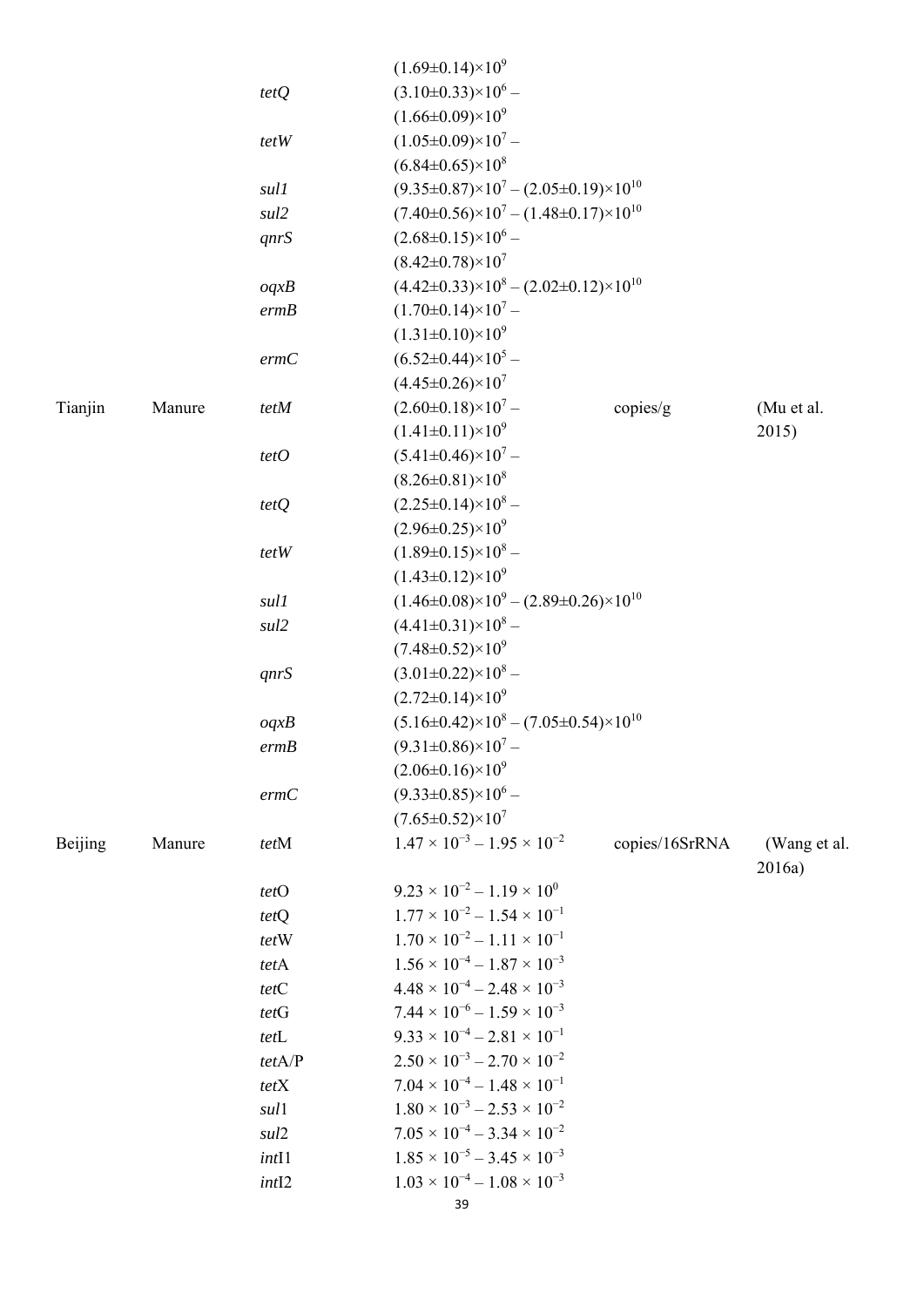|                |        |                  | $(1.69 \pm 0.14) \times 10^9$                            |                |                        |
|----------------|--------|------------------|----------------------------------------------------------|----------------|------------------------|
|                |        | tetQ             | $(3.10\pm0.33)\times10^{6}$ –                            |                |                        |
|                |        |                  | $(1.66 \pm 0.09) \times 10^9$                            |                |                        |
|                |        | tetW             | $(1.05\pm0.09)\times10^{7}$ –                            |                |                        |
|                |        |                  | $(6.84 \pm 0.65) \times 10^8$                            |                |                        |
|                |        | sul1             | $(9.35\pm0.87)\times10^{7} - (2.05\pm0.19)\times10^{10}$ |                |                        |
|                |        | sul2             | $(7.40\pm0.56)\times10^{7} - (1.48\pm0.17)\times10^{10}$ |                |                        |
|                |        | qnrS             | $(2.68\pm0.15)\times10^{6}$ –                            |                |                        |
|                |        |                  | $(8.42 \pm 0.78) \times 10^7$                            |                |                        |
|                |        | oqxB             | $(4.42\pm0.33)\times10^{8} - (2.02\pm0.12)\times10^{10}$ |                |                        |
|                |        | ermB             | $(1.70 \pm 0.14) \times 10^7$ –                          |                |                        |
|                |        |                  | $(1.31\pm0.10)\times10^{9}$                              |                |                        |
|                |        | ermC             | $(6.52 \pm 0.44) \times 10^5$ –                          |                |                        |
|                |        |                  | $(4.45\pm0.26)\times10^{7}$                              |                |                        |
|                |        |                  | $(2.60\pm0.18)\times10^{7}$ –                            |                |                        |
| Tianjin        | Manure | tetM             | $(1.41 \pm 0.11) \times 10^9$                            | copies/g       | (Mu et al.             |
|                |        |                  | $(5.41\pm0.46)\times10^{7}$ –                            |                | 2015)                  |
|                |        | tetO             |                                                          |                |                        |
|                |        |                  | $(8.26 \pm 0.81) \times 10^8$                            |                |                        |
|                |        | tetQ             | $(2.25\pm0.14)\times10^{8}$ –                            |                |                        |
|                |        |                  | $(2.96 \pm 0.25) \times 10^9$                            |                |                        |
|                |        | tetW             | $(1.89\pm0.15)\times10^{8}$ –                            |                |                        |
|                |        |                  | $(1.43\pm0.12)\times10^{9}$                              |                |                        |
|                |        | sul1             | $(1.46\pm0.08)\times10^{9} - (2.89\pm0.26)\times10^{10}$ |                |                        |
|                |        | sul2             | $(4.41\pm0.31)\times10^{8}$ –                            |                |                        |
|                |        |                  | $(7.48 \pm 0.52) \times 10^9$                            |                |                        |
|                |        | qnrS             | $(3.01 \pm 0.22) \times 10^8$ –                          |                |                        |
|                |        |                  | $(2.72 \pm 0.14) \times 10^{9}$                          |                |                        |
|                |        | oqxB             | $(5.16\pm0.42)\times10^{8} - (7.05\pm0.54)\times10^{10}$ |                |                        |
|                |        | ermB             | $(9.31 \pm 0.86) \times 10^7$ –                          |                |                        |
|                |        |                  | $(2.06\pm0.16)\times10^{9}$                              |                |                        |
|                |        | $\emph{ermC}$    | $(9.33\pm0.85)\times10^{6}$ –                            |                |                        |
|                |        |                  | $(7.65 \pm 0.52) \times 10^7$                            |                |                        |
| <b>Beijing</b> | Manure | tetM             | $1.47 \times 10^{-3} - 1.95 \times 10^{-2}$              | copies/16SrRNA | (Wang et al.<br>2016a) |
|                |        | tetO             | $9.23 \times 10^{-2} - 1.19 \times 10^{0}$               |                |                        |
|                |        | tetQ             | $1.77 \times 10^{-2} - 1.54 \times 10^{-1}$              |                |                        |
|                |        | tetW             | $1.70 \times 10^{-2} - 1.11 \times 10^{-1}$              |                |                        |
|                |        | tetA             | $1.56 \times 10^{-4} - 1.87 \times 10^{-3}$              |                |                        |
|                |        | tetC             | $4.48 \times 10^{-4} - 2.48 \times 10^{-3}$              |                |                        |
|                |        | tetG             | $7.44 \times 10^{-6} - 1.59 \times 10^{-3}$              |                |                        |
|                |        | tetL             | $9.33 \times 10^{-4} - 2.81 \times 10^{-1}$              |                |                        |
|                |        | tetA/P           | $2.50 \times 10^{-3} - 2.70 \times 10^{-2}$              |                |                        |
|                |        | tetX             | $7.04 \times 10^{-4} - 1.48 \times 10^{-1}$              |                |                        |
|                |        | sul1             | $1.80 \times 10^{-3} - 2.53 \times 10^{-2}$              |                |                        |
|                |        | sul <sub>2</sub> | $7.05 \times 10^{-4} - 3.34 \times 10^{-2}$              |                |                        |
|                |        | int11            | $1.85 \times 10^{-5} - 3.45 \times 10^{-3}$              |                |                        |
|                |        | int12            | $1.03 \times 10^{-4} - 1.08 \times 10^{-3}$              |                |                        |
|                |        |                  | 39                                                       |                |                        |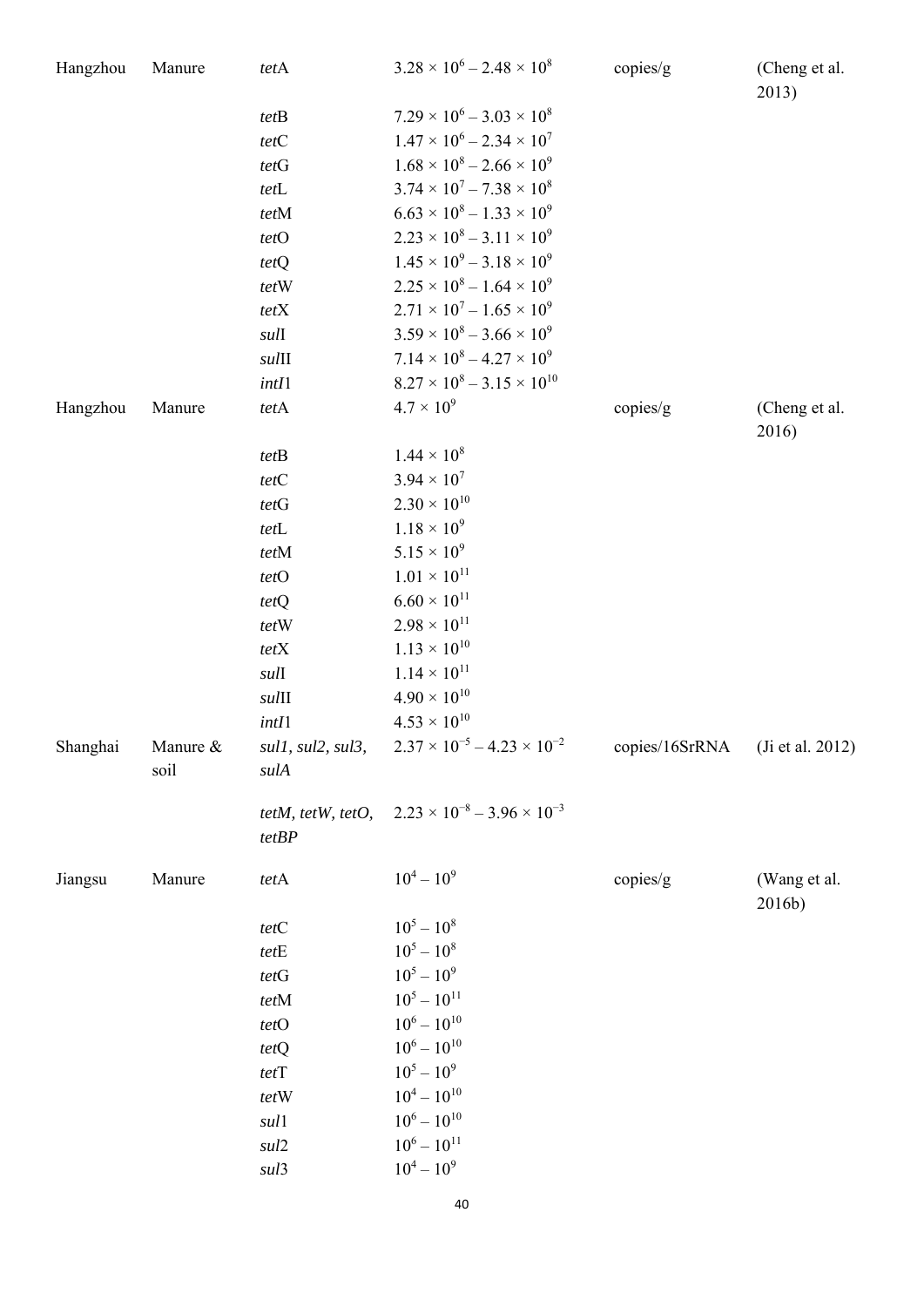| Hangzhou | Manure           | tetA                      | $3.28 \times 10^6 - 2.48 \times 10^8$                         | copies/g       | (Cheng et al.<br>2013) |
|----------|------------------|---------------------------|---------------------------------------------------------------|----------------|------------------------|
|          |                  | tetB                      | $7.29 \times 10^6 - 3.03 \times 10^8$                         |                |                        |
|          |                  | tetC                      | $1.47 \times 10^6 - 2.34 \times 10^7$                         |                |                        |
|          |                  | tetG                      | $1.68 \times 10^8 - 2.66 \times 10^9$                         |                |                        |
|          |                  | tetL                      | $3.74 \times 10^7 - 7.38 \times 10^8$                         |                |                        |
|          |                  | tetM                      | $6.63 \times 10^8 - 1.33 \times 10^9$                         |                |                        |
|          |                  | tetO                      | $2.23 \times 10^8 - 3.11 \times 10^9$                         |                |                        |
|          |                  | tetQ                      | $1.45 \times 10^9 - 3.18 \times 10^9$                         |                |                        |
|          |                  | tetW                      | $2.25 \times 10^8 - 1.64 \times 10^9$                         |                |                        |
|          |                  | tetX                      | $2.71 \times 10^7 - 1.65 \times 10^9$                         |                |                        |
|          |                  | sull                      | $3.59 \times 10^8 - 3.66 \times 10^9$                         |                |                        |
|          |                  | sulII                     | $7.14 \times 10^8 - 4.27 \times 10^9$                         |                |                        |
|          |                  | int11                     | $8.27 \times 10^8 - 3.15 \times 10^{10}$                      |                |                        |
| Hangzhou | Manure           | tetA                      | $4.7 \times 10^{9}$                                           | copies/g       | (Cheng et al.<br>2016) |
|          |                  | tetB                      | $1.44 \times 10^{8}$                                          |                |                        |
|          |                  | tetC                      | $3.94 \times 10^{7}$                                          |                |                        |
|          |                  | tetG                      | $2.30 \times 10^{10}$                                         |                |                        |
|          |                  | tetL                      | $1.18 \times 10^{9}$                                          |                |                        |
|          |                  | tetM                      | $5.15 \times 10^{9}$                                          |                |                        |
|          |                  | tetO                      | $1.01\times10^{11}$                                           |                |                        |
|          |                  | tetQ                      | $6.60 \times 10^{11}$                                         |                |                        |
|          |                  | tetW                      | $2.98 \times 10^{11}$                                         |                |                        |
|          |                  | tetX                      | $1.13\times10^{10}$                                           |                |                        |
|          |                  | sull                      | $1.14\times10^{11}$                                           |                |                        |
|          |                  | sulII                     | $4.90 \times 10^{10}$                                         |                |                        |
|          |                  | int11                     | $4.53 \times 10^{10}$                                         |                |                        |
| Shanghai | Manure &<br>soil | sull, sul2, sul3,<br>sulA | $2.37 \times 10^{-5} - 4.23 \times 10^{-2}$                   | copies/16SrRNA | (Ji et al. 2012)       |
|          |                  | tetBP                     | tetM, tetW, tetO, $2.23 \times 10^{-8} - 3.96 \times 10^{-3}$ |                |                        |
| Jiangsu  | Manure           | tetA                      | $10^4 - 10^9$                                                 | copies/g       | (Wang et al.<br>2016b) |
|          |                  | tetC                      | $10^5 - 10^8$                                                 |                |                        |
|          |                  | tetE                      | $10^5 - 10^8$                                                 |                |                        |
|          |                  | tetG                      | $10^5 - 10^9$                                                 |                |                        |
|          |                  | tetM                      | $10^5 - 10^{11}$                                              |                |                        |
|          |                  | tetO                      | $10^6 - 10^{10}$                                              |                |                        |
|          |                  | tetQ                      | $10^6 - 10^{10}$                                              |                |                        |
|          |                  | tetT                      | $10^5 - 10^9$                                                 |                |                        |
|          |                  | tetW                      | $10^4 - 10^{10}$                                              |                |                        |
|          |                  | sul1                      | $10^6 - 10^{10}$                                              |                |                        |
|          |                  | sul <sub>2</sub>          | $10^6 - 10^{11}$                                              |                |                        |
|          |                  | sul3                      | $10^4 - 10^9$                                                 |                |                        |
|          |                  |                           |                                                               |                |                        |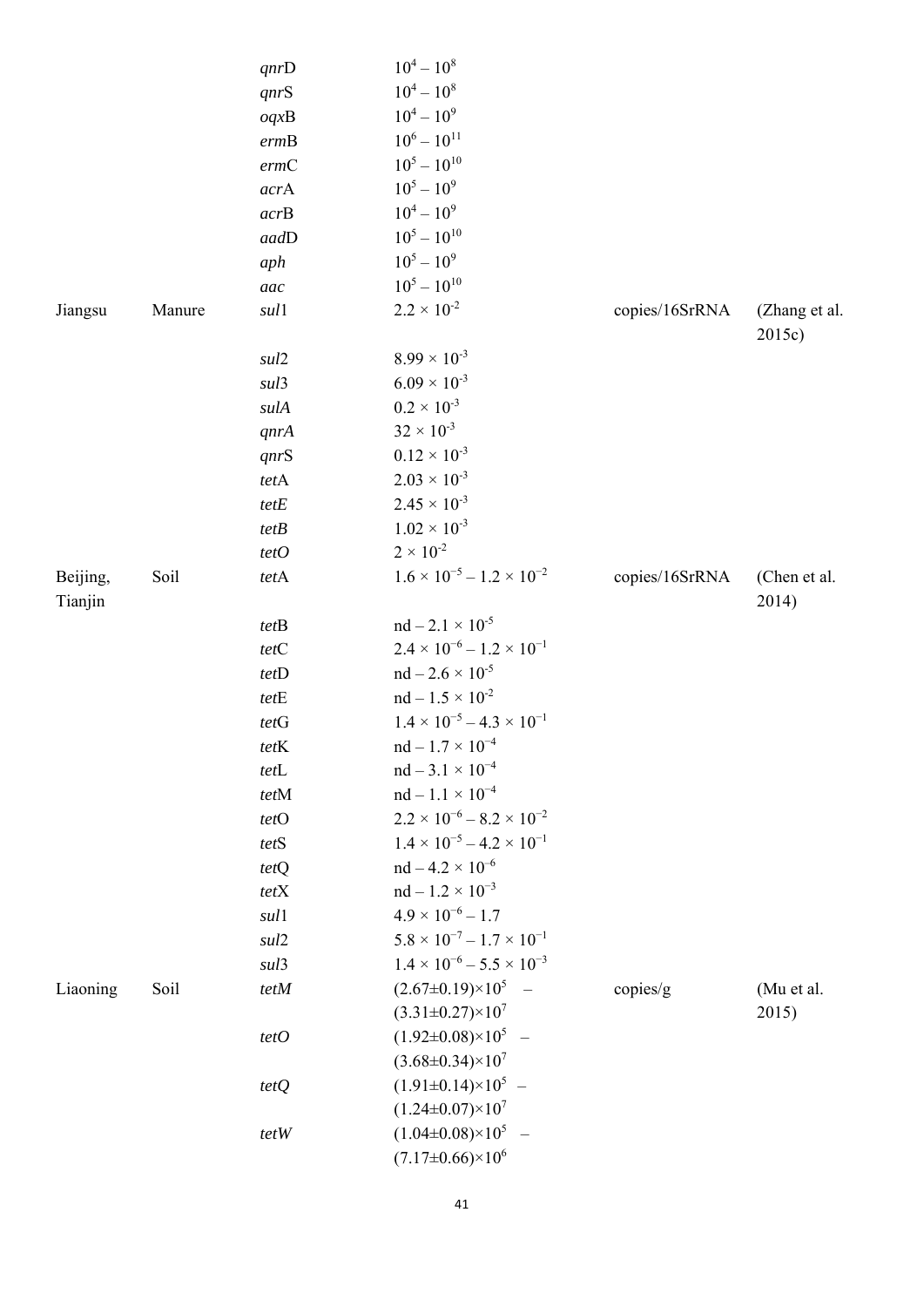|                     |        | qnrD             | $10^4 - 10^8$                             |                |                         |
|---------------------|--------|------------------|-------------------------------------------|----------------|-------------------------|
|                     |        | qnrS             | $10^4 - 10^8$                             |                |                         |
|                     |        | oqxB             | $10^4 - 10^9$                             |                |                         |
|                     |        | ermB             | $10^6 - 10^{11}$                          |                |                         |
|                     |        | ermC             | $10^5 - 10^{10}$                          |                |                         |
|                     |        | acrA             | $10^5 - 10^9$                             |                |                         |
|                     |        | acrB             | $10^4 - 10^9$                             |                |                         |
|                     |        | aadD             | $10^5 - 10^{10}$                          |                |                         |
|                     |        | aph              | $10^5 - 10^9$                             |                |                         |
|                     |        | aac              | $10^5 - 10^{10}$                          |                |                         |
| Jiangsu             | Manure | sul1             | $2.2 \times 10^{-2}$                      | copies/16SrRNA | (Zhang et al.<br>2015c) |
|                     |        | sul <sub>2</sub> | $8.99 \times 10^{-3}$                     |                |                         |
|                     |        | sul3             | $6.09 \times 10^{-3}$                     |                |                         |
|                     |        | sulA             | $0.2 \times 10^{-3}$                      |                |                         |
|                     |        | qnrA             | $32 \times 10^{-3}$                       |                |                         |
|                     |        | qnrS             | $0.12 \times 10^{-3}$                     |                |                         |
|                     |        | tetA             | $2.03 \times 10^{-3}$                     |                |                         |
|                     |        | $tetE$           | $2.45 \times 10^{-3}$                     |                |                         |
|                     |        | tetB             | $1.02 \times 10^{-3}$                     |                |                         |
|                     |        | tetO             | $2 \times 10^{-2}$                        |                |                         |
| Beijing,<br>Tianjin | Soil   | tetA             | $1.6 \times 10^{-5} - 1.2 \times 10^{-2}$ | copies/16SrRNA | (Chen et al.<br>2014)   |
|                     |        | tetB             | $nd - 2.1 \times 10^{-5}$                 |                |                         |
|                     |        | tetC             | $2.4 \times 10^{-6} - 1.2 \times 10^{-1}$ |                |                         |
|                     |        | tetD             | $nd - 2.6 \times 10^{-5}$                 |                |                         |
|                     |        | $tet\mathbf{E}$  | $nd - 1.5 \times 10^{-2}$                 |                |                         |
|                     |        | tetG             | $1.4 \times 10^{-5} - 4.3 \times 10^{-1}$ |                |                         |
|                     |        | tetK             | $nd - 1.7 \times 10^{-4}$                 |                |                         |
|                     |        | tetL             | $nd - 3.1 \times 10^{-4}$                 |                |                         |
|                     |        | tetM             | $nd - 1.1 \times 10^{-4}$                 |                |                         |
|                     |        | tetO             | $2.2 \times 10^{-6} - 8.2 \times 10^{-2}$ |                |                         |
|                     |        | tetS             | $1.4 \times 10^{-5} - 4.2 \times 10^{-1}$ |                |                         |
|                     |        | tetQ             | $nd - 4.2 \times 10^{-6}$                 |                |                         |
|                     |        | tetX             | $nd - 1.2 \times 10^{-3}$                 |                |                         |
|                     |        | sul1             | $4.9 \times 10^{-6} - 1.7$                |                |                         |
|                     |        | sul <sub>2</sub> | $5.8 \times 10^{-7} - 1.7 \times 10^{-1}$ |                |                         |
|                     |        | sul3             | $1.4 \times 10^{-6} - 5.5 \times 10^{-3}$ |                |                         |
| Liaoning            | Soil   | tetM             | $(2.67\pm0.19)\times10^{5}$ -             | copies/g       | (Mu et al.              |
|                     |        |                  | $(3.31 \pm 0.27) \times 10^7$             |                | 2015)                   |
|                     |        | tetO             | $(1.92 \pm 0.08) \times 10^5$ -           |                |                         |
|                     |        |                  | $(3.68 \pm 0.34) \times 10^7$             |                |                         |
|                     |        | tetQ             | $(1.91\pm0.14)\times10^{5}$ –             |                |                         |
|                     |        |                  | $(1.24 \pm 0.07) \times 10^7$             |                |                         |
|                     |        | tetW             | $(1.04\pm0.08)\times10^{5}$ -             |                |                         |
|                     |        |                  | $(7.17 \pm 0.66) \times 10^6$             |                |                         |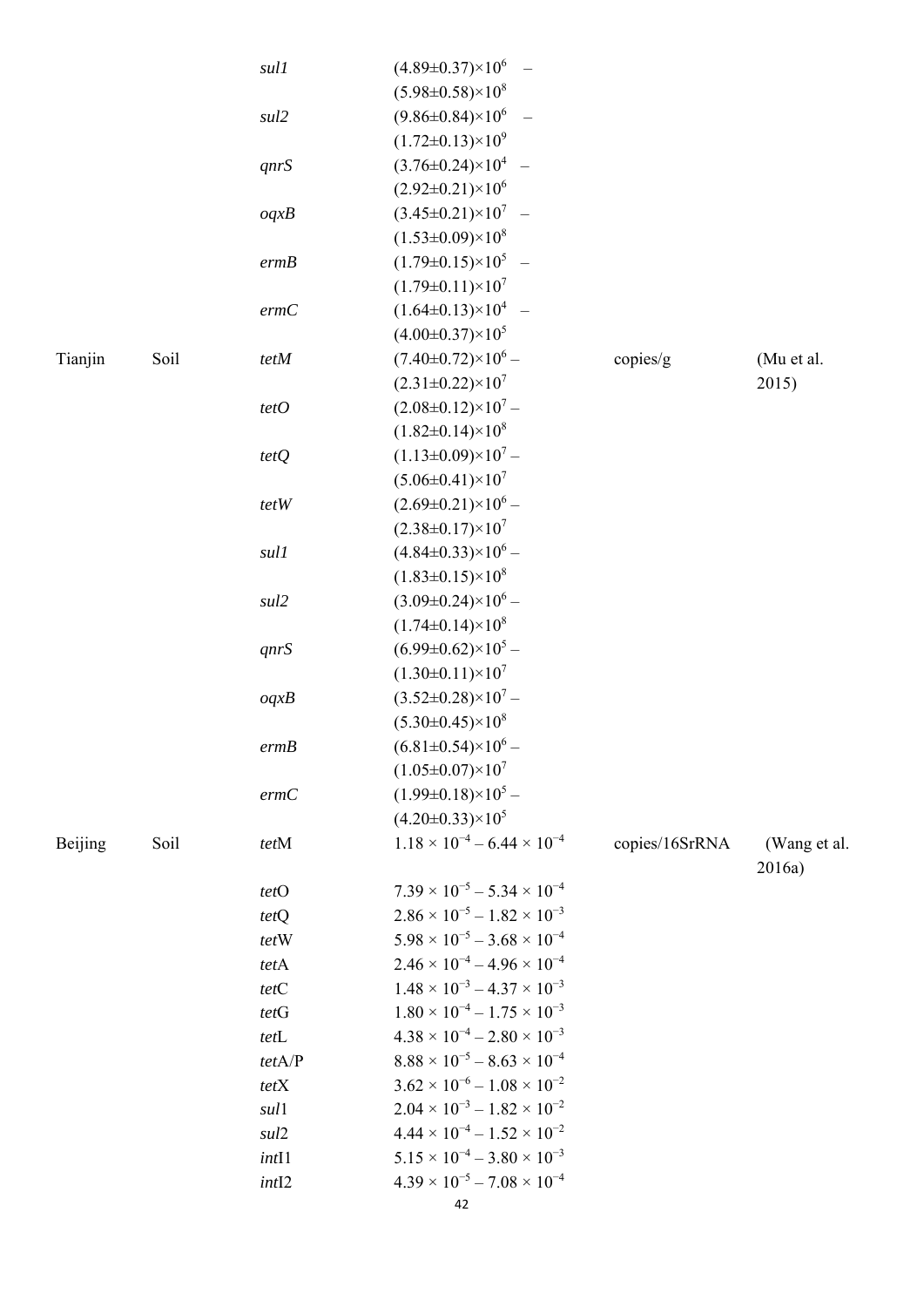|                |      | sul1             | $(4.89 \pm 0.37) \times 10^6$<br>$\overline{\phantom{a}}$ |                |                        |
|----------------|------|------------------|-----------------------------------------------------------|----------------|------------------------|
|                |      |                  | $(5.98 \pm 0.58) \times 10^8$                             |                |                        |
|                |      | sul2             | $(9.86 \pm 0.84) \times 10^6$                             |                |                        |
|                |      |                  | $(1.72 \pm 0.13) \times 10^9$                             |                |                        |
|                |      | qnrS             | $(3.76 \pm 0.24) \times 10^4$                             |                |                        |
|                |      |                  | $(2.92 \pm 0.21) \times 10^6$                             |                |                        |
|                |      | oqxB             | $(3.45\pm0.21)\times10^{7}$ -                             |                |                        |
|                |      |                  | $(1.53 \pm 0.09) \times 10^8$                             |                |                        |
|                |      | ermB             | $(1.79 \pm 0.15) \times 10^5$ -                           |                |                        |
|                |      |                  | $(1.79 \pm 0.11) \times 10^7$                             |                |                        |
|                |      | ermC             | $(1.64\pm0.13)\times10^{4}$ –                             |                |                        |
|                |      |                  | $(4.00 \pm 0.37) \times 10^5$                             |                |                        |
| Tianjin        | Soil | tetM             | $(7.40\pm0.72)\times10^{6}$ –                             | copies/g       | (Mu et al.             |
|                |      |                  | $(2.31 \pm 0.22) \times 10^7$                             |                | 2015)                  |
|                |      | tetO             | $(2.08\pm0.12)\times10^{7}$ –                             |                |                        |
|                |      |                  | $(1.82 \pm 0.14) \times 10^8$                             |                |                        |
|                |      | tetQ             | $(1.13\pm0.09)\times10^{7}$ –                             |                |                        |
|                |      |                  | $(5.06 \pm 0.41) \times 10^7$                             |                |                        |
|                |      | tetW             | $(2.69 \pm 0.21) \times 10^{6}$ –                         |                |                        |
|                |      |                  | $(2.38 \pm 0.17) \times 10^7$                             |                |                        |
|                |      | sul1             | $(4.84\pm0.33)\times10^{6}$ –                             |                |                        |
|                |      |                  | $(1.83 \pm 0.15) \times 10^8$                             |                |                        |
|                |      | sul2             | $(3.09\pm0.24)\times10^{6}$ –                             |                |                        |
|                |      |                  | $(1.74 \pm 0.14) \times 10^8$                             |                |                        |
|                |      | qnrS             | $(6.99 \pm 0.62) \times 10^5$ –                           |                |                        |
|                |      |                  | $(1.30 \pm 0.11) \times 10^7$                             |                |                        |
|                |      | oqxB             | $(3.52 \pm 0.28) \times 10^7$ –                           |                |                        |
|                |      |                  | $(5.30 \pm 0.45) \times 10^8$                             |                |                        |
|                |      | ermB             | $(6.81\pm0.54)\times10^{6}$ –                             |                |                        |
|                |      |                  | $(1.05 \pm 0.07) \times 10^7$                             |                |                        |
|                |      | ermC             | $(1.99\pm0.18)\times10^{5}$ –                             |                |                        |
|                |      |                  | $(4.20 \pm 0.33) \times 10^5$                             |                |                        |
| <b>Beijing</b> | Soil | tetM             | $1.18 \times 10^{-4} - 6.44 \times 10^{-4}$               | copies/16SrRNA | (Wang et al.<br>2016a) |
|                |      | tetO             | $7.39 \times 10^{-5} - 5.34 \times 10^{-4}$               |                |                        |
|                |      | tetQ             | $2.86 \times 10^{-5} - 1.82 \times 10^{-3}$               |                |                        |
|                |      | tetW             | $5.98 \times 10^{-5} - 3.68 \times 10^{-4}$               |                |                        |
|                |      | tetA             | $2.46 \times 10^{-4} - 4.96 \times 10^{-4}$               |                |                        |
|                |      | tetC             | $1.48 \times 10^{-3} - 4.37 \times 10^{-3}$               |                |                        |
|                |      | tetG             | $1.80 \times 10^{-4} - 1.75 \times 10^{-3}$               |                |                        |
|                |      | tetL             | $4.38 \times 10^{-4} - 2.80 \times 10^{-3}$               |                |                        |
|                |      | tetA/P           | $8.88 \times 10^{-5} - 8.63 \times 10^{-4}$               |                |                        |
|                |      | tetX             | $3.62 \times 10^{-6} - 1.08 \times 10^{-2}$               |                |                        |
|                |      | sul1             | $2.04 \times 10^{-3} - 1.82 \times 10^{-2}$               |                |                        |
|                |      | sul <sub>2</sub> | $4.44 \times 10^{-4} - 1.52 \times 10^{-2}$               |                |                        |
|                |      | int[1]           | $5.15 \times 10^{-4} - 3.80 \times 10^{-3}$               |                |                        |
|                |      | int12            | $4.39 \times 10^{-5} - 7.08 \times 10^{-4}$               |                |                        |
|                |      |                  | 42                                                        |                |                        |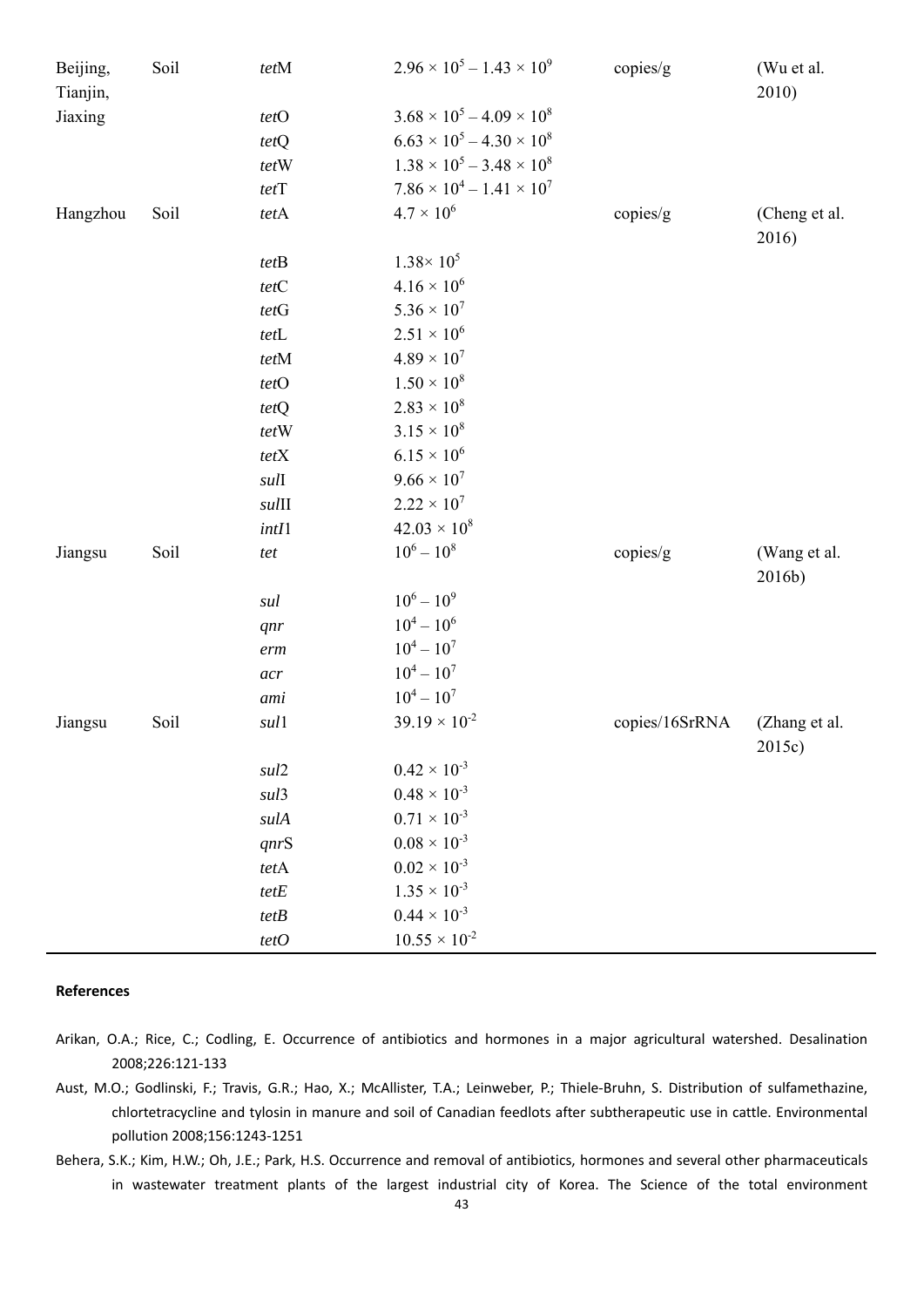| Beijing,<br>Tianjin, | Soil | tetM             | $2.96 \times 10^5 - 1.43 \times 10^9$ | copies/g       | (Wu et al.<br>2010)     |
|----------------------|------|------------------|---------------------------------------|----------------|-------------------------|
| Jiaxing              |      | tetO             | $3.68 \times 10^5 - 4.09 \times 10^8$ |                |                         |
|                      |      | tetQ             | $6.63 \times 10^5 - 4.30 \times 10^8$ |                |                         |
|                      |      | tetW             | $1.38 \times 10^5 - 3.48 \times 10^8$ |                |                         |
|                      |      | tetT             | $7.86 \times 10^4 - 1.41 \times 10^7$ |                |                         |
| Hangzhou             | Soil | tetA             | $4.7 \times 10^{6}$                   | copies/g       | (Cheng et al.<br>2016)  |
|                      |      | tetB             | $1.38 \times 10^{5}$                  |                |                         |
|                      |      | tetC             | $4.16 \times 10^{6}$                  |                |                         |
|                      |      | tetG             | $5.36 \times 10^{7}$                  |                |                         |
|                      |      | tetL             | $2.51 \times 10^{6}$                  |                |                         |
|                      |      | tetM             | $4.89 \times 10^{7}$                  |                |                         |
|                      |      | tetO             | $1.50 \times 10^8$                    |                |                         |
|                      |      | tetQ             | $2.83 \times 10^{8}$                  |                |                         |
|                      |      | tetW             | $3.15 \times 10^8$                    |                |                         |
|                      |      | tetX             | $6.15 \times 10^{6}$                  |                |                         |
|                      |      | sull             | $9.66 \times 10^{7}$                  |                |                         |
|                      |      | sulII            | $2.22 \times 10^{7}$                  |                |                         |
|                      |      | int11            | $42.03 \times 10^8$                   |                |                         |
| Jiangsu              | Soil | tet              | $10^6 - 10^8$                         | copies/g       | (Wang et al.<br>2016b)  |
|                      |      | sul              | $10^6 - 10^9$                         |                |                         |
|                      |      | qnr              | $10^4 - 10^6$                         |                |                         |
|                      |      | erm              | $10^4 - 10^7$                         |                |                         |
|                      |      | acr              | $10^4 - 10^7$                         |                |                         |
|                      |      | ami              | $10^4 - 10^7$                         |                |                         |
| Jiangsu              | Soil | sul1             | $39.19 \times 10^{-2}$                | copies/16SrRNA | (Zhang et al.<br>2015c) |
|                      |      | sul <sub>2</sub> | $0.42\times10^{\text{-}3}$            |                |                         |
|                      |      | sul3             | $0.48\times10^{\text{-}3}$            |                |                         |
|                      |      | sulA             | $0.71 \times 10^{-3}$                 |                |                         |
|                      |      | qnrS             | $0.08 \times 10^{-3}$                 |                |                         |
|                      |      | $tet\mathbf{A}$  | $0.02\times10^{\text{-}3}$            |                |                         |
|                      |      | tetE             | $1.35 \times 10^{-3}$                 |                |                         |
|                      |      | tetB             | $0.44 \times 10^{-3}$                 |                |                         |
|                      |      | tetO             | $10.55\times10^{\text{-2}}$           |                |                         |

## **References**

- Arikan, O.A.; Rice, C.; Codling, E. Occurrence of antibiotics and hormones in a major agricultural watershed. Desalination 2008;226:121‐133
- Aust, M.O.; Godlinski, F.; Travis, G.R.; Hao, X.; McAllister, T.A.; Leinweber, P.; Thiele‐Bruhn, S. Distribution of sulfamethazine, chlortetracycline and tylosin in manure and soil of Canadian feedlots after subtherapeutic use in cattle. Environmental pollution 2008;156:1243‐1251
- Behera, S.K.; Kim, H.W.; Oh, J.E.; Park, H.S. Occurrence and removal of antibiotics, hormones and several other pharmaceuticals in wastewater treatment plants of the largest industrial city of Korea. The Science of the total environment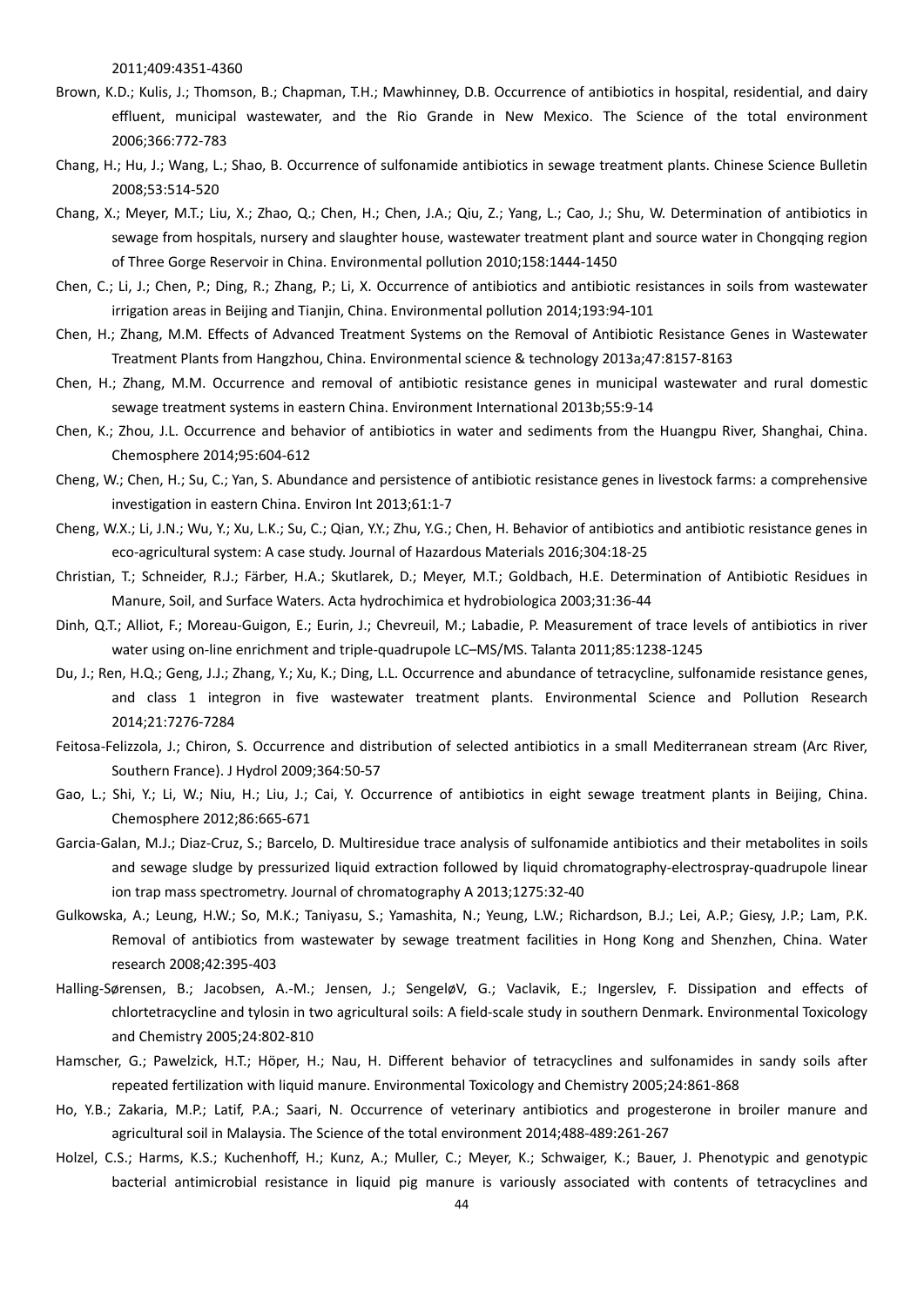2011;409:4351‐4360

- Brown, K.D.; Kulis, J.; Thomson, B.; Chapman, T.H.; Mawhinney, D.B. Occurrence of antibiotics in hospital, residential, and dairy effluent, municipal wastewater, and the Rio Grande in New Mexico. The Science of the total environment 2006;366:772‐783
- Chang, H.; Hu, J.; Wang, L.; Shao, B. Occurrence of sulfonamide antibiotics in sewage treatment plants. Chinese Science Bulletin 2008;53:514‐520
- Chang, X.; Meyer, M.T.; Liu, X.; Zhao, Q.; Chen, H.; Chen, J.A.; Qiu, Z.; Yang, L.; Cao, J.; Shu, W. Determination of antibiotics in sewage from hospitals, nursery and slaughter house, wastewater treatment plant and source water in Chongqing region of Three Gorge Reservoir in China. Environmental pollution 2010;158:1444‐1450
- Chen, C.; Li, J.; Chen, P.; Ding, R.; Zhang, P.; Li, X. Occurrence of antibiotics and antibiotic resistances in soils from wastewater irrigation areas in Beijing and Tianjin, China. Environmental pollution 2014;193:94‐101
- Chen, H.; Zhang, M.M. Effects of Advanced Treatment Systems on the Removal of Antibiotic Resistance Genes in Wastewater Treatment Plants from Hangzhou, China. Environmental science & technology 2013a;47:8157‐8163
- Chen, H.; Zhang, M.M. Occurrence and removal of antibiotic resistance genes in municipal wastewater and rural domestic sewage treatment systems in eastern China. Environment International 2013b;55:9‐14
- Chen, K.; Zhou, J.L. Occurrence and behavior of antibiotics in water and sediments from the Huangpu River, Shanghai, China. Chemosphere 2014;95:604‐612
- Cheng, W.; Chen, H.; Su, C.; Yan, S. Abundance and persistence of antibiotic resistance genes in livestock farms: a comprehensive investigation in eastern China. Environ Int 2013;61:1‐7
- Cheng, W.X.; Li, J.N.; Wu, Y.; Xu, L.K.; Su, C.; Qian, Y.Y.; Zhu, Y.G.; Chen, H. Behavior of antibiotics and antibiotic resistance genes in eco‐agricultural system: A case study. Journal of Hazardous Materials 2016;304:18‐25
- Christian, T.; Schneider, R.J.; Färber, H.A.; Skutlarek, D.; Meyer, M.T.; Goldbach, H.E. Determination of Antibiotic Residues in Manure, Soil, and Surface Waters. Acta hydrochimica et hydrobiologica 2003;31:36‐44
- Dinh, Q.T.; Alliot, F.; Moreau-Guigon, E.; Eurin, J.; Chevreuil, M.; Labadie, P. Measurement of trace levels of antibiotics in river water using on‐line enrichment and triple‐quadrupole LC–MS/MS. Talanta 2011;85:1238‐1245
- Du, J.; Ren, H.Q.; Geng, J.J.; Zhang, Y.; Xu, K.; Ding, L.L. Occurrence and abundance of tetracycline, sulfonamide resistance genes, and class 1 integron in five wastewater treatment plants. Environmental Science and Pollution Research 2014;21:7276‐7284
- Feitosa‐Felizzola, J.; Chiron, S. Occurrence and distribution of selected antibiotics in a small Mediterranean stream (Arc River, Southern France). J Hydrol 2009;364:50‐57
- Gao, L.; Shi, Y.; Li, W.; Niu, H.; Liu, J.; Cai, Y. Occurrence of antibiotics in eight sewage treatment plants in Beijing, China. Chemosphere 2012;86:665‐671
- Garcia‐Galan, M.J.; Diaz‐Cruz, S.; Barcelo, D. Multiresidue trace analysis of sulfonamide antibiotics and their metabolites in soils and sewage sludge by pressurized liquid extraction followed by liquid chromatography-electrospray-quadrupole linear ion trap mass spectrometry. Journal of chromatography A 2013;1275:32‐40
- Gulkowska, A.; Leung, H.W.; So, M.K.; Taniyasu, S.; Yamashita, N.; Yeung, L.W.; Richardson, B.J.; Lei, A.P.; Giesy, J.P.; Lam, P.K. Removal of antibiotics from wastewater by sewage treatment facilities in Hong Kong and Shenzhen, China. Water research 2008;42:395‐403
- Halling‐Sørensen, B.; Jacobsen, A.‐M.; Jensen, J.; SengeløV, G.; Vaclavik, E.; Ingerslev, F. Dissipation and effects of chlortetracycline and tylosin in two agricultural soils: A field‐scale study in southern Denmark. Environmental Toxicology and Chemistry 2005;24:802‐810
- Hamscher, G.; Pawelzick, H.T.; Höper, H.; Nau, H. Different behavior of tetracyclines and sulfonamides in sandy soils after repeated fertilization with liquid manure. Environmental Toxicology and Chemistry 2005;24:861‐868
- Ho, Y.B.; Zakaria, M.P.; Latif, P.A.; Saari, N. Occurrence of veterinary antibiotics and progesterone in broiler manure and agricultural soil in Malaysia. The Science of the total environment 2014;488‐489:261‐267
- Holzel, C.S.; Harms, K.S.; Kuchenhoff, H.; Kunz, A.; Muller, C.; Meyer, K.; Schwaiger, K.; Bauer, J. Phenotypic and genotypic bacterial antimicrobial resistance in liquid pig manure is variously associated with contents of tetracyclines and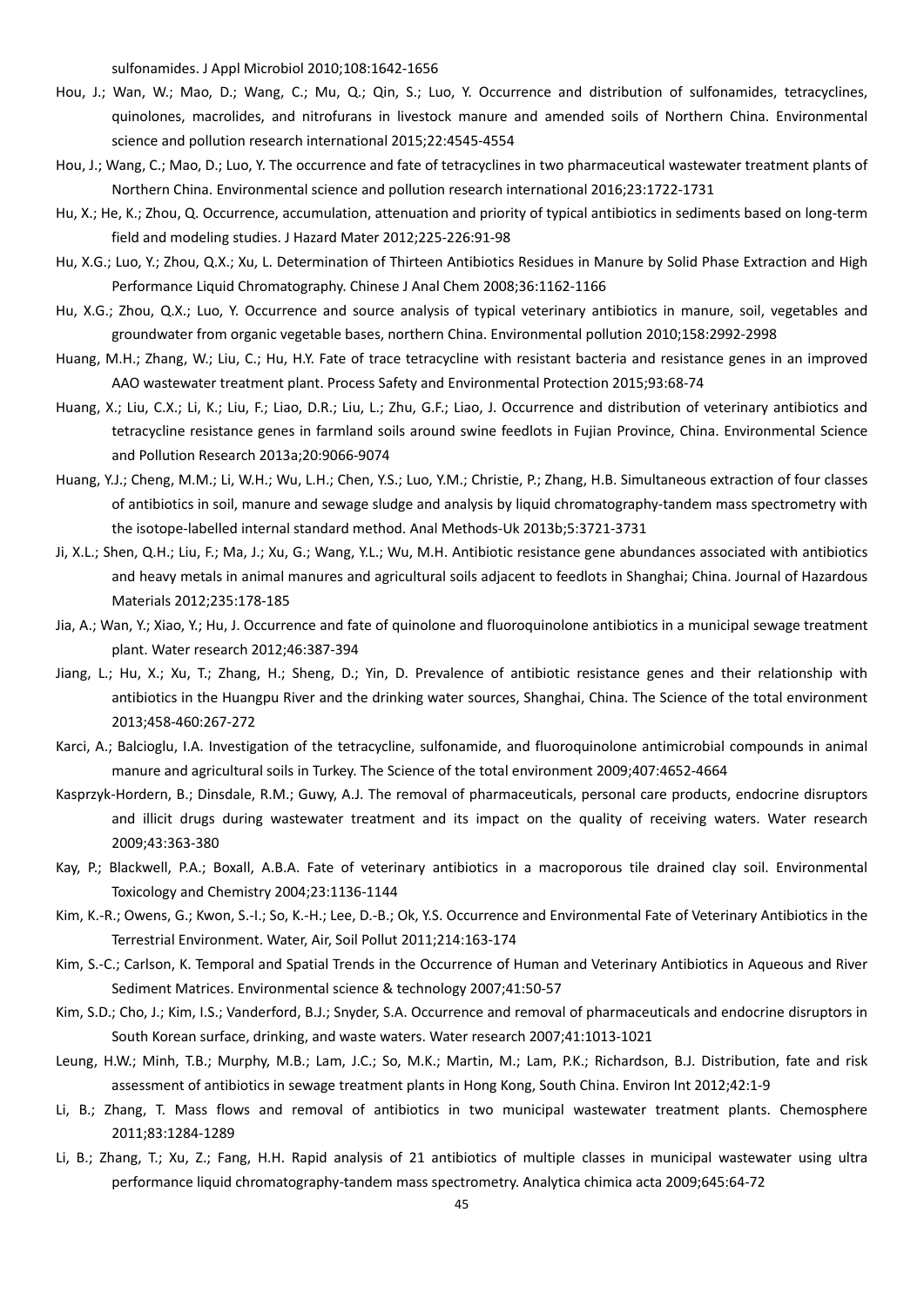sulfonamides. J Appl Microbiol 2010;108:1642‐1656

- Hou, J.; Wan, W.; Mao, D.; Wang, C.; Mu, Q.; Qin, S.; Luo, Y. Occurrence and distribution of sulfonamides, tetracyclines, quinolones, macrolides, and nitrofurans in livestock manure and amended soils of Northern China. Environmental science and pollution research international 2015;22:4545‐4554
- Hou, J.; Wang, C.; Mao, D.; Luo, Y. The occurrence and fate of tetracyclines in two pharmaceutical wastewater treatment plants of Northern China. Environmental science and pollution research international 2016;23:1722‐1731
- Hu, X.; He, K.; Zhou, Q. Occurrence, accumulation, attenuation and priority of typical antibiotics in sediments based on long‐term field and modeling studies. J Hazard Mater 2012;225‐226:91‐98
- Hu, X.G.; Luo, Y.; Zhou, Q.X.; Xu, L. Determination of Thirteen Antibiotics Residues in Manure by Solid Phase Extraction and High Performance Liquid Chromatography. Chinese J Anal Chem 2008;36:1162‐1166
- Hu, X.G.; Zhou, Q.X.; Luo, Y. Occurrence and source analysis of typical veterinary antibiotics in manure, soil, vegetables and groundwater from organic vegetable bases, northern China. Environmental pollution 2010;158:2992‐2998
- Huang, M.H.; Zhang, W.; Liu, C.; Hu, H.Y. Fate of trace tetracycline with resistant bacteria and resistance genes in an improved AAO wastewater treatment plant. Process Safety and Environmental Protection 2015;93:68‐74
- Huang, X.; Liu, C.X.; Li, K.; Liu, F.; Liao, D.R.; Liu, L.; Zhu, G.F.; Liao, J. Occurrence and distribution of veterinary antibiotics and tetracycline resistance genes in farmland soils around swine feedlots in Fujian Province, China. Environmental Science and Pollution Research 2013a;20:9066‐9074
- Huang, Y.J.; Cheng, M.M.; Li, W.H.; Wu, L.H.; Chen, Y.S.; Luo, Y.M.; Christie, P.; Zhang, H.B. Simultaneous extraction of four classes of antibiotics in soil, manure and sewage sludge and analysis by liquid chromatography‐tandem mass spectrometry with the isotope‐labelled internal standard method. Anal Methods‐Uk 2013b;5:3721‐3731
- Ji, X.L.; Shen, Q.H.; Liu, F.; Ma, J.; Xu, G.; Wang, Y.L.; Wu, M.H. Antibiotic resistance gene abundances associated with antibiotics and heavy metals in animal manures and agricultural soils adjacent to feedlots in Shanghai; China. Journal of Hazardous Materials 2012;235:178‐185
- Jia, A.; Wan, Y.; Xiao, Y.; Hu, J. Occurrence and fate of quinolone and fluoroquinolone antibiotics in a municipal sewage treatment plant. Water research 2012;46:387‐394
- Jiang, L.; Hu, X.; Xu, T.; Zhang, H.; Sheng, D.; Yin, D. Prevalence of antibiotic resistance genes and their relationship with antibiotics in the Huangpu River and the drinking water sources, Shanghai, China. The Science of the total environment 2013;458‐460:267‐272
- Karci, A.; Balcioglu, I.A. Investigation of the tetracycline, sulfonamide, and fluoroquinolone antimicrobial compounds in animal manure and agricultural soils in Turkey. The Science of the total environment 2009;407:4652-4664
- Kasprzyk‐Hordern, B.; Dinsdale, R.M.; Guwy, A.J. The removal of pharmaceuticals, personal care products, endocrine disruptors and illicit drugs during wastewater treatment and its impact on the quality of receiving waters. Water research 2009;43:363‐380
- Kay, P.; Blackwell, P.A.; Boxall, A.B.A. Fate of veterinary antibiotics in a macroporous tile drained clay soil. Environmental Toxicology and Chemistry 2004;23:1136‐1144
- Kim, K.‐R.; Owens, G.; Kwon, S.‐I.; So, K.‐H.; Lee, D.‐B.; Ok, Y.S. Occurrence and Environmental Fate of Veterinary Antibiotics in the Terrestrial Environment. Water, Air, Soil Pollut 2011;214:163‐174
- Kim, S.‐C.; Carlson, K. Temporal and Spatial Trends in the Occurrence of Human and Veterinary Antibiotics in Aqueous and River Sediment Matrices. Environmental science & technology 2007;41:50‐57
- Kim, S.D.; Cho, J.; Kim, I.S.; Vanderford, B.J.; Snyder, S.A. Occurrence and removal of pharmaceuticals and endocrine disruptors in South Korean surface, drinking, and waste waters. Water research 2007;41:1013‐1021
- Leung, H.W.; Minh, T.B.; Murphy, M.B.; Lam, J.C.; So, M.K.; Martin, M.; Lam, P.K.; Richardson, B.J. Distribution, fate and risk assessment of antibiotics in sewage treatment plants in Hong Kong, South China. Environ Int 2012;42:1‐9
- Li, B.; Zhang, T. Mass flows and removal of antibiotics in two municipal wastewater treatment plants. Chemosphere 2011;83:1284‐1289
- Li, B.; Zhang, T.; Xu, Z.; Fang, H.H. Rapid analysis of 21 antibiotics of multiple classes in municipal wastewater using ultra performance liquid chromatography‐tandem mass spectrometry. Analytica chimica acta 2009;645:64‐72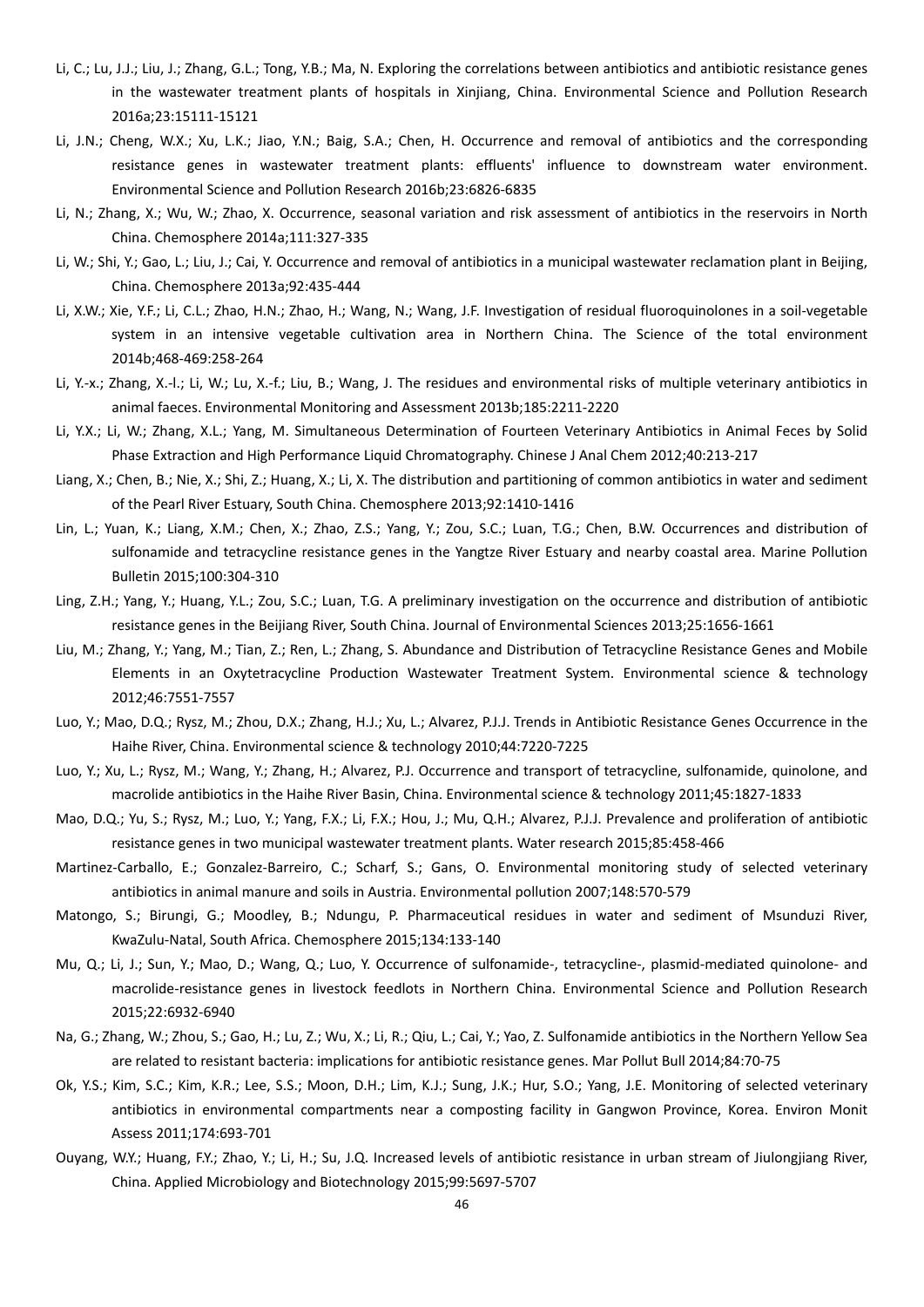- Li, C.; Lu, J.J.; Liu, J.; Zhang, G.L.; Tong, Y.B.; Ma, N. Exploring the correlations between antibiotics and antibiotic resistance genes in the wastewater treatment plants of hospitals in Xinjiang, China. Environmental Science and Pollution Research 2016a;23:15111‐15121
- Li, J.N.; Cheng, W.X.; Xu, L.K.; Jiao, Y.N.; Baig, S.A.; Chen, H. Occurrence and removal of antibiotics and the corresponding resistance genes in wastewater treatment plants: effluents' influence to downstream water environment. Environmental Science and Pollution Research 2016b;23:6826‐6835
- Li, N.; Zhang, X.; Wu, W.; Zhao, X. Occurrence, seasonal variation and risk assessment of antibiotics in the reservoirs in North China. Chemosphere 2014a;111:327‐335
- Li, W.; Shi, Y.; Gao, L.; Liu, J.; Cai, Y. Occurrence and removal of antibiotics in a municipal wastewater reclamation plant in Beijing, China. Chemosphere 2013a;92:435‐444
- Li, X.W.; Xie, Y.F.; Li, C.L.; Zhao, H.N.; Zhao, H.; Wang, N.; Wang, J.F. Investigation of residual fluoroquinolones in a soil-vegetable system in an intensive vegetable cultivation area in Northern China. The Science of the total environment 2014b;468‐469:258‐264
- Li, Y.‐x.; Zhang, X.‐l.; Li, W.; Lu, X.‐f.; Liu, B.; Wang, J. The residues and environmental risks of multiple veterinary antibiotics in animal faeces. Environmental Monitoring and Assessment 2013b;185:2211‐2220
- Li, Y.X.; Li, W.; Zhang, X.L.; Yang, M. Simultaneous Determination of Fourteen Veterinary Antibiotics in Animal Feces by Solid Phase Extraction and High Performance Liquid Chromatography. Chinese J Anal Chem 2012;40:213‐217
- Liang, X.; Chen, B.; Nie, X.; Shi, Z.; Huang, X.; Li, X. The distribution and partitioning of common antibiotics in water and sediment of the Pearl River Estuary, South China. Chemosphere 2013;92:1410‐1416
- Lin, L.; Yuan, K.; Liang, X.M.; Chen, X.; Zhao, Z.S.; Yang, Y.; Zou, S.C.; Luan, T.G.; Chen, B.W. Occurrences and distribution of sulfonamide and tetracycline resistance genes in the Yangtze River Estuary and nearby coastal area. Marine Pollution Bulletin 2015;100:304‐310
- Ling, Z.H.; Yang, Y.; Huang, Y.L.; Zou, S.C.; Luan, T.G. A preliminary investigation on the occurrence and distribution of antibiotic resistance genes in the Beijiang River, South China. Journal of Environmental Sciences 2013;25:1656‐1661
- Liu, M.; Zhang, Y.; Yang, M.; Tian, Z.; Ren, L.; Zhang, S. Abundance and Distribution of Tetracycline Resistance Genes and Mobile Elements in an Oxytetracycline Production Wastewater Treatment System. Environmental science & technology 2012;46:7551‐7557
- Luo, Y.; Mao, D.Q.; Rysz, M.; Zhou, D.X.; Zhang, H.J.; Xu, L.; Alvarez, P.J.J. Trends in Antibiotic Resistance Genes Occurrence in the Haihe River, China. Environmental science & technology 2010;44:7220‐7225
- Luo, Y.; Xu, L.; Rysz, M.; Wang, Y.; Zhang, H.; Alvarez, P.J. Occurrence and transport of tetracycline, sulfonamide, quinolone, and macrolide antibiotics in the Haihe River Basin, China. Environmental science & technology 2011;45:1827‐1833
- Mao, D.Q.; Yu, S.; Rysz, M.; Luo, Y.; Yang, F.X.; Li, F.X.; Hou, J.; Mu, Q.H.; Alvarez, P.J.J. Prevalence and proliferation of antibiotic resistance genes in two municipal wastewater treatment plants. Water research 2015;85:458‐466
- Martinez‐Carballo, E.; Gonzalez‐Barreiro, C.; Scharf, S.; Gans, O. Environmental monitoring study of selected veterinary antibiotics in animal manure and soils in Austria. Environmental pollution 2007;148:570‐579
- Matongo, S.; Birungi, G.; Moodley, B.; Ndungu, P. Pharmaceutical residues in water and sediment of Msunduzi River, KwaZulu‐Natal, South Africa. Chemosphere 2015;134:133‐140
- Mu, Q.; Li, J.; Sun, Y.; Mao, D.; Wang, Q.; Luo, Y. Occurrence of sulfonamide-, tetracycline-, plasmid-mediated quinolone- and macrolide‐resistance genes in livestock feedlots in Northern China. Environmental Science and Pollution Research 2015;22:6932‐6940
- Na, G.; Zhang, W.; Zhou, S.; Gao, H.; Lu, Z.; Wu, X.; Li, R.; Qiu, L.; Cai, Y.; Yao, Z. Sulfonamide antibiotics in the Northern Yellow Sea are related to resistant bacteria: implications for antibiotic resistance genes. Mar Pollut Bull 2014;84:70‐75
- Ok, Y.S.; Kim, S.C.; Kim, K.R.; Lee, S.S.; Moon, D.H.; Lim, K.J.; Sung, J.K.; Hur, S.O.; Yang, J.E. Monitoring of selected veterinary antibiotics in environmental compartments near a composting facility in Gangwon Province, Korea. Environ Monit Assess 2011;174:693‐701
- Ouyang, W.Y.; Huang, F.Y.; Zhao, Y.; Li, H.; Su, J.Q. Increased levels of antibiotic resistance in urban stream of Jiulongjiang River, China. Applied Microbiology and Biotechnology 2015;99:5697‐5707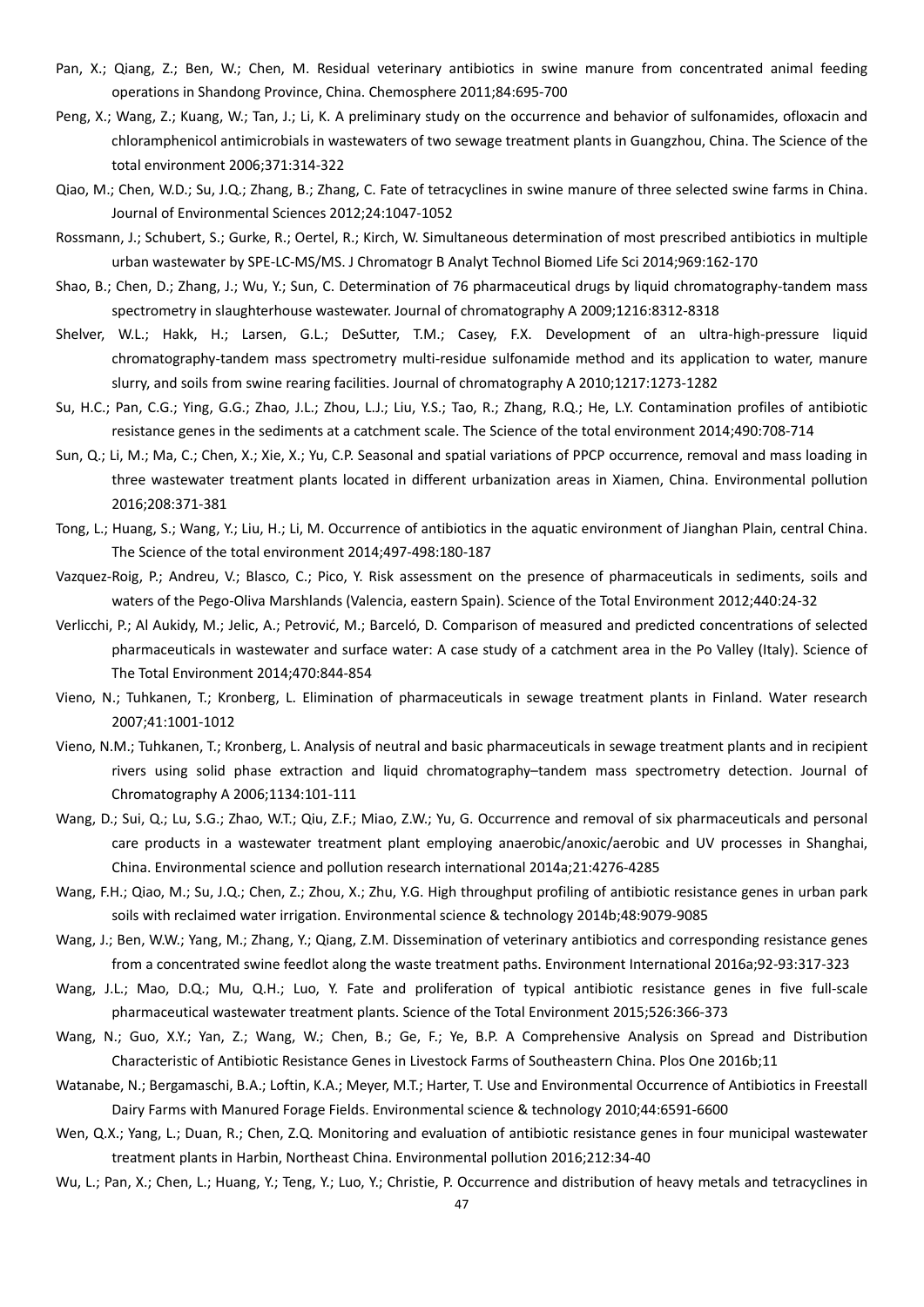- Pan, X.; Qiang, Z.; Ben, W.; Chen, M. Residual veterinary antibiotics in swine manure from concentrated animal feeding operations in Shandong Province, China. Chemosphere 2011;84:695‐700
- Peng, X.; Wang, Z.; Kuang, W.; Tan, J.; Li, K. A preliminary study on the occurrence and behavior of sulfonamides, ofloxacin and chloramphenicol antimicrobials in wastewaters of two sewage treatment plants in Guangzhou, China. The Science of the total environment 2006;371:314‐322
- Qiao, M.; Chen, W.D.; Su, J.Q.; Zhang, B.; Zhang, C. Fate of tetracyclines in swine manure of three selected swine farms in China. Journal of Environmental Sciences 2012;24:1047‐1052
- Rossmann, J.; Schubert, S.; Gurke, R.; Oertel, R.; Kirch, W. Simultaneous determination of most prescribed antibiotics in multiple urban wastewater by SPE‐LC‐MS/MS. J Chromatogr B Analyt Technol Biomed Life Sci 2014;969:162‐170
- Shao, B.; Chen, D.; Zhang, J.; Wu, Y.; Sun, C. Determination of 76 pharmaceutical drugs by liquid chromatography-tandem mass spectrometry in slaughterhouse wastewater. Journal of chromatography A 2009;1216:8312‐8318
- Shelver, W.L.; Hakk, H.; Larsen, G.L.; DeSutter, T.M.; Casey, F.X. Development of an ultra‐high‐pressure liquid chromatography‐tandem mass spectrometry multi‐residue sulfonamide method and its application to water, manure slurry, and soils from swine rearing facilities. Journal of chromatography A 2010;1217:1273‐1282
- Su, H.C.; Pan, C.G.; Ying, G.G.; Zhao, J.L.; Zhou, L.J.; Liu, Y.S.; Tao, R.; Zhang, R.Q.; He, L.Y. Contamination profiles of antibiotic resistance genes in the sediments at a catchment scale. The Science of the total environment 2014;490:708‐714
- Sun, Q.; Li, M.; Ma, C.; Chen, X.; Xie, X.; Yu, C.P. Seasonal and spatial variations of PPCP occurrence, removal and mass loading in three wastewater treatment plants located in different urbanization areas in Xiamen, China. Environmental pollution 2016;208:371‐381
- Tong, L.; Huang, S.; Wang, Y.; Liu, H.; Li, M. Occurrence of antibiotics in the aquatic environment of Jianghan Plain, central China. The Science of the total environment 2014;497‐498:180‐187
- Vazquez‐Roig, P.; Andreu, V.; Blasco, C.; Pico, Y. Risk assessment on the presence of pharmaceuticals in sediments, soils and waters of the Pego‐Oliva Marshlands (Valencia, eastern Spain). Science of the Total Environment 2012;440:24‐32
- Verlicchi, P.; Al Aukidy, M.; Jelic, A.; Petrović, M.; Barceló, D. Comparison of measured and predicted concentrations of selected pharmaceuticals in wastewater and surface water: A case study of a catchment area in the Po Valley (Italy). Science of The Total Environment 2014;470:844‐854
- Vieno, N.; Tuhkanen, T.; Kronberg, L. Elimination of pharmaceuticals in sewage treatment plants in Finland. Water research 2007;41:1001‐1012
- Vieno, N.M.; Tuhkanen, T.; Kronberg, L. Analysis of neutral and basic pharmaceuticals in sewage treatment plants and in recipient rivers using solid phase extraction and liquid chromatography–tandem mass spectrometry detection. Journal of Chromatography A 2006;1134:101‐111
- Wang, D.; Sui, Q.; Lu, S.G.; Zhao, W.T.; Qiu, Z.F.; Miao, Z.W.; Yu, G. Occurrence and removal of six pharmaceuticals and personal care products in a wastewater treatment plant employing anaerobic/anoxic/aerobic and UV processes in Shanghai, China. Environmental science and pollution research international 2014a;21:4276‐4285
- Wang, F.H.; Qiao, M.; Su, J.Q.; Chen, Z.; Zhou, X.; Zhu, Y.G. High throughput profiling of antibiotic resistance genes in urban park soils with reclaimed water irrigation. Environmental science & technology 2014b;48:9079‐9085
- Wang, J.; Ben, W.W.; Yang, M.; Zhang, Y.; Qiang, Z.M. Dissemination of veterinary antibiotics and corresponding resistance genes from a concentrated swine feedlot along the waste treatment paths. Environment International 2016a;92‐93:317‐323
- Wang, J.L.; Mao, D.Q.; Mu, Q.H.; Luo, Y. Fate and proliferation of typical antibiotic resistance genes in five full-scale pharmaceutical wastewater treatment plants. Science of the Total Environment 2015;526:366‐373
- Wang, N.; Guo, X.Y.; Yan, Z.; Wang, W.; Chen, B.; Ge, F.; Ye, B.P. A Comprehensive Analysis on Spread and Distribution Characteristic of Antibiotic Resistance Genes in Livestock Farms of Southeastern China. Plos One 2016b;11
- Watanabe, N.; Bergamaschi, B.A.; Loftin, K.A.; Meyer, M.T.; Harter, T. Use and Environmental Occurrence of Antibiotics in Freestall Dairy Farms with Manured Forage Fields. Environmental science & technology 2010;44:6591‐6600
- Wen, Q.X.; Yang, L.; Duan, R.; Chen, Z.Q. Monitoring and evaluation of antibiotic resistance genes in four municipal wastewater treatment plants in Harbin, Northeast China. Environmental pollution 2016;212:34‐40

Wu, L.; Pan, X.; Chen, L.; Huang, Y.; Teng, Y.; Luo, Y.; Christie, P. Occurrence and distribution of heavy metals and tetracyclines in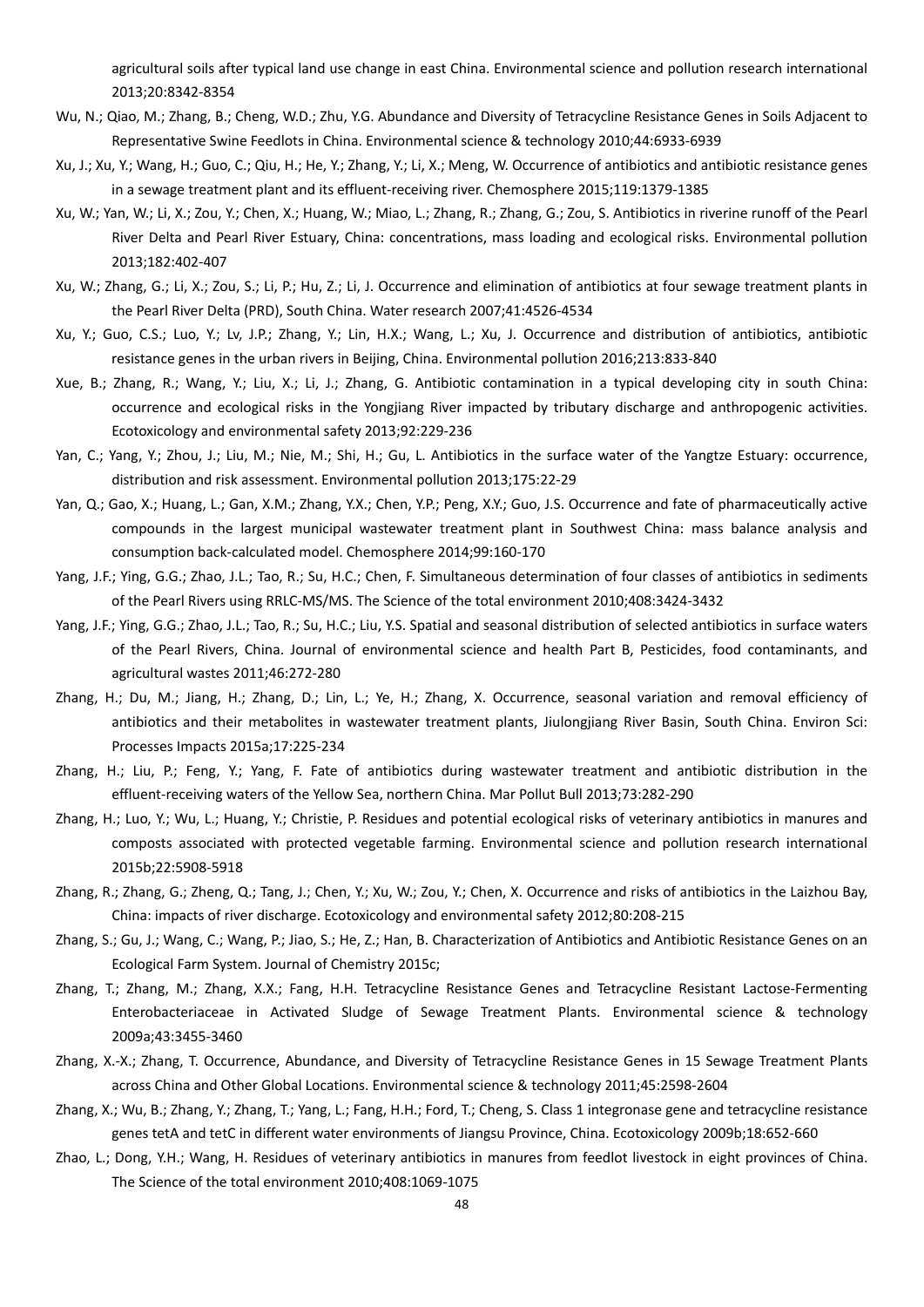agricultural soils after typical land use change in east China. Environmental science and pollution research international 2013;20:8342‐8354

- Wu, N.; Qiao, M.; Zhang, B.; Cheng, W.D.; Zhu, Y.G. Abundance and Diversity of Tetracycline Resistance Genes in Soils Adjacent to Representative Swine Feedlots in China. Environmental science & technology 2010;44:6933‐6939
- Xu, J.; Xu, Y.; Wang, H.; Guo, C.; Qiu, H.; He, Y.; Zhang, Y.; Li, X.; Meng, W. Occurrence of antibiotics and antibiotic resistance genes in a sewage treatment plant and its effluent‐receiving river. Chemosphere 2015;119:1379‐1385
- Xu, W.; Yan, W.; Li, X.; Zou, Y.; Chen, X.; Huang, W.; Miao, L.; Zhang, R.; Zhang, G.; Zou, S. Antibiotics in riverine runoff of the Pearl River Delta and Pearl River Estuary, China: concentrations, mass loading and ecological risks. Environmental pollution 2013;182:402‐407
- Xu, W.; Zhang, G.; Li, X.; Zou, S.; Li, P.; Hu, Z.; Li, J. Occurrence and elimination of antibiotics at four sewage treatment plants in the Pearl River Delta (PRD), South China. Water research 2007;41:4526‐4534
- Xu, Y.; Guo, C.S.; Luo, Y.; Lv, J.P.; Zhang, Y.; Lin, H.X.; Wang, L.; Xu, J. Occurrence and distribution of antibiotics, antibiotic resistance genes in the urban rivers in Beijing, China. Environmental pollution 2016;213:833‐840
- Xue, B.; Zhang, R.; Wang, Y.; Liu, X.; Li, J.; Zhang, G. Antibiotic contamination in a typical developing city in south China: occurrence and ecological risks in the Yongjiang River impacted by tributary discharge and anthropogenic activities. Ecotoxicology and environmental safety 2013;92:229‐236
- Yan, C.; Yang, Y.; Zhou, J.; Liu, M.; Nie, M.; Shi, H.; Gu, L. Antibiotics in the surface water of the Yangtze Estuary: occurrence, distribution and risk assessment. Environmental pollution 2013;175:22‐29
- Yan, Q.; Gao, X.; Huang, L.; Gan, X.M.; Zhang, Y.X.; Chen, Y.P.; Peng, X.Y.; Guo, J.S. Occurrence and fate of pharmaceutically active compounds in the largest municipal wastewater treatment plant in Southwest China: mass balance analysis and consumption back‐calculated model. Chemosphere 2014;99:160‐170
- Yang, J.F.; Ying, G.G.; Zhao, J.L.; Tao, R.; Su, H.C.; Chen, F. Simultaneous determination of four classes of antibiotics in sediments of the Pearl Rivers using RRLC‐MS/MS. The Science of the total environment 2010;408:3424‐3432
- Yang, J.F.; Ying, G.G.; Zhao, J.L.; Tao, R.; Su, H.C.; Liu, Y.S. Spatial and seasonal distribution of selected antibiotics in surface waters of the Pearl Rivers, China. Journal of environmental science and health Part B, Pesticides, food contaminants, and agricultural wastes 2011;46:272‐280
- Zhang, H.; Du, M.; Jiang, H.; Zhang, D.; Lin, L.; Ye, H.; Zhang, X. Occurrence, seasonal variation and removal efficiency of antibiotics and their metabolites in wastewater treatment plants, Jiulongjiang River Basin, South China. Environ Sci: Processes Impacts 2015a;17:225‐234
- Zhang, H.; Liu, P.; Feng, Y.; Yang, F. Fate of antibiotics during wastewater treatment and antibiotic distribution in the effluent‐receiving waters of the Yellow Sea, northern China. Mar Pollut Bull 2013;73:282‐290
- Zhang, H.; Luo, Y.; Wu, L.; Huang, Y.; Christie, P. Residues and potential ecological risks of veterinary antibiotics in manures and composts associated with protected vegetable farming. Environmental science and pollution research international 2015b;22:5908‐5918
- Zhang, R.; Zhang, G.; Zheng, Q.; Tang, J.; Chen, Y.; Xu, W.; Zou, Y.; Chen, X. Occurrence and risks of antibiotics in the Laizhou Bay, China: impacts of river discharge. Ecotoxicology and environmental safety 2012;80:208‐215
- Zhang, S.; Gu, J.; Wang, C.; Wang, P.; Jiao, S.; He, Z.; Han, B. Characterization of Antibiotics and Antibiotic Resistance Genes on an Ecological Farm System. Journal of Chemistry 2015c;
- Zhang, T.; Zhang, M.; Zhang, X.X.; Fang, H.H. Tetracycline Resistance Genes and Tetracycline Resistant Lactose‐Fermenting Enterobacteriaceae in Activated Sludge of Sewage Treatment Plants. Environmental science & technology 2009a;43:3455‐3460
- Zhang, X.‐X.; Zhang, T. Occurrence, Abundance, and Diversity of Tetracycline Resistance Genes in 15 Sewage Treatment Plants across China and Other Global Locations. Environmental science & technology 2011;45:2598‐2604
- Zhang, X.; Wu, B.; Zhang, Y.; Zhang, T.; Yang, L.; Fang, H.H.; Ford, T.; Cheng, S. Class 1 integronase gene and tetracycline resistance genes tetA and tetC in different water environments of Jiangsu Province, China. Ecotoxicology 2009b;18:652‐660
- Zhao, L.; Dong, Y.H.; Wang, H. Residues of veterinary antibiotics in manures from feedlot livestock in eight provinces of China. The Science of the total environment 2010;408:1069‐1075